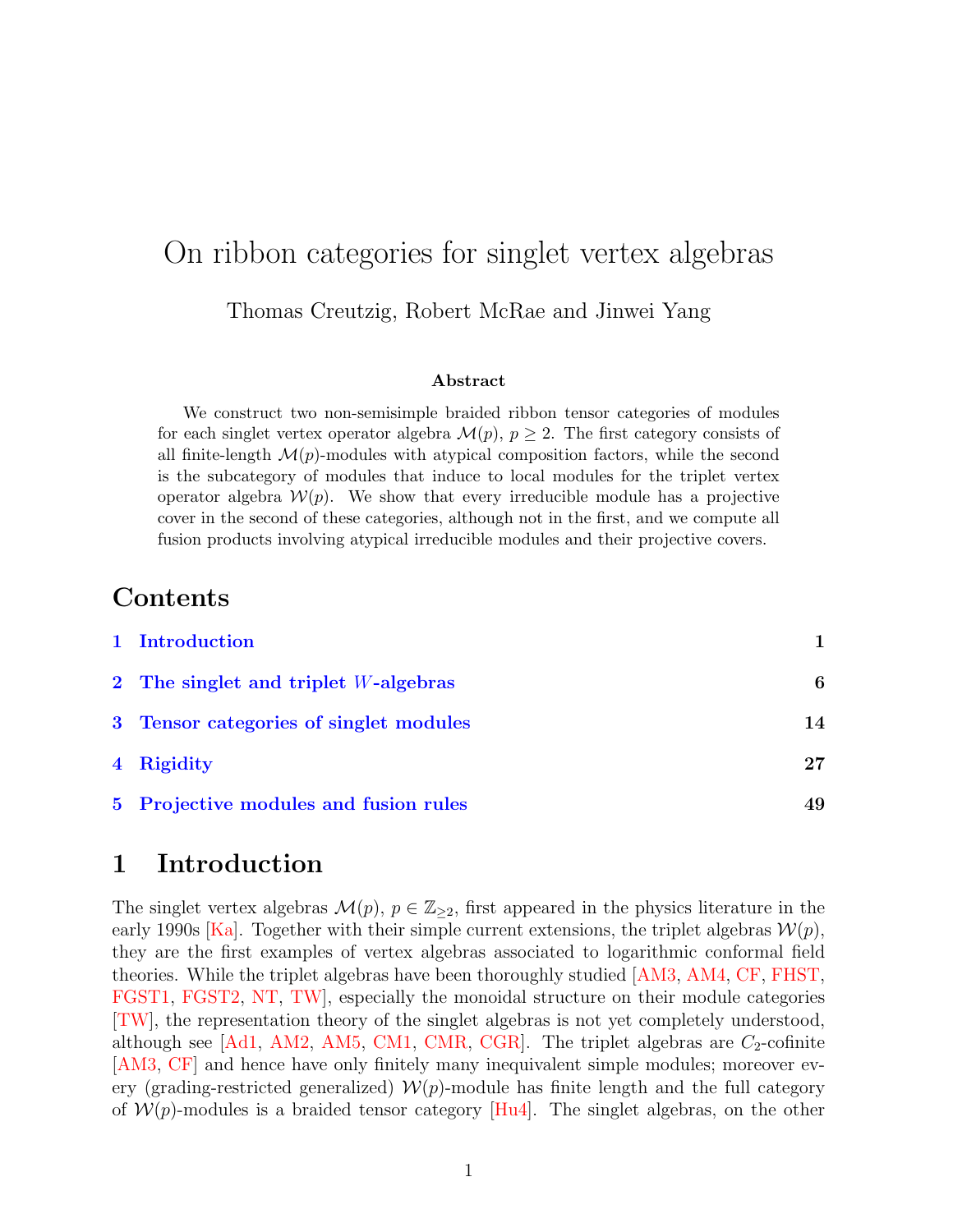# On ribbon categories for singlet vertex algebras Thomas Creutzig, Robert McRae and Jinwei Yang

#### Abstract

We construct two non-semisimple braided ribbon tensor categories of modules for each singlet vertex operator algebra  $\mathcal{M}(p), p \geq 2$ . The first category consists of all finite-length  $\mathcal{M}(p)$ -modules with atypical composition factors, while the second is the subcategory of modules that induce to local modules for the triplet vertex operator algebra  $W(p)$ . We show that every irreducible module has a projective cover in the second of these categories, although not in the first, and we compute all fusion products involving atypical irreducible modules and their projective covers.

# Contents

| 1 Introduction                         |    |
|----------------------------------------|----|
| 2 The singlet and triplet W-algebras   | 6  |
| 3 Tensor categories of singlet modules | 14 |
| 4 Rigidity                             | 27 |
| 5 Projective modules and fusion rules  | 49 |

# <span id="page-0-0"></span>1 Introduction

The singlet vertex algebras  $\mathcal{M}(p), p \in \mathbb{Z}_{\geq 2}$ , first appeared in the physics literature in the early 1990s [\[Ka\]](#page-63-0). Together with their simple current extensions, the triplet algebras  $\mathcal{W}(p)$ , they are the first examples of vertex algebras associated to logarithmic conformal field theories. While the triplet algebras have been thoroughly studied [\[AM3,](#page-59-0) [AM4,](#page-59-1) [CF,](#page-60-0) [FHST,](#page-62-0) [FGST1,](#page-61-0) [FGST2,](#page-62-1) [NT,](#page-64-0) [TW\]](#page-65-0), especially the monoidal structure on their module categories [\[TW\]](#page-65-0), the representation theory of the singlet algebras is not yet completely understood, although see  $[Ad1, AM2, AM5, CM1, CMR, CGR]$  $[Ad1, AM2, AM5, CM1, CMR, CGR]$  $[Ad1, AM2, AM5, CM1, CMR, CGR]$  $[Ad1, AM2, AM5, CM1, CMR, CGR]$  $[Ad1, AM2, AM5, CM1, CMR, CGR]$  $[Ad1, AM2, AM5, CM1, CMR, CGR]$  $[Ad1, AM2, AM5, CM1, CMR, CGR]$  $[Ad1, AM2, AM5, CM1, CMR, CGR]$  $[Ad1, AM2, AM5, CM1, CMR, CGR]$  $[Ad1, AM2, AM5, CM1, CMR, CGR]$ . The triplet algebras are  $C_2$ -cofinite [\[AM3,](#page-59-0) [CF\]](#page-60-0) and hence have only finitely many inequivalent simple modules; moreover every (grading-restricted generalized)  $\mathcal{W}(p)$ -module has finite length and the full category of  $W(p)$ -modules is a braided tensor category [\[Hu4\]](#page-62-2). The singlet algebras, on the other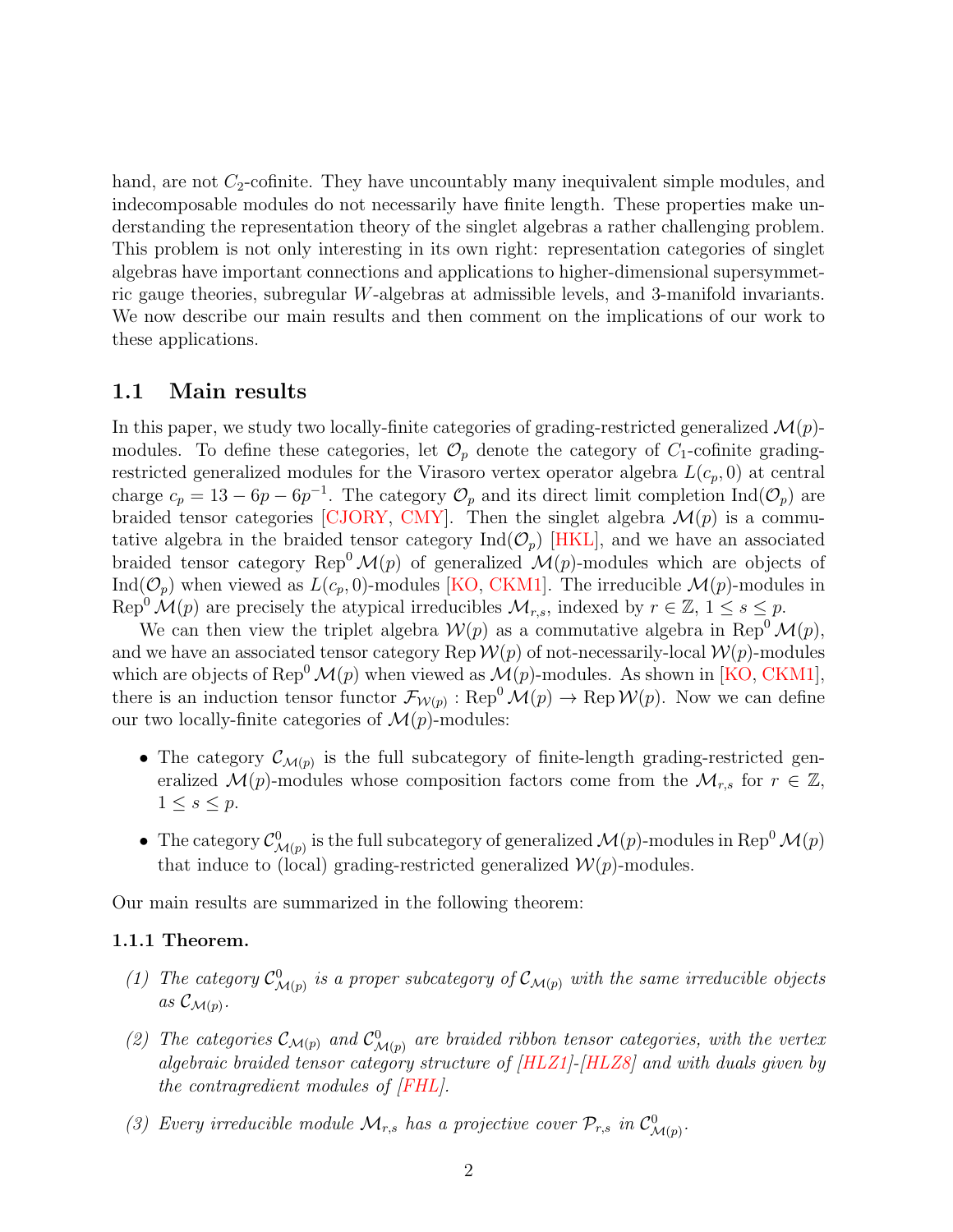hand, are not  $C_2$ -cofinite. They have uncountably many inequivalent simple modules, and indecomposable modules do not necessarily have finite length. These properties make understanding the representation theory of the singlet algebras a rather challenging problem. This problem is not only interesting in its own right: representation categories of singlet algebras have important connections and applications to higher-dimensional supersymmetric gauge theories, subregular W-algebras at admissible levels, and 3-manifold invariants. We now describe our main results and then comment on the implications of our work to these applications.

## 1.1 Main results

In this paper, we study two locally-finite categories of grading-restricted generalized  $\mathcal{M}(p)$ modules. To define these categories, let  $\mathcal{O}_p$  denote the category of  $C_1$ -cofinite gradingrestricted generalized modules for the Virasoro vertex operator algebra  $L(c_p, 0)$  at central charge  $c_p = 13 - 6p - 6p^{-1}$ . The category  $\mathcal{O}_p$  and its direct limit completion  $\text{Ind}(\mathcal{O}_p)$  are braided tensor categories [\[CJORY,](#page-60-2) [CMY\]](#page-61-3). Then the singlet algebra  $\mathcal{M}(p)$  is a commutative algebra in the braided tensor category  $Ind(\mathcal{O}_n)$  [\[HKL\]](#page-62-3), and we have an associated braided tensor category Rep<sup>0</sup> $\mathcal{M}(p)$  of generalized  $\mathcal{M}(p)$ -modules which are objects of Ind( $\mathcal{O}_p$ ) when viewed as  $L(c_p, 0)$ -modules [\[KO,](#page-64-1) [CKM1\]](#page-60-3). The irreducible  $\mathcal{M}(p)$ -modules in Rep<sup>0</sup>  $\mathcal{M}(p)$  are precisely the atypical irreducibles  $\mathcal{M}_{r,s}$ , indexed by  $r \in \mathbb{Z}$ ,  $1 \leq s \leq p$ .

We can then view the triplet algebra  $W(p)$  as a commutative algebra in Rep<sup>0</sup>  $\mathcal{M}(p)$ , and we have an associated tensor category Rep  $W(p)$  of not-necessarily-local  $W(p)$ -modules which are objects of Rep<sup>0</sup>  $\mathcal{M}(p)$  when viewed as  $\mathcal{M}(p)$ -modules. As shown in [\[KO,](#page-64-1) [CKM1\]](#page-60-3), there is an induction tensor functor  $\mathcal{F}_{W(p)}$ : Rep $^0\mathcal{M}(p) \to$  Rep $\mathcal{W}(p)$ . Now we can define our two locally-finite categories of  $\mathcal{M}(p)$ -modules:

- The category  $\mathcal{C}_{\mathcal{M}(p)}$  is the full subcategory of finite-length grading-restricted generalized  $\mathcal{M}(p)$ -modules whose composition factors come from the  $\mathcal{M}_{r,s}$  for  $r \in \mathbb{Z}$ ,  $1 \leq s \leq p$ .
- The category  $\mathcal{C}^0_{\mathcal{M}(p)}$  is the full subcategory of generalized  $\mathcal{M}(p)$ -modules in Rep<sup>0</sup>  $\mathcal{M}(p)$ that induce to (local) grading-restricted generalized  $\mathcal{W}(p)$ -modules.

Our main results are summarized in the following theorem:

#### 1.1.1 Theorem.

- (1) The category  $\mathcal{C}^0_{\mathcal{M}(p)}$  is a proper subcategory of  $\mathcal{C}_{\mathcal{M}(p)}$  with the same irreducible objects as  $\mathcal{C}_{\mathcal{M}(p)}$ .
- (2) The categories  $\mathcal{C}_{\mathcal{M}(p)}$  and  $\mathcal{C}_{\mathcal{M}(p)}^0$  are braided ribbon tensor categories, with the vertex algebraic braided tensor category structure of [\[HLZ1\]](#page-62-4)-[\[HLZ8\]](#page-63-1) and with duals given by the contragredient modules of [\[FHL\]](#page-62-5).
- (3) Every irreducible module  $\mathcal{M}_{r,s}$  has a projective cover  $\mathcal{P}_{r,s}$  in  $\mathcal{C}_{\mathcal{M}(p)}^0$ .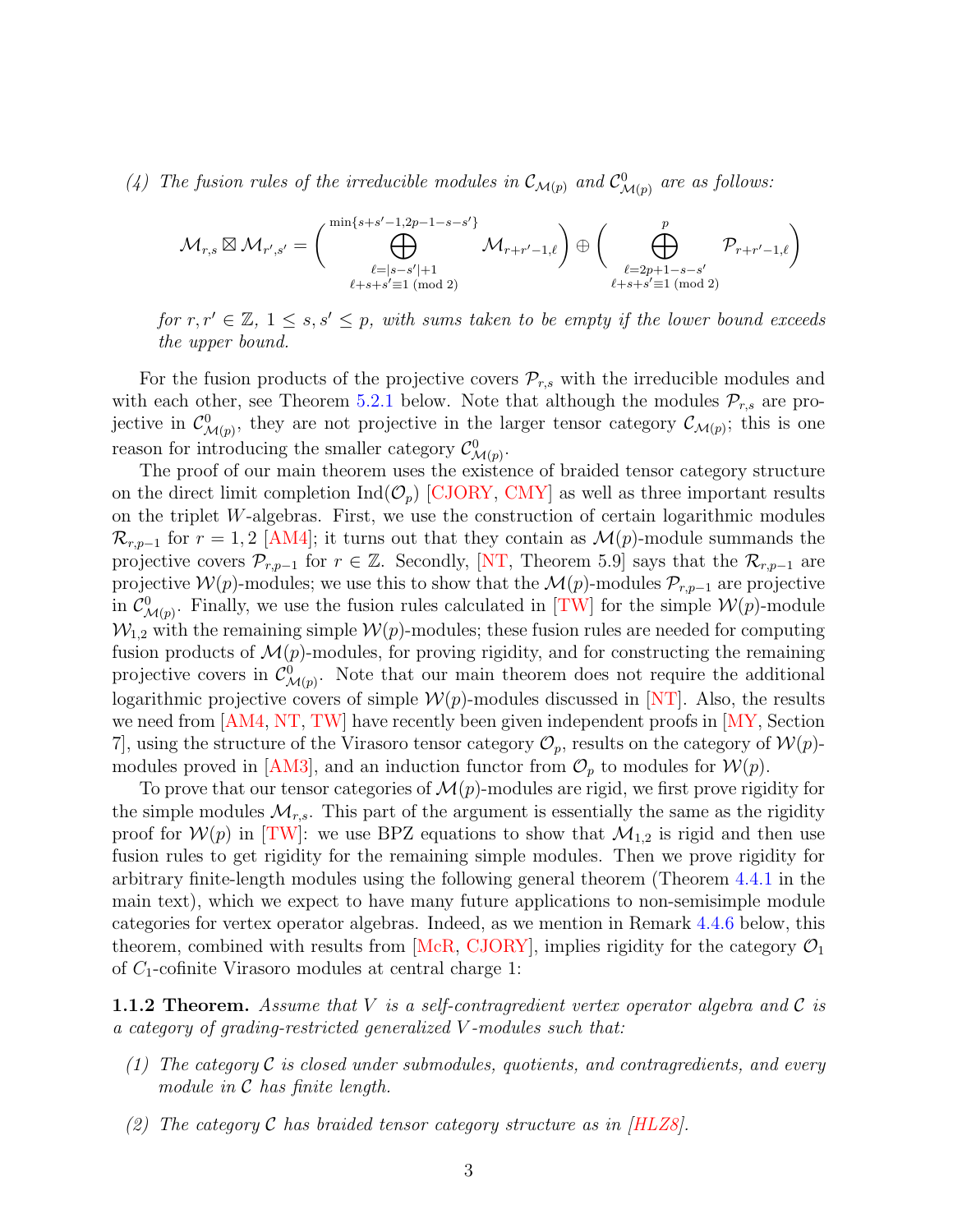(4) The fusion rules of the irreducible modules in  $\mathcal{C}_{\mathcal{M}(p)}$  and  $\mathcal{C}^0_{\mathcal{M}(p)}$  are as follows:

$$
\mathcal{M}_{r,s}\boxtimes \mathcal{M}_{r',s'}=\Big(\bigoplus_{\substack{\ell=|s-s'|+1\\ \ell+s+s'\equiv 1\,(\text{mod}\,2)}}^{\min\{s+s'-1,2p-1-s-s'\}}\mathcal{M}_{r+r'-1,\ell}\Big)\oplus \Big(\bigoplus_{\substack{\ell=2p+1-s-s'\\ \ell+s+s'\equiv 1\,(\text{mod}\,2)}}^p\mathcal{P}_{r+r'-1,\ell}\Big)
$$

for  $r, r' \in \mathbb{Z}, 1 \leq s, s' \leq p$ , with sums taken to be empty if the lower bound exceeds the upper bound.

For the fusion products of the projective covers  $\mathcal{P}_{r,s}$  with the irreducible modules and with each other, see Theorem [5.2.1](#page-55-0) below. Note that although the modules  $\mathcal{P}_{r,s}$  are projective in  $\mathcal{C}^0_{\mathcal{M}(p)}$ , they are not projective in the larger tensor category  $\mathcal{C}_{\mathcal{M}(p)}$ ; this is one reason for introducing the smaller category  $\mathcal{C}^0_{\mathcal{M}(p)}$ .

The proof of our main theorem uses the existence of braided tensor category structure on the direct limit completion  $\text{Ind}(\mathcal{O}_p)$  [\[CJORY,](#page-60-2) [CMY\]](#page-61-3) as well as three important results on the triplet W-algebras. First, we use the construction of certain logarithmic modules  $\mathcal{R}_{r,p-1}$  for  $r=1,2$  [\[AM4\]](#page-59-1); it turns out that they contain as  $\mathcal{M}(p)$ -module summands the projective covers  $\mathcal{P}_{r,p-1}$  for  $r \in \mathbb{Z}$ . Secondly, [\[NT,](#page-64-0) Theorem 5.9] says that the  $\mathcal{R}_{r,p-1}$  are projective  $W(p)$ -modules; we use this to show that the  $\mathcal{M}(p)$ -modules  $\mathcal{P}_{r,p-1}$  are projective in  $\mathcal{C}^0_{\mathcal{M}(p)}$ . Finally, we use the fusion rules calculated in [\[TW\]](#page-65-0) for the simple  $\mathcal{W}(p)$ -module  $\mathcal{W}_{1,2}$  with the remaining simple  $\mathcal{W}(p)$ -modules; these fusion rules are needed for computing fusion products of  $\mathcal{M}(p)$ -modules, for proving rigidity, and for constructing the remaining projective covers in  $\mathcal{C}^0_{\mathcal{M}(p)}$ . Note that our main theorem does not require the additional logarithmic projective covers of simple  $\mathcal{W}(p)$ -modules discussed in [\[NT\]](#page-64-0). Also, the results we need from [\[AM4,](#page-59-1) [NT,](#page-64-0) [TW\]](#page-65-0) have recently been given independent proofs in [\[MY,](#page-64-2) Section 7, using the structure of the Virasoro tensor category  $\mathcal{O}_p$ , results on the category of  $\mathcal{W}(p)$ -modules proved in [\[AM3\]](#page-59-0), and an induction functor from  $\mathcal{O}_p$  to modules for  $\mathcal{W}(p)$ .

To prove that our tensor categories of  $\mathcal{M}(p)$ -modules are rigid, we first prove rigidity for the simple modules  $\mathcal{M}_{r,s}$ . This part of the argument is essentially the same as the rigidity proof for  $W(p)$  in [\[TW\]](#page-65-0): we use BPZ equations to show that  $\mathcal{M}_{1,2}$  is rigid and then use fusion rules to get rigidity for the remaining simple modules. Then we prove rigidity for arbitrary finite-length modules using the following general theorem (Theorem [4.4.1](#page-41-0) in the main text), which we expect to have many future applications to non-semisimple module categories for vertex operator algebras. Indeed, as we mention in Remark [4.4.6](#page-47-0) below, this theorem, combined with results from  $[MeR, CJORY]$  $[MeR, CJORY]$ , implies rigidity for the category  $\mathcal{O}_1$ of  $C_1$ -cofinite Virasoro modules at central charge 1:

**1.1.2 Theorem.** Assume that V is a self-contragredient vertex operator algebra and C is a category of grading-restricted generalized V -modules such that:

- (1) The category  $\mathcal C$  is closed under submodules, quotients, and contragredients, and every module in C has finite length.
- (2) The category C has braided tensor category structure as in  $|HLZ8|$ .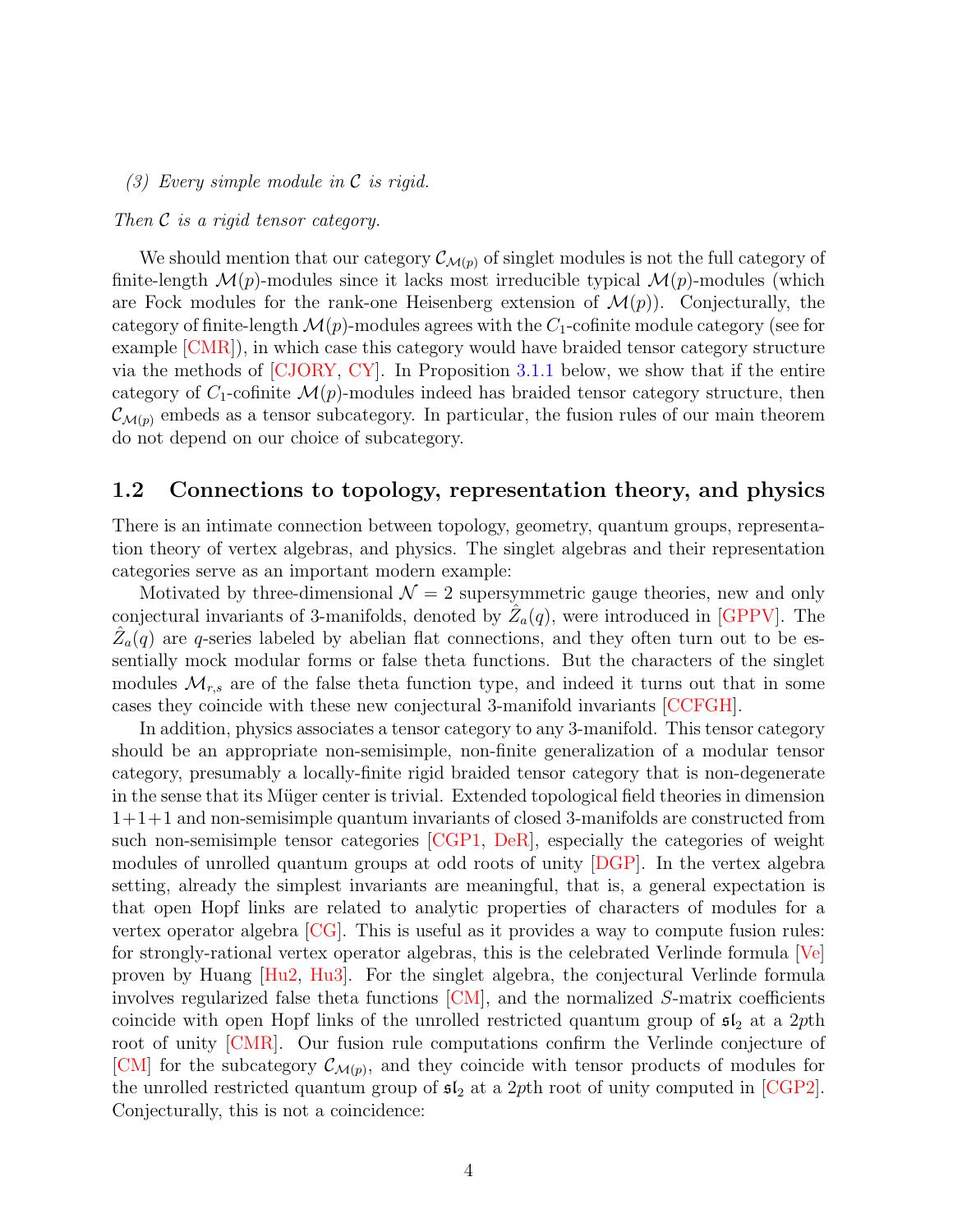#### (3) Every simple module in C is rigid.

#### Then C is a rigid tensor category.

We should mention that our category  $\mathcal{C}_{\mathcal{M}(p)}$  of singlet modules is not the full category of finite-length  $\mathcal{M}(p)$ -modules since it lacks most irreducible typical  $\mathcal{M}(p)$ -modules (which are Fock modules for the rank-one Heisenberg extension of  $\mathcal{M}(p)$ . Conjecturally, the category of finite-length  $\mathcal{M}(p)$ -modules agrees with the  $C_1$ -cofinite module category (see for example [\[CMR\]](#page-61-2)), in which case this category would have braided tensor category structure via the methods of [\[CJORY,](#page-60-2) [CY\]](#page-61-4). In Proposition [3.1.1](#page-14-0) below, we show that if the entire category of  $C_1$ -cofinite  $\mathcal{M}(p)$ -modules indeed has braided tensor category structure, then  $\mathcal{C}_{\mathcal{M}(p)}$  embeds as a tensor subcategory. In particular, the fusion rules of our main theorem do not depend on our choice of subcategory.

## 1.2 Connections to topology, representation theory, and physics

There is an intimate connection between topology, geometry, quantum groups, representation theory of vertex algebras, and physics. The singlet algebras and their representation categories serve as an important modern example:

Motivated by three-dimensional  $\mathcal{N}=2$  supersymmetric gauge theories, new and only conjectural invariants of 3-manifolds, denoted by  $\hat{Z}_a(q)$ , were introduced in [\[GPPV\]](#page-62-6). The  $\hat{Z}_a(q)$  are q-series labeled by abelian flat connections, and they often turn out to be essentially mock modular forms or false theta functions. But the characters of the singlet modules  $\mathcal{M}_{r,s}$  are of the false theta function type, and indeed it turns out that in some cases they coincide with these new conjectural 3-manifold invariants [\[CCFGH\]](#page-60-4).

In addition, physics associates a tensor category to any 3-manifold. This tensor category should be an appropriate non-semisimple, non-finite generalization of a modular tensor category, presumably a locally-finite rigid braided tensor category that is non-degenerate in the sense that its Müger center is trivial. Extended topological field theories in dimension 1+1+1 and non-semisimple quantum invariants of closed 3-manifolds are constructed from such non-semisimple tensor categories [\[CGP1,](#page-60-5) [DeR\]](#page-61-5), especially the categories of weight modules of unrolled quantum groups at odd roots of unity [\[DGP\]](#page-61-6). In the vertex algebra setting, already the simplest invariants are meaningful, that is, a general expectation is that open Hopf links are related to analytic properties of characters of modules for a vertex operator algebra [\[CG\]](#page-60-6). This is useful as it provides a way to compute fusion rules: for strongly-rational vertex operator algebras, this is the celebrated Verlinde formula [\[Ve\]](#page-65-1) proven by Huang [\[Hu2,](#page-62-7) [Hu3\]](#page-62-8). For the singlet algebra, the conjectural Verlinde formula involves regularized false theta functions  $[CM]$ , and the normalized S-matrix coefficients coincide with open Hopf links of the unrolled restricted quantum group of  $\mathfrak{sl}_2$  at a 2pth root of unity [\[CMR\]](#page-61-2). Our fusion rule computations confirm the Verlinde conjecture of [\[CM\]](#page-59-5) for the subcategory  $\mathcal{C}_{\mathcal{M}(p)}$ , and they coincide with tensor products of modules for the unrolled restricted quantum group of  $\mathfrak{sl}_2$  at a 2pth root of unity computed in [\[CGP2\]](#page-60-7). Conjecturally, this is not a coincidence: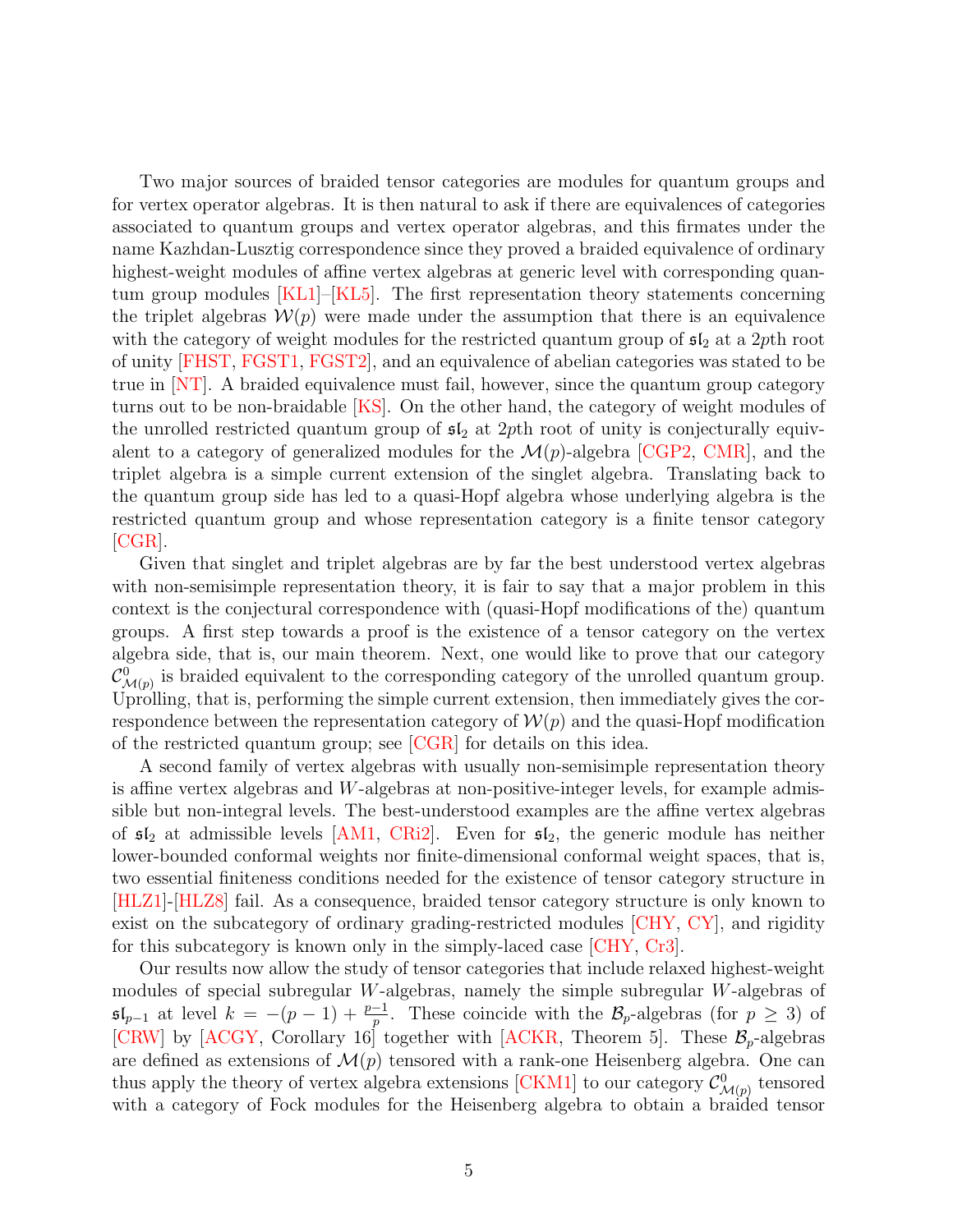Two major sources of braided tensor categories are modules for quantum groups and for vertex operator algebras. It is then natural to ask if there are equivalences of categories associated to quantum groups and vertex operator algebras, and this firmates under the name Kazhdan-Lusztig correspondence since they proved a braided equivalence of ordinary highest-weight modules of affine vertex algebras at generic level with corresponding quantum group modules [\[KL1\]](#page-63-2)–[\[KL5\]](#page-63-3). The first representation theory statements concerning the triplet algebras  $W(p)$  were made under the assumption that there is an equivalence with the category of weight modules for the restricted quantum group of  $\mathfrak{sl}_2$  at a 2pth root of unity [\[FHST,](#page-62-0) [FGST1,](#page-61-0) [FGST2\]](#page-62-1), and an equivalence of abelian categories was stated to be true in [\[NT\]](#page-64-0). A braided equivalence must fail, however, since the quantum group category turns out to be non-braidable  $[KS]$ . On the other hand, the category of weight modules of the unrolled restricted quantum group of  $\mathfrak{sl}_2$  at 2pth root of unity is conjecturally equivalent to a category of generalized modules for the  $\mathcal{M}(p)$ -algebra [\[CGP2,](#page-60-7) [CMR\]](#page-61-2), and the triplet algebra is a simple current extension of the singlet algebra. Translating back to the quantum group side has led to a quasi-Hopf algebra whose underlying algebra is the restricted quantum group and whose representation category is a finite tensor category [\[CGR\]](#page-60-1).

Given that singlet and triplet algebras are by far the best understood vertex algebras with non-semisimple representation theory, it is fair to say that a major problem in this context is the conjectural correspondence with (quasi-Hopf modifications of the) quantum groups. A first step towards a proof is the existence of a tensor category on the vertex algebra side, that is, our main theorem. Next, one would like to prove that our category  $\mathcal{C}^0_{\mathcal{M}(p)}$  is braided equivalent to the corresponding category of the unrolled quantum group. Uprolling, that is, performing the simple current extension, then immediately gives the correspondence between the representation category of  $\mathcal{W}(p)$  and the quasi-Hopf modification of the restricted quantum group; see [\[CGR\]](#page-60-1) for details on this idea.

A second family of vertex algebras with usually non-semisimple representation theory is affine vertex algebras and W-algebras at non-positive-integer levels, for example admissible but non-integral levels. The best-understood examples are the affine vertex algebras of  $\mathfrak{sl}_2$  at admissible levels [\[AM1,](#page-59-6) [CRi2\]](#page-61-7). Even for  $\mathfrak{sl}_2$ , the generic module has neither lower-bounded conformal weights nor finite-dimensional conformal weight spaces, that is, two essential finiteness conditions needed for the existence of tensor category structure in [\[HLZ1\]](#page-62-4)-[\[HLZ8\]](#page-63-1) fail. As a consequence, braided tensor category structure is only known to exist on the subcategory of ordinary grading-restricted modules [\[CHY,](#page-60-8) [CY\]](#page-61-4), and rigidity for this subcategory is known only in the simply-laced case [\[CHY,](#page-60-8) [Cr3\]](#page-60-9).

Our results now allow the study of tensor categories that include relaxed highest-weight modules of special subregular W-algebras, namely the simple subregular W-algebras of  $\mathfrak{sl}_{p-1}$  at level  $k = -(p-1) + \frac{p-1}{p}$ . These coincide with the  $\mathcal{B}_p$ -algebras (for  $p \geq 3$ ) of [\[CRW\]](#page-61-8) by [\[ACGY,](#page-59-7) Corollary 16] together with [\[ACKR,](#page-59-8) Theorem 5]. These  $\mathcal{B}_p$ -algebras are defined as extensions of  $\mathcal{M}(p)$  tensored with a rank-one Heisenberg algebra. One can thus apply the theory of vertex algebra extensions [\[CKM1\]](#page-60-3) to our category  $\mathcal{C}^0_{\mathcal{M}(p)}$  tensored with a category of Fock modules for the Heisenberg algebra to obtain a braided tensor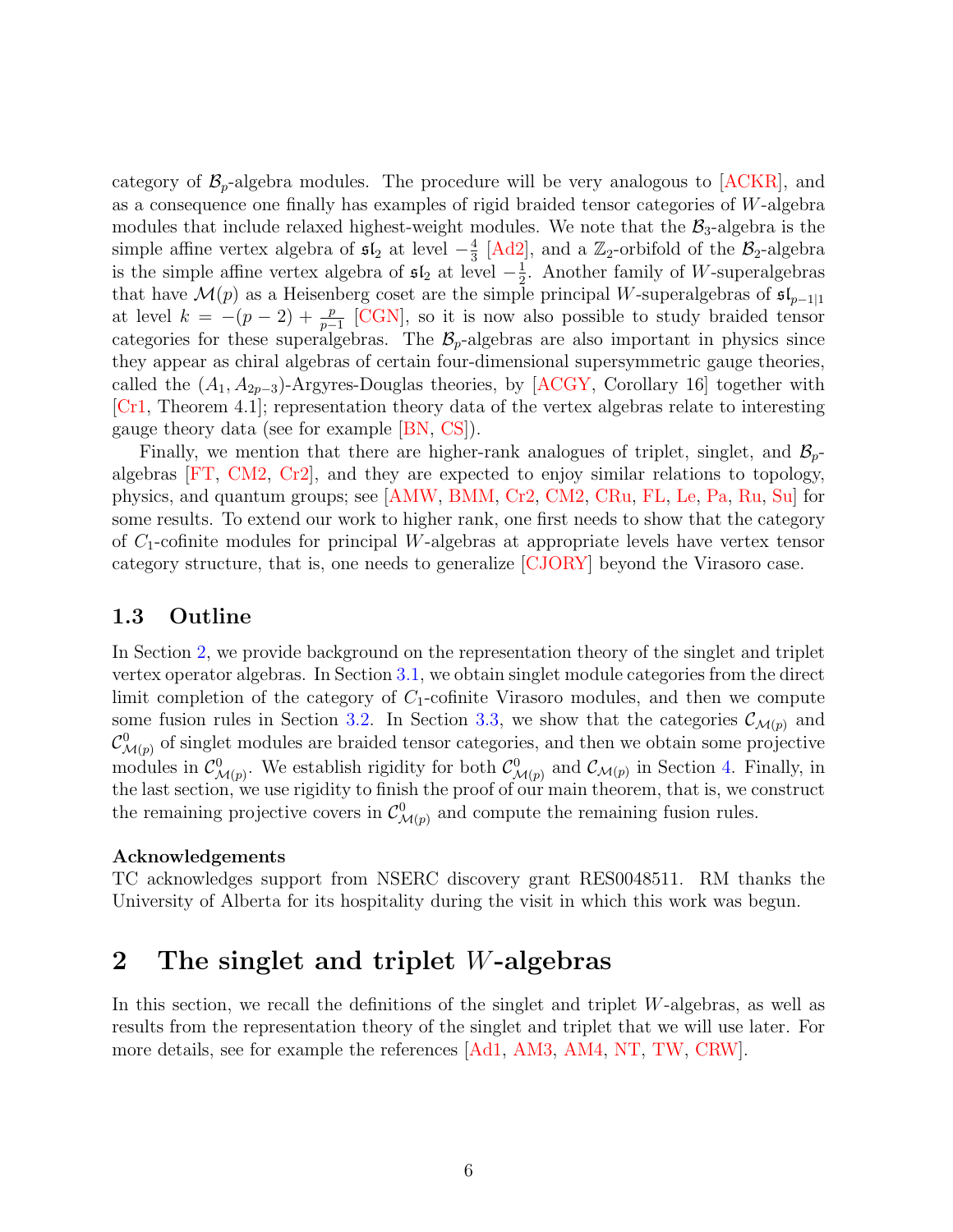category of  $\mathcal{B}_p$ -algebra modules. The procedure will be very analogous to  $[ACKR]$ , and as a consequence one finally has examples of rigid braided tensor categories of W-algebra modules that include relaxed highest-weight modules. We note that the  $\mathcal{B}_3$ -algebra is the simple affine vertex algebra of  $\mathfrak{sl}_2$  at level  $-\frac{4}{3}$  $\frac{4}{3}$  [\[Ad2\]](#page-59-9), and a  $\mathbb{Z}_2$ -orbifold of the  $\mathcal{B}_2$ -algebra is the simple affine vertex algebra of  $\mathfrak{sl}_2$  at level  $-\frac{1}{2}$  $\frac{1}{2}$ . Another family of *W*-superalgebras that have  $\mathcal{M}(p)$  as a Heisenberg coset are the simple principal W-superalgebras of  $\mathfrak{sl}_{p-1|1}$ at level  $k = -(p-2) + \frac{p}{p-1}$  [\[CGN\]](#page-60-10), so it is now also possible to study braided tensor categories for these superalgebras. The  $\mathcal{B}_p$ -algebras are also important in physics since they appear as chiral algebras of certain four-dimensional supersymmetric gauge theories, called the  $(A_1, A_{2p-3})$ -Argyres-Douglas theories, by [\[ACGY,](#page-59-7) Corollary 16] together with [\[Cr1,](#page-60-11) Theorem 4.1]; representation theory data of the vertex algebras relate to interesting gauge theory data (see for example [\[BN,](#page-59-10) [CS\]](#page-60-12)).

Finally, we mention that there are higher-rank analogues of triplet, singlet, and  $\mathcal{B}_{p}$ algebras [\[FT,](#page-62-9) [CM2,](#page-61-9) [Cr2\]](#page-60-13), and they are expected to enjoy similar relations to topology, physics, and quantum groups; see [\[AMW,](#page-59-11) [BMM,](#page-59-12) [Cr2,](#page-60-13) [CM2,](#page-61-9) [CRu,](#page-61-10) [FL,](#page-62-10) [Le,](#page-64-5) [Pa,](#page-64-6) [Ru,](#page-64-7) [Su\]](#page-64-8) for some results. To extend our work to higher rank, one first needs to show that the category of  $C_1$ -cofinite modules for principal W-algebras at appropriate levels have vertex tensor category structure, that is, one needs to generalize [\[CJORY\]](#page-60-2) beyond the Virasoro case.

## 1.3 Outline

In Section [2,](#page-5-0) we provide background on the representation theory of the singlet and triplet vertex operator algebras. In Section [3.1,](#page-13-1) we obtain singlet module categories from the direct limit completion of the category of  $C_1$ -cofinite Virasoro modules, and then we compute some fusion rules in Section [3.2.](#page-16-0) In Section [3.3,](#page-21-0) we show that the categories  $\mathcal{C}_{\mathcal{M}(p)}$  and  $\mathcal{C}^0_{\mathcal{M}(p)}$  of singlet modules are braided tensor categories, and then we obtain some projective modules in  $\mathcal{C}_{\mathcal{M}(p)}^0$ . We establish rigidity for both  $\mathcal{C}_{\mathcal{M}(p)}^0$  and  $\mathcal{C}_{\mathcal{M}(p)}$  in Section [4.](#page-26-0) Finally, in the last section, we use rigidity to finish the proof of our main theorem, that is, we construct the remaining projective covers in  $\mathcal{C}^0_{\mathcal{M}(p)}$  and compute the remaining fusion rules.

#### Acknowledgements

TC acknowledges support from NSERC discovery grant RES0048511. RM thanks the University of Alberta for its hospitality during the visit in which this work was begun.

# <span id="page-5-0"></span>2 The singlet and triplet W-algebras

In this section, we recall the definitions of the singlet and triplet  $W$ -algebras, as well as results from the representation theory of the singlet and triplet that we will use later. For more details, see for example the references [\[Ad1,](#page-59-2) [AM3,](#page-59-0) [AM4,](#page-59-1) [NT,](#page-64-0) [TW,](#page-65-0) [CRW\]](#page-61-8).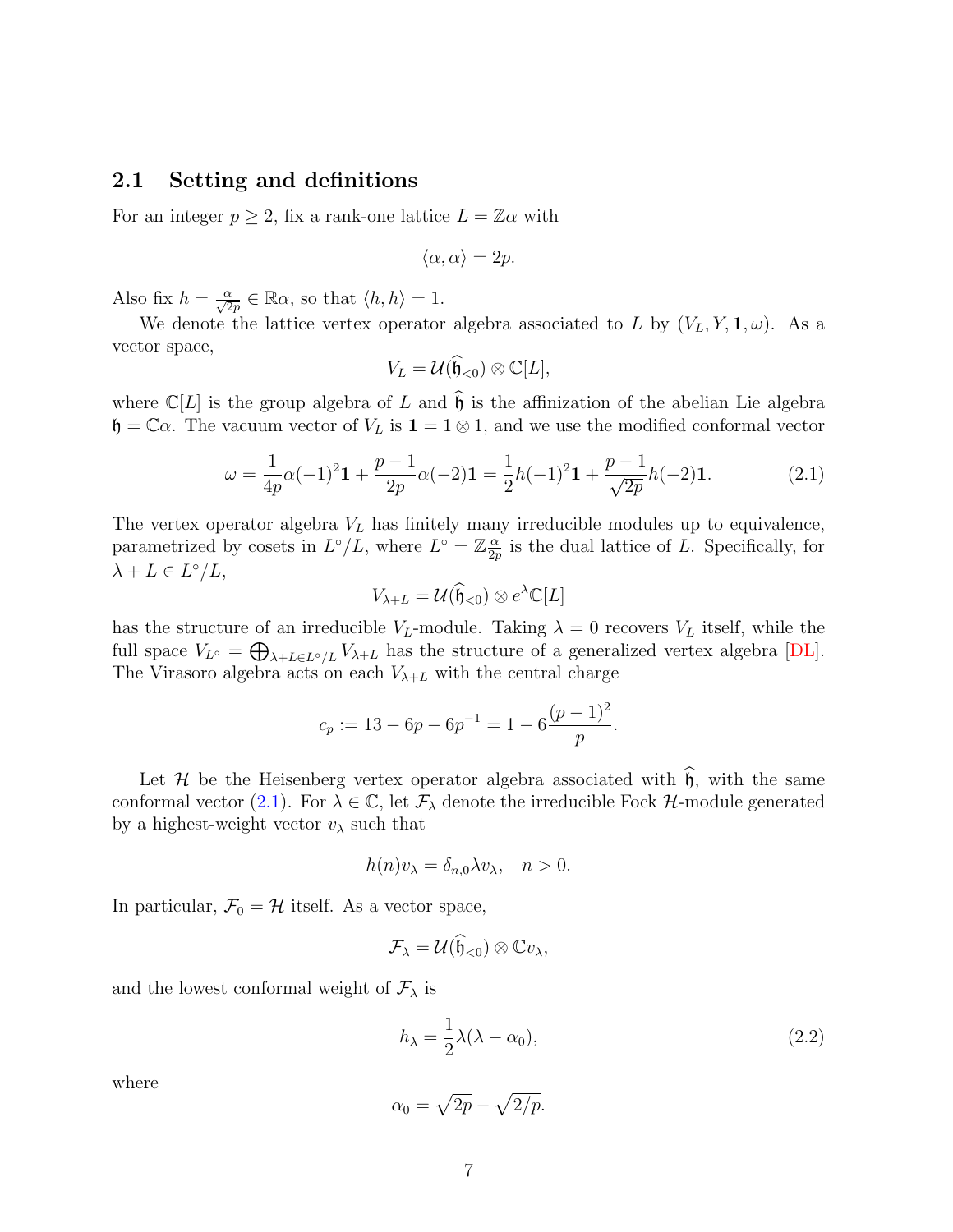#### 2.1 Setting and definitions

For an integer  $p \geq 2$ , fix a rank-one lattice  $L = \mathbb{Z}\alpha$  with

$$
\langle \alpha, \alpha \rangle = 2p.
$$

Also fix  $h = \frac{\alpha}{\sqrt{2p}} \in \mathbb{R}\alpha$ , so that  $\langle h, h \rangle = 1$ .

We denote the lattice vertex operator algebra associated to L by  $(V_L, Y, \mathbf{1}, \omega)$ . As a vector space,

$$
V_L = \mathcal{U}(\widehat{\mathfrak{h}}_{<0}) \otimes \mathbb{C}[L],
$$

where  $\mathbb{C}[L]$  is the group algebra of L and  $\widehat{\mathfrak{h}}$  is the affinization of the abelian Lie algebra  $\mathfrak{h} = \mathbb{C}\alpha$ . The vacuum vector of  $V_L$  is  $\mathbf{1} = 1 \otimes 1$ , and we use the modified conformal vector

<span id="page-6-0"></span>
$$
\omega = \frac{1}{4p}\alpha(-1)^2 \mathbf{1} + \frac{p-1}{2p}\alpha(-2) \mathbf{1} = \frac{1}{2}h(-1)^2 \mathbf{1} + \frac{p-1}{\sqrt{2p}}h(-2) \mathbf{1}.
$$
 (2.1)

The vertex operator algebra  $V_L$  has finitely many irreducible modules up to equivalence, parametrized by cosets in  $L^{\circ}/L$ , where  $L^{\circ} = \mathbb{Z}^{\alpha}_{\frac{\alpha}{2n}}$  $\frac{\alpha}{2p}$  is the dual lattice of L. Specifically, for  $\lambda + L \in L^{\circ}/L,$ 

$$
V_{\lambda+L} = \mathcal{U}(\widehat{\mathfrak{h}}_{<0}) \otimes e^{\lambda} \mathbb{C}[L]
$$

has the structure of an irreducible  $V_L$ -module. Taking  $\lambda = 0$  recovers  $V_L$  itself, while the full space  $V_{L^{\circ}} = \bigoplus_{\lambda+L \in L^{\circ}/L} V_{\lambda+L}$  has the structure of a generalized vertex algebra [\[DL\]](#page-61-11). The Virasoro algebra acts on each  $V_{\lambda+L}$  with the central charge

$$
c_p := 13 - 6p - 6p^{-1} = 1 - 6\frac{(p-1)^2}{p}.
$$

Let H be the Heisenberg vertex operator algebra associated with  $\hat{\mathfrak{h}}$ , with the same conformal vector [\(2.1\)](#page-6-0). For  $\lambda \in \mathbb{C}$ , let  $\mathcal{F}_{\lambda}$  denote the irreducible Fock H-module generated by a highest-weight vector  $v_{\lambda}$  such that

$$
h(n)v_{\lambda} = \delta_{n,0}\lambda v_{\lambda}, \quad n > 0.
$$

In particular,  $\mathcal{F}_0 = \mathcal{H}$  itself. As a vector space,

$$
\mathcal{F}_{\lambda} = \mathcal{U}(\widehat{\mathfrak{h}}_{<0}) \otimes \mathbb{C} v_{\lambda},
$$

and the lowest conformal weight of  $\mathcal{F}_{\lambda}$  is

<span id="page-6-1"></span>
$$
h_{\lambda} = \frac{1}{2}\lambda(\lambda - \alpha_0),\tag{2.2}
$$

where

$$
\alpha_0 = \sqrt{2p} - \sqrt{2/p}.
$$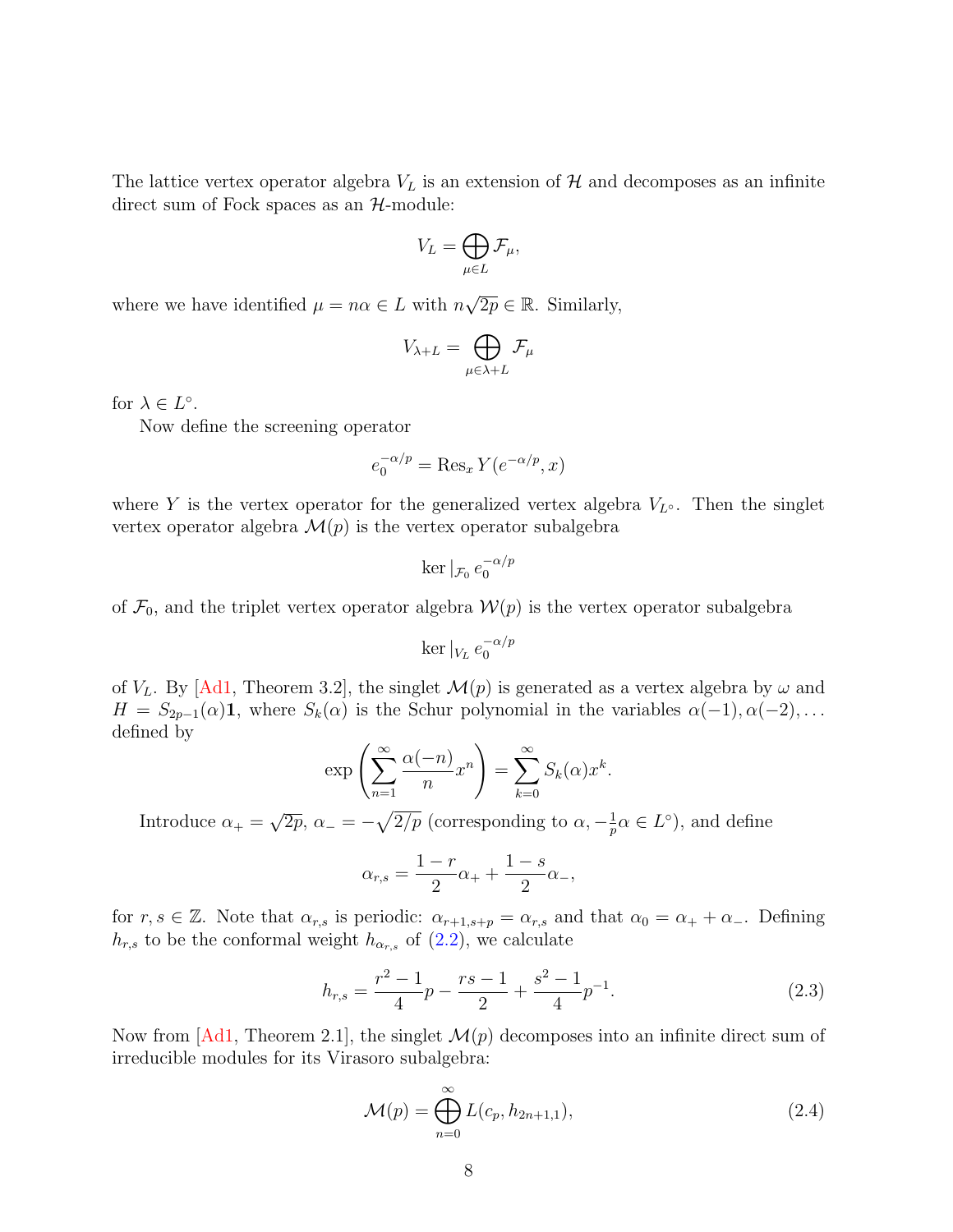The lattice vertex operator algebra  $V<sub>L</sub>$  is an extension of H and decomposes as an infinite direct sum of Fock spaces as an  $H$ -module:

$$
V_L = \bigoplus_{\mu \in L} \mathcal{F}_{\mu},
$$

where we have identified  $\mu = n\alpha \in L$  with n  $\sqrt{2p} \in \mathbb{R}$ . Similarly,

$$
V_{\lambda+L} = \bigoplus_{\mu \in \lambda+L} \mathcal{F}_{\mu}
$$

for  $\lambda \in L^{\circ}$ .

Now define the screening operator

$$
e_0^{-\alpha/p} = \text{Res}_x Y(e^{-\alpha/p}, x)
$$

where Y is the vertex operator for the generalized vertex algebra  $V_{L^{\circ}}$ . Then the singlet vertex operator algebra  $\mathcal{M}(p)$  is the vertex operator subalgebra

$$
\ker|_{\mathcal{F}_0}e_0^{-\alpha/p}
$$

of  $\mathcal{F}_0$ , and the triplet vertex operator algebra  $\mathcal{W}(p)$  is the vertex operator subalgebra

$$
\ker|_{V_L} e_0^{-\alpha/p}
$$

of  $V_L$ . By [\[Ad1,](#page-59-2) Theorem 3.2], the singlet  $\mathcal{M}(p)$  is generated as a vertex algebra by  $\omega$  and  $H = S_{2p-1}(\alpha)$ **1**, where  $S_k(\alpha)$  is the Schur polynomial in the variables  $\alpha(-1), \alpha(-2), \ldots$ defined by

$$
\exp\left(\sum_{n=1}^{\infty} \frac{\alpha(-n)}{n} x^n\right) = \sum_{k=0}^{\infty} S_k(\alpha) x^k.
$$

Introduce  $\alpha_+$  = √  $\overline{2p}, \alpha_- = -\sqrt{2/p}$  (corresponding to  $\alpha, -\frac{1}{p}$ )  $\frac{1}{p}\alpha \in L^{\circ}$ ), and define

$$
\alpha_{r,s} = \frac{1-r}{2}\alpha_+ + \frac{1-s}{2}\alpha_-,
$$

for  $r, s \in \mathbb{Z}$ . Note that  $\alpha_{r,s}$  is periodic:  $\alpha_{r+1,s+p} = \alpha_{r,s}$  and that  $\alpha_0 = \alpha_+ + \alpha_-$ . Defining  $h_{r,s}$  to be the conformal weight  $h_{\alpha_{r,s}}$  of [\(2.2\)](#page-6-1), we calculate

<span id="page-7-1"></span>
$$
h_{r,s} = \frac{r^2 - 1}{4}p - \frac{rs - 1}{2} + \frac{s^2 - 1}{4}p^{-1}.
$$
 (2.3)

Now from  $[Ad1,$  Theorem 2.1, the singlet  $\mathcal{M}(p)$  decomposes into an infinite direct sum of irreducible modules for its Virasoro subalgebra:

<span id="page-7-0"></span>
$$
\mathcal{M}(p) = \bigoplus_{n=0}^{\infty} L(c_p, h_{2n+1,1}),
$$
\n(2.4)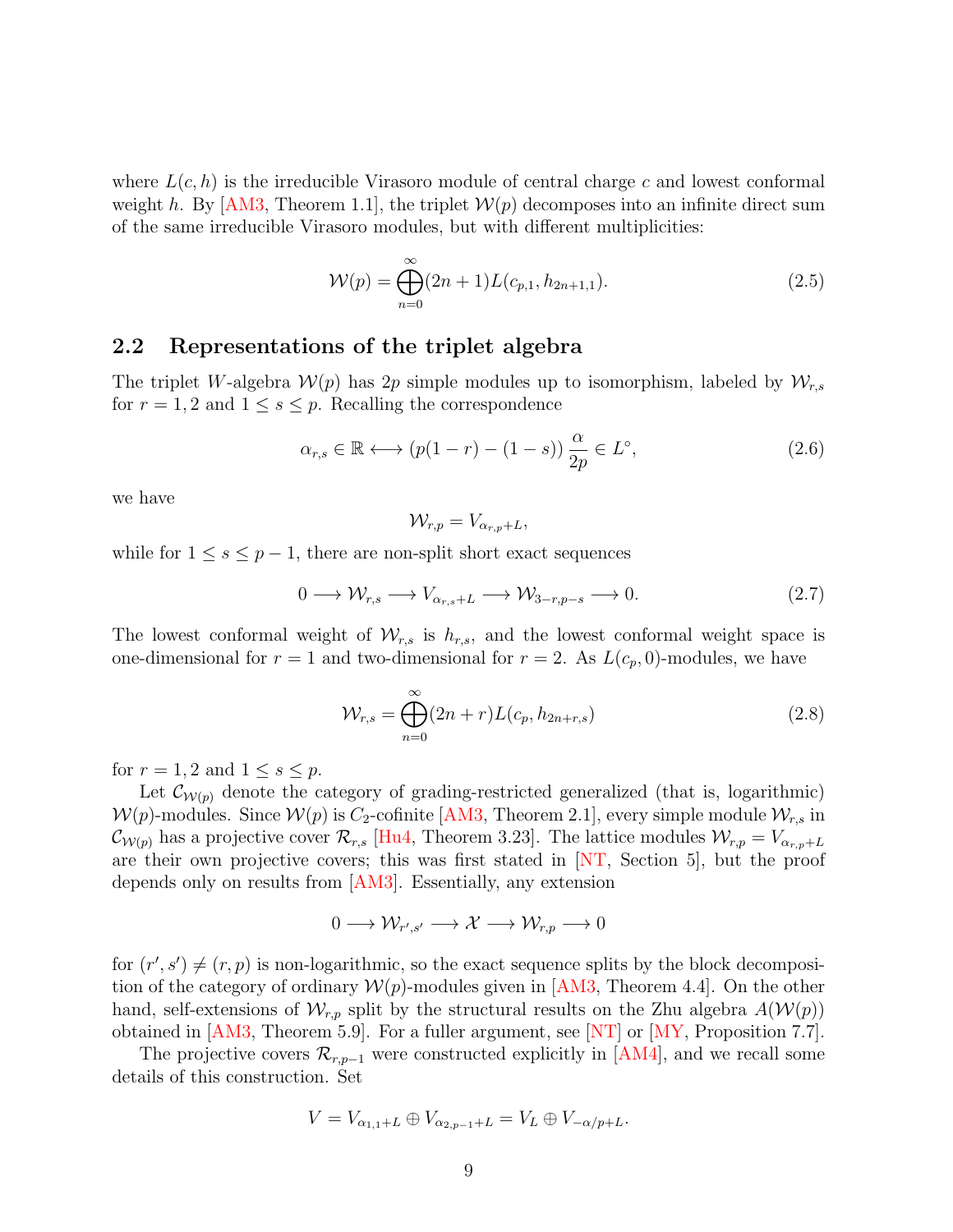where  $L(c, h)$  is the irreducible Virasoro module of central charge c and lowest conformal weight h. By  $[AM3, Theorem 1.1]$ , the triplet  $W(p)$  decomposes into an infinite direct sum of the same irreducible Virasoro modules, but with different multiplicities:

<span id="page-8-1"></span>
$$
\mathcal{W}(p) = \bigoplus_{n=0}^{\infty} (2n+1) L(c_{p,1}, h_{2n+1,1}). \tag{2.5}
$$

## 2.2 Representations of the triplet algebra

The triplet W-algebra  $W(p)$  has 2p simple modules up to isomorphism, labeled by  $W_{r,s}$ for  $r = 1, 2$  and  $1 \leq s \leq p$ . Recalling the correspondence

<span id="page-8-0"></span>
$$
\alpha_{r,s} \in \mathbb{R} \longleftrightarrow (p(1-r) - (1-s)) \frac{\alpha}{2p} \in L^{\circ}, \tag{2.6}
$$

we have

$$
\mathcal{W}_{r,p} = V_{\alpha_{r,p}+L},
$$

while for  $1 \leq s \leq p-1$ , there are non-split short exact sequences

$$
0 \longrightarrow \mathcal{W}_{r,s} \longrightarrow V_{\alpha_{r,s}+L} \longrightarrow \mathcal{W}_{3-r,p-s} \longrightarrow 0. \tag{2.7}
$$

The lowest conformal weight of  $\mathcal{W}_{r,s}$  is  $h_{r,s}$ , and the lowest conformal weight space is one-dimensional for  $r = 1$  and two-dimensional for  $r = 2$ . As  $L(c_p, 0)$ -modules, we have

<span id="page-8-2"></span>
$$
\mathcal{W}_{r,s} = \bigoplus_{n=0}^{\infty} (2n+r) L(c_p, h_{2n+r,s})
$$
\n(2.8)

for  $r = 1, 2$  and  $1 \leq s \leq p$ .

Let  $\mathcal{C}_{W(p)}$  denote the category of grading-restricted generalized (that is, logarithmic)  $W(p)$ -modules. Since  $W(p)$  is  $C_2$ -cofinite [\[AM3,](#page-59-0) Theorem 2.1], every simple module  $W_{r,s}$  in  $\mathcal{C}_{\mathcal{W}(p)}$  has a projective cover  $\mathcal{R}_{r,s}$  [\[Hu4,](#page-62-2) Theorem 3.23]. The lattice modules  $\mathcal{W}_{r,p} = V_{\alpha_{r,p}+L}$ are their own projective covers; this was first stated in [\[NT,](#page-64-0) Section 5], but the proof depends only on results from [\[AM3\]](#page-59-0). Essentially, any extension

$$
0 \longrightarrow \mathcal{W}_{r',s'} \longrightarrow \mathcal{X} \longrightarrow \mathcal{W}_{r,p} \longrightarrow 0
$$

for  $(r', s') \neq (r, p)$  is non-logarithmic, so the exact sequence splits by the block decomposition of the category of ordinary  $W(p)$ -modules given in [\[AM3,](#page-59-0) Theorem 4.4]. On the other hand, self-extensions of  $\mathcal{W}_{r,p}$  split by the structural results on the Zhu algebra  $A(\mathcal{W}(p))$ obtained in  $[AM3, Theorem 5.9]$ . For a fuller argument, see  $[NT]$  or  $[MY, Proposition 7.7]$ .

The projective covers  $\mathcal{R}_{r,p-1}$  were constructed explicitly in  $|AM4|$ , and we recall some details of this construction. Set

$$
V = V_{\alpha_{1,1}+L} \oplus V_{\alpha_{2,p-1}+L} = V_L \oplus V_{-\alpha/p+L}.
$$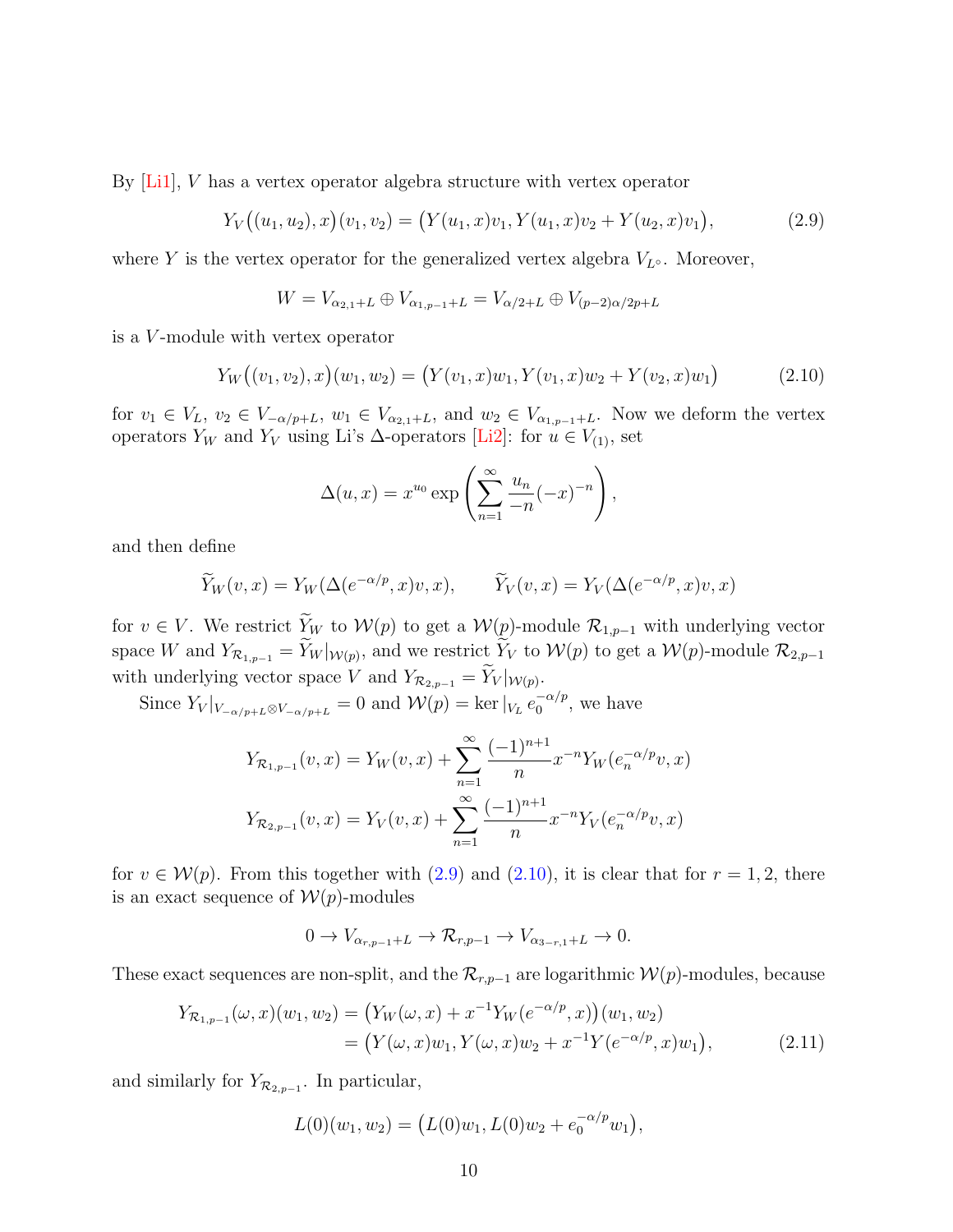By [\[Li1\]](#page-64-9), V has a vertex operator algebra structure with vertex operator

<span id="page-9-0"></span>
$$
Y_V((u_1, u_2), x)(v_1, v_2) = (Y(u_1, x)v_1, Y(u_1, x)v_2 + Y(u_2, x)v_1), \tag{2.9}
$$

where Y is the vertex operator for the generalized vertex algebra  $V_{L^{\circ}}$ . Moreover,

$$
W = V_{\alpha_{2,1}+L} \oplus V_{\alpha_{1,p-1}+L} = V_{\alpha/2+L} \oplus V_{(p-2)\alpha/2p+L}
$$

is a V -module with vertex operator

<span id="page-9-1"></span>
$$
Y_W((v_1, v_2), x)(w_1, w_2) = (Y(v_1, x)w_1, Y(v_1, x)w_2 + Y(v_2, x)w_1)
$$
\n(2.10)

for  $v_1 \in V_L$ ,  $v_2 \in V_{-\alpha/p+L}$ ,  $w_1 \in V_{\alpha_{2,1}+L}$ , and  $w_2 \in V_{\alpha_{1,p-1}+L}$ . Now we deform the vertex operators  $Y_W$  and  $Y_V$  using Li's  $\Delta$ -operators [\[Li2\]](#page-64-10): for  $u \in V_{(1)}$ , set

$$
\Delta(u,x) = x^{u_0} \exp\left(\sum_{n=1}^{\infty} \frac{u_n}{-n}(-x)^{-n}\right),\,
$$

and then define

$$
\widetilde{Y}_W(v,x) = Y_W(\Delta(e^{-\alpha/p}, x)v, x), \qquad \widetilde{Y}_V(v,x) = Y_V(\Delta(e^{-\alpha/p}, x)v, x)
$$

for  $v \in V$ . We restrict  $\widetilde{Y}_W$  to  $\mathcal{W}(p)$  to get a  $\mathcal{W}(p)$ -module  $\mathcal{R}_{1,p-1}$  with underlying vector space W and  $Y_{\mathcal{R}_{1,p-1}} = Y_W|_{\mathcal{W}(p)}$ , and we restrict  $Y_V$  to  $\mathcal{W}(p)$  to get a  $\mathcal{W}(p)$ -module  $\mathcal{R}_{2,p-1}$ with underlying vector space V and  $Y_{\mathcal{R}_{2,p-1}} = Y_V|_{\mathcal{W}(p)}$ .

Since  $Y_V|_{V_{-\alpha/p+L} \otimes V_{-\alpha/p+L}} = 0$  and  $\mathcal{W}(p) = \ker|_{V_L} e_0^{-\alpha/p}$  $_0^{-\alpha/p}$ , we have

$$
Y_{\mathcal{R}_{1,p-1}}(v,x) = Y_W(v,x) + \sum_{n=1}^{\infty} \frac{(-1)^{n+1}}{n} x^{-n} Y_W(e_n^{-\alpha/p}v,x)
$$

$$
Y_{\mathcal{R}_{2,p-1}}(v,x) = Y_V(v,x) + \sum_{n=1}^{\infty} \frac{(-1)^{n+1}}{n} x^{-n} Y_V(e_n^{-\alpha/p}v,x)
$$

for  $v \in \mathcal{W}(p)$ . From this together with  $(2.9)$  and  $(2.10)$ , it is clear that for  $r = 1, 2$ , there is an exact sequence of  $W(p)$ -modules

<span id="page-9-2"></span>
$$
0 \to V_{\alpha_{r,p-1}+L} \to \mathcal{R}_{r,p-1} \to V_{\alpha_{3-r,1}+L} \to 0.
$$

These exact sequences are non-split, and the  $\mathcal{R}_{r,p-1}$  are logarithmic  $\mathcal{W}(p)$ -modules, because

$$
Y_{\mathcal{R}_{1,p-1}}(\omega, x)(w_1, w_2) = (Y_W(\omega, x) + x^{-1}Y_W(e^{-\alpha/p}, x))(w_1, w_2)
$$
  
= 
$$
(Y(\omega, x)w_1, Y(\omega, x)w_2 + x^{-1}Y(e^{-\alpha/p}, x)w_1),
$$
 (2.11)

and similarly for  $Y_{\mathcal{R}_{2,p-1}}$ . In particular,

$$
L(0)(w_1, w_2) = (L(0)w_1, L(0)w_2 + e_0^{-\alpha/p}w_1),
$$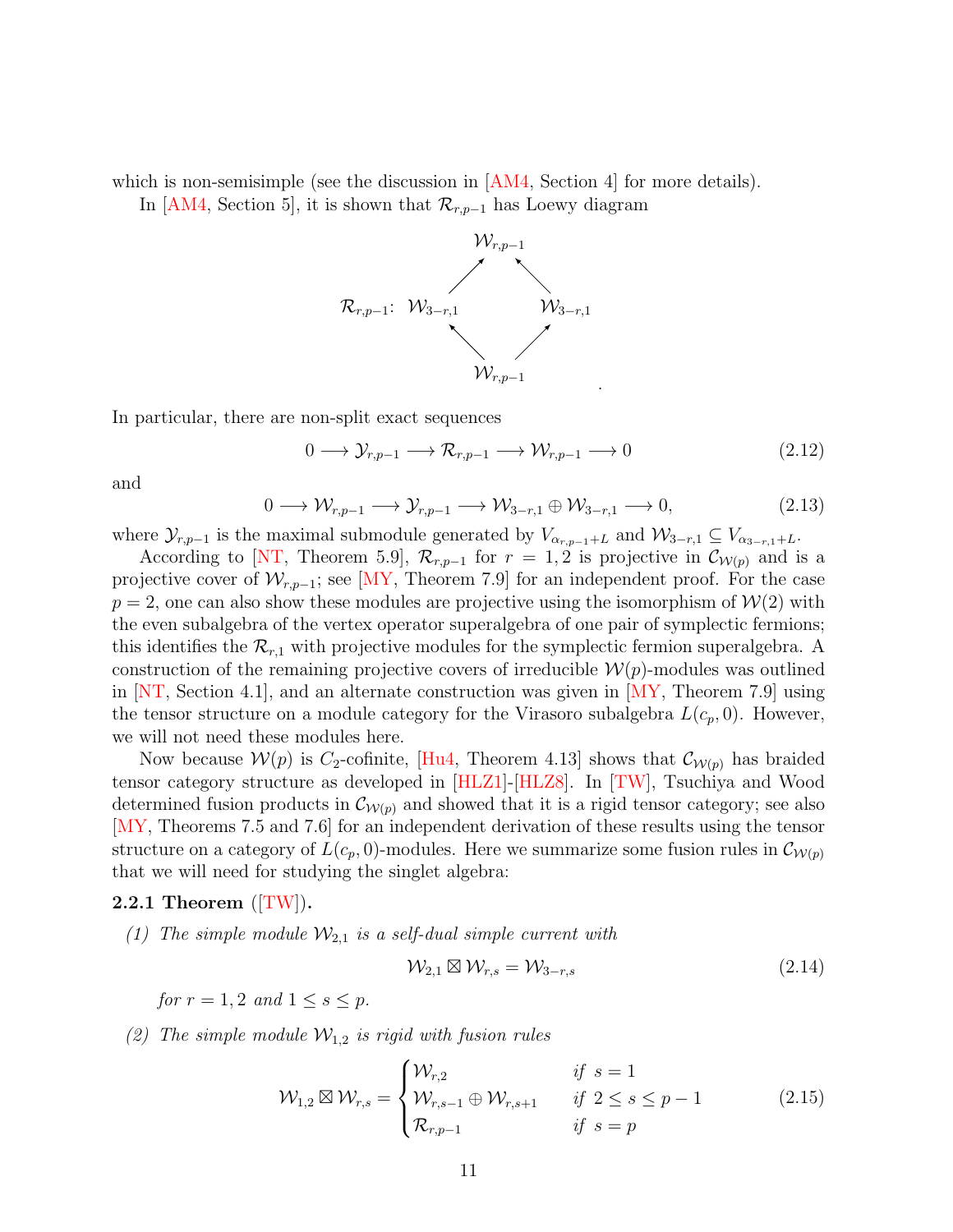which is non-semisimple (see the discussion in  $[AM4, Section 4]$  for more details).

In [\[AM4,](#page-59-1) Section 5], it is shown that  $\mathcal{R}_{r,p-1}$  has Loewy diagram



In particular, there are non-split exact sequences

<span id="page-10-2"></span>
$$
0 \longrightarrow \mathcal{Y}_{r,p-1} \longrightarrow \mathcal{R}_{r,p-1} \longrightarrow \mathcal{W}_{r,p-1} \longrightarrow 0 \tag{2.12}
$$

and

<span id="page-10-3"></span>
$$
0 \longrightarrow \mathcal{W}_{r,p-1} \longrightarrow \mathcal{Y}_{r,p-1} \longrightarrow \mathcal{W}_{3-r,1} \oplus \mathcal{W}_{3-r,1} \longrightarrow 0,
$$
\n
$$
(2.13)
$$

where  $\mathcal{Y}_{r,p-1}$  is the maximal submodule generated by  $V_{\alpha_{r,p-1}+L}$  and  $\mathcal{W}_{3-r,1} \subseteq V_{\alpha_{3-r,1}+L}$ .

According to [\[NT,](#page-64-0) Theorem 5.9],  $\mathcal{R}_{r,p-1}$  for  $r=1,2$  is projective in  $\mathcal{C}_{\mathcal{W}(p)}$  and is a projective cover of  $\mathcal{W}_{r,p-1}$ ; see [\[MY,](#page-64-2) Theorem 7.9] for an independent proof. For the case  $p = 2$ , one can also show these modules are projective using the isomorphism of  $W(2)$  with the even subalgebra of the vertex operator superalgebra of one pair of symplectic fermions; this identifies the  $\mathcal{R}_{r,1}$  with projective modules for the symplectic fermion superalgebra. A construction of the remaining projective covers of irreducible  $\mathcal{W}(p)$ -modules was outlined in [\[NT,](#page-64-0) Section 4.1], and an alternate construction was given in [\[MY,](#page-64-2) Theorem 7.9] using the tensor structure on a module category for the Virasoro subalgebra  $L(c_p, 0)$ . However, we will not need these modules here.

Now because  $\mathcal{W}(p)$  is C<sub>2</sub>-cofinite, [\[Hu4,](#page-62-2) Theorem 4.13] shows that  $\mathcal{C}_{\mathcal{W}(p)}$  has braided tensor category structure as developed in [\[HLZ1\]](#page-62-4)-[\[HLZ8\]](#page-63-1). In [\[TW\]](#page-65-0), Tsuchiya and Wood determined fusion products in  $\mathcal{C}_{W(p)}$  and showed that it is a rigid tensor category; see also [\[MY,](#page-64-2) Theorems 7.5 and 7.6] for an independent derivation of these results using the tensor structure on a category of  $L(c_p, 0)$ -modules. Here we summarize some fusion rules in  $\mathcal{C}_{\mathcal{W}(p)}$ that we will need for studying the singlet algebra:

#### <span id="page-10-1"></span>2.2.1 Theorem  $(TW)$ .

(1) The simple module  $\mathcal{W}_{2,1}$  is a self-dual simple current with

$$
\mathcal{W}_{2,1} \boxtimes \mathcal{W}_{r,s} = \mathcal{W}_{3-r,s} \tag{2.14}
$$

for  $r = 1, 2$  and  $1 \leq s \leq p$ .

(2) The simple module  $\mathcal{W}_{1,2}$  is rigid with fusion rules

<span id="page-10-0"></span>
$$
\mathcal{W}_{1,2} \boxtimes \mathcal{W}_{r,s} = \begin{cases} \mathcal{W}_{r,2} & \text{if } s = 1\\ \mathcal{W}_{r,s-1} \oplus \mathcal{W}_{r,s+1} & \text{if } 2 \le s \le p-1\\ \mathcal{R}_{r,p-1} & \text{if } s = p \end{cases} \tag{2.15}
$$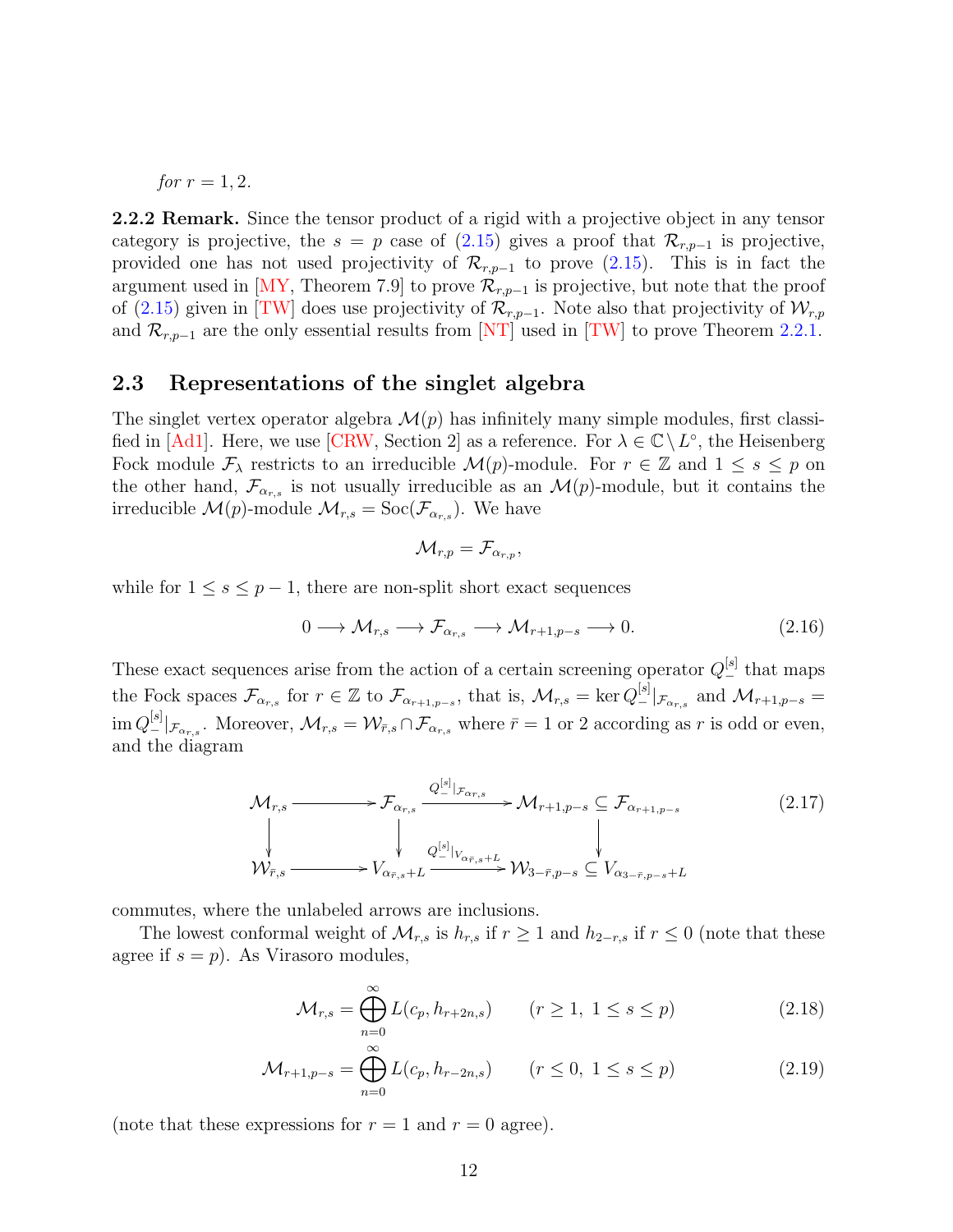*for*  $r = 1, 2$ .

**2.2.2 Remark.** Since the tensor product of a rigid with a projective object in any tensor category is projective, the  $s = p$  case of [\(2.15\)](#page-10-0) gives a proof that  $\mathcal{R}_{r,p-1}$  is projective, provided one has not used projectivity of  $\mathcal{R}_{r,p-1}$  to prove [\(2.15\)](#page-10-0). This is in fact the argument used in [\[MY,](#page-64-2) Theorem 7.9] to prove  $\mathcal{R}_{r,p-1}$  is projective, but note that the proof of [\(2.15\)](#page-10-0) given in [\[TW\]](#page-65-0) does use projectivity of  $\mathcal{R}_{r,p-1}$ . Note also that projectivity of  $\mathcal{W}_{r,p}$ and  $\mathcal{R}_{r,p-1}$  are the only essential results from [\[NT\]](#page-64-0) used in [\[TW\]](#page-65-0) to prove Theorem [2.2.1.](#page-10-1)

## 2.3 Representations of the singlet algebra

The singlet vertex operator algebra  $\mathcal{M}(p)$  has infinitely many simple modules, first classi-fied in [\[Ad1\]](#page-59-2). Here, we use [\[CRW,](#page-61-8) Section 2] as a reference. For  $\lambda \in \mathbb{C} \setminus L^{\circ}$ , the Heisenberg Fock module  $\mathcal{F}_{\lambda}$  restricts to an irreducible  $\mathcal{M}(p)$ -module. For  $r \in \mathbb{Z}$  and  $1 \leq s \leq p$  on the other hand,  $\mathcal{F}_{\alpha_{r,s}}$  is not usually irreducible as an  $\mathcal{M}(p)$ -module, but it contains the irreducible  $\mathcal{M}(p)$ -module  $\mathcal{M}_{r,s} = \text{Soc}(\mathcal{F}_{\alpha_{r,s}})$ . We have

$$
\mathcal{M}_{r,p}=\mathcal{F}_{\alpha_{r,p}},
$$

while for  $1 \leq s \leq p-1$ , there are non-split short exact sequences

<span id="page-11-2"></span>
$$
0 \longrightarrow \mathcal{M}_{r,s} \longrightarrow \mathcal{F}_{\alpha_{r,s}} \longrightarrow \mathcal{M}_{r+1,p-s} \longrightarrow 0. \tag{2.16}
$$

These exact sequences arise from the action of a certain screening operator  $Q_-^{[s]}$  that maps the Fock spaces  $\mathcal{F}_{\alpha_{r,s}}$  for  $r \in \mathbb{Z}$  to  $\mathcal{F}_{\alpha_{r+1,p-s}}$ , that is,  $\mathcal{M}_{r,s} = \ker Q_{-}^{[s]}|_{\mathcal{F}_{\alpha_{r,s}}}$  and  $\mathcal{M}_{r+1,p-s} =$  $\text{im } Q_{-}^{[s]}|_{\mathcal{F}_{\alpha_{r,s}}}$ . Moreover,  $\mathcal{M}_{r,s} = \mathcal{W}_{\bar{r},s} \cap \mathcal{F}_{\alpha_{r,s}}$  where  $\bar{r} = 1$  or 2 according as r is odd or even, and the diagram

<span id="page-11-3"></span>
$$
\mathcal{M}_{r,s} \longrightarrow \mathcal{F}_{\alpha_{r,s}} \xrightarrow{Q_{-}^{[s]} | \mathcal{F}_{\alpha_{r,s}}} \mathcal{M}_{r+1,p-s} \subseteq \mathcal{F}_{\alpha_{r+1,p-s}} \qquad (2.17)
$$
\n
$$
\downarrow \qquad \qquad \downarrow \qquad \qquad \downarrow \qquad \qquad \downarrow
$$
\n
$$
\mathcal{W}_{\bar{r},s} \longrightarrow V_{\alpha_{\bar{r},s}+L} \xrightarrow{Q_{-}^{[s]} | V_{\alpha_{\bar{r},s}+L}} \mathcal{W}_{3-\bar{r},p-s} \subseteq V_{\alpha_{3-\bar{r},p-s}+L}
$$

commutes, where the unlabeled arrows are inclusions.

The lowest conformal weight of  $\mathcal{M}_{r,s}$  is  $h_{r,s}$  if  $r \geq 1$  and  $h_{2-r,s}$  if  $r \leq 0$  (note that these agree if  $s = p$ ). As Virasoro modules,

<span id="page-11-1"></span><span id="page-11-0"></span>
$$
\mathcal{M}_{r,s} = \bigoplus_{n=0}^{\infty} L(c_p, h_{r+2n,s}) \qquad (r \ge 1, \ 1 \le s \le p)
$$
 (2.18)

$$
\mathcal{M}_{r+1,p-s} = \bigoplus_{n=0}^{\infty} L(c_p, h_{r-2n,s}) \qquad (r \le 0, \ 1 \le s \le p) \tag{2.19}
$$

(note that these expressions for  $r = 1$  and  $r = 0$  agree).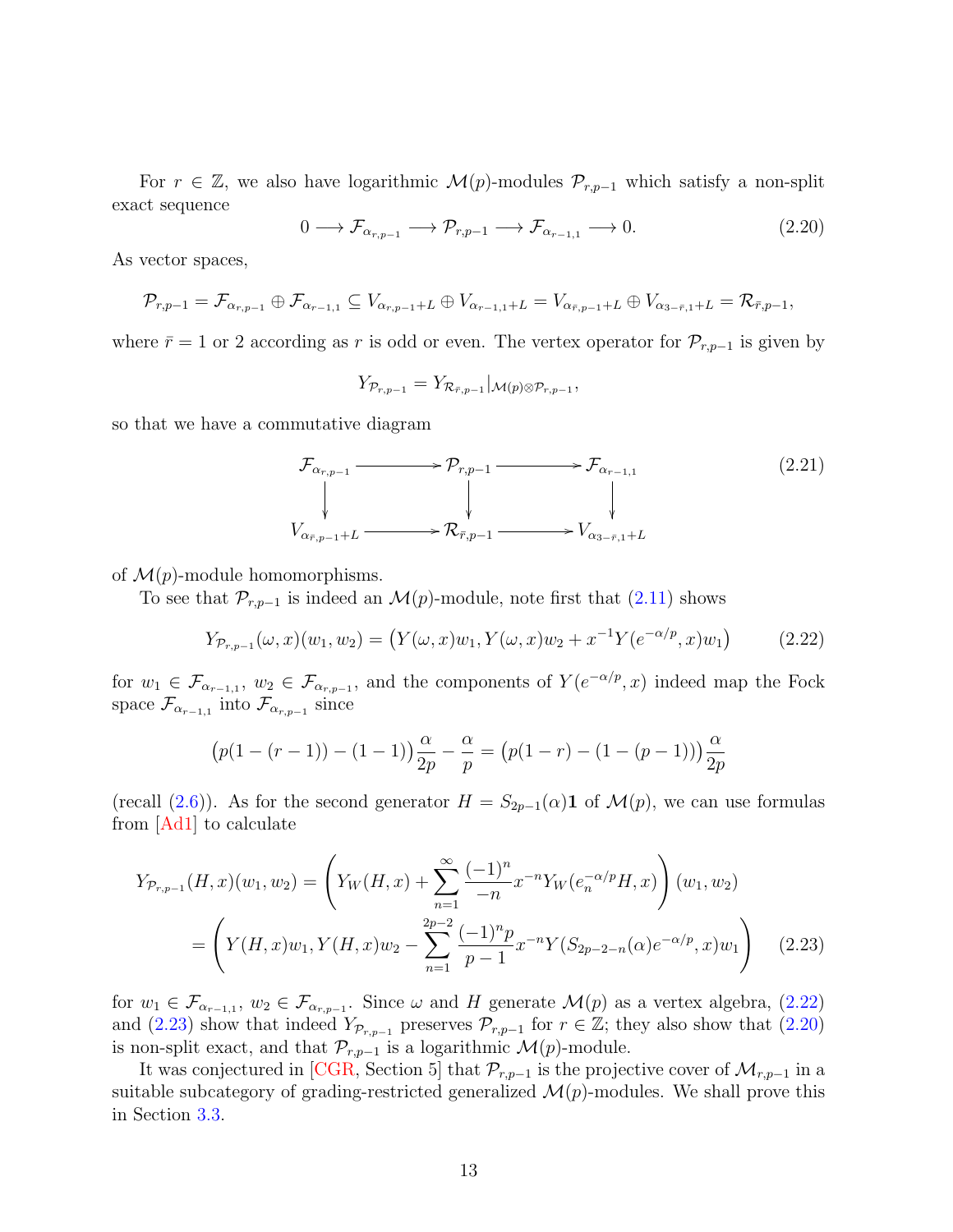For  $r \in \mathbb{Z}$ , we also have logarithmic  $\mathcal{M}(p)$ -modules  $\mathcal{P}_{r,p-1}$  which satisfy a non-split exact sequence

<span id="page-12-2"></span>
$$
0 \longrightarrow \mathcal{F}_{\alpha_{r,p-1}} \longrightarrow \mathcal{P}_{r,p-1} \longrightarrow \mathcal{F}_{\alpha_{r-1,1}} \longrightarrow 0. \tag{2.20}
$$

As vector spaces,

$$
\mathcal{P}_{r,p-1}=\mathcal{F}_{\alpha_{r,p-1}}\oplus \mathcal{F}_{\alpha_{r-1,1}}\subseteq V_{\alpha_{r,p-1}+L}\oplus V_{\alpha_{r-1,1}+L}=V_{\alpha_{\bar{r},p-1}+L}\oplus V_{\alpha_{3-\bar{r},1}+L}=\mathcal{R}_{\bar{r},p-1},
$$

where  $\bar{r} = 1$  or 2 according as r is odd or even. The vertex operator for  $\mathcal{P}_{r,p-1}$  is given by

$$
Y_{\mathcal{P}_{r,p-1}}=Y_{\mathcal{R}_{\bar{r},p-1}}|_{\mathcal{M}(p)\otimes \mathcal{P}_{r,p-1}},
$$

so that we have a commutative diagram

<span id="page-12-3"></span>
$$
\mathcal{F}_{\alpha_{r,p-1}} \longrightarrow \mathcal{P}_{r,p-1} \longrightarrow \mathcal{F}_{\alpha_{r-1,1}} \tag{2.21}
$$
\n
$$
\downarrow \qquad \qquad \downarrow
$$
\n
$$
V_{\alpha_{\bar{r},p-1}+L} \longrightarrow \mathcal{R}_{\bar{r},p-1} \longrightarrow V_{\alpha_{3-\bar{r},1}+L}
$$

of  $\mathcal{M}(p)$ -module homomorphisms.

To see that  $\mathcal{P}_{r,p-1}$  is indeed an  $\mathcal{M}(p)$ -module, note first that  $(2.11)$  shows

<span id="page-12-0"></span>
$$
Y_{\mathcal{P}_{r,p-1}}(\omega,x)(w_1,w_2) = (Y(\omega,x)w_1, Y(\omega,x)w_2 + x^{-1}Y(e^{-\alpha/p},x)w_1)
$$
 (2.22)

for  $w_1 \in \mathcal{F}_{\alpha_{r-1},1}$ ,  $w_2 \in \mathcal{F}_{\alpha_{r,p-1}}$ , and the components of  $Y(e^{-\alpha/p},x)$  indeed map the Fock space  $\mathcal{F}_{\alpha_{r-1,1}}$  into  $\mathcal{F}_{\alpha_{r,p-1}}$  since

<span id="page-12-1"></span>
$$
(p(1 - (r - 1)) - (1 - 1))\frac{\alpha}{2p} - \frac{\alpha}{p} = (p(1 - r) - (1 - (p - 1)))\frac{\alpha}{2p}
$$

(recall [\(2.6\)](#page-8-0)). As for the second generator  $H = S_{2p-1}(\alpha)$  of  $\mathcal{M}(p)$ , we can use formulas from [\[Ad1\]](#page-59-2) to calculate

$$
Y_{\mathcal{P}_{r,p-1}}(H,x)(w_1,w_2) = \left(Y_W(H,x) + \sum_{n=1}^{\infty} \frac{(-1)^n}{-n} x^{-n} Y_W(e_n^{-\alpha/p} H, x)\right)(w_1, w_2)
$$
  
= 
$$
\left(Y(H,x)w_1, Y(H,x)w_2 - \sum_{n=1}^{2p-2} \frac{(-1)^n p}{p-1} x^{-n} Y(S_{2p-2-n}(\alpha) e^{-\alpha/p}, x)w_1\right)
$$
(2.23)

for  $w_1 \in \mathcal{F}_{\alpha_{r-1,1}}$ ,  $w_2 \in \mathcal{F}_{\alpha_{r,p-1}}$ . Since  $\omega$  and H generate  $\mathcal{M}(p)$  as a vertex algebra, [\(2.22\)](#page-12-0) and [\(2.23\)](#page-12-1) show that indeed  $Y_{\mathcal{P}_{r,p-1}}$  preserves  $\mathcal{P}_{r,p-1}$  for  $r \in \mathbb{Z}$ ; they also show that [\(2.20\)](#page-12-2) is non-split exact, and that  $\mathcal{P}_{r,p-1}$  is a logarithmic  $\mathcal{M}(p)$ -module.

It was conjectured in [\[CGR,](#page-60-1) Section 5] that  $\mathcal{P}_{r,p-1}$  is the projective cover of  $\mathcal{M}_{r,p-1}$  in a suitable subcategory of grading-restricted generalized  $\mathcal{M}(p)$ -modules. We shall prove this in Section [3.3.](#page-21-0)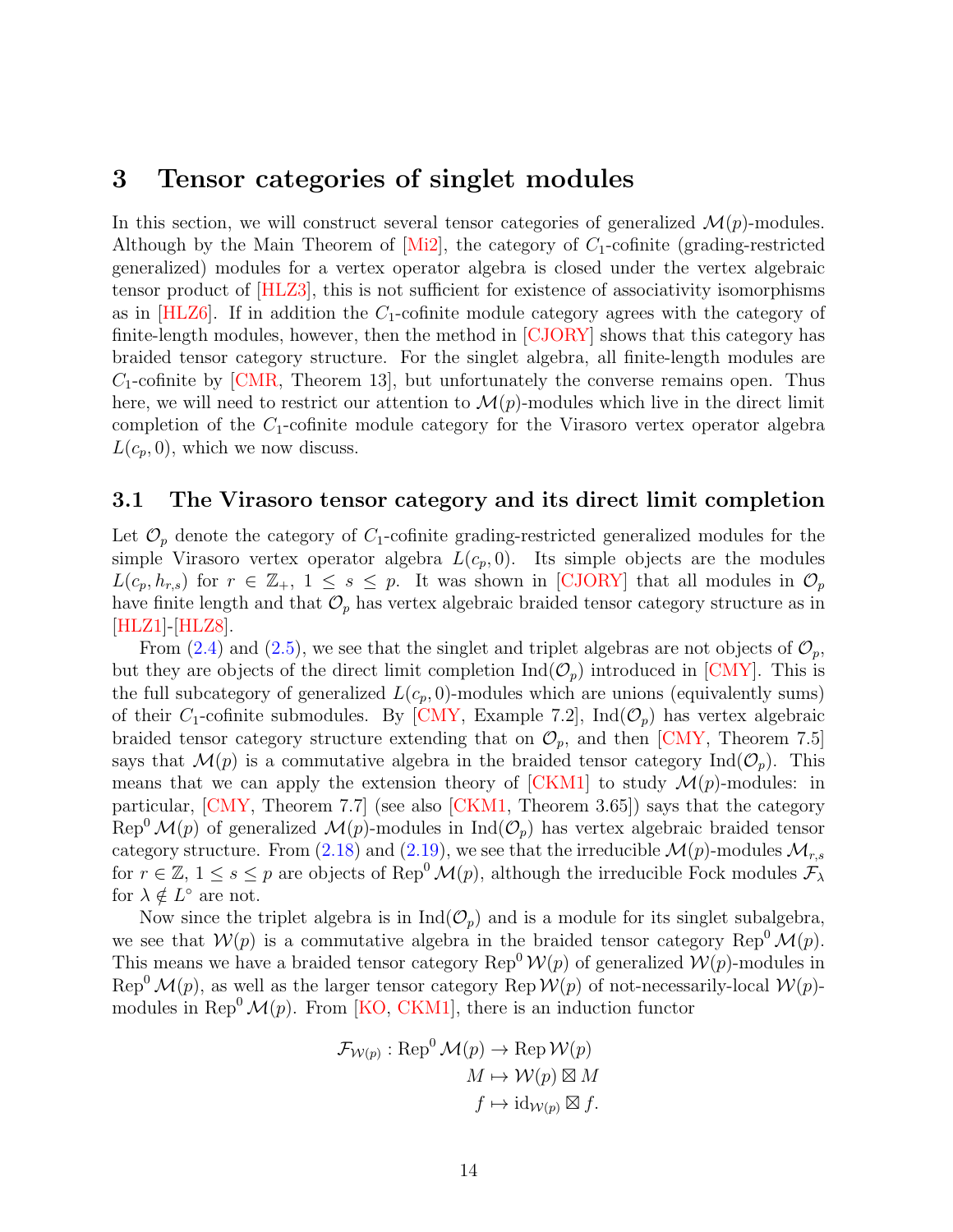# <span id="page-13-0"></span>3 Tensor categories of singlet modules

In this section, we will construct several tensor categories of generalized  $\mathcal{M}(p)$ -modules. Although by the Main Theorem of  $[Mi2]$ , the category of  $C_1$ -cofinite (grading-restricted generalized) modules for a vertex operator algebra is closed under the vertex algebraic tensor product of [\[HLZ3\]](#page-63-4), this is not sufficient for existence of associativity isomorphisms as in  $[HLZ6]$ . If in addition the  $C_1$ -cofinite module category agrees with the category of finite-length modules, however, then the method in [\[CJORY\]](#page-60-2) shows that this category has braided tensor category structure. For the singlet algebra, all finite-length modules are  $C_1$ -cofinite by  $\lfloor \text{CMR}, \text{Theorem 13} \rfloor$ , but unfortunately the converse remains open. Thus here, we will need to restrict our attention to  $\mathcal{M}(p)$ -modules which live in the direct limit completion of the  $C_1$ -cofinite module category for the Virasoro vertex operator algebra  $L(c_p, 0)$ , which we now discuss.

#### <span id="page-13-1"></span>3.1 The Virasoro tensor category and its direct limit completion

Let  $\mathcal{O}_p$  denote the category of  $C_1$ -cofinite grading-restricted generalized modules for the simple Virasoro vertex operator algebra  $L(c_p, 0)$ . Its simple objects are the modules  $L(c_p, h_{r,s})$  for  $r \in \mathbb{Z}_+$ ,  $1 \leq s \leq p$ . It was shown in [\[CJORY\]](#page-60-2) that all modules in  $\mathcal{O}_p$ have finite length and that  $\mathcal{O}_p$  has vertex algebraic braided tensor category structure as in [\[HLZ1\]](#page-62-4)-[\[HLZ8\]](#page-63-1).

From [\(2.4\)](#page-7-0) and [\(2.5\)](#page-8-1), we see that the singlet and triplet algebras are not objects of  $\mathcal{O}_p$ , but they are objects of the direct limit completion  $\text{Ind}(\mathcal{O}_p)$  introduced in [\[CMY\]](#page-61-3). This is the full subcategory of generalized  $L(c_p, 0)$ -modules which are unions (equivalently sums) of their  $C_1$ -cofinite submodules. By [\[CMY,](#page-61-3) Example 7.2], Ind $(\mathcal{O}_p)$  has vertex algebraic braided tensor category structure extending that on  $\mathcal{O}_p$ , and then [\[CMY,](#page-61-3) Theorem 7.5] says that  $\mathcal{M}(p)$  is a commutative algebra in the braided tensor category  $\text{Ind}(\mathcal{O}_p)$ . This means that we can apply the extension theory of  $\text{[CKM1]}$  to study  $\mathcal{M}(p)$ -modules: in particular, [\[CMY,](#page-61-3) Theorem 7.7] (see also [\[CKM1,](#page-60-3) Theorem 3.65]) says that the category  $\text{Rep}^0 \mathcal{M}(p)$  of generalized  $\mathcal{M}(p)$ -modules in  $\text{Ind}(\mathcal{O}_p)$  has vertex algebraic braided tensor category structure. From [\(2.18\)](#page-11-0) and [\(2.19\)](#page-11-1), we see that the irreducible  $\mathcal{M}(p)$ -modules  $\mathcal{M}_{r,s}$ for  $r \in \mathbb{Z}$ ,  $1 \leq s \leq p$  are objects of Rep<sup>0</sup> $\mathcal{M}(p)$ , although the irreducible Fock modules  $\mathcal{F}_{\lambda}$ for  $\lambda \notin L^{\circ}$  are not.

Now since the triplet algebra is in  $\text{Ind}(\mathcal{O}_p)$  and is a module for its singlet subalgebra, we see that  $W(p)$  is a commutative algebra in the braided tensor category Rep<sup>0</sup> $\mathcal{M}(p)$ . This means we have a braided tensor category Rep<sup>0</sup>  $\mathcal{W}(p)$  of generalized  $\mathcal{W}(p)$ -modules in Rep<sup>0</sup>  $\mathcal{M}(p)$ , as well as the larger tensor category Rep  $\mathcal{W}(p)$  of not-necessarily-local  $\mathcal{W}(p)$ modules in Rep<sup>0</sup> $\mathcal{M}(p)$ . From [\[KO,](#page-64-1) [CKM1\]](#page-60-3), there is an induction functor

$$
\mathcal{F}_{\mathcal{W}(p)} : \text{Rep}^0 \mathcal{M}(p) \to \text{Rep} \mathcal{W}(p)
$$

$$
M \mapsto \mathcal{W}(p) \boxtimes M
$$

$$
f \mapsto \text{id}_{\mathcal{W}(p)} \boxtimes f.
$$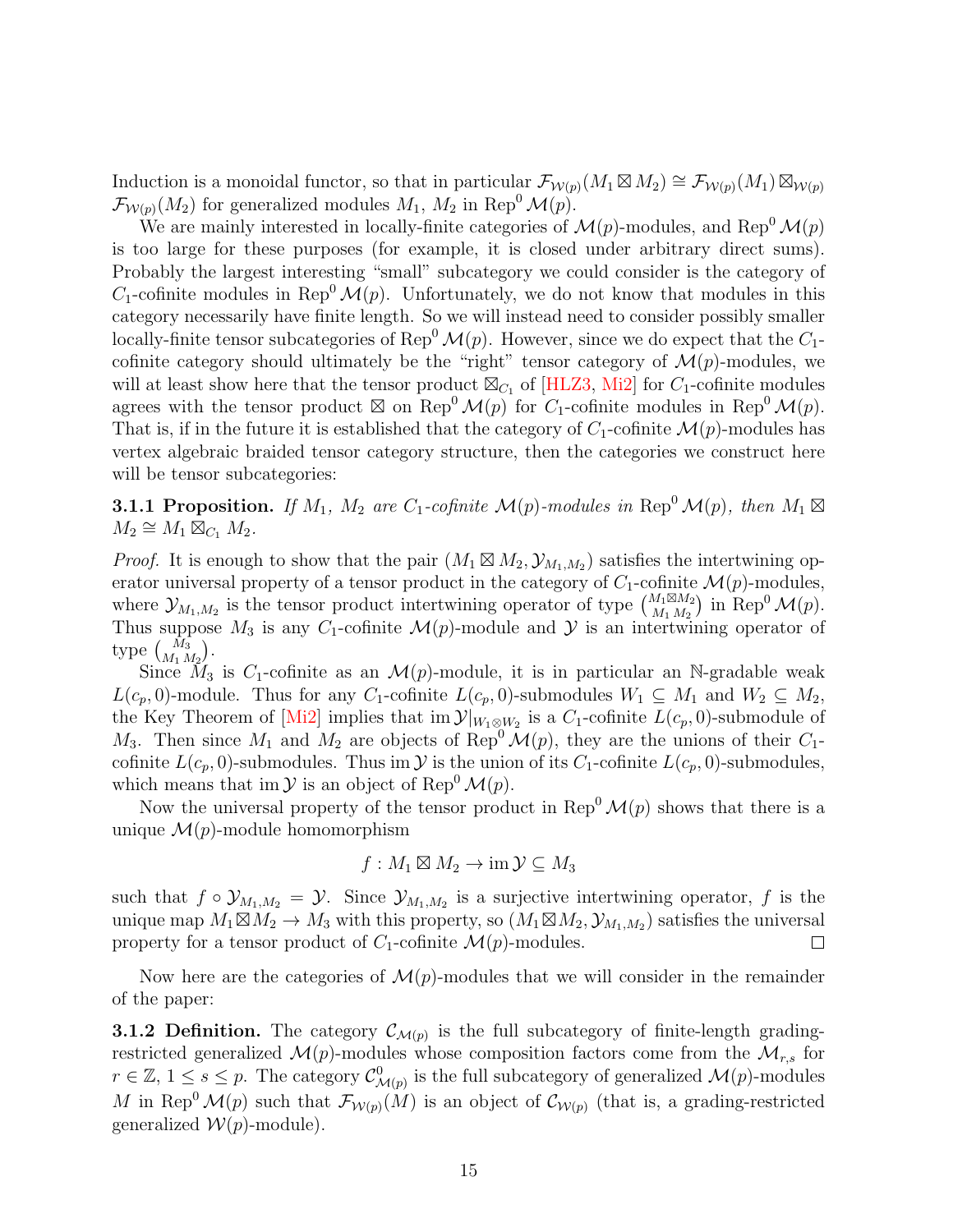Induction is a monoidal functor, so that in particular  $\mathcal{F}_{\mathcal{W}(p)}(M_1 \boxtimes M_2) \cong \mathcal{F}_{\mathcal{W}(p)}(M_1) \boxtimes_{\mathcal{W}(p)}$  $\mathcal{F}_{\mathcal{W}(p)}(M_2)$  for generalized modules  $M_1, M_2$  in Rep<sup>0</sup>  $\mathcal{M}(p)$ .

We are mainly interested in locally-finite categories of  $\mathcal{M}(p)$ -modules, and Rep<sup>0</sup> $\mathcal{M}(p)$ is too large for these purposes (for example, it is closed under arbitrary direct sums). Probably the largest interesting "small" subcategory we could consider is the category of  $C_1$ -cofinite modules in Rep<sup>0</sup>  $\mathcal{M}(p)$ . Unfortunately, we do not know that modules in this category necessarily have finite length. So we will instead need to consider possibly smaller locally-finite tensor subcategories of Rep<sup>0</sup> $\mathcal{M}(p)$ . However, since we do expect that the  $C_1$ cofinite category should ultimately be the "right" tensor category of  $\mathcal{M}(p)$ -modules, we will at least show here that the tensor product  $\mathbb{Z}_{C_1}$  of [\[HLZ3,](#page-63-4) [Mi2\]](#page-64-11) for  $C_1$ -cofinite modules agrees with the tensor product  $\boxtimes$  on Rep<sup>0</sup>  $\mathcal{M}(p)$  for  $C_1$ -cofinite modules in Rep<sup>0</sup>  $\mathcal{M}(p)$ . That is, if in the future it is established that the category of  $C_1$ -cofinite  $\mathcal{M}(p)$ -modules has vertex algebraic braided tensor category structure, then the categories we construct here will be tensor subcategories:

<span id="page-14-0"></span>**3.1.1 Proposition.** If  $M_1$ ,  $M_2$  are  $C_1$ -cofinite  $\mathcal{M}(p)$ -modules in Rep<sup>0</sup>  $\mathcal{M}(p)$ , then  $M_1 \boxtimes$  $M_2 \cong M_1 \overline{\boxtimes}_{C_1} M_2.$ 

*Proof.* It is enough to show that the pair  $(M_1 \boxtimes M_2, \mathcal{Y}_{M_1,M_2})$  satisfies the intertwining operator universal property of a tensor product in the category of  $C_1$ -cofinite  $\mathcal{M}(p)$ -modules, where  $\mathcal{Y}_{M_1,M_2}$  is the tensor product intertwining operator of type  $\begin{pmatrix} M_1 \boxtimes M_2 \\ M_1 M_2 \end{pmatrix}$  $\binom{M_1 \boxtimes M_2}{M_1 M_2}$  in Rep<sup>0</sup>  $\mathcal{M}(p)$ . Thus suppose  $M_3$  is any  $C_1$ -cofinite  $\mathcal{M}(p)$ -module and  $\mathcal Y$  is an intertwining operator of type  $\binom{M_3}{M_1 M_2}$ .

Since  $M_3$  is C<sub>1</sub>-cofinite as an  $\mathcal{M}(p)$ -module, it is in particular an N-gradable weak  $L(c_p, 0)$ -module. Thus for any C<sub>1</sub>-cofinite  $L(c_p, 0)$ -submodules  $W_1 \subseteq M_1$  and  $W_2 \subseteq M_2$ , the Key Theorem of [\[Mi2\]](#page-64-11) implies that  $\text{im } \mathcal{Y}|_{W_1 \otimes W_2}$  is a  $C_1$ -cofinite  $L(c_p, 0)$ -submodule of  $M_3$ . Then since  $M_1$  and  $M_2$  are objects of Rep<sup>0</sup>  $\mathcal{M}(p)$ , they are the unions of their  $C_1$ cofinite  $L(c_p, 0)$ -submodules. Thus im  $\mathcal Y$  is the union of its  $C_1$ -cofinite  $L(c_p, 0)$ -submodules, which means that im  $\mathcal Y$  is an object of Rep<sup>0</sup>  $\mathcal M(p)$ .

Now the universal property of the tensor product in Rep<sup>0</sup> $\mathcal{M}(p)$  shows that there is a unique  $\mathcal{M}(p)$ -module homomorphism

$$
f: M_1 \boxtimes M_2 \to \mathrm{im}\,\mathcal{Y} \subseteq M_3
$$

such that  $f \circ \mathcal{Y}_{M_1,M_2} = \mathcal{Y}$ . Since  $\mathcal{Y}_{M_1,M_2}$  is a surjective intertwining operator, f is the unique map  $M_1 \boxtimes M_2 \to M_3$  with this property, so  $(M_1 \boxtimes M_2, \mathcal{Y}_{M_1,M_2})$  satisfies the universal property for a tensor product of  $C_1$ -cofinite  $\mathcal{M}(p)$ -modules.  $\Box$ 

Now here are the categories of  $\mathcal{M}(p)$ -modules that we will consider in the remainder of the paper:

**3.1.2 Definition.** The category  $\mathcal{C}_{\mathcal{M}(p)}$  is the full subcategory of finite-length gradingrestricted generalized  $\mathcal{M}(p)$ -modules whose composition factors come from the  $\mathcal{M}_{r,s}$  for  $r \in \mathbb{Z}, 1 \leq s \leq p$ . The category  $\mathcal{C}^0_{\mathcal{M}(p)}$  is the full subcategory of generalized  $\mathcal{M}(p)$ -modules M in Rep<sup>0</sup>  $\mathcal{M}(p)$  such that  $\mathcal{F}_{\mathcal{W}(p)}(M)$  is an object of  $\mathcal{C}_{\mathcal{W}(p)}$  (that is, a grading-restricted generalized  $W(p)$ -module).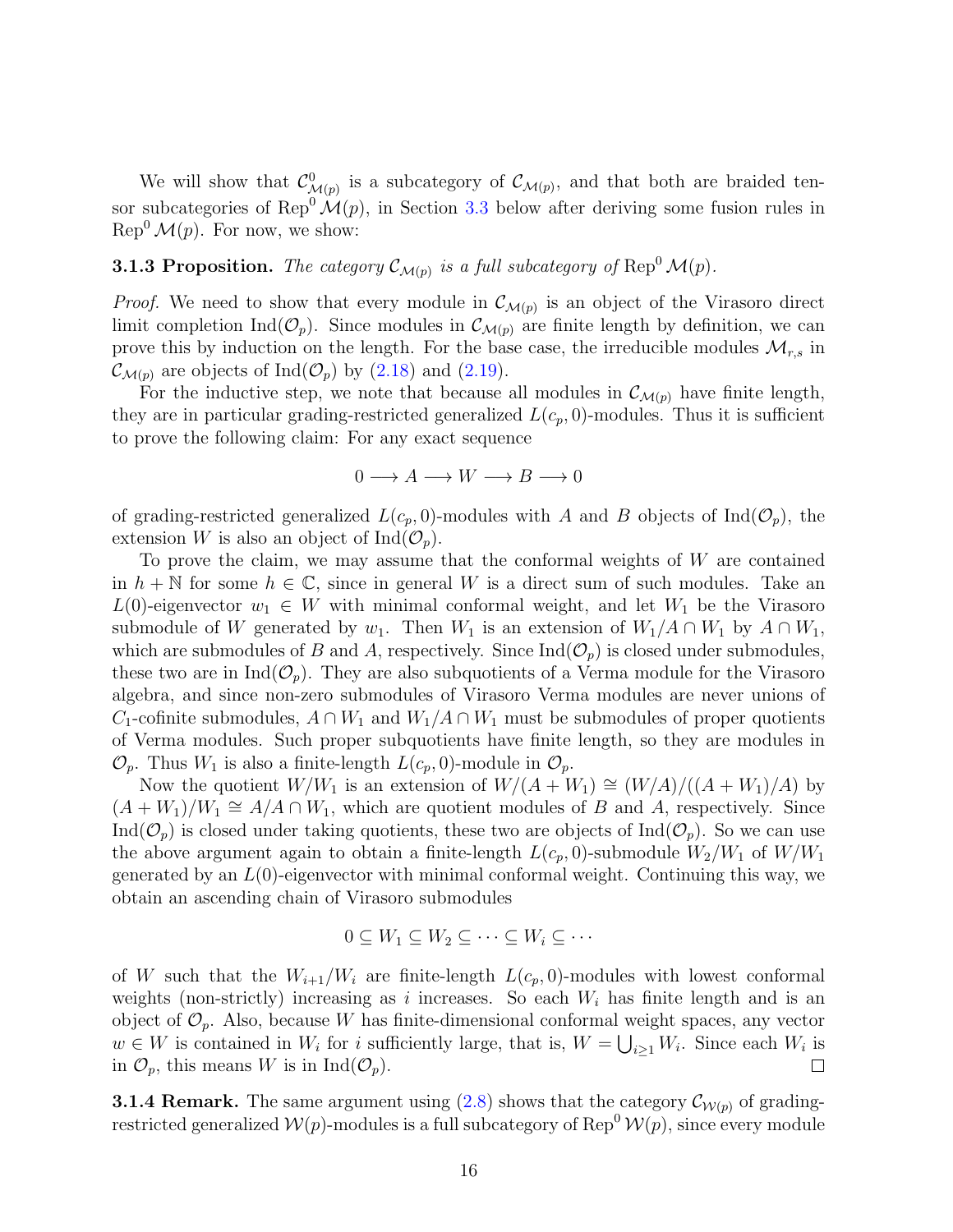We will show that  $\mathcal{C}^0_{\mathcal{M}(p)}$  is a subcategory of  $\mathcal{C}_{\mathcal{M}(p)}$ , and that both are braided tensor subcategories of Rep<sup>0</sup> $\mathcal{M}(p)$ , in Section [3.3](#page-21-0) below after deriving some fusion rules in  $\text{Rep}^0 \mathcal{M}(p)$ . For now, we show:

# <span id="page-15-0"></span>**3.1.3 Proposition.** The category  $\mathcal{C}_{\mathcal{M}(p)}$  is a full subcategory of Rep<sup>0</sup>  $\mathcal{M}(p)$ .

*Proof.* We need to show that every module in  $\mathcal{C}_{\mathcal{M}(p)}$  is an object of the Virasoro direct limit completion Ind( $\mathcal{O}_p$ ). Since modules in  $\mathcal{C}_{\mathcal{M}(p)}$  are finite length by definition, we can prove this by induction on the length. For the base case, the irreducible modules  $\mathcal{M}_{r,s}$  in  $\mathcal{C}_{\mathcal{M}(p)}$  are objects of Ind $(\mathcal{O}_p)$  by  $(2.18)$  and  $(2.19)$ .

For the inductive step, we note that because all modules in  $\mathcal{C}_{\mathcal{M}(p)}$  have finite length, they are in particular grading-restricted generalized  $L(c_p, 0)$ -modules. Thus it is sufficient to prove the following claim: For any exact sequence

$$
0 \longrightarrow A \longrightarrow W \longrightarrow B \longrightarrow 0
$$

of grading-restricted generalized  $L(c_p, 0)$ -modules with A and B objects of Ind( $\mathcal{O}_p$ ), the extension W is also an object of  $\text{Ind}(\mathcal{O}_p)$ .

To prove the claim, we may assume that the conformal weights of W are contained in  $h + \mathbb{N}$  for some  $h \in \mathbb{C}$ , since in general W is a direct sum of such modules. Take an L(0)-eigenvector  $w_1 \in W$  with minimal conformal weight, and let  $W_1$  be the Virasoro submodule of W generated by w<sub>1</sub>. Then  $W_1$  is an extension of  $W_1/A \cap W_1$  by  $A \cap W_1$ , which are submodules of B and A, respectively. Since  $\text{Ind}(\mathcal{O}_p)$  is closed under submodules, these two are in  $\text{Ind}(\mathcal{O}_p)$ . They are also subquotients of a Verma module for the Virasoro algebra, and since non-zero submodules of Virasoro Verma modules are never unions of  $C_1$ -cofinite submodules,  $A \cap W_1$  and  $W_1/A \cap W_1$  must be submodules of proper quotients of Verma modules. Such proper subquotients have finite length, so they are modules in  $\mathcal{O}_p$ . Thus  $W_1$  is also a finite-length  $L(c_p, 0)$ -module in  $\mathcal{O}_p$ .

Now the quotient  $W/W_1$  is an extension of  $W/(A + W_1) \cong (W/A)/((A + W_1)/A)$  by  $(A+W_1)/W_1 \cong A/A \cap W_1$ , which are quotient modules of B and A, respectively. Since Ind( $\mathcal{O}_p$ ) is closed under taking quotients, these two are objects of Ind( $\mathcal{O}_p$ ). So we can use the above argument again to obtain a finite-length  $L(c_p, 0)$ -submodule  $W_2/W_1$  of  $W/W_1$ generated by an  $L(0)$ -eigenvector with minimal conformal weight. Continuing this way, we obtain an ascending chain of Virasoro submodules

$$
0 \subseteq W_1 \subseteq W_2 \subseteq \cdots \subseteq W_i \subseteq \cdots
$$

of W such that the  $W_{i+1}/W_i$  are finite-length  $L(c_p, 0)$ -modules with lowest conformal weights (non-strictly) increasing as i increases. So each  $W_i$  has finite length and is an object of  $\mathcal{O}_p$ . Also, because W has finite-dimensional conformal weight spaces, any vector  $w \in W$  is contained in  $W_i$  for i sufficiently large, that is,  $W = \bigcup_{i \geq 1} W_i$ . Since each  $W_i$  is in  $\mathcal{O}_p$ , this means W is in Ind $(\mathcal{O}_p)$ .  $\Box$ 

**3.1.4 Remark.** The same argument using [\(2.8\)](#page-8-2) shows that the category  $\mathcal{C}_{W(p)}$  of gradingrestricted generalized  $W(p)$ -modules is a full subcategory of Rep<sup>0</sup>  $W(p)$ , since every module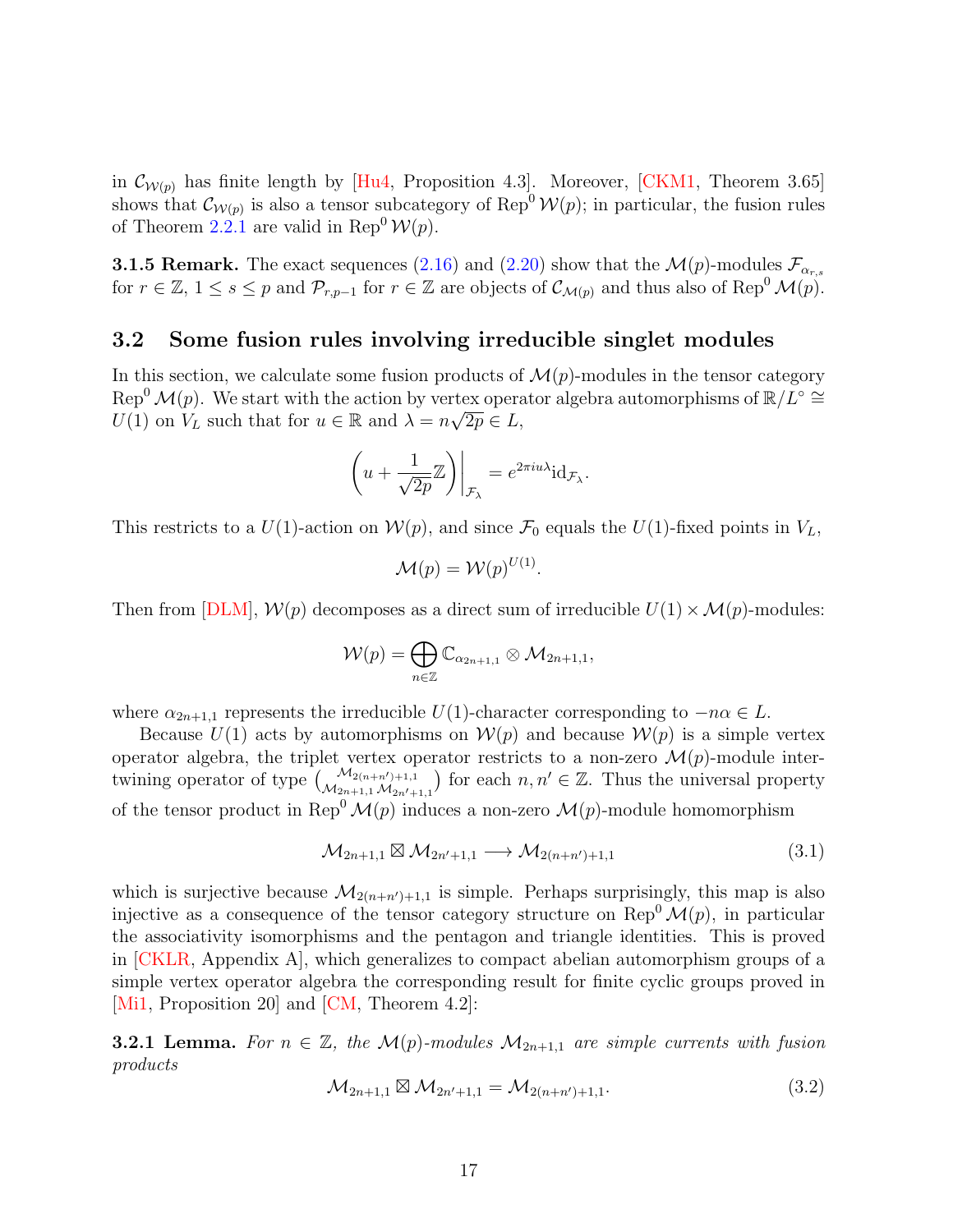in  $\mathcal{C}_{\mathcal{W}(p)}$  has finite length by [\[Hu4,](#page-62-2) Proposition 4.3]. Moreover, [\[CKM1,](#page-60-3) Theorem 3.65] shows that  $\mathcal{C}_{\mathcal{W}(p)}$  is also a tensor subcategory of Rep<sup>0</sup>  $\mathcal{W}(p)$ ; in particular, the fusion rules of Theorem [2.2.1](#page-10-1) are valid in Rep<sup>0</sup>  $\mathcal{W}(p)$ .

**3.1.5 Remark.** The exact sequences [\(2.16\)](#page-11-2) and [\(2.20\)](#page-12-2) show that the  $\mathcal{M}(p)$ -modules  $\mathcal{F}_{\alpha_{r,s}}$ for  $r \in \mathbb{Z}$ ,  $1 \leq s \leq p$  and  $\mathcal{P}_{r,p-1}$  for  $r \in \mathbb{Z}$  are objects of  $\mathcal{C}_{\mathcal{M}(p)}$  and thus also of Rep<sup>0</sup>  $\mathcal{M}(p)$ .

## <span id="page-16-0"></span>3.2 Some fusion rules involving irreducible singlet modules

In this section, we calculate some fusion products of  $\mathcal{M}(p)$ -modules in the tensor category  $Rep<sup>0</sup> M(p)$ . We start with the action by vertex operator algebra automorphisms of  $\mathbb{R}/L^{\circ} \cong$  $U(1)$  on  $V_L$  such that for  $u \in \mathbb{R}$  and  $\lambda = n\sqrt{2p} \in L$ ,

$$
\left(u + \frac{1}{\sqrt{2p}}\mathbb{Z}\right)\bigg|_{\mathcal{F}_{\lambda}} = e^{2\pi i u \lambda} \mathrm{id}_{\mathcal{F}_{\lambda}}.
$$

This restricts to a  $U(1)$ -action on  $\mathcal{W}(p)$ , and since  $\mathcal{F}_0$  equals the  $U(1)$ -fixed points in  $V_L$ ,

$$
\mathcal{M}(p) = \mathcal{W}(p)^{U(1)}.
$$

Then from [\[DLM\]](#page-61-12),  $W(p)$  decomposes as a direct sum of irreducible  $U(1) \times \mathcal{M}(p)$ -modules:

$$
\mathcal{W}(p) = \bigoplus_{n \in \mathbb{Z}} \mathbb{C}_{\alpha_{2n+1,1}} \otimes \mathcal{M}_{2n+1,1},
$$

where  $\alpha_{2n+1,1}$  represents the irreducible  $U(1)$ -character corresponding to  $-n\alpha \in L$ .

Because  $U(1)$  acts by automorphisms on  $\mathcal{W}(p)$  and because  $\mathcal{W}(p)$  is a simple vertex operator algebra, the triplet vertex operator restricts to a non-zero  $\mathcal{M}(p)$ -module intertwining operator of type  $\binom{\mathcal{M}_{2(n+n')+1,1}}{\mathcal{M}_{2n'+1,1}\mathcal{M}_{2n'+1,1}}$  for each  $n,n' \in \mathbb{Z}$ . Thus the universal property of the tensor product in Rep<sup>0</sup> $\mathcal{M}(p)$  induces a non-zero  $\mathcal{M}(p)$ -module homomorphism

<span id="page-16-1"></span>
$$
\mathcal{M}_{2n+1,1} \boxtimes \mathcal{M}_{2n'+1,1} \longrightarrow \mathcal{M}_{2(n+n')+1,1}
$$
\n
$$
(3.1)
$$

which is surjective because  $\mathcal{M}_{2(n+n')+1,1}$  is simple. Perhaps surprisingly, this map is also injective as a consequence of the tensor category structure on  $\text{Rep}^0 \mathcal{M}(p)$ , in particular the associativity isomorphisms and the pentagon and triangle identities. This is proved in [\[CKLR,](#page-60-14) Appendix A], which generalizes to compact abelian automorphism groups of a simple vertex operator algebra the corresponding result for finite cyclic groups proved in [\[Mi1,](#page-64-12) Proposition 20] and [\[CM,](#page-59-5) Theorem 4.2]:

**3.2.1 Lemma.** For  $n \in \mathbb{Z}$ , the  $\mathcal{M}(p)$ -modules  $\mathcal{M}_{2n+1,1}$  are simple currents with fusion products

<span id="page-16-2"></span>
$$
\mathcal{M}_{2n+1,1} \boxtimes \mathcal{M}_{2n'+1,1} = \mathcal{M}_{2(n+n')+1,1}.
$$
\n(3.2)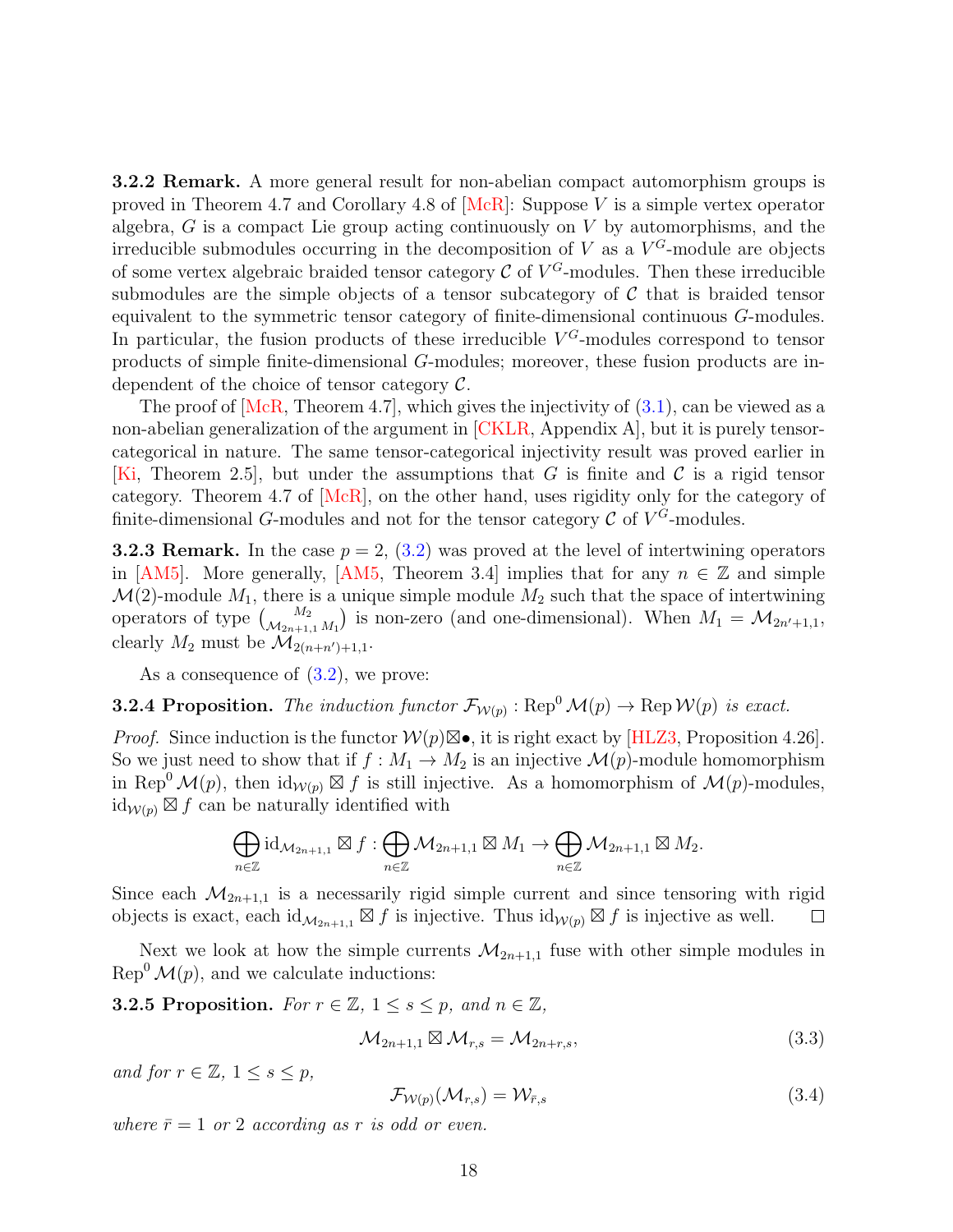3.2.2 Remark. A more general result for non-abelian compact automorphism groups is proved in Theorem 4.7 and Corollary 4.8 of  $[McR]$ : Suppose V is a simple vertex operator algebra,  $G$  is a compact Lie group acting continuously on  $V$  by automorphisms, and the irreducible submodules occurring in the decomposition of V as a  $V^G$ -module are objects of some vertex algebraic braided tensor category  $\mathcal C$  of  $V^G$ -modules. Then these irreducible submodules are the simple objects of a tensor subcategory of  $\mathcal C$  that is braided tensor equivalent to the symmetric tensor category of finite-dimensional continuous G-modules. In particular, the fusion products of these irreducible  $V^G$ -modules correspond to tensor products of simple finite-dimensional G-modules; moreover, these fusion products are independent of the choice of tensor category  $\mathcal{C}$ .

The proof of  $[McR, Theorem 4.7]$ , which gives the injectivity of  $(3.1)$ , can be viewed as a non-abelian generalization of the argument in [\[CKLR,](#page-60-14) Appendix A], but it is purely tensorcategorical in nature. The same tensor-categorical injectivity result was proved earlier in [\[Ki,](#page-64-13) Theorem 2.5], but under the assumptions that G is finite and C is a rigid tensor category. Theorem 4.7 of [\[McR\]](#page-64-3), on the other hand, uses rigidity only for the category of finite-dimensional G-modules and not for the tensor category  $\mathcal C$  of  $V^G$ -modules.

**3.2.3 Remark.** In the case  $p = 2$ , [\(3.2\)](#page-16-2) was proved at the level of intertwining operators in [\[AM5\]](#page-59-4). More generally, [\[AM5,](#page-59-4) Theorem 3.4] implies that for any  $n \in \mathbb{Z}$  and simple  $\mathcal{M}(2)$ -module  $M_1$ , there is a unique simple module  $M_2$  such that the space of intertwining operators of type  $\binom{M_2}{\mathcal{M}_{2n+1,1} M_1}$  is non-zero (and one-dimensional). When  $M_1 = \mathcal{M}_{2n'+1,1}$ , clearly  $M_2$  must be  $\mathcal{M}_{2(n+n')+1,1}$ .

As a consequence of  $(3.2)$ , we prove:

<span id="page-17-2"></span>**3.2.4 Proposition.** The induction functor  $\mathcal{F}_{W(p)}$ : Rep<sup>0</sup>  $\mathcal{M}(p) \to \text{Rep } \mathcal{W}(p)$  is exact.

*Proof.* Since induction is the functor  $W(p) \boxtimes \bullet$ , it is right exact by [\[HLZ3,](#page-63-4) Proposition 4.26]. So we just need to show that if  $f : M_1 \to M_2$  is an injective  $\mathcal{M}(p)$ -module homomorphism in Rep<sup>0</sup>  $\mathcal{M}(p)$ , then  $\mathrm{id}_{\mathcal{W}(p)} \boxtimes f$  is still injective. As a homomorphism of  $\mathcal{M}(p)$ -modules,  $\mathrm{id}_{\mathcal{W}(p)} \boxtimes f$  can be naturally identified with

$$
\bigoplus_{n\in\mathbb{Z}}\mathrm{id}_{\mathcal{M}_{2n+1,1}}\boxtimes f:\bigoplus_{n\in\mathbb{Z}}\mathcal{M}_{2n+1,1}\boxtimes M_1\to\bigoplus_{n\in\mathbb{Z}}\mathcal{M}_{2n+1,1}\boxtimes M_2.
$$

Since each  $\mathcal{M}_{2n+1,1}$  is a necessarily rigid simple current and since tensoring with rigid objects is exact, each  $\mathrm{id}_{\mathcal{M}_{2n+1,1}} \boxtimes f$  is injective. Thus  $\mathrm{id}_{\mathcal{W}(p)} \boxtimes f$  is injective as well.  $\Box$ 

Next we look at how the simple currents  $\mathcal{M}_{2n+1,1}$  fuse with other simple modules in  $\text{Rep}^0 \mathcal{M}(p)$ , and we calculate inductions:

<span id="page-17-1"></span>**3.2.5 Proposition.** For  $r \in \mathbb{Z}$ ,  $1 \leq s \leq p$ , and  $n \in \mathbb{Z}$ ,

<span id="page-17-0"></span>
$$
\mathcal{M}_{2n+1,1} \boxtimes \mathcal{M}_{r,s} = \mathcal{M}_{2n+r,s},\tag{3.3}
$$

and for  $r \in \mathbb{Z}$ ,  $1 \leq s \leq p$ ,

<span id="page-17-3"></span>
$$
\mathcal{F}_{\mathcal{W}(p)}(\mathcal{M}_{r,s}) = \mathcal{W}_{\bar{r},s} \tag{3.4}
$$

where  $\bar{r}=1$  or 2 according as r is odd or even.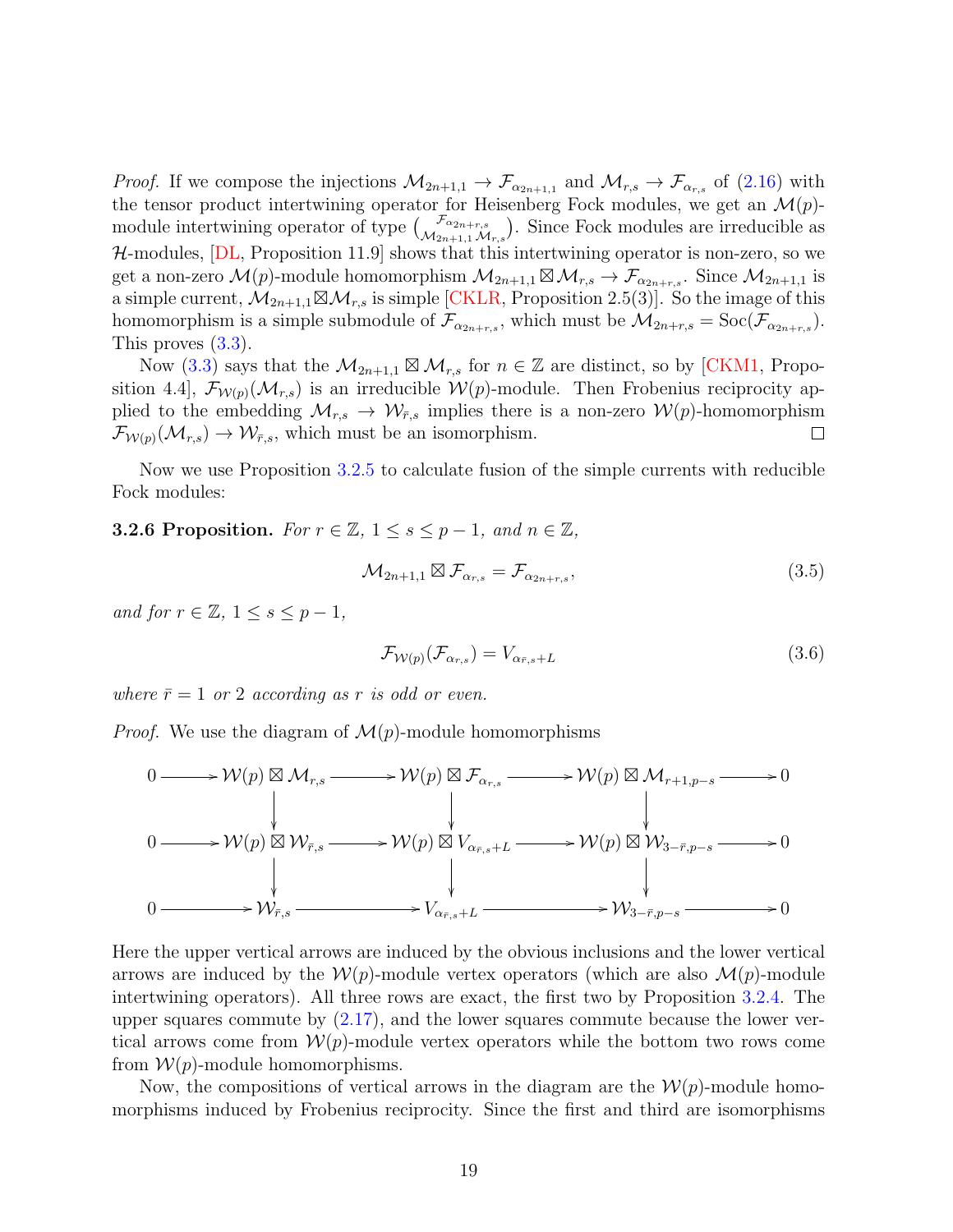*Proof.* If we compose the injections  $\mathcal{M}_{2n+1,1} \to \mathcal{F}_{\alpha_{2n+1,1}}$  and  $\mathcal{M}_{r,s} \to \mathcal{F}_{\alpha_{r,s}}$  of [\(2.16\)](#page-11-2) with the tensor product intertwining operator for Heisenberg Fock modules, we get an  $\mathcal{M}(p)$ module intertwining operator of type  $\begin{pmatrix} \mathcal{F}_{\alpha_{2n+r,s}} \\ \mathcal{M}_{2n+1,1} \mathcal{M}_{r,s} \end{pmatrix}$ . Since Fock modules are irreducible as  $H$ -modules,  $[DL,$  Proposition 11.9 shows that this intertwining operator is non-zero, so we get a non-zero  $\mathcal{M}(p)$ -module homomorphism  $\mathcal{M}_{2n+1,1} \boxtimes \mathcal{M}_{r,s} \to \mathcal{F}_{\alpha_{2n+r,s}}$ . Since  $\mathcal{M}_{2n+1,1}$  is a simple current,  $\mathcal{M}_{2n+1,1} \boxtimes \mathcal{M}_{r,s}$  is simple [\[CKLR,](#page-60-14) Proposition 2.5(3)]. So the image of this homomorphism is a simple submodule of  $\mathcal{F}_{\alpha_{2n+r,s}}$ , which must be  $\mathcal{M}_{2n+r,s} = \text{Soc}(\mathcal{F}_{\alpha_{2n+r,s}})$ . This proves [\(3.3\)](#page-17-0).

Now [\(3.3\)](#page-17-0) says that the  $\mathcal{M}_{2n+1,1} \boxtimes \mathcal{M}_{r,s}$  for  $n \in \mathbb{Z}$  are distinct, so by [\[CKM1,](#page-60-3) Proposition 4.4],  $\mathcal{F}_{W(p)}(\mathcal{M}_{r,s})$  is an irreducible  $W(p)$ -module. Then Frobenius reciprocity applied to the embedding  $\mathcal{M}_{r,s} \to \mathcal{W}_{\bar{r},s}$  implies there is a non-zero  $\mathcal{W}(p)$ -homomorphism  $\mathcal{F}_{\mathcal{W}(p)}(\mathcal{M}_{r,s}) \to \mathcal{W}_{\bar{r},s}$ , which must be an isomorphism.  $\Box$ 

Now we use Proposition [3.2.5](#page-17-1) to calculate fusion of the simple currents with reducible Fock modules:

<span id="page-18-2"></span>**3.2.6 Proposition.** For  $r \in \mathbb{Z}$ ,  $1 \leq s \leq p-1$ , and  $n \in \mathbb{Z}$ ,

<span id="page-18-1"></span>
$$
\mathcal{M}_{2n+1,1} \boxtimes \mathcal{F}_{\alpha_{r,s}} = \mathcal{F}_{\alpha_{2n+r,s}},\tag{3.5}
$$

and for  $r \in \mathbb{Z}$ ,  $1 \leq s \leq p-1$ ,

<span id="page-18-0"></span>
$$
\mathcal{F}_{\mathcal{W}(p)}(\mathcal{F}_{\alpha_{r,s}}) = V_{\alpha_{\bar{r},s} + L} \tag{3.6}
$$

where  $\bar{r}=1$  or 2 according as r is odd or even.

*Proof.* We use the diagram of  $\mathcal{M}(p)$ -module homomorphisms



Here the upper vertical arrows are induced by the obvious inclusions and the lower vertical arrows are induced by the  $W(p)$ -module vertex operators (which are also  $\mathcal{M}(p)$ -module intertwining operators). All three rows are exact, the first two by Proposition [3.2.4.](#page-17-2) The upper squares commute by  $(2.17)$ , and the lower squares commute because the lower vertical arrows come from  $\mathcal{W}(p)$ -module vertex operators while the bottom two rows come from  $W(p)$ -module homomorphisms.

Now, the compositions of vertical arrows in the diagram are the  $\mathcal{W}(p)$ -module homomorphisms induced by Frobenius reciprocity. Since the first and third are isomorphisms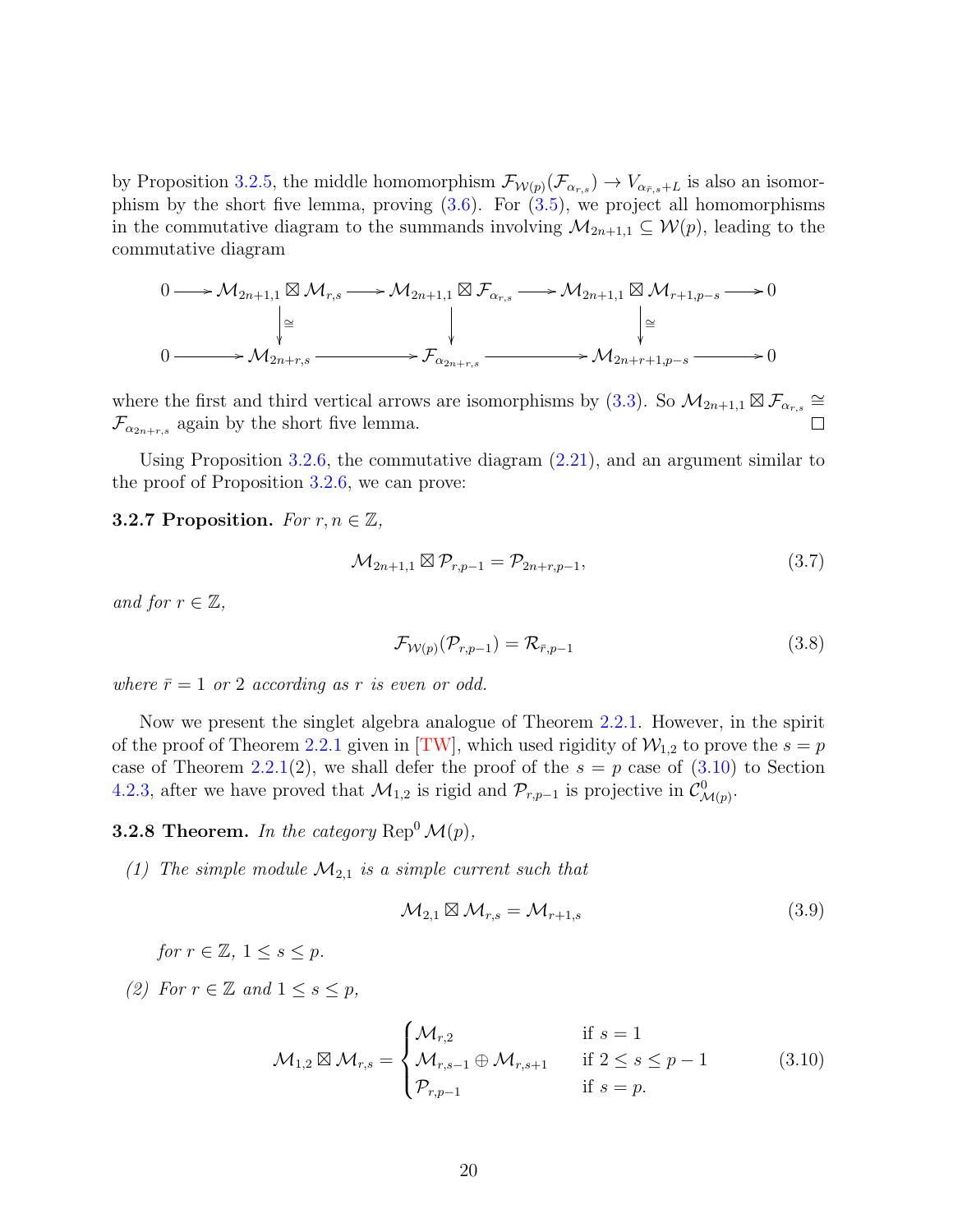by Proposition [3.2.5,](#page-17-1) the middle homomorphism  $\mathcal{F}_{W(p)}(\mathcal{F}_{\alpha_{r,s}}) \to V_{\alpha_{\bar{r},s}+L}$  is also an isomorphism by the short five lemma, proving  $(3.6)$ . For  $(3.5)$ , we project all homomorphisms in the commutative diagram to the summands involving  $\mathcal{M}_{2n+1,1} \subseteq \mathcal{W}(p)$ , leading to the commutative diagram

$$
0 \longrightarrow \mathcal{M}_{2n+1,1} \boxtimes \mathcal{M}_{r,s} \longrightarrow \mathcal{M}_{2n+1,1} \boxtimes \mathcal{F}_{\alpha_{r,s}} \longrightarrow \mathcal{M}_{2n+1,1} \boxtimes \mathcal{M}_{r+1,p-s} \longrightarrow 0
$$
  
\n
$$
\downarrow \cong \qquad \qquad \downarrow \qquad \qquad \downarrow \cong
$$
  
\n
$$
0 \longrightarrow \mathcal{M}_{2n+r,s} \longrightarrow \mathcal{F}_{\alpha_{2n+r,s}} \longrightarrow \mathcal{M}_{2n+r+1,p-s} \longrightarrow 0
$$

where the first and third vertical arrows are isomorphisms by  $(3.3)$ . So  $\mathcal{M}_{2n+1,1} \boxtimes \mathcal{F}_{\alpha_{r,s}} \cong$  $\mathcal{F}_{\alpha_{2n+r,s}}$  again by the short five lemma.

Using Proposition [3.2.6,](#page-18-2) the commutative diagram [\(2.21\)](#page-12-3), and an argument similar to the proof of Proposition [3.2.6,](#page-18-2) we can prove:

#### **3.2.7 Proposition.** For  $r, n \in \mathbb{Z}$ ,

<span id="page-19-4"></span>
$$
\mathcal{M}_{2n+1,1} \boxtimes \mathcal{P}_{r,p-1} = \mathcal{P}_{2n+r,p-1},\tag{3.7}
$$

and for  $r \in \mathbb{Z}$ ,

<span id="page-19-3"></span>
$$
\mathcal{F}_{\mathcal{W}(p)}(\mathcal{P}_{r,p-1}) = \mathcal{R}_{\bar{r},p-1} \tag{3.8}
$$

where  $\bar{r}=1$  or 2 according as r is even or odd.

Now we present the singlet algebra analogue of Theorem [2.2.1.](#page-10-1) However, in the spirit of the proof of Theorem [2.2.1](#page-10-1) given in [\[TW\]](#page-65-0), which used rigidity of  $\mathcal{W}_{1,2}$  to prove the  $s = p$ case of Theorem [2.2.1\(](#page-10-1)2), we shall defer the proof of the  $s = p$  case of [\(3.10\)](#page-19-0) to Section [4.2.3,](#page-36-0) after we have proved that  $\mathcal{M}_{1,2}$  is rigid and  $\mathcal{P}_{r,p-1}$  is projective in  $\mathcal{C}^0_{\mathcal{M}(p)}$ .

<span id="page-19-2"></span>**3.2.8 Theorem.** In the category  $\text{Rep}^0 \mathcal{M}(p)$ ,

(1) The simple module  $\mathcal{M}_{2,1}$  is a simple current such that

<span id="page-19-1"></span>
$$
\mathcal{M}_{2,1} \boxtimes \mathcal{M}_{r,s} = \mathcal{M}_{r+1,s} \tag{3.9}
$$

for  $r \in \mathbb{Z}$ ,  $1 \leq s \leq p$ .

(2) For  $r \in \mathbb{Z}$  and  $1 \leq s \leq p$ ,

<span id="page-19-0"></span>
$$
\mathcal{M}_{1,2} \boxtimes \mathcal{M}_{r,s} = \begin{cases} \mathcal{M}_{r,2} & \text{if } s = 1\\ \mathcal{M}_{r,s-1} \oplus \mathcal{M}_{r,s+1} & \text{if } 2 \le s \le p-1\\ \mathcal{P}_{r,p-1} & \text{if } s = p. \end{cases} \tag{3.10}
$$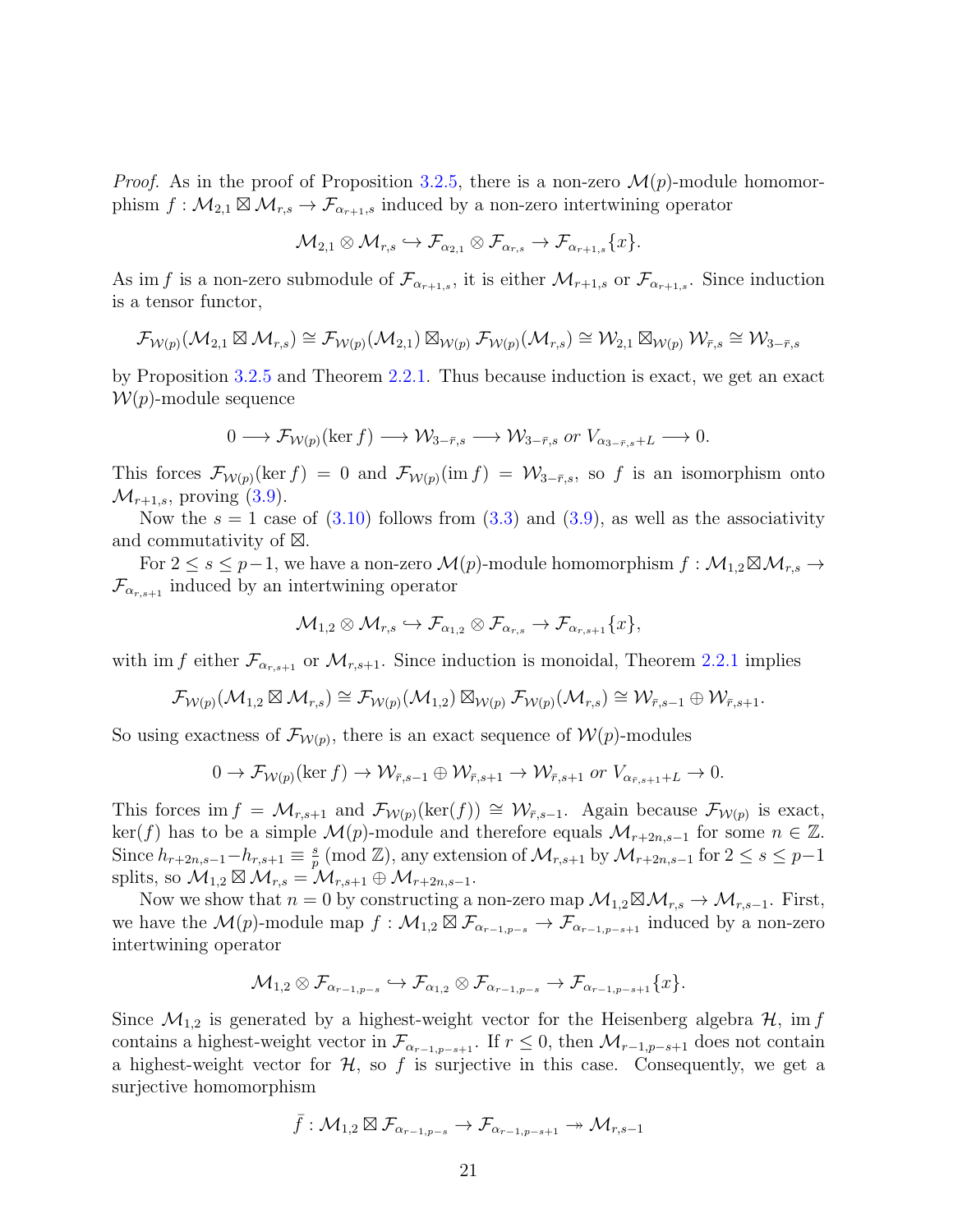*Proof.* As in the proof of Proposition [3.2.5,](#page-17-1) there is a non-zero  $\mathcal{M}(p)$ -module homomorphism  $f: \mathcal{M}_{2,1} \boxtimes \mathcal{M}_{r,s} \to \mathcal{F}_{\alpha_{r+1},s}$  induced by a non-zero intertwining operator

$$
\mathcal{M}_{2,1} \otimes \mathcal{M}_{r,s} \hookrightarrow \mathcal{F}_{\alpha_{2,1}} \otimes \mathcal{F}_{\alpha_{r,s}} \to \mathcal{F}_{\alpha_{r+1,s}}\{x\}.
$$

As im f is a non-zero submodule of  $\mathcal{F}_{\alpha_{r+1,s}}$ , it is either  $\mathcal{M}_{r+1,s}$  or  $\mathcal{F}_{\alpha_{r+1,s}}$ . Since induction is a tensor functor,

$$
\mathcal{F}_{\mathcal{W}(p)}(\mathcal{M}_{2,1}\boxtimes \mathcal{M}_{r,s})\cong \mathcal{F}_{\mathcal{W}(p)}(\mathcal{M}_{2,1})\boxtimes_{\mathcal{W}(p)} \mathcal{F}_{\mathcal{W}(p)}(\mathcal{M}_{r,s})\cong \mathcal{W}_{2,1}\boxtimes_{\mathcal{W}(p)} \mathcal{W}_{\bar{r},s}\cong \mathcal{W}_{3-\bar{r},s}
$$

by Proposition [3.2.5](#page-17-1) and Theorem [2.2.1.](#page-10-1) Thus because induction is exact, we get an exact  $W(p)$ -module sequence

$$
0 \longrightarrow \mathcal{F}_{\mathcal{W}(p)}(\ker f) \longrightarrow \mathcal{W}_{3-\bar{r},s} \longrightarrow \mathcal{W}_{3-\bar{r},s} \text{ or } V_{\alpha_{3-\bar{r},s}+L} \longrightarrow 0.
$$

This forces  $\mathcal{F}_{W(p)}(\ker f) = 0$  and  $\mathcal{F}_{W(p)}(\mathrm{im} f) = W_{3-\bar{r},s}$ , so f is an isomorphism onto  $\mathcal{M}_{r+1,s}$ , proving  $(3.9)$ .

Now the  $s = 1$  case of  $(3.10)$  follows from  $(3.3)$  and  $(3.9)$ , as well as the associativity and commutativity of  $\boxtimes$ .

For  $2 \le s \le p-1$ , we have a non-zero  $\mathcal{M}(p)$ -module homomorphism  $f: \mathcal{M}_{1,2} \boxtimes \mathcal{M}_{r,s} \to$  $\mathcal{F}_{\alpha_{r,s+1}}$  induced by an intertwining operator

$$
\mathcal{M}_{1,2} \otimes \mathcal{M}_{r,s} \hookrightarrow \mathcal{F}_{\alpha_{1,2}} \otimes \mathcal{F}_{\alpha_{r,s}} \rightarrow \mathcal{F}_{\alpha_{r,s+1}}\{x\},\
$$

with im f either  $\mathcal{F}_{\alpha_{r,s+1}}$  or  $\mathcal{M}_{r,s+1}$ . Since induction is monoidal, Theorem [2.2.1](#page-10-1) implies

$$
\mathcal{F}_{\mathcal{W}(p)}(\mathcal{M}_{1,2}\boxtimes \mathcal{M}_{r,s})\cong \mathcal{F}_{\mathcal{W}(p)}(\mathcal{M}_{1,2})\boxtimes_{\mathcal{W}(p)} \mathcal{F}_{\mathcal{W}(p)}(\mathcal{M}_{r,s})\cong \mathcal{W}_{\bar{r},s-1}\oplus \mathcal{W}_{\bar{r},s+1}.
$$

So using exactness of  $\mathcal{F}_{\mathcal{W}(p)}$ , there is an exact sequence of  $\mathcal{W}(p)$ -modules

$$
0 \to \mathcal{F}_{\mathcal{W}(p)}(\ker f) \to \mathcal{W}_{\bar{r},s-1} \oplus \mathcal{W}_{\bar{r},s+1} \to \mathcal{W}_{\bar{r},s+1} \text{ or } V_{\alpha_{\bar{r},s+1}+L} \to 0.
$$

This forces im  $f = \mathcal{M}_{r,s+1}$  and  $\mathcal{F}_{\mathcal{W}(p)}(\text{ker}(f)) \cong \mathcal{W}_{\bar{r},s-1}$ . Again because  $\mathcal{F}_{\mathcal{W}(p)}$  is exact, ker(f) has to be a simple  $\mathcal{M}(p)$ -module and therefore equals  $\mathcal{M}_{r+2n,s-1}$  for some  $n \in \mathbb{Z}$ . Since  $h_{r+2n,s-1}-h_{r,s+1}\equiv \frac{s}{n}$  $\frac{s}{p}$  (mod Z), any extension of  $\mathcal{M}_{r,s+1}$  by  $\mathcal{M}_{r+2n,s-1}$  for  $2 \leq s \leq p-1$ splits, so  $\mathcal{M}_{1,2} \boxtimes \mathcal{M}_{r,s} = \mathcal{M}_{r,s+1} \oplus \mathcal{M}_{r+2n,s-1}.$ 

Now we show that  $n = 0$  by constructing a non-zero map  $\mathcal{M}_{1,2} \boxtimes \mathcal{M}_{r,s} \to \mathcal{M}_{r,s-1}$ . First, we have the  $\mathcal{M}(p)$ -module map  $f: \mathcal{M}_{1,2} \boxtimes \mathcal{F}_{\alpha_{r-1,p-s}} \to \mathcal{F}_{\alpha_{r-1,p-s+1}}$  induced by a non-zero intertwining operator

$$
\mathcal{M}_{1,2} \otimes \mathcal{F}_{\alpha_{r-1,p-s}} \hookrightarrow \mathcal{F}_{\alpha_{1,2}} \otimes \mathcal{F}_{\alpha_{r-1,p-s}} \rightarrow \mathcal{F}_{\alpha_{r-1,p-s+1}}\{x\}.
$$

Since  $\mathcal{M}_{1,2}$  is generated by a highest-weight vector for the Heisenberg algebra  $\mathcal{H}$ , im f contains a highest-weight vector in  $\mathcal{F}_{\alpha_{r-1,p-s+1}}$ . If  $r \leq 0$ , then  $\mathcal{M}_{r-1,p-s+1}$  does not contain a highest-weight vector for  $H$ , so f is surjective in this case. Consequently, we get a surjective homomorphism

$$
\bar{f}: \mathcal{M}_{1,2}\boxtimes \mathcal{F}_{\alpha_{r-1,p-s}}\rightarrow \mathcal{F}_{\alpha_{r-1,p-s+1}}\twoheadrightarrow \mathcal{M}_{r,s-1}
$$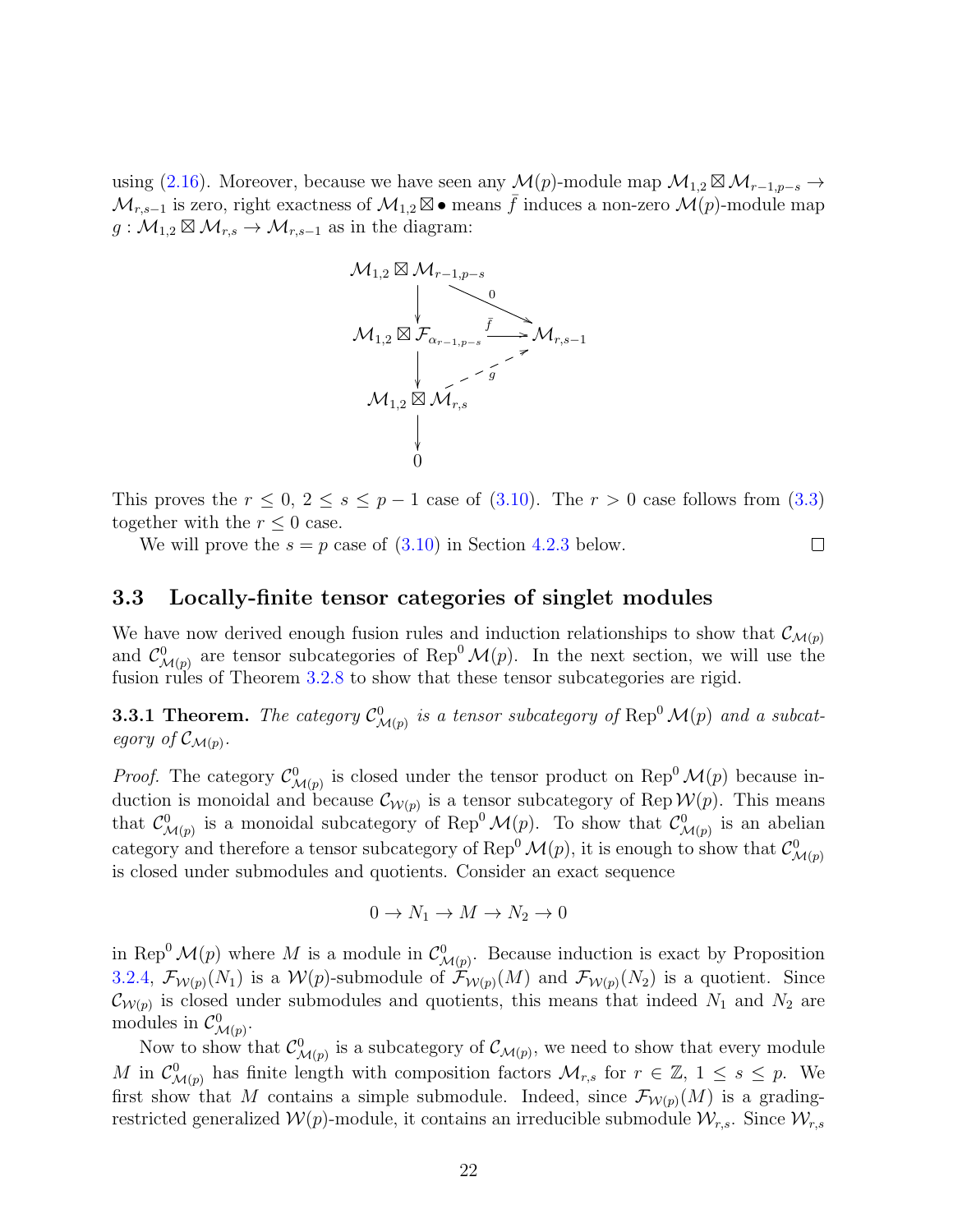using [\(2.16\)](#page-11-2). Moreover, because we have seen any  $\mathcal{M}(p)$ -module map  $\mathcal{M}_{1,2} \boxtimes \mathcal{M}_{r-1,p-s} \to$  $\mathcal{M}_{r,s-1}$  is zero, right exactness of  $\mathcal{M}_{1,2} \boxtimes \bullet$  means  $\bar{f}$  induces a non-zero  $\mathcal{M}(p)$ -module map  $g: \mathcal{M}_{1,2} \boxtimes \mathcal{M}_{r,s} \to \mathcal{M}_{r,s-1}$  as in the diagram:



This proves the  $r \leq 0$ ,  $2 \leq s \leq p-1$  case of [\(3.10\)](#page-19-0). The  $r > 0$  case follows from [\(3.3\)](#page-17-0) together with the  $r \leq 0$  case.

 $\Box$ 

We will prove the  $s = p$  case of  $(3.10)$  in Section [4.2.3](#page-36-0) below.

<span id="page-21-0"></span>3.3 Locally-finite tensor categories of singlet modules

We have now derived enough fusion rules and induction relationships to show that  $\mathcal{C}_{\mathcal{M}(p)}$ and  $\mathcal{C}^0_{\mathcal{M}(p)}$  are tensor subcategories of Rep<sup>0</sup>  $\mathcal{M}(p)$ . In the next section, we will use the fusion rules of Theorem [3.2.8](#page-19-2) to show that these tensor subcategories are rigid.

<span id="page-21-1"></span>**3.3.1 Theorem.** The category  $\mathcal{C}^0_{\mathcal{M}(p)}$  is a tensor subcategory of Rep<sup>0</sup>  $\mathcal{M}(p)$  and a subcategory of  $\mathcal{C}_{\mathcal{M}(p)}$ .

*Proof.* The category  $\mathcal{C}^0_{\mathcal{M}(p)}$  is closed under the tensor product on Rep<sup>0</sup>  $\mathcal{M}(p)$  because induction is monoidal and because  $\mathcal{C}_{\mathcal{W}(p)}$  is a tensor subcategory of Rep  $\mathcal{W}(p)$ . This means that  $\mathcal{C}^0_{\mathcal{M}(p)}$  is a monoidal subcategory of Rep<sup>0</sup>  $\mathcal{M}(p)$ . To show that  $\mathcal{C}^0_{\mathcal{M}(p)}$  is an abelian category and therefore a tensor subcategory of Rep<sup>0</sup>  $\mathcal{M}(p)$ , it is enough to show that  $\mathcal{C}^0_{\mathcal{M}(p)}$ is closed under submodules and quotients. Consider an exact sequence

$$
0 \to N_1 \to M \to N_2 \to 0
$$

in Rep<sup>0</sup>  $\mathcal{M}(p)$  where M is a module in  $\mathcal{C}_{\mathcal{M}(p)}^0$ . Because induction is exact by Proposition [3.2.4,](#page-17-2)  $\mathcal{F}_{\mathcal{W}(p)}(N_1)$  is a  $\mathcal{W}(p)$ -submodule of  $\mathcal{F}_{\mathcal{W}(p)}(M)$  and  $\mathcal{F}_{\mathcal{W}(p)}(N_2)$  is a quotient. Since  $\mathcal{C}_{W(p)}$  is closed under submodules and quotients, this means that indeed  $N_1$  and  $N_2$  are modules in  $\mathcal{C}^0_{\mathcal{M}(p)}$ .

Now to show that  $\mathcal{C}^0_{\mathcal{M}(p)}$  is a subcategory of  $\mathcal{C}_{\mathcal{M}(p)}$ , we need to show that every module M in  $\mathcal{C}^0_{\mathcal{M}(p)}$  has finite length with composition factors  $\mathcal{M}_{r,s}$  for  $r \in \mathbb{Z}, 1 \leq s \leq p$ . We first show that M contains a simple submodule. Indeed, since  $\mathcal{F}_{\mathcal{W}(p)}(M)$  is a gradingrestricted generalized  $W(p)$ -module, it contains an irreducible submodule  $\mathcal{W}_{r,s}$ . Since  $\mathcal{W}_{r,s}$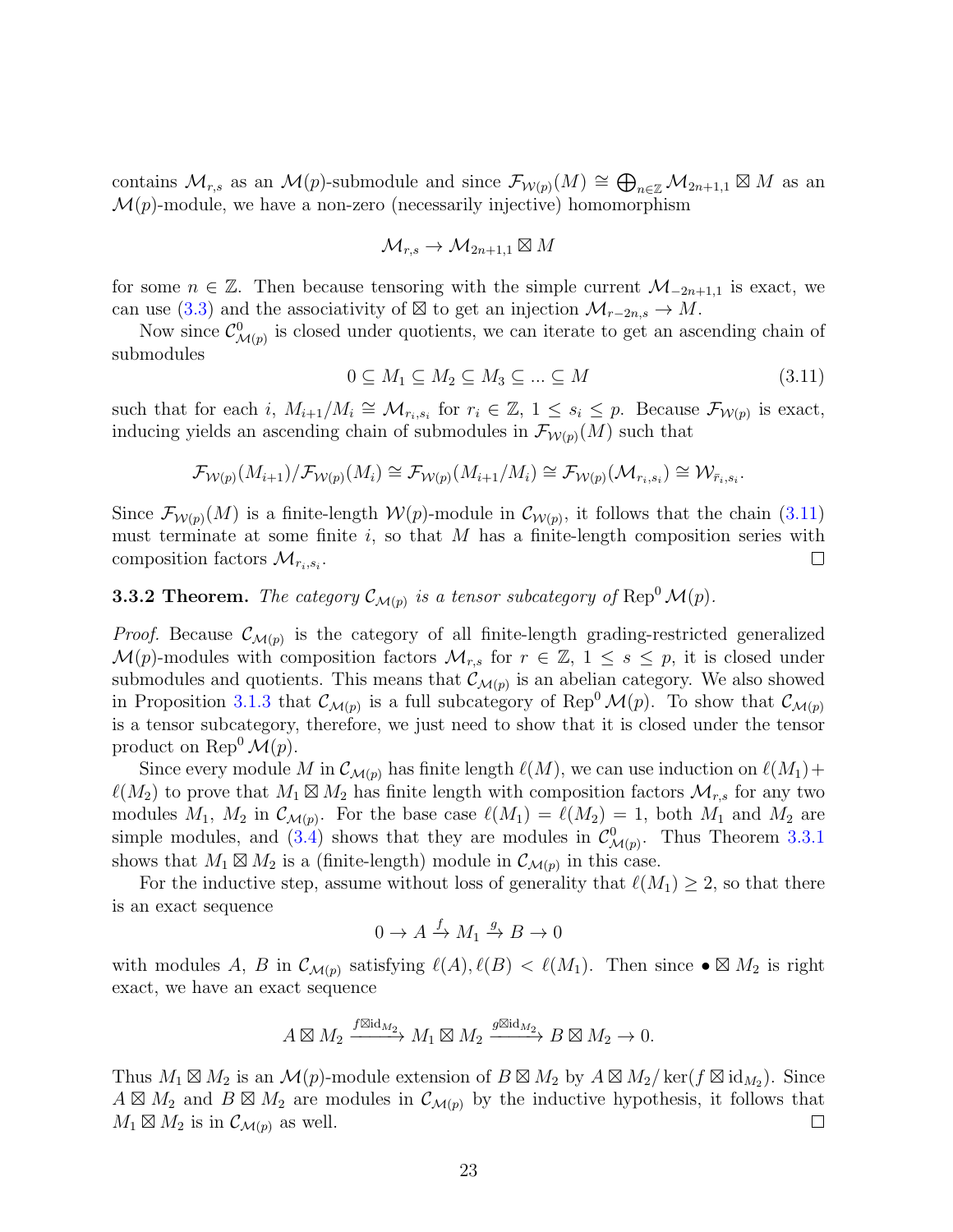contains  $\mathcal{M}_{r,s}$  as an  $\mathcal{M}(p)$ -submodule and since  $\mathcal{F}_{\mathcal{W}(p)}(M) \cong \bigoplus_{n \in \mathbb{Z}} \mathcal{M}_{2n+1,1} \boxtimes M$  as an  $\mathcal{M}(p)$ -module, we have a non-zero (necessarily injective) homomorphism

$$
\mathcal{M}_{r,s}\to \mathcal{M}_{2n+1,1}\boxtimes M
$$

for some  $n \in \mathbb{Z}$ . Then because tensoring with the simple current  $\mathcal{M}_{-2n+1,1}$  is exact, we can use [\(3.3\)](#page-17-0) and the associativity of  $\boxtimes$  to get an injection  $\mathcal{M}_{r-2n,s} \to M$ .

Now since  $\mathcal{C}^0_{\mathcal{M}(p)}$  is closed under quotients, we can iterate to get an ascending chain of submodules

<span id="page-22-0"></span>
$$
0 \subseteq M_1 \subseteq M_2 \subseteq M_3 \subseteq \dots \subseteq M \tag{3.11}
$$

such that for each i,  $M_{i+1}/M_i \cong M_{r_i,s_i}$  for  $r_i \in \mathbb{Z}, 1 \leq s_i \leq p$ . Because  $\mathcal{F}_{\mathcal{W}(p)}$  is exact, inducing yields an ascending chain of submodules in  $\mathcal{F}_{W(p)}(M)$  such that

$$
\mathcal{F}_{\mathcal{W}(p)}(M_{i+1})/\mathcal{F}_{\mathcal{W}(p)}(M_i) \cong \mathcal{F}_{\mathcal{W}(p)}(M_{i+1}/M_i) \cong \mathcal{F}_{\mathcal{W}(p)}(\mathcal{M}_{r_i,s_i}) \cong \mathcal{W}_{\bar{r}_i,s_i}.
$$

Since  $\mathcal{F}_{W(p)}(M)$  is a finite-length  $W(p)$ -module in  $\mathcal{C}_{W(p)}$ , it follows that the chain [\(3.11\)](#page-22-0) must terminate at some finite  $i$ , so that  $M$  has a finite-length composition series with composition factors  $\mathcal{M}_{r_i,s_i}$ .  $\Box$ 

<span id="page-22-1"></span>**3.3.2 Theorem.** The category  $\mathcal{C}_{\mathcal{M}(p)}$  is a tensor subcategory of  $\text{Rep}^0 \mathcal{M}(p)$ .

*Proof.* Because  $\mathcal{C}_{\mathcal{M}(p)}$  is the category of all finite-length grading-restricted generalized  $\mathcal{M}(p)$ -modules with composition factors  $\mathcal{M}_{r,s}$  for  $r \in \mathbb{Z}, 1 \leq s \leq p$ , it is closed under submodules and quotients. This means that  $\mathcal{C}_{\mathcal{M}(p)}$  is an abelian category. We also showed in Proposition [3.1.3](#page-15-0) that  $\mathcal{C}_{\mathcal{M}(p)}$  is a full subcategory of Rep<sup>0</sup> $\mathcal{M}(p)$ . To show that  $\mathcal{C}_{\mathcal{M}(p)}$ is a tensor subcategory, therefore, we just need to show that it is closed under the tensor product on Rep<sup>0</sup> $\mathcal{M}(p)$ .

Since every module M in  $\mathcal{C}_{\mathcal{M}(p)}$  has finite length  $\ell(M)$ , we can use induction on  $\ell(M_1)+$  $\ell(M_2)$  to prove that  $M_1 \boxtimes M_2$  has finite length with composition factors  $\mathcal{M}_{r,s}$  for any two modules  $M_1$ ,  $M_2$  in  $\mathcal{C}_{\mathcal{M}(p)}$ . For the base case  $\ell(M_1) = \ell(M_2) = 1$ , both  $M_1$  and  $M_2$  are simple modules, and [\(3.4\)](#page-17-3) shows that they are modules in  $\mathcal{C}^0_{\mathcal{M}(p)}$ . Thus Theorem [3.3.1](#page-21-1) shows that  $M_1 \boxtimes M_2$  is a (finite-length) module in  $\mathcal{C}_{\mathcal{M}(p)}$  in this case.

For the inductive step, assume without loss of generality that  $\ell(M_1) \geq 2$ , so that there is an exact sequence

$$
0 \to A \xrightarrow{f} M_1 \xrightarrow{g} B \to 0
$$

with modules A, B in  $\mathcal{C}_{\mathcal{M}(p)}$  satisfying  $\ell(A), \ell(B) < \ell(M_1)$ . Then since  $\bullet \boxtimes M_2$  is right exact, we have an exact sequence

$$
A\boxtimes M_2\xrightarrow{f\boxtimes \mathrm{id}_{M_2}} M_1\boxtimes M_2\xrightarrow{g\boxtimes \mathrm{id}_{M_2}} B\boxtimes M_2\to 0.
$$

Thus  $M_1 \boxtimes M_2$  is an  $\mathcal{M}(p)$ -module extension of  $B \boxtimes M_2$  by  $A \boxtimes M_2/\ker(f \boxtimes id_{M_2})$ . Since  $A \boxtimes M_2$  and  $B \boxtimes M_2$  are modules in  $\mathcal{C}_{\mathcal{M}(p)}$  by the inductive hypothesis, it follows that  $M_1 \boxtimes M_2$  is in  $\mathcal{C}_{\mathcal{M}(p)}$  as well.  $\Box$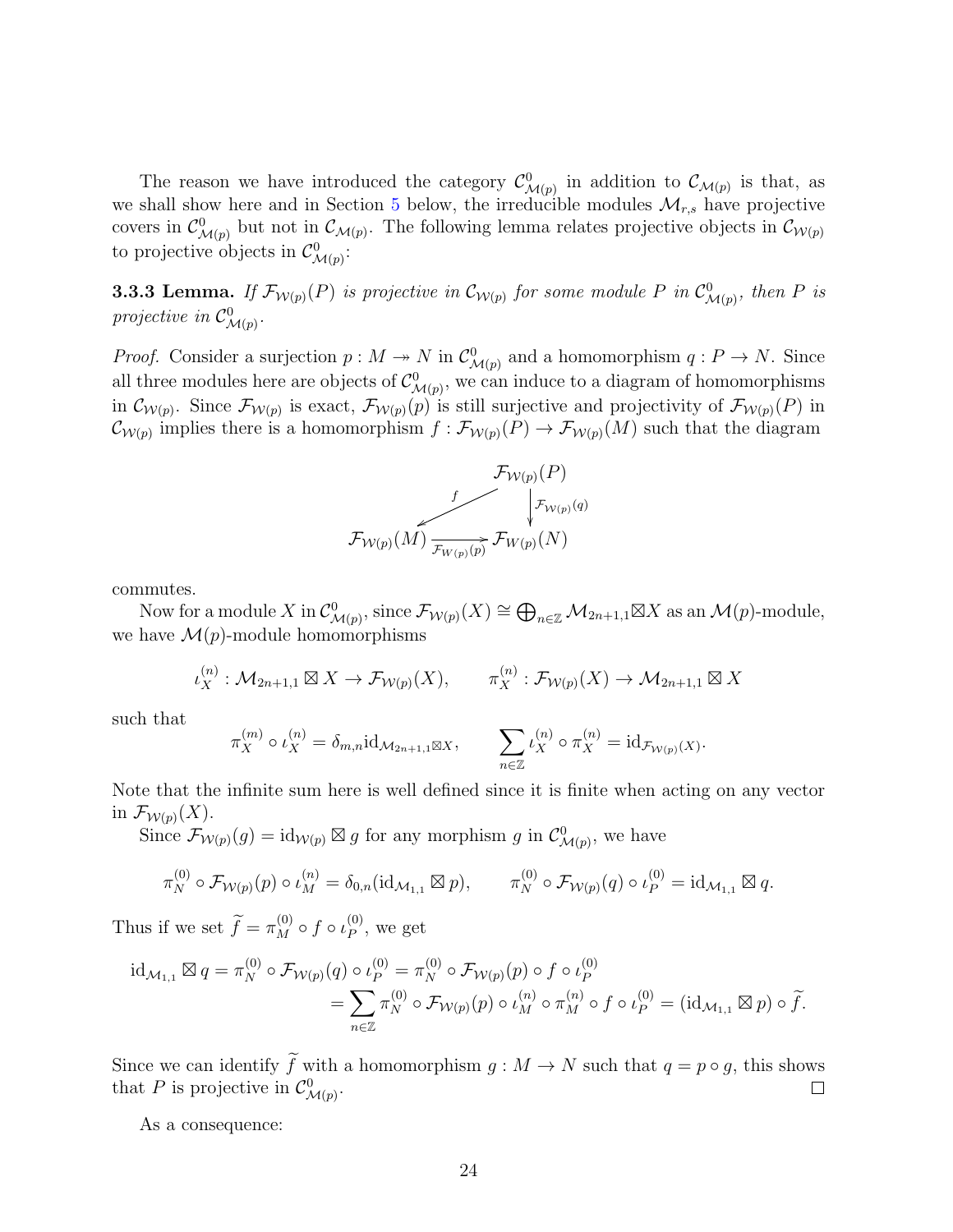The reason we have introduced the category  $\mathcal{C}^0_{\mathcal{M}(p)}$  in addition to  $\mathcal{C}_{\mathcal{M}(p)}$  is that, as we shall show here and in Section [5](#page-48-0) below, the irreducible modules  $\mathcal{M}_{r,s}$  have projective covers in  $\mathcal{C}_{\mathcal{M}(p)}^0$  but not in  $\mathcal{C}_{\mathcal{M}(p)}$ . The following lemma relates projective objects in  $\mathcal{C}_{\mathcal{W}(p)}$ to projective objects in  $\mathcal{C}^0_{\mathcal{M}(p)}$ :

<span id="page-23-0"></span>**3.3.3 Lemma.** If  $\mathcal{F}_{\mathcal{W}(p)}(P)$  is projective in  $\mathcal{C}_{\mathcal{W}(p)}$  for some module P in  $\mathcal{C}_{\mathcal{M}(p)}^0$ , then P is projective in  $\mathcal{C}^0_{\mathcal{M}(p)}$ .

*Proof.* Consider a surjection  $p: M \to N$  in  $\mathcal{C}^0_{\mathcal{M}(p)}$  and a homomorphism  $q: P \to N$ . Since all three modules here are objects of  $\mathcal{C}^0_{\mathcal{M}(p)}$ , we can induce to a diagram of homomorphisms in  $\mathcal{C}_{\mathcal{W}(p)}$ . Since  $\mathcal{F}_{\mathcal{W}(p)}$  is exact,  $\mathcal{F}_{\mathcal{W}(p)}(p)$  is still surjective and projectivity of  $\mathcal{F}_{\mathcal{W}(p)}(P)$  in  $\mathcal{C}_{\mathcal{W}(p)}$  implies there is a homomorphism  $f: \mathcal{F}_{\mathcal{W}(p)}(P) \to \mathcal{F}_{\mathcal{W}(p)}(M)$  such that the diagram



commutes.

Now for a module X in  $\mathcal{C}^0_{\mathcal{M}(p)}$ , since  $\mathcal{F}_{\mathcal{W}(p)}(X) \cong \bigoplus_{n \in \mathbb{Z}} \mathcal{M}_{2n+1,1} \boxtimes X$  as an  $\mathcal{M}(p)$ -module, we have  $\mathcal{M}(p)$ -module homomorphisms

$$
\iota_X^{(n)} : \mathcal{M}_{2n+1,1} \boxtimes X \to \mathcal{F}_{\mathcal{W}(p)}(X), \qquad \pi_X^{(n)} : \mathcal{F}_{\mathcal{W}(p)}(X) \to \mathcal{M}_{2n+1,1} \boxtimes X
$$

such that

$$
\pi_X^{(m)} \circ \iota_X^{(n)} = \delta_{m,n} \mathrm{id}_{\mathcal{M}_{2n+1,1} \boxtimes X}, \qquad \sum_{n \in \mathbb{Z}} \iota_X^{(n)} \circ \pi_X^{(n)} = \mathrm{id}_{\mathcal{F}_{\mathcal{W}(p)}(X)}.
$$

Note that the infinite sum here is well defined since it is finite when acting on any vector in  $\mathcal{F}_{\mathcal{W}(p)}(X)$ .

Since  $\mathcal{F}_{\mathcal{W}(p)}(g) = \mathrm{id}_{\mathcal{W}(p)} \boxtimes g$  for any morphism g in  $\mathcal{C}^0_{\mathcal{M}(p)}$ , we have

$$
\pi_N^{(0)} \circ \mathcal{F}_{\mathcal{W}(p)}(p) \circ \iota_M^{(n)} = \delta_{0,n}(\mathrm{id}_{\mathcal{M}_{1,1}} \boxtimes p), \qquad \pi_N^{(0)} \circ \mathcal{F}_{\mathcal{W}(p)}(q) \circ \iota_P^{(0)} = \mathrm{id}_{\mathcal{M}_{1,1}} \boxtimes q.
$$

Thus if we set  $\widetilde{f} = \pi_M^{(0)} \circ f \circ \iota_P^{(0)}$  $_P^{(0)}$ , we get

$$
\mathrm{id}_{\mathcal{M}_{1,1}} \boxtimes q = \pi_N^{(0)} \circ \mathcal{F}_{\mathcal{W}(p)}(q) \circ \iota_P^{(0)} = \pi_N^{(0)} \circ \mathcal{F}_{\mathcal{W}(p)}(p) \circ f \circ \iota_P^{(0)}
$$
\n
$$
= \sum_{n \in \mathbb{Z}} \pi_N^{(0)} \circ \mathcal{F}_{\mathcal{W}(p)}(p) \circ \iota_M^{(n)} \circ \pi_M^{(n)} \circ f \circ \iota_P^{(0)} = (\mathrm{id}_{\mathcal{M}_{1,1}} \boxtimes p) \circ \widetilde{f}.
$$

Since we can identify  $\widetilde{f}$  with a homomorphism  $g : M \to N$  such that  $q = p \circ g$ , this shows that P is projective in  $\mathcal{C}_{\ell}^0$ . that P is projective in  $\mathcal{C}^0_{\mathcal{M}(p)}$ .

As a consequence: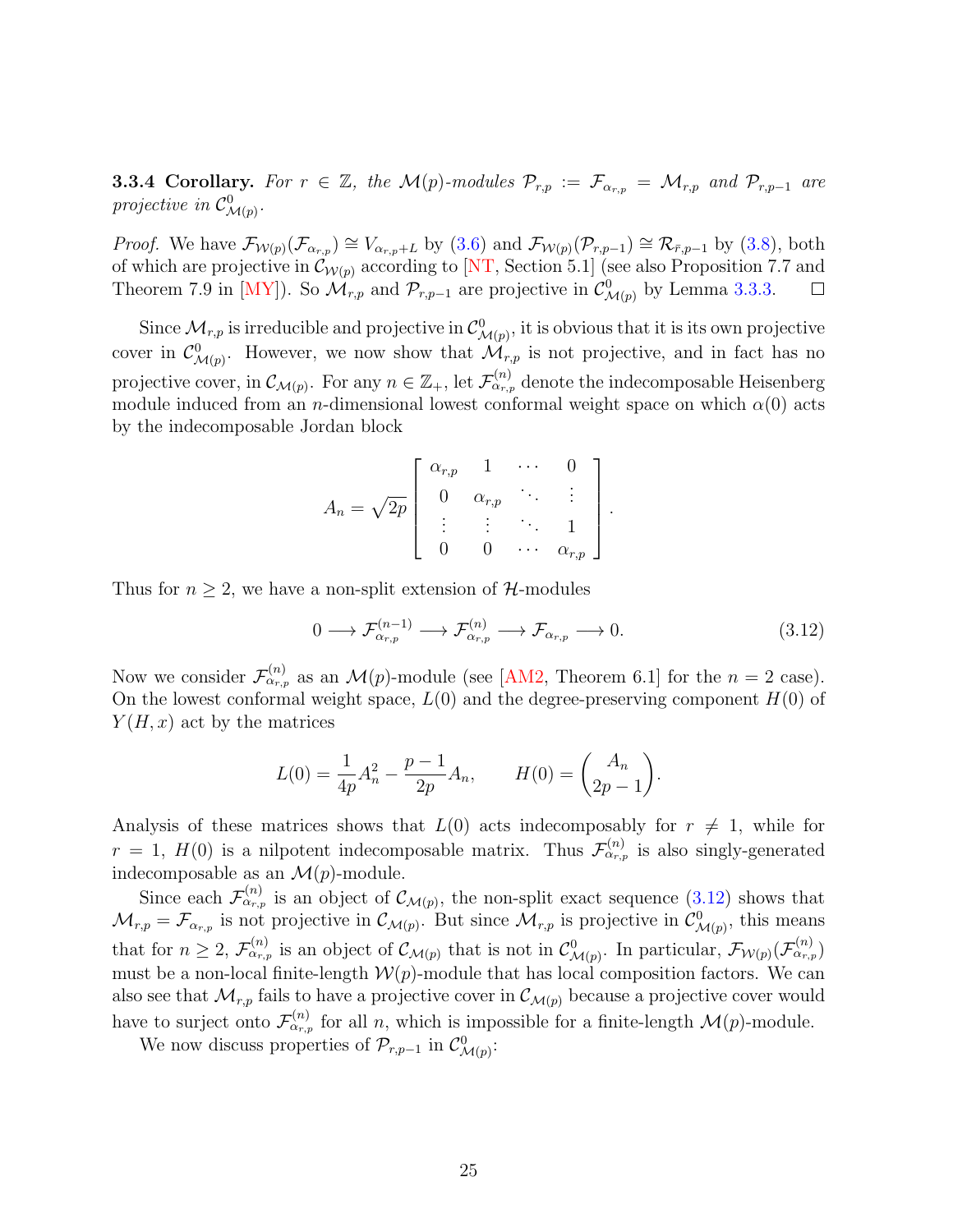<span id="page-24-1"></span>**3.3.4 Corollary.** For  $r \in \mathbb{Z}$ , the  $\mathcal{M}(p)$ -modules  $\mathcal{P}_{r,p} := \mathcal{F}_{\alpha_{r,p}} = \mathcal{M}_{r,p}$  and  $\mathcal{P}_{r,p-1}$  are projective in  $\mathcal{C}^0_{\mathcal{M}(p)}$ .

*Proof.* We have  $\mathcal{F}_{\mathcal{W}(p)}(\mathcal{F}_{\alpha_{r,p}}) \cong V_{\alpha_{r,p}+L}$  by [\(3.6\)](#page-18-0) and  $\mathcal{F}_{\mathcal{W}(p)}(\mathcal{P}_{r,p-1}) \cong \mathcal{R}_{\bar{r},p-1}$  by [\(3.8\)](#page-19-3), both of which are projective in  $\mathcal{C}_{\mathcal{W}(p)}$  according to [\[NT,](#page-64-0) Section 5.1] (see also Proposition 7.7 and Theorem 7.9 in [\[MY\]](#page-64-2)). So  $\mathcal{M}_{r,p}$  and  $\mathcal{P}_{r,p-1}$  are projective in  $\mathcal{C}^0_{\mathcal{M}(p)}$  by Lemma [3.3.3.](#page-23-0)  $\Box$ 

Since  $\mathcal{M}_{r,p}$  is irreducible and projective in  $\mathcal{C}^0_{\mathcal{M}(p)}$ , it is obvious that it is its own projective cover in  $\mathcal{C}^0_{\mathcal{M}(p)}$ . However, we now show that  $\mathcal{M}_{r,p}$  is not projective, and in fact has no projective cover, in  $\mathcal{C}_{\mathcal{M}(p)}$ . For any  $n \in \mathbb{Z}_+$ , let  $\mathcal{F}_{\alpha_{r,p}}^{(n)}$  denote the indecomposable Heisenberg module induced from an *n*-dimensional lowest conformal weight space on which  $\alpha(0)$  acts by the indecomposable Jordan block

$$
A_n = \sqrt{2p} \begin{bmatrix} \alpha_{r,p} & 1 & \cdots & 0 \\ 0 & \alpha_{r,p} & \ddots & \vdots \\ \vdots & \vdots & \ddots & 1 \\ 0 & 0 & \cdots & \alpha_{r,p} \end{bmatrix}
$$

Thus for  $n \geq 2$ , we have a non-split extension of H-modules

<span id="page-24-0"></span>
$$
0 \longrightarrow \mathcal{F}_{\alpha_{r,p}}^{(n-1)} \longrightarrow \mathcal{F}_{\alpha_{r,p}}^{(n)} \longrightarrow \mathcal{F}_{\alpha_{r,p}} \longrightarrow 0. \tag{3.12}
$$

.

Now we consider  $\mathcal{F}_{\alpha_{r,p}}^{(n)}$  as an  $\mathcal{M}(p)$ -module (see [\[AM2,](#page-59-3) Theorem 6.1] for the  $n=2$  case). On the lowest conformal weight space,  $L(0)$  and the degree-preserving component  $H(0)$  of  $Y(H, x)$  act by the matrices

$$
L(0) = \frac{1}{4p}A_n^2 - \frac{p-1}{2p}A_n, \qquad H(0) = \begin{pmatrix} A_n \\ 2p-1 \end{pmatrix}.
$$

Analysis of these matrices shows that  $L(0)$  acts indecomposably for  $r \neq 1$ , while for  $r = 1, H(0)$  is a nilpotent indecomposable matrix. Thus  $\mathcal{F}^{(n)}_{\alpha_{r,p}}$  is also singly-generated indecomposable as an  $\mathcal{M}(p)$ -module.

Since each  $\mathcal{F}_{\alpha_{r,p}}^{(n)}$  is an object of  $\mathcal{C}_{\mathcal{M}(p)}$ , the non-split exact sequence [\(3.12\)](#page-24-0) shows that  $\mathcal{M}_{r,p} = \mathcal{F}_{\alpha_{r,p}}$  is not projective in  $\mathcal{C}_{\mathcal{M}(p)}$ . But since  $\mathcal{M}_{r,p}$  is projective in  $\mathcal{C}_{\mathcal{M}(p)}^0$ , this means that for  $n \geq 2$ ,  $\mathcal{F}_{\alpha_{r,p}}^{(n)}$  is an object of  $\mathcal{C}_{\mathcal{M}(p)}$  that is not in  $\mathcal{C}_{\mathcal{M}(p)}^{0}$ . In particular,  $\mathcal{F}_{\mathcal{W}(p)}(\mathcal{F}_{\alpha_{r,p}}^{(n)})$ must be a non-local finite-length  $W(p)$ -module that has local composition factors. We can also see that  $\mathcal{M}_{r,p}$  fails to have a projective cover in  $\mathcal{C}_{\mathcal{M}(p)}$  because a projective cover would have to surject onto  $\mathcal{F}^{(n)}_{\alpha_{r,p}}$  for all n, which is impossible for a finite-length  $\mathcal{M}(p)$ -module.

We now discuss properties of  $\mathcal{P}_{r,p-1}$  in  $\mathcal{C}^0_{\mathcal{M}(p)}$ :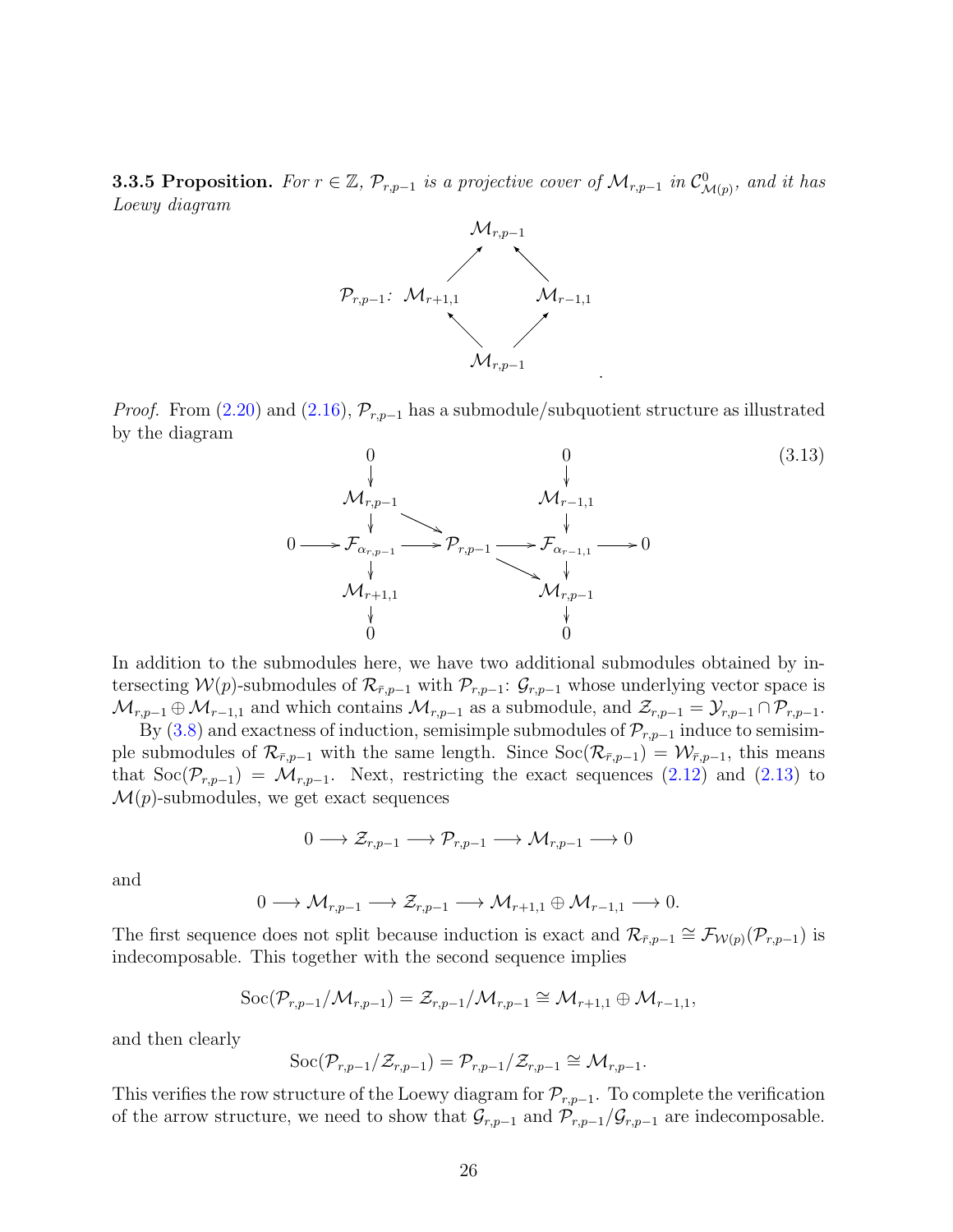<span id="page-25-1"></span>**3.3.5 Proposition.** For  $r \in \mathbb{Z}$ ,  $\mathcal{P}_{r,p-1}$  is a projective cover of  $\mathcal{M}_{r,p-1}$  in  $\mathcal{C}^0_{\mathcal{M}(p)}$ , and it has Loewy diagram



*Proof.* From [\(2.20\)](#page-12-2) and [\(2.16\)](#page-11-2),  $\mathcal{P}_{r,p-1}$  has a submodule/subquotient structure as illustrated by the diagram

<span id="page-25-0"></span>

In addition to the submodules here, we have two additional submodules obtained by intersecting  $W(p)$ -submodules of  $\mathcal{R}_{\bar{r},p-1}$  with  $\mathcal{P}_{r,p-1}$ :  $\mathcal{G}_{r,p-1}$  whose underlying vector space is  $\mathcal{M}_{r,p-1}\oplus \mathcal{M}_{r-1,1}$  and which contains  $\mathcal{M}_{r,p-1}$  as a submodule, and  $\mathcal{Z}_{r,p-1}=\mathcal{Y}_{r,p-1}\cap \mathcal{P}_{r,p-1}$ .

By [\(3.8\)](#page-19-3) and exactness of induction, semisimple submodules of  $\mathcal{P}_{r,p-1}$  induce to semisimple submodules of  $\mathcal{R}_{\bar{r},p-1}$  with the same length. Since  $\text{Soc}(\mathcal{R}_{\bar{r},p-1}) = \mathcal{W}_{\bar{r},p-1}$ , this means that  $\text{Soc}(\mathcal{P}_{r,p-1}) = \mathcal{M}_{r,p-1}$ . Next, restricting the exact sequences [\(2.12\)](#page-10-2) and [\(2.13\)](#page-10-3) to  $\mathcal{M}(p)$ -submodules, we get exact sequences

$$
0 \longrightarrow \mathcal{Z}_{r,p-1} \longrightarrow \mathcal{P}_{r,p-1} \longrightarrow \mathcal{M}_{r,p-1} \longrightarrow 0
$$

and

$$
0 \longrightarrow \mathcal{M}_{r,p-1} \longrightarrow \mathcal{Z}_{r,p-1} \longrightarrow \mathcal{M}_{r+1,1} \oplus \mathcal{M}_{r-1,1} \longrightarrow 0.
$$

The first sequence does not split because induction is exact and  $\mathcal{R}_{\bar{r},p-1} \cong \mathcal{F}_{\mathcal{W}(p)}(\mathcal{P}_{r,p-1})$  is indecomposable. This together with the second sequence implies

$$
\mathrm{Soc}(\mathcal{P}_{r,p-1}/\mathcal{M}_{r,p-1})=\mathcal{Z}_{r,p-1}/\mathcal{M}_{r,p-1}\cong \mathcal{M}_{r+1,1}\oplus \mathcal{M}_{r-1,1},
$$

and then clearly

$$
\mathrm{Soc}(\mathcal{P}_{r,p-1}/\mathcal{Z}_{r,p-1})=\mathcal{P}_{r,p-1}/\mathcal{Z}_{r,p-1}\cong \mathcal{M}_{r,p-1}.
$$

This verifies the row structure of the Loewy diagram for  $\mathcal{P}_{r,p-1}$ . To complete the verification of the arrow structure, we need to show that  $\mathcal{G}_{r,p-1}$  and  $\mathcal{P}_{r,p-1}/\mathcal{G}_{r,p-1}$  are indecomposable.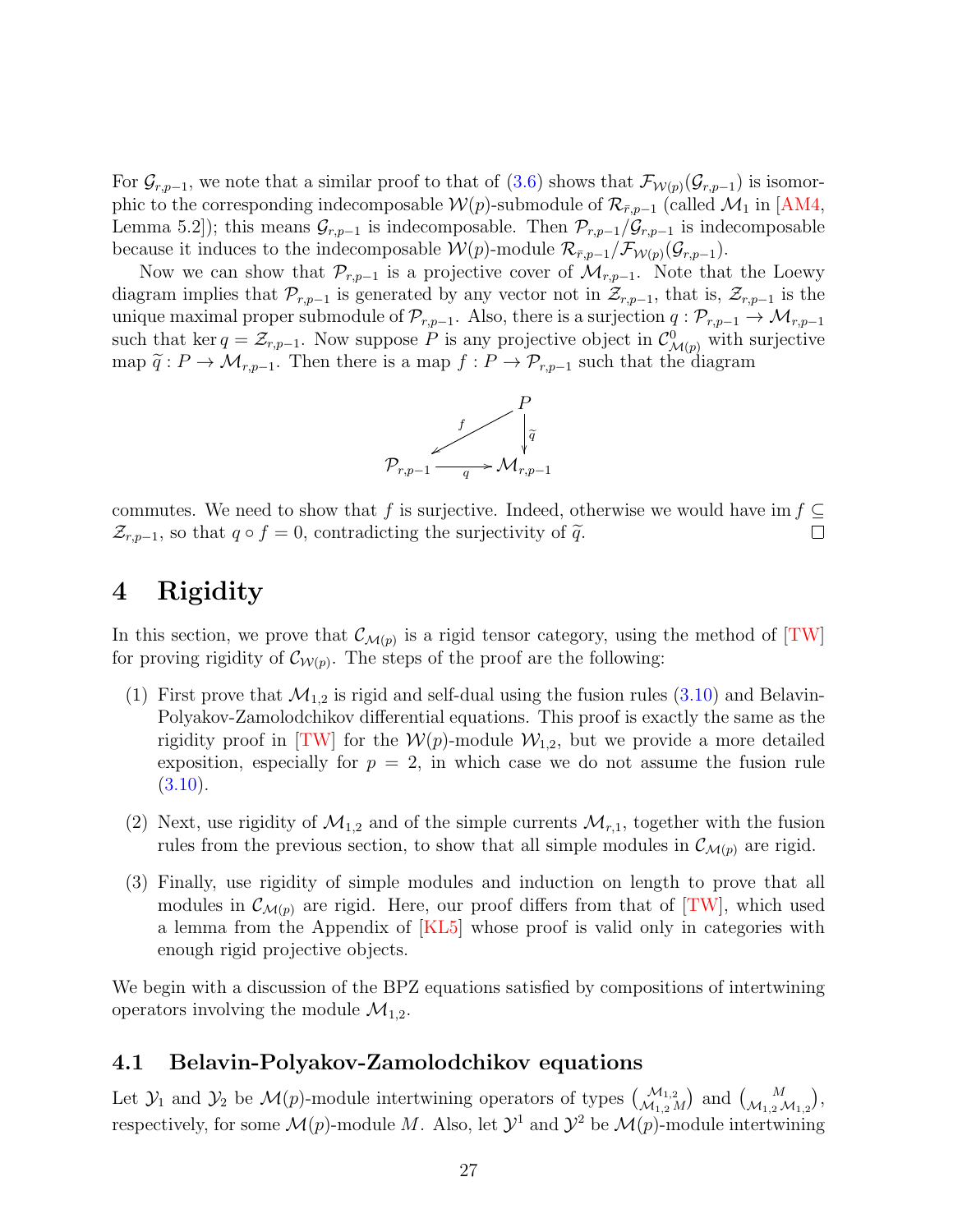For  $\mathcal{G}_{r,p-1}$ , we note that a similar proof to that of  $(3.6)$  shows that  $\mathcal{F}_{\mathcal{W}(p)}(\mathcal{G}_{r,p-1})$  is isomorphic to the corresponding indecomposable  $\mathcal{W}(p)$ -submodule of  $\mathcal{R}_{\bar{r},p-1}$  (called  $\mathcal{M}_1$  in [\[AM4,](#page-59-1) Lemma 5.2]); this means  $\mathcal{G}_{r,p-1}$  is indecomposable. Then  $\mathcal{P}_{r,p-1}/\mathcal{G}_{r,p-1}$  is indecomposable because it induces to the indecomposable  $W(p)$ -module  $\mathcal{R}_{\bar{r},p-1}/\mathcal{F}_{W(p)}(\mathcal{G}_{r,p-1}).$ 

Now we can show that  $\mathcal{P}_{r,p-1}$  is a projective cover of  $\mathcal{M}_{r,p-1}$ . Note that the Loewy diagram implies that  $\mathcal{P}_{r,p-1}$  is generated by any vector not in  $\mathcal{Z}_{r,p-1}$ , that is,  $\mathcal{Z}_{r,p-1}$  is the unique maximal proper submodule of  $\mathcal{P}_{r,p-1}$ . Also, there is a surjection  $q: \mathcal{P}_{r,p-1} \to \mathcal{M}_{r,p-1}$ such that ker  $q = \mathcal{Z}_{r,p-1}$ . Now suppose P is any projective object in  $\mathcal{C}^0_{\mathcal{M}(p)}$  with surjective map  $\tilde{q}: P \to \mathcal{M}_{r,p-1}$ . Then there is a map  $f: P \to \mathcal{P}_{r,p-1}$  such that the diagram



commutes. We need to show that f is surjective. Indeed, otherwise we would have im  $f \subseteq$  $\mathcal{Z}_{r,p-1}$ , so that  $q \circ f = 0$ , contradicting the surjectivity of  $\widetilde{q}$ .  $\Box$ 

# <span id="page-26-0"></span>4 Rigidity

In this section, we prove that  $\mathcal{C}_{\mathcal{M}(p)}$  is a rigid tensor category, using the method of [\[TW\]](#page-65-0) for proving rigidity of  $\mathcal{C}_{W(p)}$ . The steps of the proof are the following:

- (1) First prove that  $\mathcal{M}_{1,2}$  is rigid and self-dual using the fusion rules [\(3.10\)](#page-19-0) and Belavin-Polyakov-Zamolodchikov differential equations. This proof is exactly the same as the rigidity proof in [\[TW\]](#page-65-0) for the  $W(p)$ -module  $W_{1,2}$ , but we provide a more detailed exposition, especially for  $p = 2$ , in which case we do not assume the fusion rule  $(3.10).$  $(3.10).$
- (2) Next, use rigidity of  $\mathcal{M}_{1,2}$  and of the simple currents  $\mathcal{M}_{r,1}$ , together with the fusion rules from the previous section, to show that all simple modules in  $\mathcal{C}_{\mathcal{M}(p)}$  are rigid.
- (3) Finally, use rigidity of simple modules and induction on length to prove that all modules in  $\mathcal{C}_{\mathcal{M}(p)}$  are rigid. Here, our proof differs from that of [\[TW\]](#page-65-0), which used a lemma from the Appendix of [\[KL5\]](#page-63-3) whose proof is valid only in categories with enough rigid projective objects.

We begin with a discussion of the BPZ equations satisfied by compositions of intertwining operators involving the module  $\mathcal{M}_{1,2}$ .

## 4.1 Belavin-Polyakov-Zamolodchikov equations

Let  $\mathcal{Y}_1$  and  $\mathcal{Y}_2$  be  $\mathcal{M}(p)$ -module intertwining operators of types  $\begin{pmatrix} \mathcal{M}_{1,2} \\ \mathcal{M}_{1,2} \end{pmatrix}$  and  $\begin{pmatrix} M \\ \mathcal{M}_{1,2} \end{pmatrix}$ , respectively, for some  $\mathcal{M}(p)$ -module M. Also, let  $\mathcal{Y}^1$  and  $\mathcal{Y}^2$  be  $\mathcal{M}(p)$ -module intertwining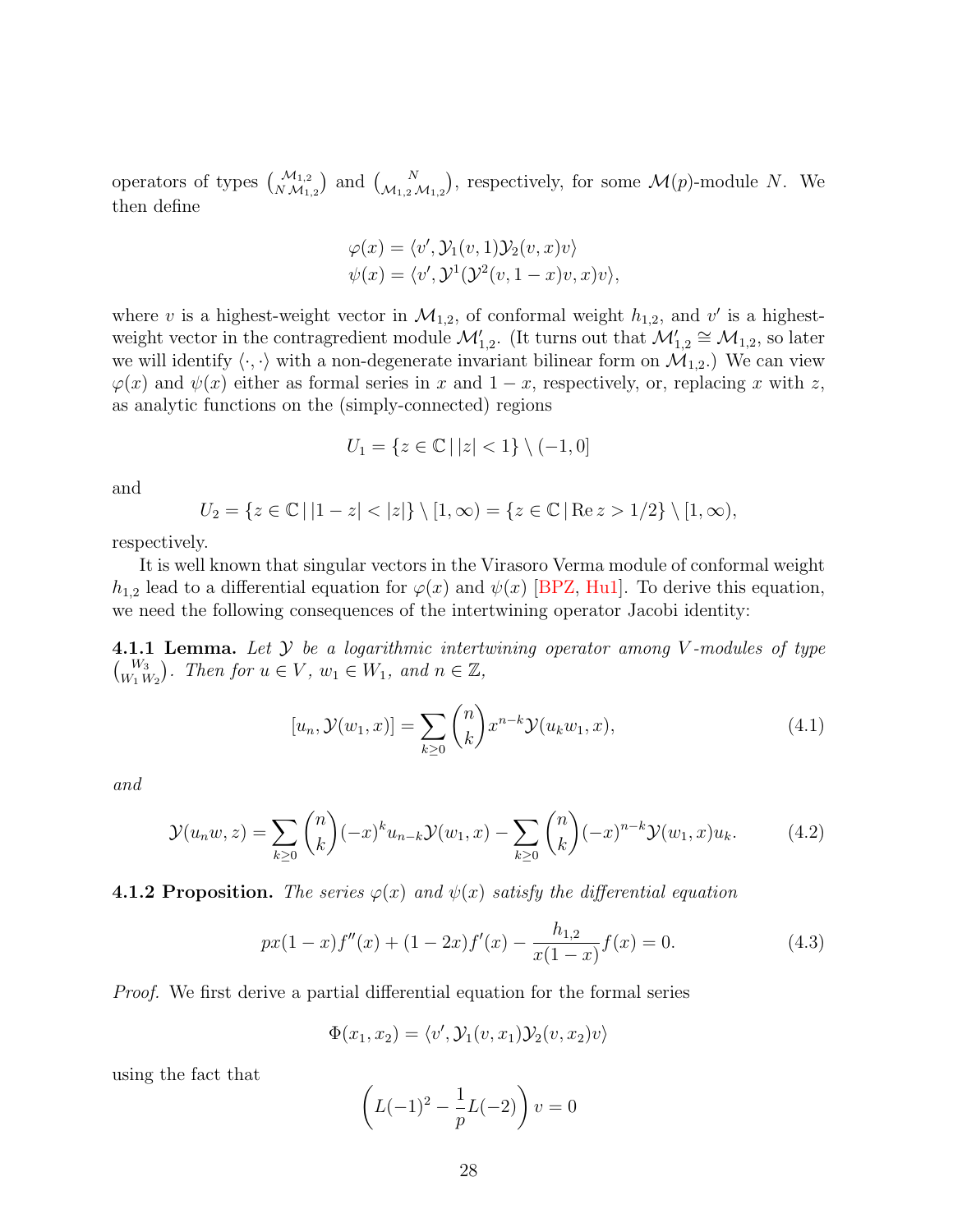operators of types  $\binom{\mathcal{M}_{1,2}}{\mathcal{M}_{1,2}}$  and  $\binom{N}{\mathcal{M}_{1,2}\mathcal{M}_{1,2}}$ , respectively, for some  $\mathcal{M}(p)$ -module N. We then define

$$
\varphi(x) = \langle v', \mathcal{Y}_1(v, 1) \mathcal{Y}_2(v, x) v \rangle \n\psi(x) = \langle v', \mathcal{Y}^1(\mathcal{Y}^2(v, 1-x)v, x) v \rangle,
$$

where v is a highest-weight vector in  $\mathcal{M}_{1,2}$ , of conformal weight  $h_{1,2}$ , and v' is a highestweight vector in the contragredient module  $\mathcal{M}'_{1,2}$ . (It turns out that  $\mathcal{M}'_{1,2} \cong \mathcal{M}_{1,2}$ , so later we will identify  $\langle \cdot, \cdot \rangle$  with a non-degenerate invariant bilinear form on  $\mathcal{M}_{1,2}$ .) We can view  $\varphi(x)$  and  $\psi(x)$  either as formal series in x and  $1-x$ , respectively, or, replacing x with z, as analytic functions on the (simply-connected) regions

$$
U_1 = \{ z \in \mathbb{C} \, | \, |z| < 1 \} \setminus (-1, 0]
$$

and

$$
U_2 = \{ z \in \mathbb{C} \, | \, |1 - z| < |z| \} \setminus [1, \infty) = \{ z \in \mathbb{C} \, | \, \text{Re } z > 1/2 \} \setminus [1, \infty),
$$

respectively.

It is well known that singular vectors in the Virasoro Verma module of conformal weight  $h_{1,2}$  lead to a differential equation for  $\varphi(x)$  and  $\psi(x)$  [\[BPZ,](#page-59-13) [Hu1\]](#page-62-11). To derive this equation, we need the following consequences of the intertwining operator Jacobi identity:

**4.1.1 Lemma.** Let  $\mathcal{Y}$  be a logarithmic intertwining operator among V-modules of type  $\binom{W_3}{W_1 W_2}$ . Then for  $u \in V$ ,  $w_1 \in W_1$ , and  $n \in \mathbb{Z}$ ,

<span id="page-27-0"></span>
$$
[u_n, \mathcal{Y}(w_1, x)] = \sum_{k \ge 0} {n \choose k} x^{n-k} \mathcal{Y}(u_k w_1, x), \qquad (4.1)
$$

and

<span id="page-27-1"></span>
$$
\mathcal{Y}(u_n w, z) = \sum_{k \ge 0} {n \choose k} (-x)^k u_{n-k} \mathcal{Y}(w_1, x) - \sum_{k \ge 0} {n \choose k} (-x)^{n-k} \mathcal{Y}(w_1, x) u_k.
$$
 (4.2)

#### <span id="page-27-3"></span>**4.1.2 Proposition.** The series  $\varphi(x)$  and  $\psi(x)$  satisfy the differential equation

<span id="page-27-2"></span>
$$
px(1-x)f''(x) + (1-2x)f'(x) - \frac{h_{1,2}}{x(1-x)}f(x) = 0.
$$
\n(4.3)

Proof. We first derive a partial differential equation for the formal series

$$
\Phi(x_1, x_2) = \langle v', \mathcal{Y}_1(v, x_1) \mathcal{Y}_2(v, x_2) v \rangle
$$

using the fact that

$$
\left(L(-1)^2 - \frac{1}{p}L(-2)\right)v = 0
$$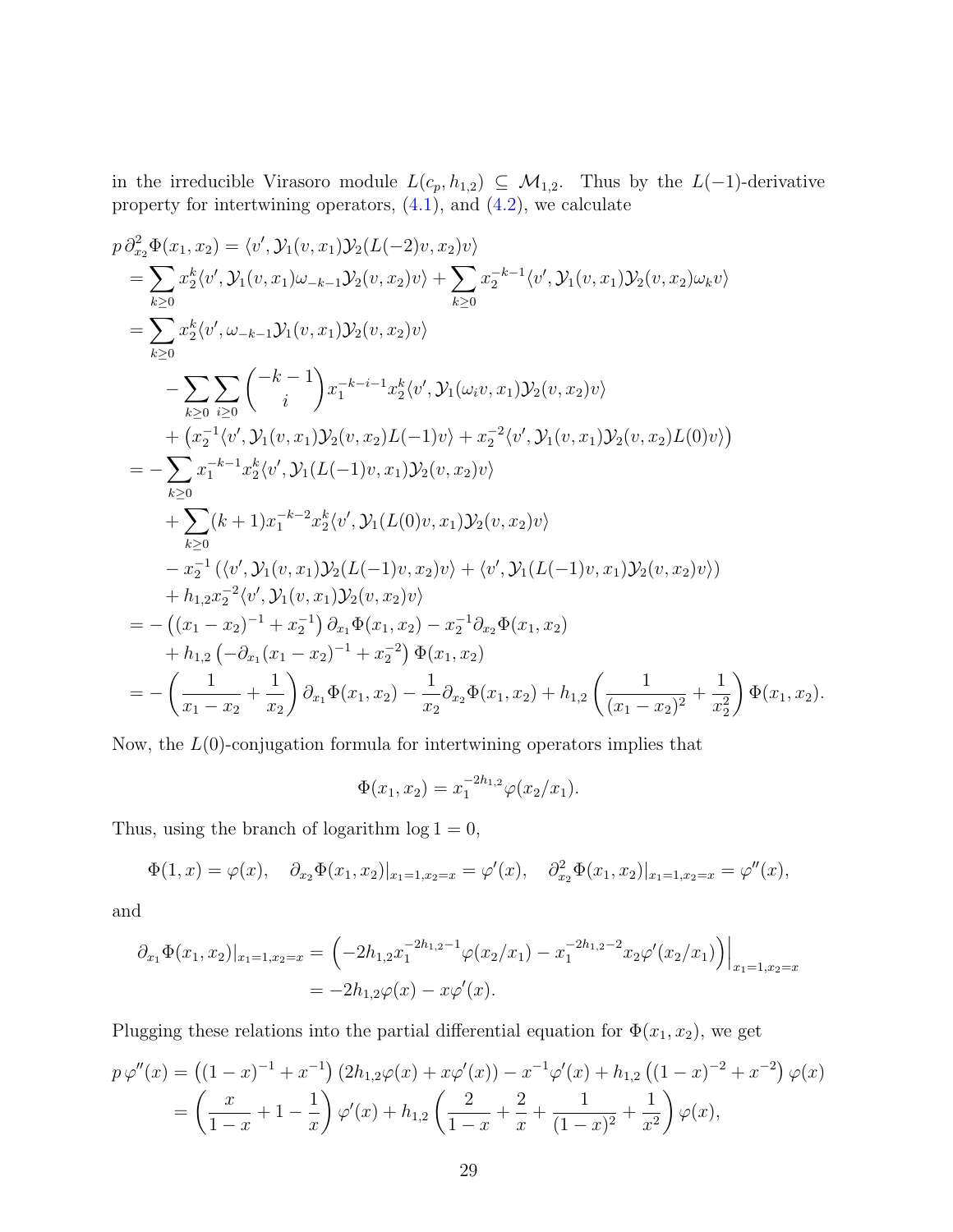in the irreducible Virasoro module  $L(c_p, h_{1,2}) \subseteq M_{1,2}$ . Thus by the  $L(-1)$ -derivative property for intertwining operators,  $(4.1)$ , and  $(4.2)$ , we calculate

$$
p \partial_{x_2}^2 \Phi(x_1, x_2) = \langle v', \mathcal{Y}_1(v, x_1) \mathcal{Y}_2(L(-2)v, x_2)v \rangle
$$
  
\n
$$
= \sum_{k \geq 0} x_2^k \langle v', \mathcal{Y}_1(v, x_1) \omega_{-k-1} \mathcal{Y}_2(v, x_2)v \rangle + \sum_{k \geq 0} x_2^{-k-1} \langle v', \mathcal{Y}_1(v, x_1) \mathcal{Y}_2(v, x_2) \omega_k v \rangle
$$
  
\n
$$
= \sum_{k \geq 0} x_2^k \langle v', \omega_{-k-1} \mathcal{Y}_1(v, x_1) \mathcal{Y}_2(v, x_2)v \rangle
$$
  
\n
$$
- \sum_{k \geq 0} \sum_{i \geq 0} {k-1 \choose i} x_1^{-k-i-1} x_2^k \langle v', \mathcal{Y}_1(\omega_i v, x_1) \mathcal{Y}_2(v, x_2)v \rangle
$$
  
\n
$$
+ \left( x_2^{-1} \langle v', \mathcal{Y}_1(v, x_1) \mathcal{Y}_2(v, x_2) L(-1)v \rangle + x_2^{-2} \langle v', \mathcal{Y}_1(v, x_1) \mathcal{Y}_2(v, x_2) L(0)v \rangle \right)
$$
  
\n
$$
= - \sum_{k \geq 0} x_1^{-k-1} x_2^k \langle v', \mathcal{Y}_1(L(-1)v, x_1) \mathcal{Y}_2(v, x_2)v \rangle
$$
  
\n
$$
+ \sum_{k \geq 0} (k+1) x_1^{-k-2} x_2^k \langle v', \mathcal{Y}_1(L(0)v, x_1) \mathcal{Y}_2(v, x_2)v \rangle
$$
  
\n
$$
- x_2^{-1} \left( \langle v', \mathcal{Y}_1(v, x_1) \mathcal{Y}_2(L(-1)v, x_2)v \rangle + \langle v', \mathcal{Y}_1(L(-1)v, x_1) \mathcal{Y}_2(v, x_2)v \rangle \right)
$$
  
\n
$$
+ h_{1,2} x_2^{-2} \langle v', \mathcal{Y}_1(v, x_1) \mathcal{Y}_2(v, x_2)v \rangle
$$
  
\n
$$
= - \left( (x
$$

Now, the  $L(0)$ -conjugation formula for intertwining operators implies that

$$
\Phi(x_1, x_2) = x_1^{-2h_{1,2}} \varphi(x_2/x_1).
$$

Thus, using the branch of logarithm  $log 1 = 0$ ,

 $\Phi(1,x) = \varphi(x), \quad \partial_{x_2} \Phi(x_1,x_2)|_{x_1=1,x_2=x} = \varphi'(x), \quad \partial_{x_2}^2 \Phi(x_1,x_2)|_{x_1=1,x_2=x} = \varphi''(x),$ 

and

$$
\partial_{x_1} \Phi(x_1, x_2)|_{x_1 = 1, x_2 = x} = \left( -2h_{1,2}x_1^{-2h_{1,2} - 1} \varphi(x_2/x_1) - x_1^{-2h_{1,2} - 2} x_2 \varphi'(x_2/x_1) \right)\Big|_{x_1 = 1, x_2 = x}
$$
  
=  $-2h_{1,2}\varphi(x) - x\varphi'(x)$ .

Plugging these relations into the partial differential equation for  $\Phi(x_1, x_2)$ , we get

$$
p\,\varphi''(x) = \left((1-x)^{-1} + x^{-1}\right)\left(2h_{1,2}\varphi(x) + x\varphi'(x)\right) - x^{-1}\varphi'(x) + h_{1,2}\left((1-x)^{-2} + x^{-2}\right)\varphi(x)
$$
  
=  $\left(\frac{x}{1-x} + 1 - \frac{1}{x}\right)\varphi'(x) + h_{1,2}\left(\frac{2}{1-x} + \frac{2}{x} + \frac{1}{(1-x)^2} + \frac{1}{x^2}\right)\varphi(x),$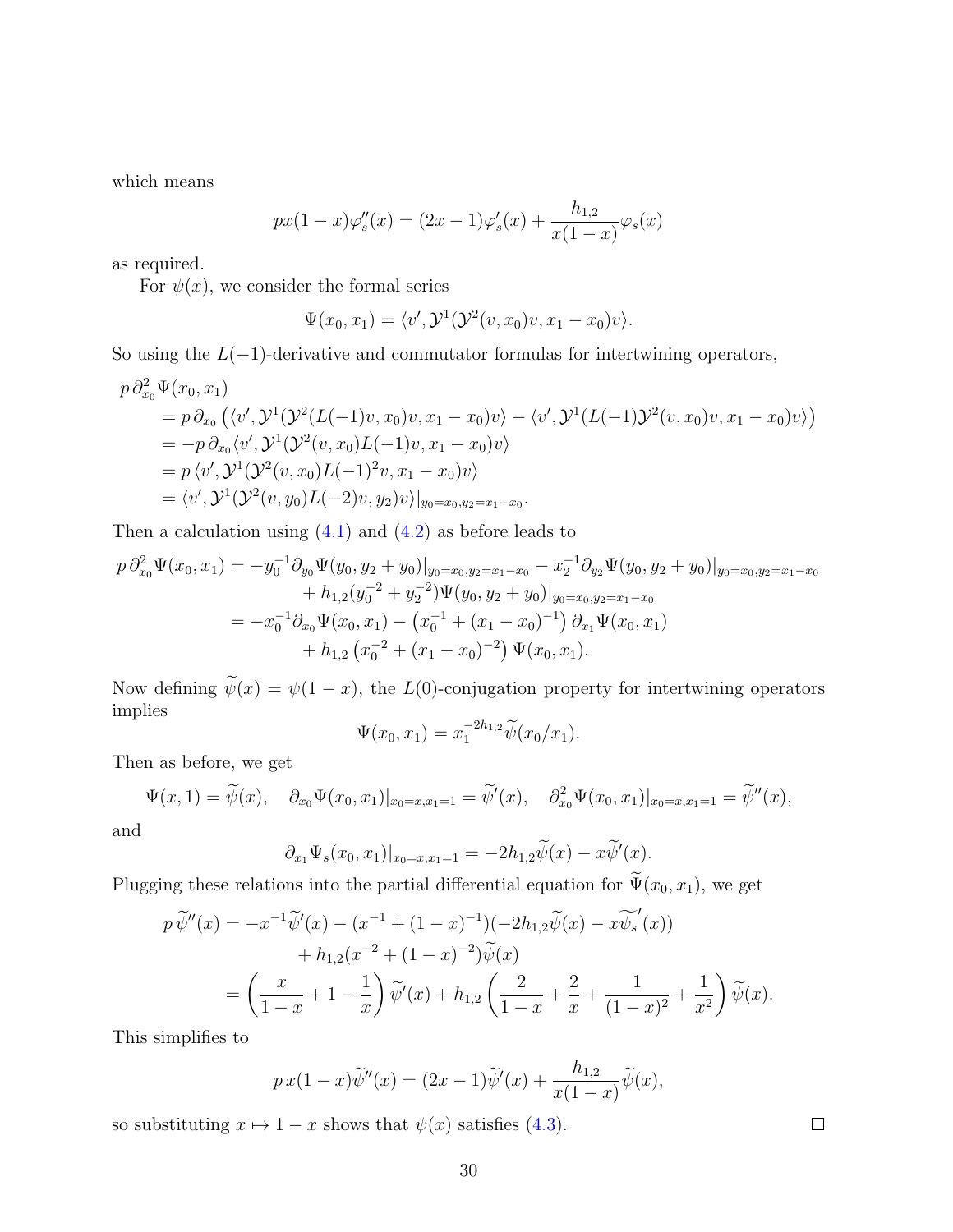which means

$$
px(1-x)\varphi_s''(x) = (2x-1)\varphi_s'(x) + \frac{h_{1,2}}{x(1-x)}\varphi_s(x)
$$

as required.

For  $\psi(x)$ , we consider the formal series

$$
\Psi(x_0, x_1) = \langle v', \mathcal{Y}^1(\mathcal{Y}^2(v, x_0)v, x_1 - x_0)v \rangle.
$$

So using the  $L(-1)$ -derivative and commutator formulas for intertwining operators,

$$
p \partial_{x_0}^2 \Psi(x_0, x_1)
$$
  
=  $p \partial_{x_0} (\langle v', \mathcal{Y}^1(\mathcal{Y}^2(L(-1)v, x_0)v, x_1 - x_0)v \rangle - \langle v', \mathcal{Y}^1(L(-1)\mathcal{Y}^2(v, x_0)v, x_1 - x_0)v \rangle)$   
=  $-p \partial_{x_0} \langle v', \mathcal{Y}^1(\mathcal{Y}^2(v, x_0)L(-1)v, x_1 - x_0)v \rangle$   
=  $p \langle v', \mathcal{Y}^1(\mathcal{Y}^2(v, x_0)L(-1)^2v, x_1 - x_0)v \rangle$   
=  $\langle v', \mathcal{Y}^1(\mathcal{Y}^2(v, y_0)L(-2)v, y_2)v \rangle|_{y_0 = x_0, y_2 = x_1 - x_0}.$ 

Then a calculation using  $(4.1)$  and  $(4.2)$  as before leads to

$$
p \partial_{x_0}^2 \Psi(x_0, x_1) = -y_0^{-1} \partial_{y_0} \Psi(y_0, y_2 + y_0)|_{y_0 = x_0, y_2 = x_1 - x_0} - x_2^{-1} \partial_{y_2} \Psi(y_0, y_2 + y_0)|_{y_0 = x_0, y_2 = x_1 - x_0}
$$
  
+  $h_{1,2} (y_0^{-2} + y_2^{-2}) \Psi(y_0, y_2 + y_0)|_{y_0 = x_0, y_2 = x_1 - x_0}$   
=  $-x_0^{-1} \partial_{x_0} \Psi(x_0, x_1) - (x_0^{-1} + (x_1 - x_0)^{-1}) \partial_{x_1} \Psi(x_0, x_1)$   
+  $h_{1,2} (x_0^{-2} + (x_1 - x_0)^{-2}) \Psi(x_0, x_1).$ 

Now defining  $\widetilde{\psi}(x) = \psi(1-x)$ , the  $L(0)$ -conjugation property for intertwining operators implies

$$
\Psi(x_0, x_1) = x_1^{-2h_{1,2}} \widetilde{\psi}(x_0/x_1).
$$

Then as before, we get

$$
\Psi(x,1)=\widetilde{\psi}(x), \quad \partial_{x_0}\Psi(x_0,x_1)|_{x_0=x,x_1=1}=\widetilde{\psi}'(x), \quad \partial_{x_0}^2\Psi(x_0,x_1)|_{x_0=x,x_1=1}=\widetilde{\psi}''(x),
$$

and

$$
\partial_{x_1} \Psi_s(x_0, x_1)|_{x_0 = x, x_1 = 1} = -2h_{1,2}\widetilde{\psi}(x) - x\widetilde{\psi}'(x).
$$

Plugging these relations into the partial differential equation for  $\Psi(x_0, x_1)$ , we get

$$
p\,\widetilde{\psi}''(x) = -x^{-1}\widetilde{\psi}'(x) - (x^{-1} + (1-x)^{-1})(-2h_{1,2}\widetilde{\psi}(x) - x\widetilde{\psi}'_s(x)) + h_{1,2}(x^{-2} + (1-x)^{-2})\widetilde{\psi}(x) = \left(\frac{x}{1-x} + 1 - \frac{1}{x}\right)\widetilde{\psi}'(x) + h_{1,2}\left(\frac{2}{1-x} + \frac{2}{x} + \frac{1}{(1-x)^2} + \frac{1}{x^2}\right)\widetilde{\psi}(x).
$$

This simplifies to

$$
p x(1-x)\widetilde{\psi}''(x) = (2x-1)\widetilde{\psi}'(x) + \frac{h_{1,2}}{x(1-x)}\widetilde{\psi}(x),
$$

so substituting  $x \mapsto 1 - x$  shows that  $\psi(x)$  satisfies [\(4.3\)](#page-27-2).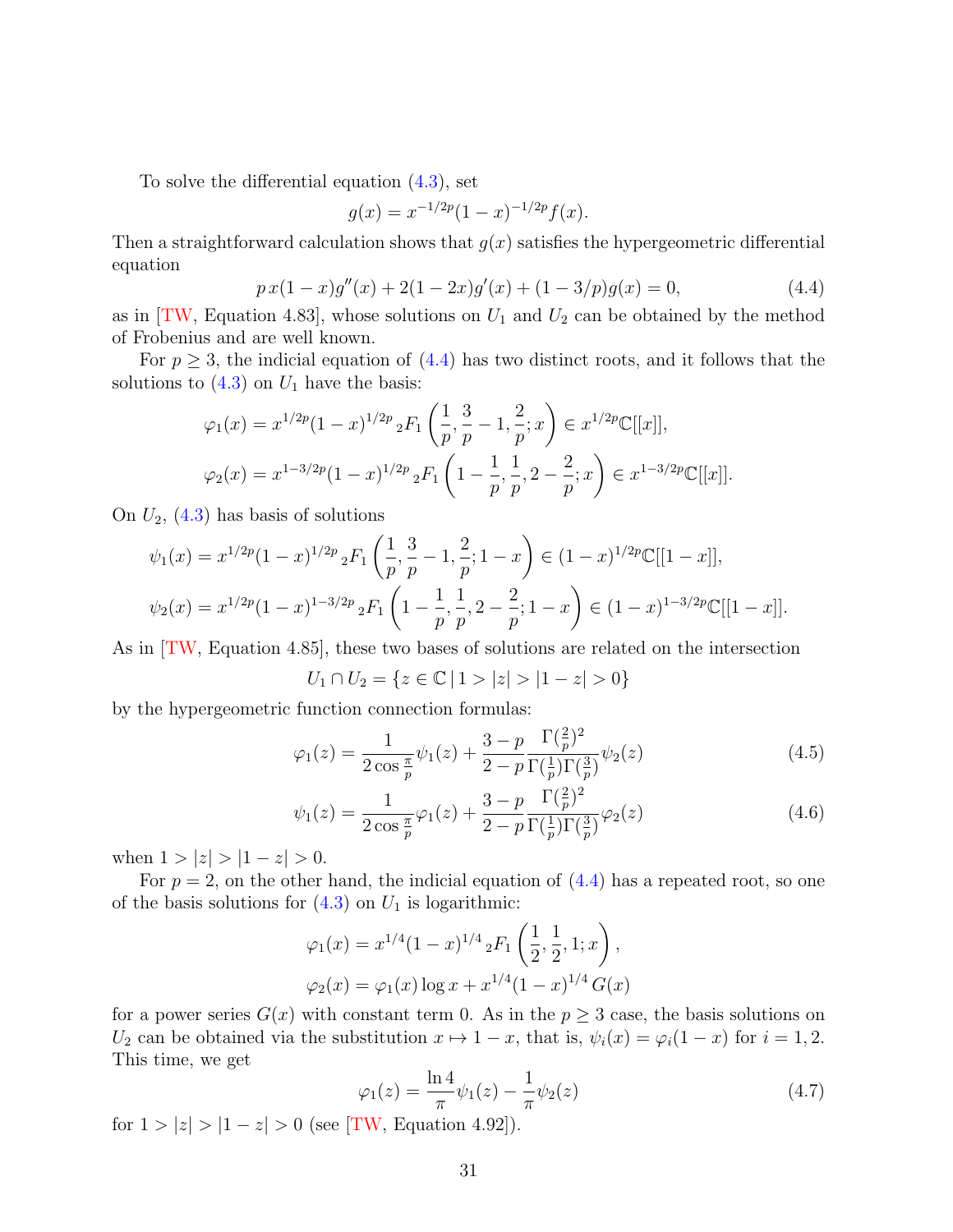To solve the differential equation [\(4.3\)](#page-27-2), set

$$
g(x) = x^{-1/2p}(1-x)^{-1/2p}f(x).
$$

Then a straightforward calculation shows that  $g(x)$  satisfies the hypergeometric differential equation

<span id="page-30-0"></span>
$$
p x (1-x)g''(x) + 2(1-2x)g'(x) + (1-3/p)g(x) = 0,
$$
\n(4.4)

as in [\[TW,](#page-65-0) Equation 4.83], whose solutions on  $U_1$  and  $U_2$  can be obtained by the method of Frobenius and are well known.

For  $p \geq 3$ , the indicial equation of  $(4.4)$  has two distinct roots, and it follows that the solutions to  $(4.3)$  on  $U_1$  have the basis:

$$
\varphi_1(x) = x^{1/2p} (1-x)^{1/2p} {}_2F_1\left(\frac{1}{p}, \frac{3}{p} - 1, \frac{2}{p}; x\right) \in x^{1/2p} \mathbb{C}[[x]],
$$
  

$$
\varphi_2(x) = x^{1-3/2p} (1-x)^{1/2p} {}_2F_1\left(1 - \frac{1}{p}, \frac{1}{p}, 2 - \frac{2}{p}; x\right) \in x^{1-3/2p} \mathbb{C}[[x]].
$$

On  $U_2$ , [\(4.3\)](#page-27-2) has basis of solutions

$$
\psi_1(x) = x^{1/2p} (1-x)^{1/2p} {}_2F_1\left(\frac{1}{p}, \frac{3}{p} - 1, \frac{2}{p}; 1-x\right) \in (1-x)^{1/2p} \mathbb{C}[[1-x]],
$$
  

$$
\psi_2(x) = x^{1/2p} (1-x)^{1-3/2p} {}_2F_1\left(1 - \frac{1}{p}, \frac{1}{p}, 2 - \frac{2}{p}; 1-x\right) \in (1-x)^{1-3/2p} \mathbb{C}[[1-x]].
$$

As in [\[TW,](#page-65-0) Equation 4.85], these two bases of solutions are related on the intersection

<span id="page-30-1"></span>
$$
U_1 \cap U_2 = \{ z \in \mathbb{C} \mid 1 > |z| > |1 - z| > 0 \}
$$

by the hypergeometric function connection formulas:

$$
\varphi_1(z) = \frac{1}{2\cos\frac{\pi}{p}}\psi_1(z) + \frac{3-p}{2-p} \frac{\Gamma(\frac{2}{p})^2}{\Gamma(\frac{1}{p})\Gamma(\frac{3}{p})}\psi_2(z)
$$
(4.5)

<span id="page-30-2"></span>
$$
\psi_1(z) = \frac{1}{2\cos\frac{\pi}{p}}\varphi_1(z) + \frac{3-p}{2-p}\frac{\Gamma(\frac{2}{p})^2}{\Gamma(\frac{1}{p})\Gamma(\frac{3}{p})}\varphi_2(z)
$$
(4.6)

when  $1 > |z| > |1 - z| > 0$ .

For  $p = 2$ , on the other hand, the indicial equation of  $(4.4)$  has a repeated root, so one of the basis solutions for  $(4.3)$  on  $U_1$  is logarithmic:

$$
\varphi_1(x) = x^{1/4} (1-x)^{1/4} {}_2F_1\left(\frac{1}{2}, \frac{1}{2}, 1; x\right),
$$
  

$$
\varphi_2(x) = \varphi_1(x) \log x + x^{1/4} (1-x)^{1/4} G(x)
$$

for a power series  $G(x)$  with constant term 0. As in the  $p \geq 3$  case, the basis solutions on  $U_2$  can be obtained via the substitution  $x \mapsto 1 - x$ , that is,  $\psi_i(x) = \varphi_i(1 - x)$  for  $i = 1, 2$ . This time, we get

<span id="page-30-3"></span>
$$
\varphi_1(z) = \frac{\ln 4}{\pi} \psi_1(z) - \frac{1}{\pi} \psi_2(z) \tag{4.7}
$$

for  $1 > |z| > |1 - z| > 0$  (see [\[TW,](#page-65-0) Equation 4.92]).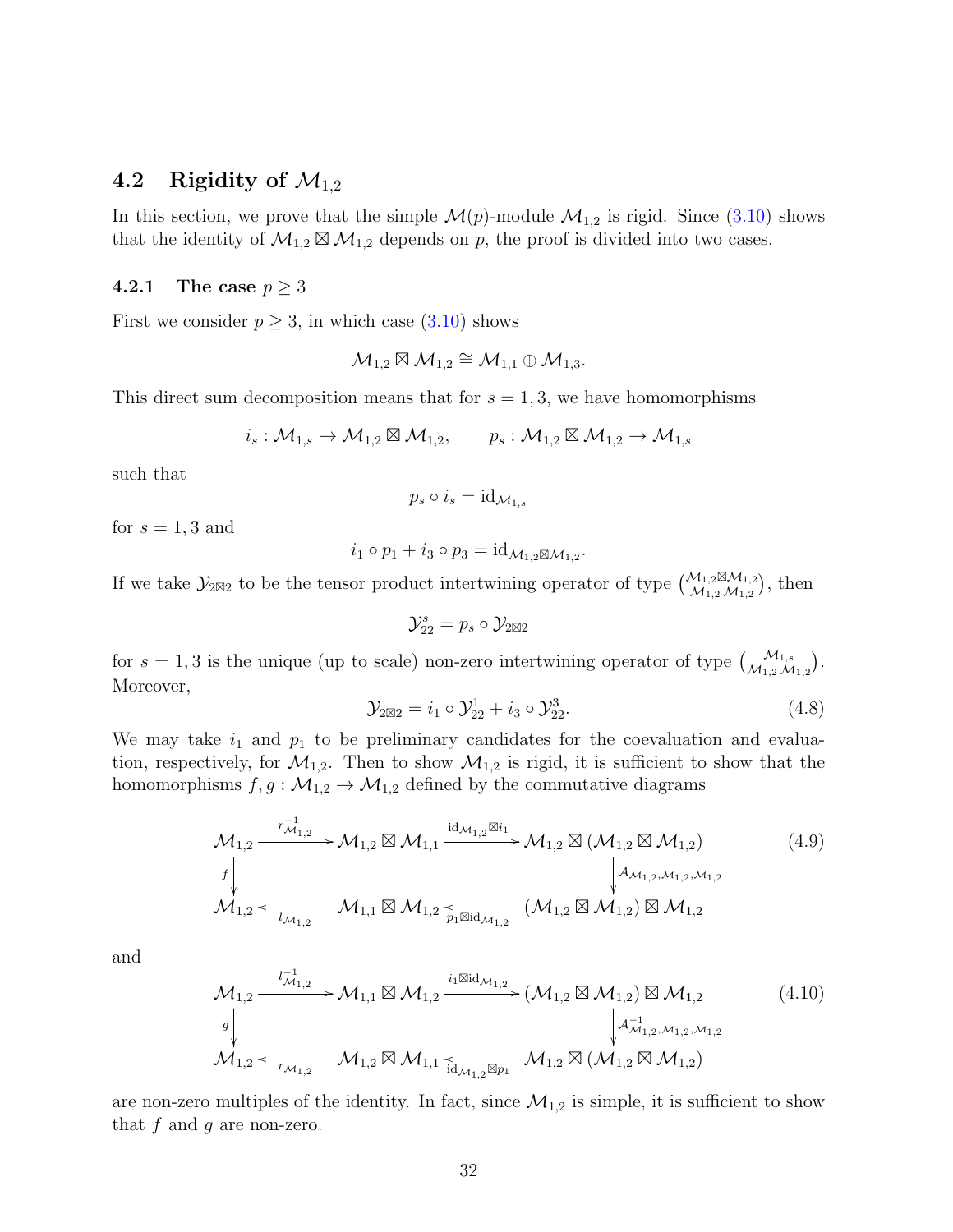# 4.2 Rigidity of  $\mathcal{M}_{1,2}$

In this section, we prove that the simple  $\mathcal{M}(p)$ -module  $\mathcal{M}_{1,2}$  is rigid. Since [\(3.10\)](#page-19-0) shows that the identity of  $\mathcal{M}_{1,2} \boxtimes \mathcal{M}_{1,2}$  depends on p, the proof is divided into two cases.

#### 4.2.1 The case  $p \geq 3$

First we consider  $p \geq 3$ , in which case  $(3.10)$  shows

$$
\mathcal{M}_{1,2}\boxtimes \mathcal{M}_{1,2}\cong \mathcal{M}_{1,1}\oplus \mathcal{M}_{1,3}.
$$

This direct sum decomposition means that for  $s = 1, 3$ , we have homomorphisms

$$
i_s: \mathcal{M}_{1,s} \to \mathcal{M}_{1,2} \boxtimes \mathcal{M}_{1,2}, \qquad p_s: \mathcal{M}_{1,2} \boxtimes \mathcal{M}_{1,2} \to \mathcal{M}_{1,s}
$$

such that

$$
p_s \circ i_s = \mathrm{id}_{\mathcal{M}_{1,s}}
$$

for  $s = 1, 3$  and

$$
i_1 \circ p_1 + i_3 \circ p_3 = \mathrm{id}_{\mathcal{M}_{1,2}} \boxtimes \mathcal{M}_{1,2}.
$$

If we take  $\mathcal{Y}_{2\boxtimes 2}$  to be the tensor product intertwining operator of type  $\binom{\mathcal{M}_{1,2}\boxtimes \mathcal{M}_{1,2}}{\mathcal{M}_{1,2}\mathcal{M}_{1,2}}$  $\mathcal{M}_{1,2} \boxtimes \mathcal{M}_{1,2}$ ), then

$$
\mathcal{Y}_{22}^s = p_s \circ \mathcal{Y}_{2\boxtimes 2}
$$

for  $s = 1, 3$  is the unique (up to scale) non-zero intertwining operator of type  $\begin{pmatrix} M_{1,s} \\ M_{1,2} M_{1,2} \end{pmatrix}$ . Moreover,

<span id="page-31-0"></span>
$$
\mathcal{Y}_{2\boxtimes 2} = i_1 \circ \mathcal{Y}_{22}^1 + i_3 \circ \mathcal{Y}_{22}^3. \tag{4.8}
$$

We may take  $i_1$  and  $p_1$  to be preliminary candidates for the coevaluation and evaluation, respectively, for  $\mathcal{M}_{1,2}$ . Then to show  $\mathcal{M}_{1,2}$  is rigid, it is sufficient to show that the homomorphisms  $f, g: \mathcal{M}_{1,2} \to \mathcal{M}_{1,2}$  defined by the commutative diagrams

<span id="page-31-1"></span>
$$
\mathcal{M}_{1,2} \xrightarrow{r_{\mathcal{M}_{1,2}}^{-1}} \mathcal{M}_{1,2} \boxtimes \mathcal{M}_{1,1} \xrightarrow{\mathrm{id}_{\mathcal{M}_{1,2}} \boxtimes i_1} \mathcal{M}_{1,2} \boxtimes (\mathcal{M}_{1,2} \boxtimes \mathcal{M}_{1,2})
$$
\n
$$
\downarrow^{f} \downarrow^{d_{\mathcal{M}_{1,2},\mathcal{M}_{1,2}}} \mathcal{M}_{1,2} \xleftarrow{\mathrm{id}_{\mathcal{M}_{1,2}}^{-1}} \mathcal{M}_{1,1} \boxtimes \mathcal{M}_{1,2} \xleftarrow{\mathrm{diag}_{\mathcal{M}_{1,2}}^{-1}} (\mathcal{M}_{1,2} \boxtimes \mathcal{M}_{1,2}) \boxtimes \mathcal{M}_{1,2}
$$
\n
$$
(4.9)
$$

and

<span id="page-31-2"></span>
$$
\mathcal{M}_{1,2} \xrightarrow{l_{\mathcal{M}_{1,2}}^{-1}} \mathcal{M}_{1,1} \boxtimes \mathcal{M}_{1,2} \xrightarrow{i_1 \boxtimes id_{\mathcal{M}_{1,2}}} (\mathcal{M}_{1,2} \boxtimes \mathcal{M}_{1,2}) \boxtimes \mathcal{M}_{1,2}
$$
\n
$$
\downarrow \downarrow
$$
\n
$$
\mathcal{M}_{1,2} \xleftarrow{\iota_{\mathcal{M}_{1,2},\mathcal{M}_{1,2},\mathcal{M}_{1,2}}} \mathcal{M}_{1,2} \boxtimes \mathcal{M}_{1,1} \xleftarrow{\iota_{\mathcal{M}_{1,2} \boxtimes p_1}} \mathcal{M}_{1,2} \boxtimes (\mathcal{M}_{1,2} \boxtimes \mathcal{M}_{1,2})
$$
\n
$$
(4.10)
$$

are non-zero multiples of the identity. In fact, since  $\mathcal{M}_{1,2}$  is simple, it is sufficient to show that  $f$  and  $g$  are non-zero.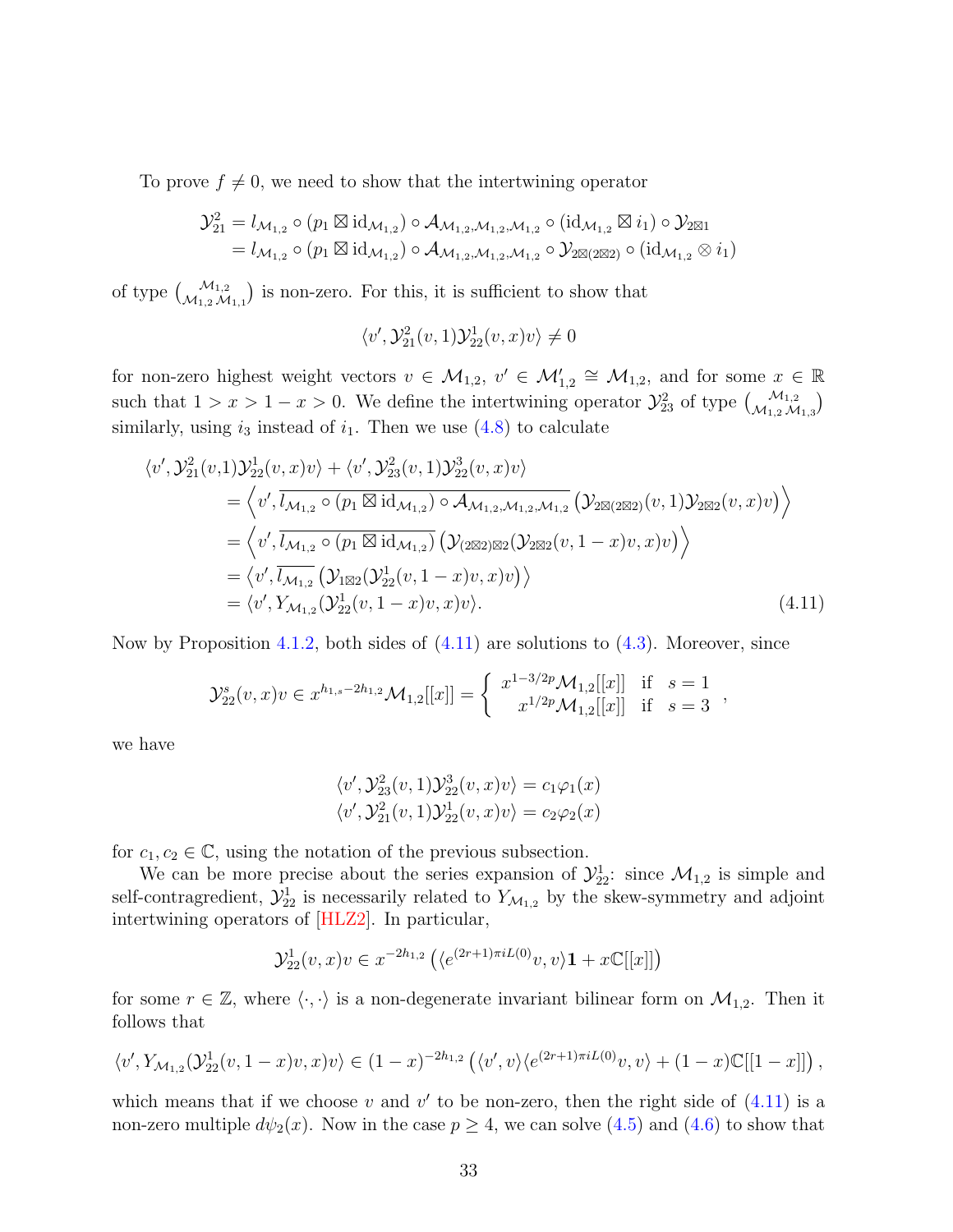To prove  $f \neq 0$ , we need to show that the intertwining operator

$$
\mathcal{Y}_{21}^2 = l_{\mathcal{M}_{1,2}} \circ (p_1 \boxtimes id_{\mathcal{M}_{1,2}}) \circ \mathcal{A}_{\mathcal{M}_{1,2},\mathcal{M}_{1,2}} \circ (id_{\mathcal{M}_{1,2}} \boxtimes i_1) \circ \mathcal{Y}_{2 \boxtimes 1}
$$
  
=  $l_{\mathcal{M}_{1,2}} \circ (p_1 \boxtimes id_{\mathcal{M}_{1,2}}) \circ \mathcal{A}_{\mathcal{M}_{1,2},\mathcal{M}_{1,2}} \circ \mathcal{Y}_{2 \boxtimes (2 \boxtimes 2)} \circ (id_{\mathcal{M}_{1,2}} \otimes i_1)$ 

of type  $\binom{\mathcal{M}_{1,2}}{\mathcal{M}_{1,1}}$  is non-zero. For this, it is sufficient to show that

$$
\langle v',\mathcal{Y}_{21}^2(v,1)\mathcal{Y}_{22}^1(v,x)v\rangle\neq 0
$$

for non-zero highest weight vectors  $v \in M_{1,2}$ ,  $v' \in M'_{1,2} \cong M_{1,2}$ , and for some  $x \in \mathbb{R}$ such that  $1 > x > 1 - x > 0$ . We define the intertwining operator  $\mathcal{Y}_{23}^2$  of type  $\begin{pmatrix} \mathcal{M}_{1,2} \\ \mathcal{M}_{1,2} \mathcal{M}_{1,3} \end{pmatrix}$ similarly, using  $i_3$  instead of  $i_1$ . Then we use  $(4.8)$  to calculate

$$
\langle v', \mathcal{Y}_{21}^{2}(v,1)\mathcal{Y}_{22}^{1}(v,x)v\rangle + \langle v', \mathcal{Y}_{23}^{2}(v,1)\mathcal{Y}_{22}^{3}(v,x)v\rangle
$$
  
\n
$$
= \langle v', \overline{l_{\mathcal{M}_{1,2}} \circ (p_{1} \boxtimes id_{\mathcal{M}_{1,2}}) \circ \mathcal{A}_{\mathcal{M}_{1,2},\mathcal{M}_{1,2}} (\mathcal{Y}_{2} \boxtimes (v,1)\mathcal{Y}_{2} \boxtimes (v,x)v)\rangle
$$
  
\n
$$
= \langle v', \overline{l_{\mathcal{M}_{1,2}} \circ (p_{1} \boxtimes id_{\mathcal{M}_{1,2}}) (\mathcal{Y}_{2} \boxtimes 2} (\mathcal{Y}_{2} \boxtimes (v,1-x)v,x)v)\rangle
$$
  
\n
$$
= \langle v', \overline{l_{\mathcal{M}_{1,2}} (\mathcal{Y}_{1} \boxtimes 2} (\mathcal{Y}_{22}^{1}(v,1-x)v,x)v)\rangle
$$
  
\n
$$
= \langle v', \overline{l_{\mathcal{M}_{1,2}} (\mathcal{Y}_{22}^{1}(v,1-x)v,x)v)\rangle
$$
  
\n
$$
= \langle v', \mathcal{Y}_{\mathcal{M}_{1,2}} (\mathcal{Y}_{22}^{1}(v,1-x)v,x)v)\rangle.
$$
 (4.11)

Now by Proposition [4.1.2,](#page-27-3) both sides of  $(4.11)$  are solutions to  $(4.3)$ . Moreover, since

$$
\mathcal{Y}_{22}^{s}(v,x)v \in x^{h_{1,s}-2h_{1,2}}\mathcal{M}_{1,2}[[x]] = \begin{cases} x^{1-3/2p}\mathcal{M}_{1,2}[[x]] & \text{if } s=1\\ x^{1/2p}\mathcal{M}_{1,2}[[x]] & \text{if } s=3 \end{cases}
$$

we have

<span id="page-32-0"></span>
$$
\langle v', \mathcal{Y}_{23}^2(v, 1)\mathcal{Y}_{22}^3(v, x)v \rangle = c_1\varphi_1(x)
$$
  

$$
\langle v', \mathcal{Y}_{21}^2(v, 1)\mathcal{Y}_{22}^1(v, x)v \rangle = c_2\varphi_2(x)
$$

for  $c_1, c_2 \in \mathbb{C}$ , using the notation of the previous subsection.

We can be more precise about the series expansion of  $\mathcal{Y}_{22}^1$ : since  $\mathcal{M}_{1,2}$  is simple and self-contragredient,  $\mathcal{Y}_{22}^1$  is necessarily related to  $Y_{\mathcal{M}_{1,2}}$  by the skew-symmetry and adjoint intertwining operators of [\[HLZ2\]](#page-62-12). In particular,

$$
\mathcal{Y}_{22}^1(v, x)v \in x^{-2h_{1,2}}\left( \langle e^{(2r+1)\pi i L(0)}v, v \rangle \mathbf{1} + x \mathbb{C}[[x]] \right)
$$

for some  $r \in \mathbb{Z}$ , where  $\langle \cdot, \cdot \rangle$  is a non-degenerate invariant bilinear form on  $\mathcal{M}_{1,2}$ . Then it follows that

$$
\langle v', Y_{\mathcal{M}_{1,2}}(\mathcal{Y}_{22}^1(v, 1-x)v, x)v \rangle \in (1-x)^{-2h_{1,2}} \left( \langle v', v \rangle \langle e^{(2r+1)\pi i L(0)}v, v \rangle + (1-x)\mathbb{C}[[1-x]] \right),
$$

which means that if we choose v and  $v'$  to be non-zero, then the right side of  $(4.11)$  is a non-zero multiple  $d\psi_2(x)$ . Now in the case  $p \geq 4$ , we can solve  $(4.5)$  and  $(4.6)$  to show that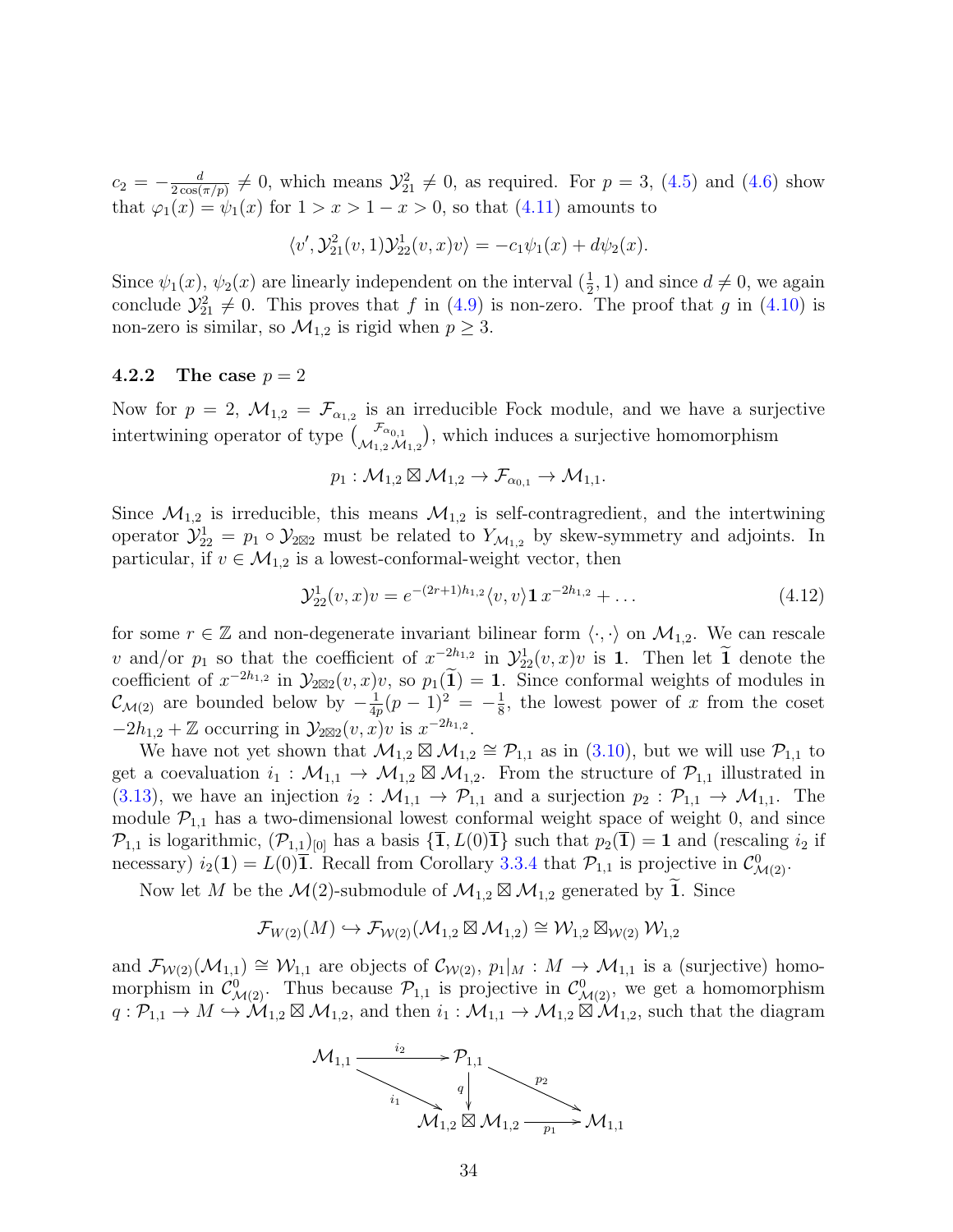$c_2 = -\frac{d}{2\cos(\theta)}$  $\frac{d}{2\cos(\pi/p)} \neq 0$ , which means  $\mathcal{Y}_{21}^2 \neq 0$ , as required. For  $p = 3$ , [\(4.5\)](#page-30-1) and [\(4.6\)](#page-30-2) show that  $\varphi_1(x) = \psi_1(x)$  for  $1 > x > 1 - x > 0$ , so that  $(4.11)$  amounts to

$$
\langle v', \mathcal{Y}_{21}^2(v,1)\mathcal{Y}_{22}^1(v,x)v\rangle = -c_1\psi_1(x) + d\psi_2(x).
$$

Since  $\psi_1(x)$ ,  $\psi_2(x)$  are linearly independent on the interval  $(\frac{1}{2}, 1)$  and since  $d \neq 0$ , we again conclude  $\mathcal{Y}_{21}^2 \neq 0$ . This proves that f in [\(4.9\)](#page-31-1) is non-zero. The proof that g in [\(4.10\)](#page-31-2) is non-zero is similar, so  $\mathcal{M}_{1,2}$  is rigid when  $p \geq 3$ .

#### **4.2.2** The case  $p = 2$

Now for  $p = 2$ ,  $\mathcal{M}_{1,2} = \mathcal{F}_{\alpha_{1,2}}$  is an irreducible Fock module, and we have a surjective intertwining operator of type  $\binom{\mathcal{F}_{\alpha_{0,1}}}{\mathcal{M}_{1,2}\mathcal{M}_{1,2}}$ , which induces a surjective homomorphism

$$
p_1: \mathcal{M}_{1,2} \boxtimes \mathcal{M}_{1,2} \to \mathcal{F}_{\alpha_{0,1}} \to \mathcal{M}_{1,1}.
$$

Since  $\mathcal{M}_{1,2}$  is irreducible, this means  $\mathcal{M}_{1,2}$  is self-contragredient, and the intertwining operator  $\mathcal{Y}_{22}^1 = p_1 \circ \mathcal{Y}_{2 \boxtimes 2}$  must be related to  $Y_{\mathcal{M}_{1,2}}$  by skew-symmetry and adjoints. In particular, if  $v \in M_{1,2}$  is a lowest-conformal-weight vector, then

<span id="page-33-0"></span>
$$
\mathcal{Y}_{22}^1(v, x)v = e^{-(2r+1)h_{1,2}} \langle v, v \rangle \mathbf{1} \, x^{-2h_{1,2}} + \dots \tag{4.12}
$$

for some  $r \in \mathbb{Z}$  and non-degenerate invariant bilinear form  $\langle \cdot, \cdot \rangle$  on  $\mathcal{M}_{1,2}$ . We can rescale v and/or  $p_1$  so that the coefficient of  $x^{-2h_{1,2}}$  in  $\mathcal{Y}_{22}^1(v,x)v$  is 1. Then let  $\tilde{1}$  denote the coefficient of  $x^{-2h_{1,2}}$  in  $\mathcal{Y}_{2\boxtimes 2}(v, x)v$ , so  $p_1(\tilde{\mathbf{1}}) = 1$ . Since conformal weights of modules in  $\mathcal{C}_{\mathcal{M}(2)}$  are bounded below by  $-\frac{1}{4n}$  $\frac{1}{4p}(p-1)^2 = -\frac{1}{8}$  $\frac{1}{8}$ , the lowest power of x from the coset  $-2h_{1,2} + \mathbb{Z}$  occurring in  $\mathcal{Y}_{2\boxtimes 2}(v, x)v$  is  $x^{-2h_{1,2}}$ .

We have not yet shown that  $\mathcal{M}_{1,2} \boxtimes \mathcal{M}_{1,2} \cong \mathcal{P}_{1,1}$  as in [\(3.10\)](#page-19-0), but we will use  $\mathcal{P}_{1,1}$  to get a coevaluation  $i_1 : \mathcal{M}_{1,1} \to \mathcal{M}_{1,2} \boxtimes \mathcal{M}_{1,2}$ . From the structure of  $\mathcal{P}_{1,1}$  illustrated in [\(3.13\)](#page-25-0), we have an injection  $i_2 : \mathcal{M}_{1,1} \to \mathcal{P}_{1,1}$  and a surjection  $p_2 : \mathcal{P}_{1,1} \to \mathcal{M}_{1,1}$ . The module  $\mathcal{P}_{1,1}$  has a two-dimensional lowest conformal weight space of weight 0, and since  $\mathcal{P}_{1,1}$  is logarithmic,  $(\mathcal{P}_{1,1})_{[0]}$  has a basis  $\{1, L(0)1\}$  such that  $p_2(1) = 1$  and (rescaling  $i_2$  if necessary)  $i_2(1) = L(0)\overline{1}$ . Recall from Corollary [3.3.4](#page-24-1) that  $\mathcal{P}_{1,1}$  is projective in  $\mathcal{C}^0_{\mathcal{M}(2)}$ .

Now let M be the  $\mathcal{M}(2)$ -submodule of  $\mathcal{M}_{1,2} \boxtimes \mathcal{M}_{1,2}$  generated by  $\widetilde{\mathbf{1}}$ . Since

$$
\mathcal{F}_{W(2)}(M) \hookrightarrow \mathcal{F}_{\mathcal{W}(2)}(\mathcal{M}_{1,2} \boxtimes \mathcal{M}_{1,2}) \cong \mathcal{W}_{1,2} \boxtimes_{\mathcal{W}(2)} \mathcal{W}_{1,2}
$$

and  $\mathcal{F}_{W(2)}(\mathcal{M}_{1,1}) \cong W_{1,1}$  are objects of  $\mathcal{C}_{W(2)}, p_1|_M : M \to \mathcal{M}_{1,1}$  is a (surjective) homomorphism in  $\mathcal{C}^0_{\mathcal{M}(2)}$ . Thus because  $\mathcal{P}_{1,1}$  is projective in  $\mathcal{C}^0_{\mathcal{M}(2)}$ , we get a homomorphism  $q: \mathcal{P}_{1,1} \to M \hookrightarrow \mathcal{M}_{1,2} \boxtimes \mathcal{M}_{1,2}$ , and then  $i_1: \mathcal{M}_{1,1} \to \mathcal{M}_{1,2} \boxtimes \mathcal{M}_{1,2}$ , such that the diagram

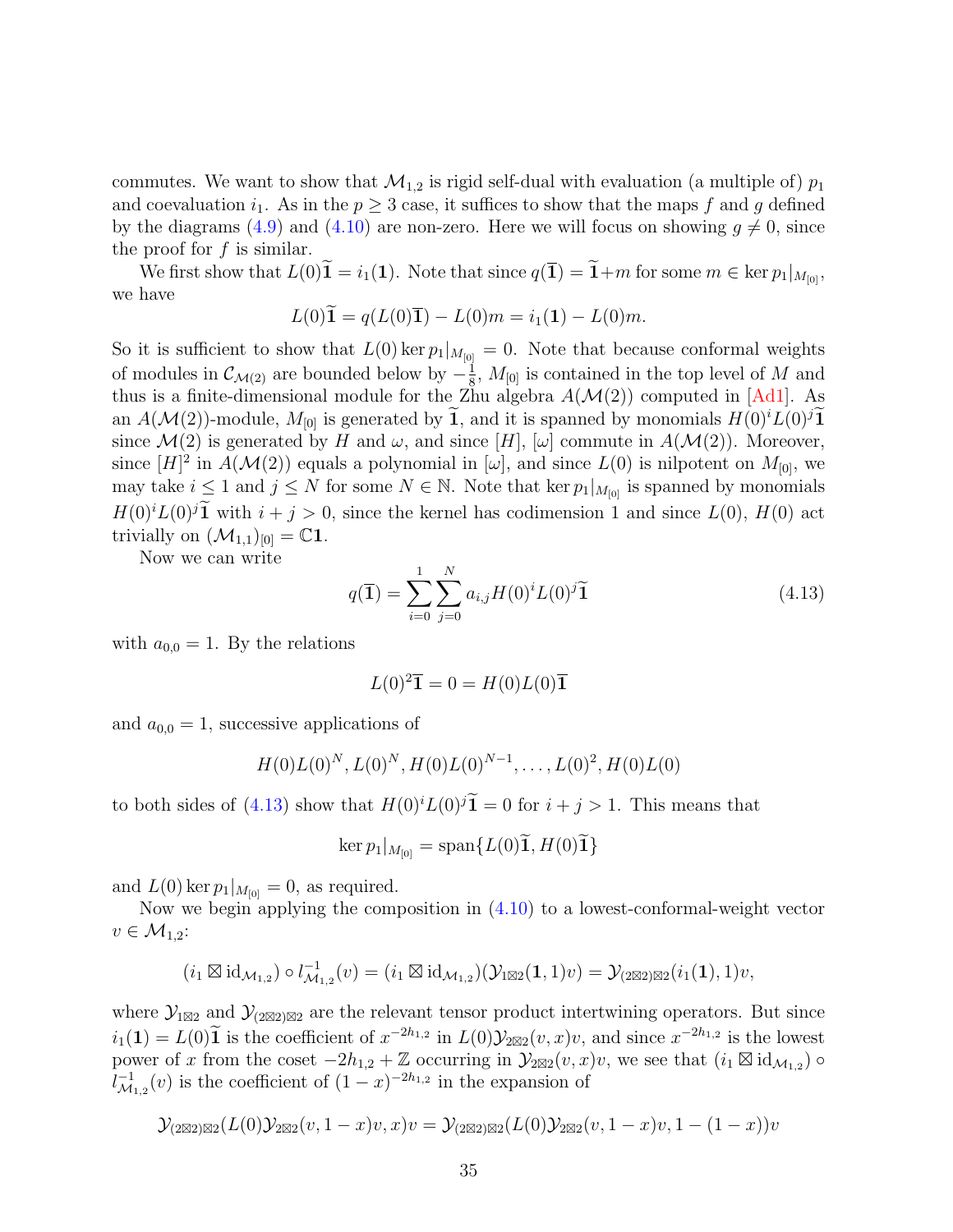commutes. We want to show that  $\mathcal{M}_{1,2}$  is rigid self-dual with evaluation (a multiple of)  $p_1$ and coevaluation  $i_1$ . As in the  $p \geq 3$  case, it suffices to show that the maps f and g defined by the diagrams [\(4.9\)](#page-31-1) and [\(4.10\)](#page-31-2) are non-zero. Here we will focus on showing  $g \neq 0$ , since the proof for  $f$  is similar.

We first show that  $L(0)\tilde{\mathbf{1}} = i_1(\mathbf{1})$ . Note that since  $q(\mathbf{\bar{1}}) = \tilde{\mathbf{1}} + m$  for some  $m \in \text{ker } p_1|_{M_{[0]}}$ , we have

$$
L(0)\widetilde{\mathbf{1}} = q(L(0)\overline{\mathbf{1}}) - L(0)m = i_1(\mathbf{1}) - L(0)m.
$$

So it is sufficient to show that  $L(0)$  ker  $p_1|_{M_{[0]}} = 0$ . Note that because conformal weights of modules in  $\mathcal{C}_{\mathcal{M}(2)}$  are bounded below by  $-\frac{1}{8}$  $\frac{1}{8}$ ,  $M_{[0]}$  is contained in the top level of M and thus is a finite-dimensional module for the Zhu algebra  $A(\mathcal{M}(2))$  computed in [\[Ad1\]](#page-59-2). As an  $A(\mathcal{M}(2))$ -module,  $M_{[0]}$  is generated by 1, and it is spanned by monomials  $H(0)^iL(0)^j1$ since  $\mathcal{M}(2)$  is generated by H and  $\omega$ , and since [H], [ $\omega$ ] commute in  $A(\mathcal{M}(2))$ . Moreover, since  $[H]^2$  in  $A(\mathcal{M}(2))$  equals a polynomial in  $[\omega]$ , and since  $L(0)$  is nilpotent on  $M_{[0]}$ , we may take  $i \leq 1$  and  $j \leq N$  for some  $N \in \mathbb{N}$ . Note that ker  $p_1|_{M_{[0]}}$  is spanned by monomials  $H(0)^i L(0)^j \tilde{\mathbf{1}}$  with  $i + j > 0$ , since the kernel has codimension 1 and since  $L(0)$ ,  $H(0)$  act trivially on  $(\mathcal{M}_{1,1})_{[0]} = \mathbb{C}1$ .

Now we can write

<span id="page-34-0"></span>
$$
q(\mathbf{\bar{1}}) = \sum_{i=0}^{1} \sum_{j=0}^{N} a_{i,j} H(0)^{i} L(0)^{j} \widetilde{\mathbf{1}}
$$
\n(4.13)

with  $a_{0,0} = 1$ . By the relations

$$
L(0)^2\overline{\mathbf{1}} = 0 = H(0)L(0)\overline{\mathbf{1}}
$$

and  $a_{0,0} = 1$ , successive applications of

$$
H(0)L(0)^N, L(0)^N, H(0)L(0)^{N-1}, \ldots, L(0)^2, H(0)L(0)
$$

to both sides of [\(4.13\)](#page-34-0) show that  $H(0)^i L(0)^j \tilde{\mathbf{1}} = 0$  for  $i + j > 1$ . This means that

$$
\ker p_1|_{M_{[0]}} = \operatorname{span} \{L(0)\mathbf{1}, H(0)\mathbf{1}\}
$$

and  $L(0)$  ker  $p_1|_{M_{[0]}} = 0$ , as required.

Now we begin applying the composition in [\(4.10\)](#page-31-2) to a lowest-conformal-weight vector  $v \in \mathcal{M}_{1,2}$ :

$$
(i_1 \boxtimes id_{\mathcal{M}_{1,2}}) \circ l_{\mathcal{M}_{1,2}}^{-1}(v) = (i_1 \boxtimes id_{\mathcal{M}_{1,2}})(\mathcal{Y}_{1 \boxtimes 2}(\mathbf{1},1)v) = \mathcal{Y}_{(2 \boxtimes 2) \boxtimes 2}(i_1(\mathbf{1}),1)v,
$$

where  $\mathcal{Y}_{1\boxtimes 2}$  and  $\mathcal{Y}_{2\boxtimes 2\boxtimes 2}$  are the relevant tensor product intertwining operators. But since  $i_1(1) = L(0)\tilde{1}$  is the coefficient of  $x^{-2h_{1,2}}$  in  $L(0)\mathcal{Y}_{2\boxtimes 2}(v,x)v$ , and since  $x^{-2h_{1,2}}$  is the lowest power of x from the coset  $-2h_{1,2} + \mathbb{Z}$  occurring in  $\mathcal{Y}_{2\boxtimes 2}(v,x)v$ , we see that  $(i_1 \boxtimes id_{\mathcal{M}_{1,2}})$  $l_{\mathcal{M}}^{-1}$  $\overline{\mathcal{M}}_{1,2}(v)$  is the coefficient of  $(1-x)^{-2h_{1,2}}$  in the expansion of

$$
\mathcal{Y}_{(2\boxtimes 2)\boxtimes 2}(L(0)\mathcal{Y}_{2\boxtimes 2}(v,1-x)v,x)v=\mathcal{Y}_{(2\boxtimes 2)\boxtimes 2}(L(0)\mathcal{Y}_{2\boxtimes 2}(v,1-x)v,1-(1-x))v
$$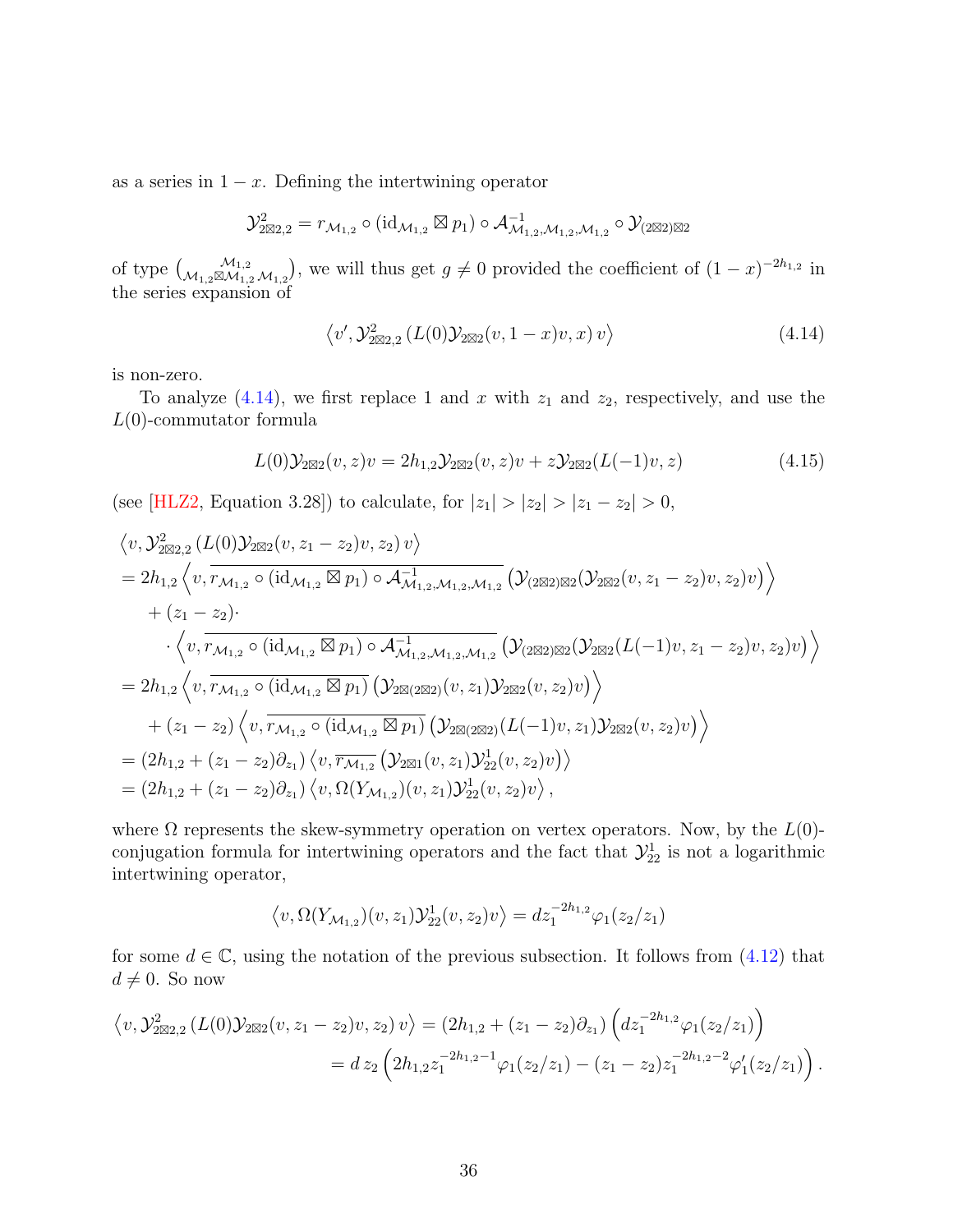as a series in  $1 - x$ . Defining the intertwining operator

$$
\mathcal{Y}^2_{2\boxtimes 2,2}=r_{\mathcal{M}_{1,2}}\circ (\mathrm{id}_{\mathcal{M}_{1,2}}\boxtimes p_1)\circ \mathcal{A}_{\mathcal{M}_{1,2},\mathcal{M}_{1,2},\mathcal{M}_{1,2}}^{-1}\circ \mathcal{Y}_{(2\boxtimes 2)\boxtimes 2}
$$

of type  $\binom{\mathcal{M}_{1,2}}{\mathcal{M}_{1,2}\mathcal{M}_{1,2}}$ , we will thus get  $g \neq 0$  provided the coefficient of  $(1-x)^{-2h_{1,2}}$  in the series expansion of

<span id="page-35-0"></span>
$$
\langle v', \mathcal{Y}_{2\boxtimes 2,2}^2 (L(0) \mathcal{Y}_{2\boxtimes 2}(v, 1-x)v, x) v \rangle \tag{4.14}
$$

is non-zero.

To analyze  $(4.14)$ , we first replace 1 and x with  $z_1$  and  $z_2$ , respectively, and use the  $L(0)$ -commutator formula

$$
L(0)\mathcal{Y}_{2\boxtimes 2}(v,z)v = 2h_{1,2}\mathcal{Y}_{2\boxtimes 2}(v,z)v + z\mathcal{Y}_{2\boxtimes 2}(L(-1)v,z)
$$
(4.15)

(see [\[HLZ2,](#page-62-12) Equation 3.28]) to calculate, for  $|z_1| > |z_2| > |z_1 - z_2| > 0$ ,

$$
\langle v, \mathcal{Y}_{2\boxtimes 2,2}^2 (L(0) \mathcal{Y}_{2\boxtimes 2}(v, z_1 - z_2) v, z_2) v \rangle
$$
  
=  $2h_{1,2} \langle v, \overline{r_{\mathcal{M}_{1,2}} \circ (\mathrm{id}_{\mathcal{M}_{1,2}} \boxtimes p_1) \circ \mathcal{A}_{\mathcal{M}_{1,2},\mathcal{M}_{1,2},\mathcal{M}_{1,2}}^1} (\mathcal{Y}_{2\boxtimes 2}) \boxtimes 2(v, z_1 - z_2) v, z_2) v \rangle$   
+  $(z_1 - z_2) \cdot \langle v, \overline{r_{\mathcal{M}_{1,2}} \circ (\mathrm{id}_{\mathcal{M}_{1,2}} \boxtimes p_1) \circ \mathcal{A}_{\mathcal{M}_{1,2},\mathcal{M}_{1,2},\mathcal{M}_{1,2}}^1} (\mathcal{Y}_{2\boxtimes 2}) \boxtimes 2(\mathcal{Y}_{2\boxtimes 2}(L(-1)v, z_1 - z_2) v, z_2) v) \rangle$   
=  $2h_{1,2} \langle v, \overline{r_{\mathcal{M}_{1,2}} \circ (\mathrm{id}_{\mathcal{M}_{1,2}} \boxtimes p_1)} (\mathcal{Y}_{2\boxtimes (2\boxtimes 2)}(v, z_1) \mathcal{Y}_{2\boxtimes 2}(v, z_2) v) \rangle$   
+  $(z_1 - z_2) \langle v, \overline{r_{\mathcal{M}_{1,2}} \circ (\mathrm{id}_{\mathcal{M}_{1,2}} \boxtimes p_1)} (\mathcal{Y}_{2\boxtimes (2\boxtimes 2)}(L(-1)v, z_1) \mathcal{Y}_{2\boxtimes 2}(v, z_2) v) \rangle$   
=  $(2h_{1,2} + (z_1 - z_2) \partial_{z_1}) \langle v, \overline{r_{\mathcal{M}_{1,2}}} (\mathcal{Y}_{2\boxtimes 1}(v, z_1) \mathcal{Y}_{2\boxtimes}^1(v, z_2) v) \rangle$   
=  $(2h_{1,2} + (z_1 - z_2) \partial_{z_1}) \langle v, \Omega(Y_{\mathcal{M}_{1,2}})(v, z_1) \mathcal{Y}_{2\boxtimes}^1(v, z_2) v \rangle,$ 

where  $\Omega$  represents the skew-symmetry operation on vertex operators. Now, by the  $L(0)$ conjugation formula for intertwining operators and the fact that  $\mathcal{Y}_{22}^1$  is not a logarithmic intertwining operator,

$$
\langle v, \Omega(Y_{\mathcal{M}_{1,2}})(v, z_1)\mathcal{Y}_{22}^1(v, z_2)v \rangle = dz_1^{-2h_{1,2}}\varphi_1(z_2/z_1)
$$

for some  $d \in \mathbb{C}$ , using the notation of the previous subsection. It follows from  $(4.12)$  that  $d \neq 0$ . So now

$$
\langle v, \mathcal{Y}_{2\boxtimes 2,2}^2 (L(0) \mathcal{Y}_{2\boxtimes 2}(v, z_1 - z_2) v, z_2) v \rangle = (2h_{1,2} + (z_1 - z_2) \partial_{z_1}) \left( dz_1^{-2h_{1,2}} \varphi_1(z_2/z_1) \right)
$$
  
= 
$$
dz_2 \left( 2h_{1,2} z_1^{-2h_{1,2}-1} \varphi_1(z_2/z_1) - (z_1 - z_2) z_1^{-2h_{1,2}-2} \varphi_1'(z_2/z_1) \right).
$$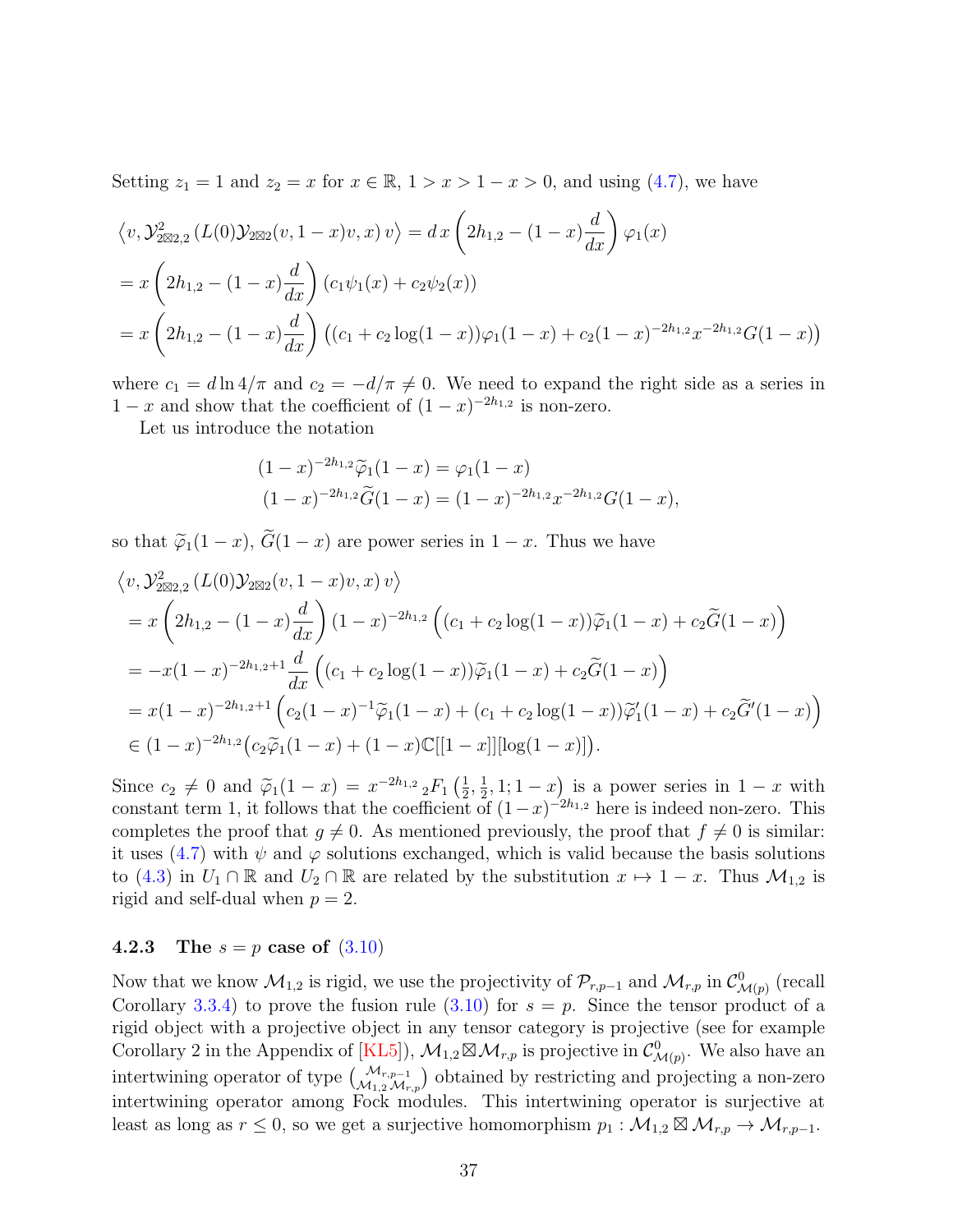Setting  $z_1 = 1$  and  $z_2 = x$  for  $x \in \mathbb{R}$ ,  $1 > x > 1 - x > 0$ , and using [\(4.7\)](#page-30-3), we have

$$
\langle v, \mathcal{Y}_{2\boxtimes 2,2}^2 (L(0) \mathcal{Y}_{2\boxtimes 2}(v, 1-x)v, x) v \rangle = dx \left( 2h_{1,2} - (1-x) \frac{d}{dx} \right) \varphi_1(x)
$$
  
=  $x \left( 2h_{1,2} - (1-x) \frac{d}{dx} \right) (c_1 \psi_1(x) + c_2 \psi_2(x))$   
=  $x \left( 2h_{1,2} - (1-x) \frac{d}{dx} \right) ((c_1 + c_2 \log(1-x)) \varphi_1(1-x) + c_2(1-x)^{-2h_{1,2}} x^{-2h_{1,2}} G(1-x))$ 

where  $c_1 = d \ln 4/\pi$  and  $c_2 = -d/\pi \neq 0$ . We need to expand the right side as a series in  $1 - x$  and show that the coefficient of  $(1 - x)^{-2h_{1,2}}$  is non-zero.

Let us introduce the notation

$$
(1-x)^{-2h_{1,2}}\widetilde{\varphi}_1(1-x) = \varphi_1(1-x)
$$
  

$$
(1-x)^{-2h_{1,2}}\widetilde{G}(1-x) = (1-x)^{-2h_{1,2}}x^{-2h_{1,2}}G(1-x),
$$

so that  $\tilde{\varphi}_1(1-x)$ ,  $\tilde{G}(1-x)$  are power series in  $1-x$ . Thus we have

$$
\langle v, \mathcal{Y}_{2\boxtimes 2,2}^2(L(0)\mathcal{Y}_{2\boxtimes 2}(v, 1-x)v, x) v \rangle
$$
  
=  $x \left(2h_{1,2} - (1-x)\frac{d}{dx}\right) (1-x)^{-2h_{1,2}} \left( (c_1 + c_2 \log(1-x))\widetilde{\varphi}_1(1-x) + c_2 \widetilde{G}(1-x) \right)$   
=  $-x(1-x)^{-2h_{1,2}+1} \frac{d}{dx} \left( (c_1 + c_2 \log(1-x))\widetilde{\varphi}_1(1-x) + c_2 \widetilde{G}(1-x) \right)$   
=  $x(1-x)^{-2h_{1,2}+1} \left( c_2(1-x)^{-1}\widetilde{\varphi}_1(1-x) + (c_1 + c_2 \log(1-x))\widetilde{\varphi}_1'(1-x) + c_2 \widetilde{G}'(1-x) \right)$   
 $\in (1-x)^{-2h_{1,2}} \left( c_2 \widetilde{\varphi}_1(1-x) + (1-x)\mathbb{C}[[1-x]][\log(1-x)] \right).$ 

Since  $c_2 \neq 0$  and  $\widetilde{\varphi}_1(1-x) = x^{-2h_{1,2}} \, {}_2F_1\left(\frac{1}{2}\right)$  $\frac{1}{2}, \frac{1}{2}$  $(\frac{1}{2}, 1; 1-x)$  is a power series in  $1-x$  with constant term 1, it follows that the coefficient of  $(1-x)^{-2h_{1,2}}$  here is indeed non-zero. This completes the proof that  $g \neq 0$ . As mentioned previously, the proof that  $f \neq 0$  is similar: it uses [\(4.7\)](#page-30-3) with  $\psi$  and  $\varphi$  solutions exchanged, which is valid because the basis solutions to [\(4.3\)](#page-27-2) in  $U_1 \cap \mathbb{R}$  and  $U_2 \cap \mathbb{R}$  are related by the substitution  $x \mapsto 1 - x$ . Thus  $\mathcal{M}_{1,2}$  is rigid and self-dual when  $p = 2$ .

#### <span id="page-36-0"></span>**4.2.3** The  $s = p$  case of  $(3.10)$

Now that we know  $\mathcal{M}_{1,2}$  is rigid, we use the projectivity of  $\mathcal{P}_{r,p-1}$  and  $\mathcal{M}_{r,p}$  in  $\mathcal{C}_{\mathcal{M}(p)}^0$  (recall Corollary [3.3.4\)](#page-24-1) to prove the fusion rule  $(3.10)$  for  $s = p$ . Since the tensor product of a rigid object with a projective object in any tensor category is projective (see for example Corollary 2 in the Appendix of [\[KL5\]](#page-63-3)),  $\mathcal{M}_{1,2} \boxtimes \mathcal{M}_{r,p}$  is projective in  $\mathcal{C}^0_{\mathcal{M}(p)}$ . We also have an intertwining operator of type  $\binom{\mathcal{M}_{r,p-1}}{\mathcal{M}_{1,2}\mathcal{M}_{r,p}}$  obtained by restricting and projecting a non-zero intertwining operator among Fock modules. This intertwining operator is surjective at least as long as  $r \leq 0$ , so we get a surjective homomorphism  $p_1 : \mathcal{M}_{1,2} \boxtimes \mathcal{M}_{r,p} \to \mathcal{M}_{r,p-1}$ .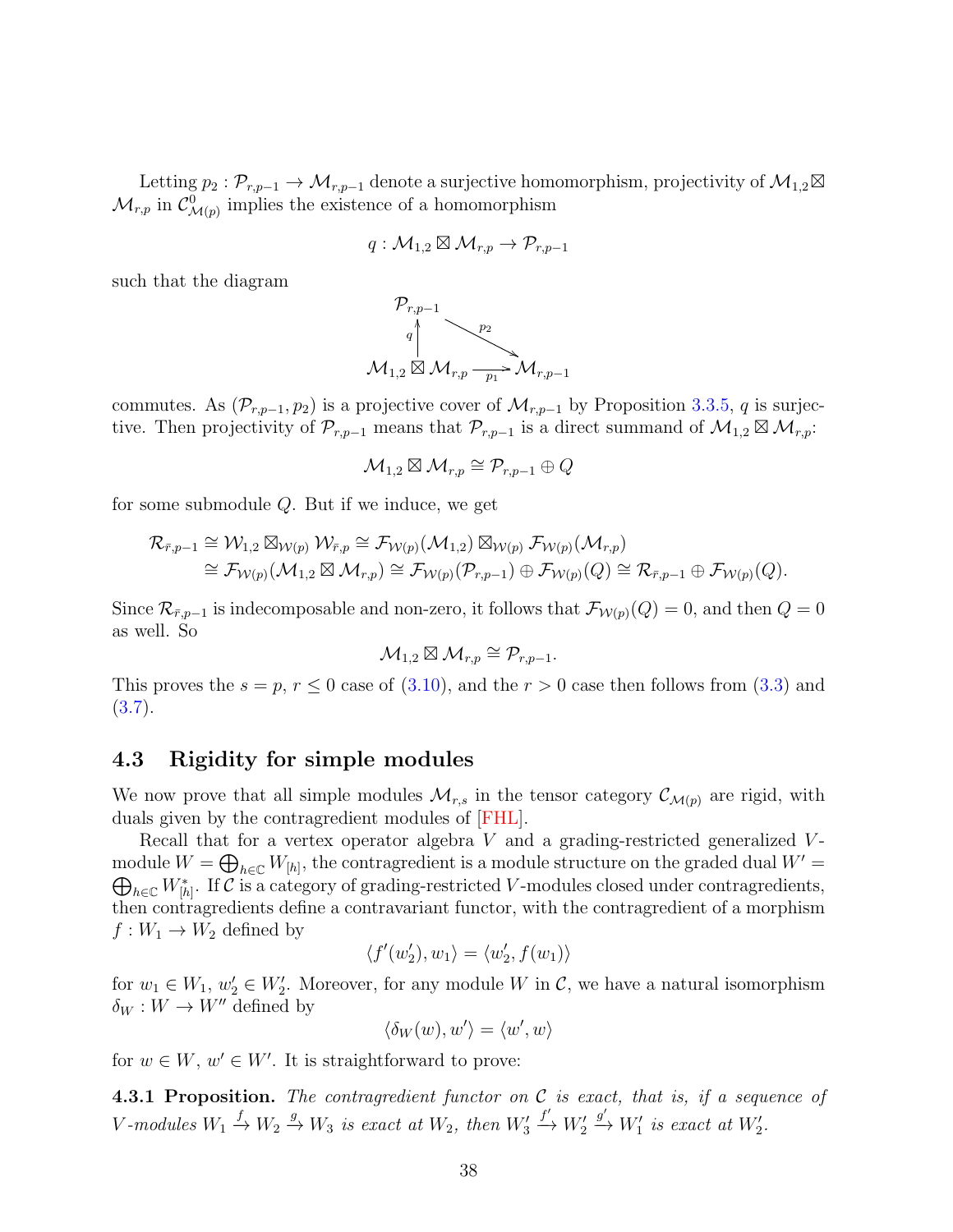Letting  $p_2 : \mathcal{P}_{r,p-1} \to \mathcal{M}_{r,p-1}$  denote a surjective homomorphism, projectivity of  $\mathcal{M}_{1,2} \boxtimes$  $\mathcal{M}_{r,p}$  in  $\mathcal{C}^0_{\mathcal{M}(p)}$  implies the existence of a homomorphism

$$
q: \mathcal{M}_{1,2} \boxtimes \mathcal{M}_{r,p} \to \mathcal{P}_{r,p-1}
$$

such that the diagram



commutes. As  $(\mathcal{P}_{r,p-1}, p_2)$  is a projective cover of  $\mathcal{M}_{r,p-1}$  by Proposition [3.3.5,](#page-25-1) q is surjective. Then projectivity of  $\mathcal{P}_{r,p-1}$  means that  $\mathcal{P}_{r,p-1}$  is a direct summand of  $\mathcal{M}_{1,2} \boxtimes \mathcal{M}_{r,p}$ .

$$
\mathcal{M}_{1,2}\boxtimes \mathcal{M}_{r,p}\cong \mathcal{P}_{r,p-1}\oplus Q
$$

for some submodule Q. But if we induce, we get

$$
\mathcal{R}_{\bar{r},p-1} \cong \mathcal{W}_{1,2} \boxtimes_{\mathcal{W}(p)} \mathcal{W}_{\bar{r},p} \cong \mathcal{F}_{\mathcal{W}(p)}(\mathcal{M}_{1,2}) \boxtimes_{\mathcal{W}(p)} \mathcal{F}_{\mathcal{W}(p)}(\mathcal{M}_{r,p}) \cong \mathcal{F}_{\mathcal{W}(p)}(\mathcal{M}_{1,2} \boxtimes \mathcal{M}_{r,p}) \cong \mathcal{F}_{\mathcal{W}(p)}(\mathcal{P}_{r,p-1}) \oplus \mathcal{F}_{\mathcal{W}(p)}(Q) \cong \mathcal{R}_{\bar{r},p-1} \oplus \mathcal{F}_{\mathcal{W}(p)}(Q).
$$

Since  $\mathcal{R}_{\bar{r},p-1}$  is indecomposable and non-zero, it follows that  $\mathcal{F}_{\mathcal{W}(p)}(Q) = 0$ , and then  $Q = 0$ as well. So

$$
\mathcal{M}_{1,2}\boxtimes \mathcal{M}_{r,p}\cong \mathcal{P}_{r,p-1}.
$$

This proves the  $s = p, r \le 0$  case of  $(3.10)$ , and the  $r > 0$  case then follows from  $(3.3)$  and  $(3.7).$  $(3.7).$ 

## 4.3 Rigidity for simple modules

We now prove that all simple modules  $\mathcal{M}_{r,s}$  in the tensor category  $\mathcal{C}_{\mathcal{M}(p)}$  are rigid, with duals given by the contragredient modules of [\[FHL\]](#page-62-5).

Recall that for a vertex operator algebra  $V$  and a grading-restricted generalized  $V$ module  $W = \bigoplus_{h \in \mathbb{C}} W_{[h]}$ , the contragredient is a module structure on the graded dual  $W' = \bigoplus_{h \in \mathbb{C}} W_{[h]}$  $\bigoplus_{h\in\mathbb{C}}W^*_{[h]}$ . If C is a category of grading-restricted V-modules closed under contragredients, then contragredients define a contravariant functor, with the contragredient of a morphism  $f: W_1 \to W_2$  defined by

$$
\langle f'(w'_2), w_1 \rangle = \langle w'_2, f(w_1) \rangle
$$

for  $w_1 \in W_1$ ,  $w_2 \in W_2'$ . Moreover, for any module W in C, we have a natural isomorphism  $\delta_W : W \to W''$  defined by

 $\langle \delta_W(w), w' \rangle = \langle w', w \rangle$ 

for  $w \in W$ ,  $w' \in W'$ . It is straightforward to prove:

**4.3.1 Proposition.** The contragredient functor on  $C$  is exact, that is, if a sequence of V-modules  $W_1 \xrightarrow{f} W_2 \xrightarrow{g} W_3$  is exact at  $W_2$ , then  $W'_3$  $\stackrel{f'}{\longrightarrow} W_2'$  $x \xrightarrow{g'} W_1'$  is exact at  $W_2'$ .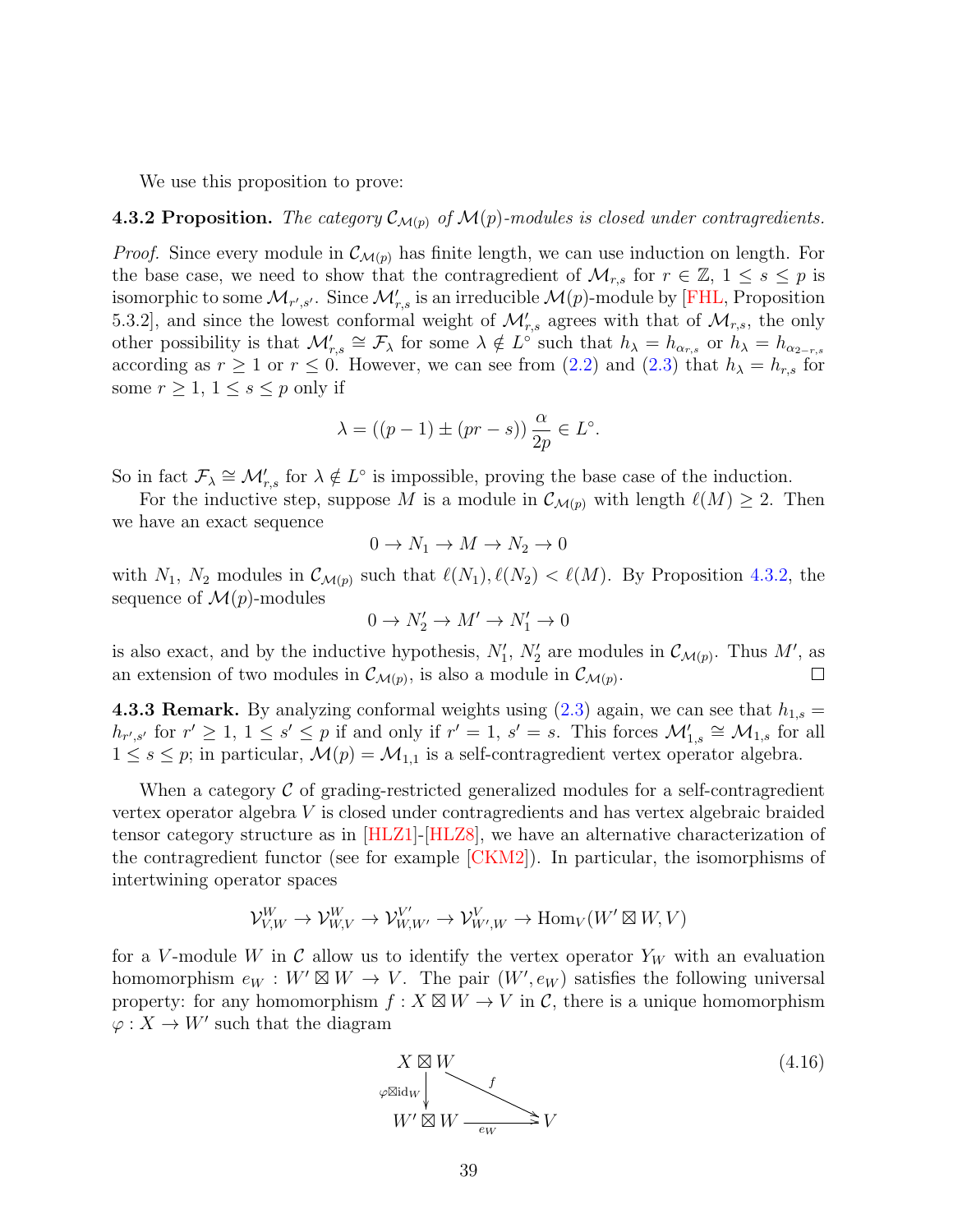We use this proposition to prove:

#### <span id="page-38-0"></span>**4.3.2 Proposition.** The category  $\mathcal{C}_{\mathcal{M}(p)}$  of  $\mathcal{M}(p)$ -modules is closed under contragredients.

*Proof.* Since every module in  $\mathcal{C}_{\mathcal{M}(p)}$  has finite length, we can use induction on length. For the base case, we need to show that the contragredient of  $\mathcal{M}_{r,s}$  for  $r \in \mathbb{Z}, 1 \leq s \leq p$  is isomorphic to some  $\mathcal{M}_{r',s'}$ . Since  $\mathcal{M}'_{r,s}$  is an irreducible  $\mathcal{M}(p)$ -module by [\[FHL,](#page-62-5) Proposition 5.3.2], and since the lowest conformal weight of  $\mathcal{M}'_{r,s}$  agrees with that of  $\mathcal{M}_{r,s}$ , the only other possibility is that  $\mathcal{M}'_{r,s} \cong \mathcal{F}_{\lambda}$  for some  $\lambda \notin L^{\circ}$  such that  $h_{\lambda} = h_{\alpha_{r,s}}$  or  $h_{\lambda} = h_{\alpha_{2-r,s}}$ according as  $r \ge 1$  or  $r \le 0$ . However, we can see from [\(2.2\)](#page-6-1) and [\(2.3\)](#page-7-1) that  $h_{\lambda} = h_{r,s}$  for some  $r \geq 1, 1 \leq s \leq p$  only if

$$
\lambda = ((p-1) \pm (pr - s)) \frac{\alpha}{2p} \in L^{\circ}.
$$

So in fact  $\mathcal{F}_{\lambda} \cong \mathcal{M}'_{r,s}$  for  $\lambda \notin L^{\circ}$  is impossible, proving the base case of the induction.

For the inductive step, suppose M is a module in  $\mathcal{C}_{\mathcal{M}(p)}$  with length  $\ell(M) \geq 2$ . Then we have an exact sequence

$$
0 \to N_1 \to M \to N_2 \to 0
$$

with  $N_1$ ,  $N_2$  modules in  $\mathcal{C}_{\mathcal{M}(p)}$  such that  $\ell(N_1), \ell(N_2) < \ell(M)$ . By Proposition [4.3.2,](#page-38-0) the sequence of  $\mathcal{M}(p)$ -modules

$$
0\to N_2'\to M'\to N_1'\to 0
$$

is also exact, and by the inductive hypothesis,  $N'_1$ ,  $N'_2$  are modules in  $\mathcal{C}_{\mathcal{M}(p)}$ . Thus M', as an extension of two modules in  $\mathcal{C}_{\mathcal{M}(p)}$ , is also a module in  $\mathcal{C}_{\mathcal{M}(p)}$ . П

<span id="page-38-2"></span>**4.3.3 Remark.** By analyzing conformal weights using  $(2.3)$  again, we can see that  $h_{1,s} =$  $h_{r',s'}$  for  $r' \geq 1, 1 \leq s' \leq p$  if and only if  $r' = 1, s' = s$ . This forces  $\mathcal{M}'_{1,s} \cong \mathcal{M}_{1,s}$  for all  $1 \leq s \leq p$ ; in particular,  $\mathcal{M}(p) = \mathcal{M}_{1,1}$  is a self-contragredient vertex operator algebra.

When a category  $\mathcal C$  of grading-restricted generalized modules for a self-contragredient vertex operator algebra V is closed under contragredients and has vertex algebraic braided tensor category structure as in [\[HLZ1\]](#page-62-4)-[\[HLZ8\]](#page-63-1), we have an alternative characterization of the contragredient functor (see for example [\[CKM2\]](#page-61-13)). In particular, the isomorphisms of intertwining operator spaces

$$
\mathcal{V}^W_{V,W}\to \mathcal{V}^W_{W,V}\to \mathcal{V}^{V'}_{W,W'}\to \mathcal{V}^V_{W',W}\to \mathrm{Hom}_V(W'\boxtimes W,V)
$$

for a V-module W in C allow us to identify the vertex operator  $Y_W$  with an evaluation homomorphism  $e_W : W' \boxtimes W \to V$ . The pair  $(W', e_W)$  satisfies the following universal property: for any homomorphism  $f: X \boxtimes W \to V$  in C, there is a unique homomorphism  $\varphi: X \to W'$  such that the diagram

<span id="page-38-1"></span>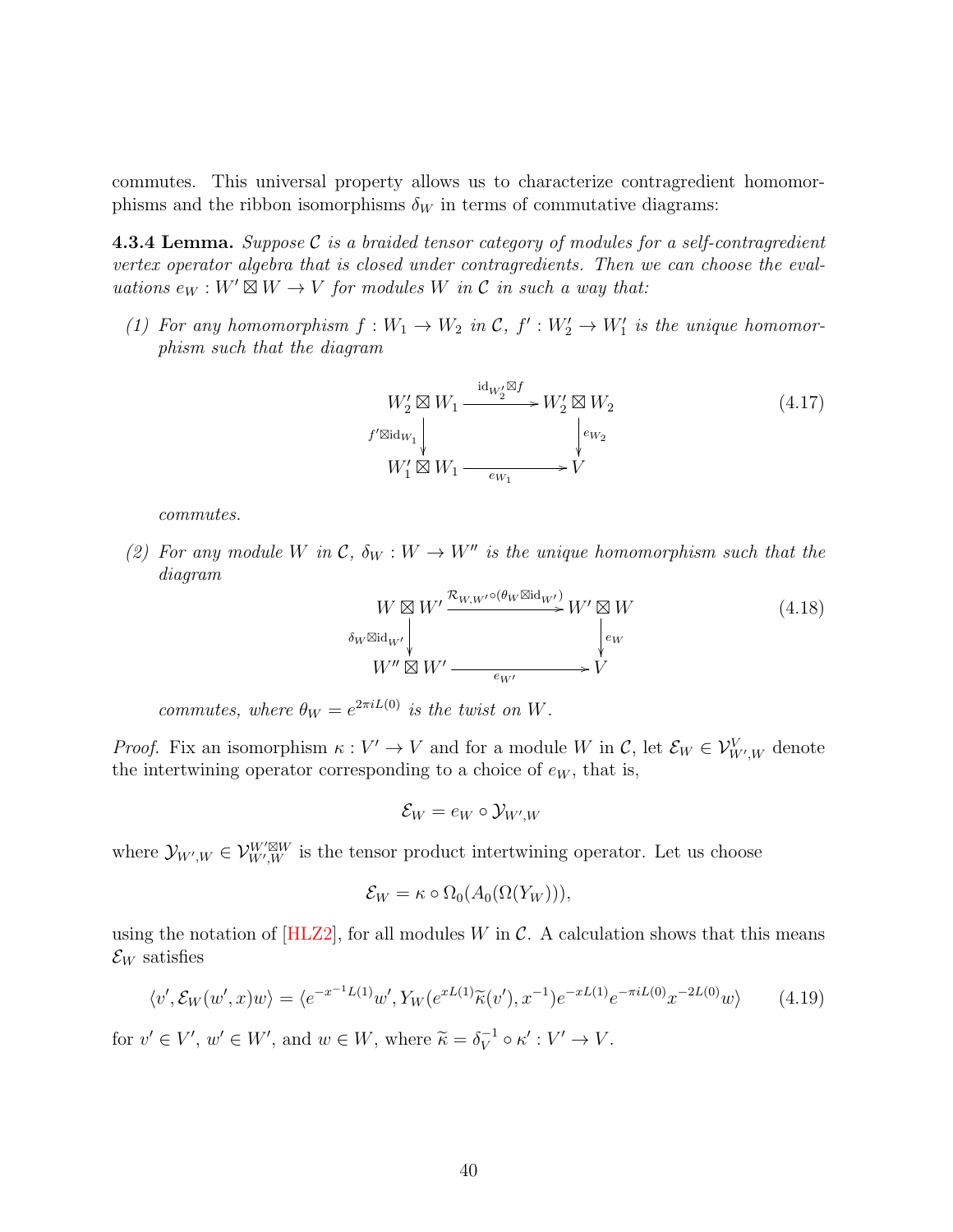commutes. This universal property allows us to characterize contragredient homomorphisms and the ribbon isomorphisms  $\delta_W$  in terms of commutative diagrams:

**4.3.4 Lemma.** Suppose C is a braided tensor category of modules for a self-contragredient vertex operator algebra that is closed under contragredients. Then we can choose the evaluations  $e_W : W' \boxtimes W \to V$  for modules W in C in such a way that:

(1) For any homomorphism  $f: W_1 \to W_2$  in  $\mathcal{C}, f': W_2' \to W_1'$  is the unique homomorphism such that the diagram

<span id="page-39-1"></span>
$$
W_2' \boxtimes W_1 \xrightarrow{\mathrm{id}_{W_2'} \boxtimes f} W_2' \boxtimes W_2
$$
\n
$$
f' \boxtimes \mathrm{id}_{W_1} \downarrow \qquad \qquad \downarrow e_{W_2}
$$
\n
$$
W_1' \boxtimes W_1 \xrightarrow{\phantom{\mathcal{U}_2} \qquad \qquad} V
$$
\n
$$
(4.17)
$$

commutes.

(2) For any module W in  $\mathcal{C}, \delta_W : W \to W''$  is the unique homomorphism such that the diagram

<span id="page-39-2"></span>
$$
W \boxtimes W' \xrightarrow{\mathcal{R}_{W,W'} \circ (\theta_W \boxtimes id_{W'})} W' \boxtimes W
$$
  
\n
$$
\delta_W \boxtimes id_{W'} \downarrow \qquad \qquad \downarrow e_W
$$
  
\n
$$
W'' \boxtimes W' \xrightarrow{e_{W'}} V'
$$
  
\n
$$
V'
$$
  
\n(4.18)

commutes, where  $\theta_W = e^{2\pi i L(0)}$  is the twist on W.

*Proof.* Fix an isomorphism  $\kappa : V' \to V$  and for a module W in C, let  $\mathcal{E}_W \in \mathcal{V}_{W',W}^V$  denote the intertwining operator corresponding to a choice of  $e_W$ , that is,

$$
\mathcal{E}_W = e_W \circ \mathcal{Y}_{W',W}
$$

where  $\mathcal{Y}_{W',W} \in \mathcal{V}_{W',W}^{W' \boxtimes W}$  is the tensor product intertwining operator. Let us choose

$$
\mathcal{E}_W = \kappa \circ \Omega_0(A_0(\Omega(Y_W))),
$$

using the notation of  $[HLZ2]$ , for all modules W in C. A calculation shows that this means  $\mathcal{E}_W$  satisfies

<span id="page-39-0"></span>
$$
\langle v', \mathcal{E}_W(w', x)w \rangle = \langle e^{-x^{-1}L(1)}w', Y_W(e^{xL(1)}\widetilde{\kappa}(v'), x^{-1})e^{-xL(1)}e^{-\pi iL(0)}x^{-2L(0)}w \rangle \tag{4.19}
$$

for  $v' \in V'$ ,  $w' \in W'$ , and  $w \in W$ , where  $\widetilde{\kappa} = \delta_V^{-1}$  $V_V^{-1} \circ \kappa' : V' \to V.$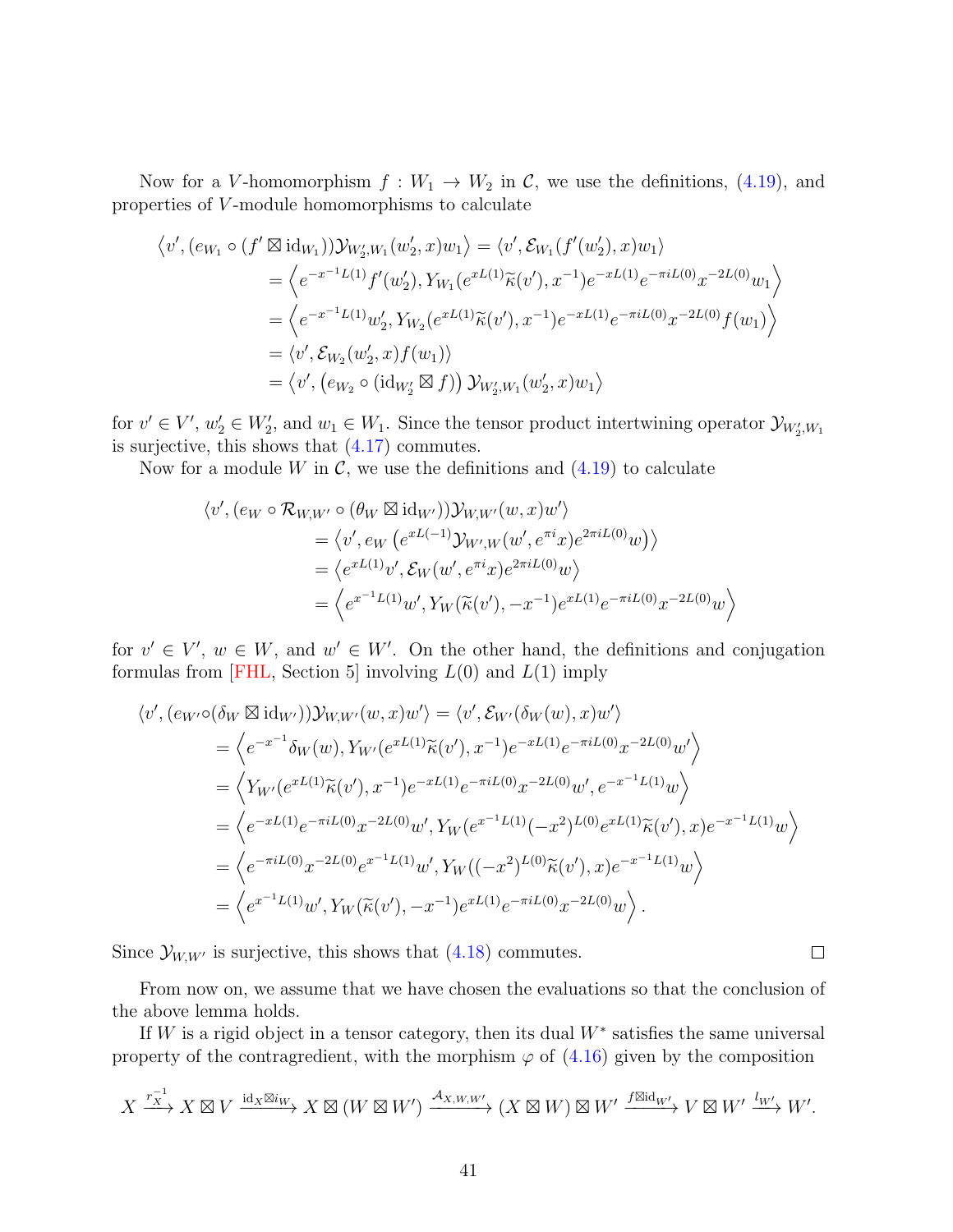Now for a V-homomorphism  $f: W_1 \to W_2$  in C, we use the definitions, [\(4.19\)](#page-39-0), and properties of V -module homomorphisms to calculate

$$
\langle v', (e_{W_1} \circ (f' \boxtimes id_{W_1})) \mathcal{Y}_{W'_2, W_1}(w'_2, x) w_1 \rangle = \langle v', \mathcal{E}_{W_1}(f'(w'_2), x) w_1 \rangle
$$
  
\n
$$
= \langle e^{-x^{-1}L(1)} f'(w'_2), Y_{W_1}(e^{xL(1)} \widetilde{\kappa}(v'), x^{-1}) e^{-xL(1)} e^{-\pi i L(0)} x^{-2L(0)} w_1 \rangle
$$
  
\n
$$
= \langle e^{-x^{-1}L(1)} w'_2, Y_{W_2}(e^{xL(1)} \widetilde{\kappa}(v'), x^{-1}) e^{-xL(1)} e^{-\pi i L(0)} x^{-2L(0)} f(w_1) \rangle
$$
  
\n
$$
= \langle v', \mathcal{E}_{W_2}(w'_2, x) f(w_1) \rangle
$$
  
\n
$$
= \langle v', (e_{W_2} \circ (id_{W'_2} \boxtimes f)) \mathcal{Y}_{W'_2, W_1}(w'_2, x) w_1 \rangle
$$

for  $v' \in V'$ ,  $w'_2 \in W'_2$ , and  $w_1 \in W_1$ . Since the tensor product intertwining operator  $\mathcal{Y}_{W'_2,W_1}$ is surjective, this shows that [\(4.17\)](#page-39-1) commutes.

Now for a module W in  $\mathcal{C}$ , we use the definitions and  $(4.19)$  to calculate

$$
\langle v', (e_W \circ \mathcal{R}_{W,W'} \circ (\theta_W \boxtimes id_{W'})) \mathcal{Y}_{W,W'}(w, x) w' \rangle
$$
  
=  $\langle v', e_W (e^{xL(-1)} \mathcal{Y}_{W',W}(w', e^{\pi i} x) e^{2\pi i L(0)} w) \rangle$   
=  $\langle e^{xL(1)} v', \mathcal{E}_W(w', e^{\pi i} x) e^{2\pi i L(0)} w \rangle$   
=  $\langle e^{x^{-1}L(1)} w', Y_W(\widetilde{\kappa}(v'), -x^{-1}) e^{xL(1)} e^{-\pi i L(0)} x^{-2L(0)} w \rangle$ 

for  $v' \in V'$ ,  $w \in W$ , and  $w' \in W'$ . On the other hand, the definitions and conjugation formulas from [\[FHL,](#page-62-5) Section 5] involving  $L(0)$  and  $L(1)$  imply

$$
\langle v', (e_{W'} \circ (\delta_W \boxtimes id_{W'})) \mathcal{Y}_{W,W'}(w, x) w' \rangle = \langle v', \mathcal{E}_{W'}(\delta_W(w), x) w' \rangle
$$
  
\n
$$
= \langle e^{-x^{-1}} \delta_W(w), Y_{W'}(e^{xL(1)} \widetilde{\kappa}(v'), x^{-1}) e^{-xL(1)} e^{-\pi i L(0)} x^{-2L(0)} w' \rangle
$$
  
\n
$$
= \langle Y_{W'}(e^{xL(1)} \widetilde{\kappa}(v'), x^{-1}) e^{-xL(1)} e^{-\pi i L(0)} x^{-2L(0)} w', e^{-x^{-1}L(1)} w \rangle
$$
  
\n
$$
= \langle e^{-xL(1)} e^{-\pi i L(0)} x^{-2L(0)} w', Y_W(e^{x^{-1}L(1)}(-x^2)^{L(0)} e^{xL(1)} \widetilde{\kappa}(v'), x) e^{-x^{-1}L(1)} w \rangle
$$
  
\n
$$
= \langle e^{-\pi i L(0)} x^{-2L(0)} e^{x^{-1}L(1)} w', Y_W((-x^2)^{L(0)} \widetilde{\kappa}(v'), x) e^{-x^{-1}L(1)} w \rangle
$$
  
\n
$$
= \langle e^{x^{-1}L(1)} w', Y_W(\widetilde{\kappa}(v'), -x^{-1}) e^{xL(1)} e^{-\pi i L(0)} x^{-2L(0)} w \rangle.
$$

Since  $\mathcal{Y}_{W,W'}$  is surjective, this shows that [\(4.18\)](#page-39-2) commutes.

From now on, we assume that we have chosen the evaluations so that the conclusion of the above lemma holds.

 $\Box$ 

If W is a rigid object in a tensor category, then its dual  $W^*$  satisfies the same universal property of the contragredient, with the morphism  $\varphi$  of [\(4.16\)](#page-38-1) given by the composition

$$
X \xrightarrow{r_X^{-1}} X \boxtimes V \xrightarrow{\mathrm{id}_X \boxtimes i_W} X \boxtimes (W \boxtimes W') \xrightarrow{\mathcal{A}_{X,W,W'}} (X \boxtimes W) \boxtimes W' \xrightarrow{f \boxtimes \mathrm{id}_W'} V \boxtimes W' \xrightarrow{l_{W'}} W'.
$$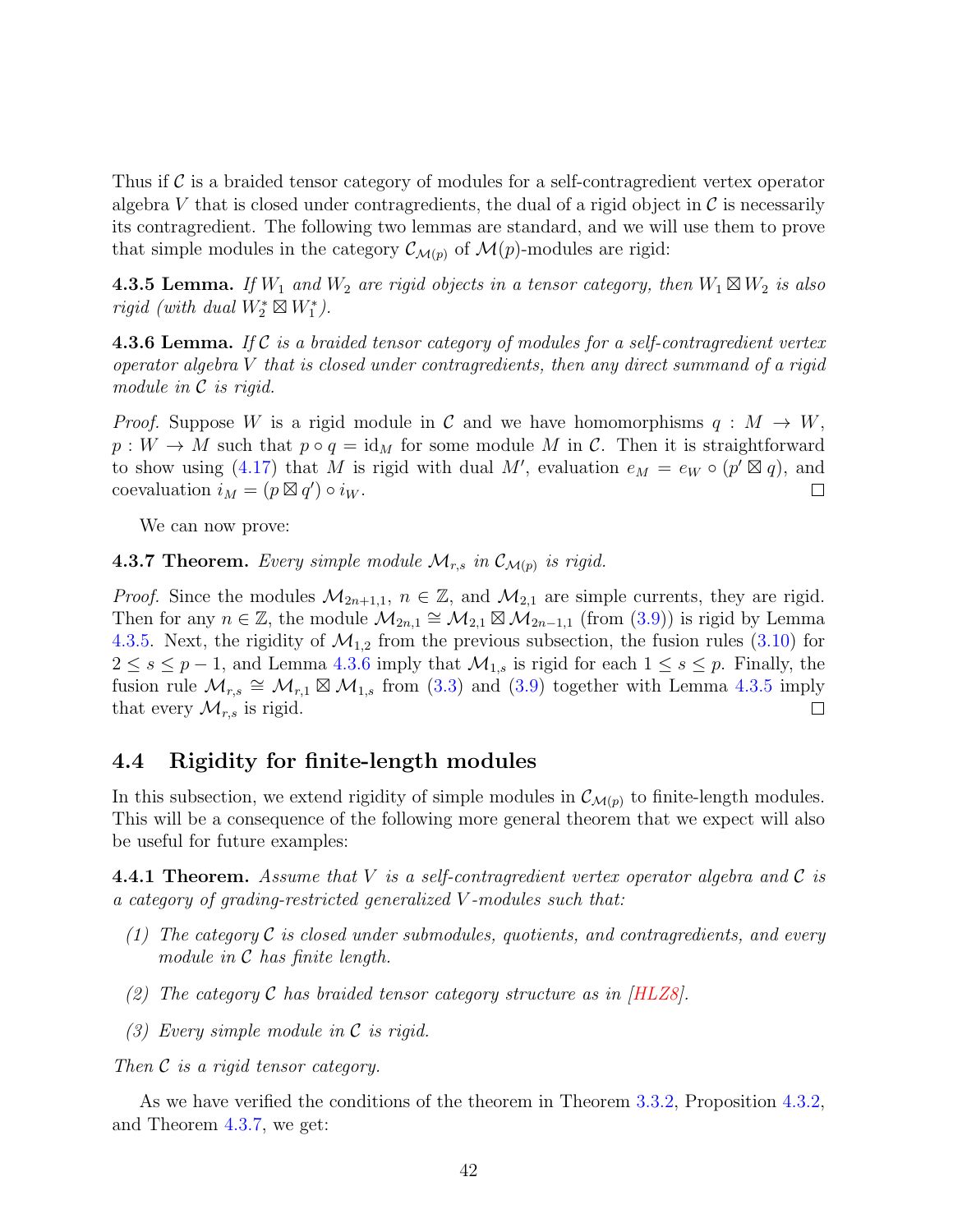Thus if  $\mathcal C$  is a braided tensor category of modules for a self-contragredient vertex operator algebra V that is closed under contragredients, the dual of a rigid object in  $\mathcal C$  is necessarily its contragredient. The following two lemmas are standard, and we will use them to prove that simple modules in the category  $\mathcal{C}_{\mathcal{M}(p)}$  of  $\mathcal{M}(p)$ -modules are rigid:

<span id="page-41-1"></span>**4.3.5 Lemma.** If  $W_1$  and  $W_2$  are rigid objects in a tensor category, then  $W_1 \boxtimes W_2$  is also rigid (with dual  $W_2^* \boxtimes W_1^*$ ).

<span id="page-41-2"></span>**4.3.6 Lemma.** If C is a braided tensor category of modules for a self-contragredient vertex operator algebra  $V$  that is closed under contragredients, then any direct summand of a rigid module in C is rigid.

*Proof.* Suppose W is a rigid module in C and we have homomorphisms  $q : M \to W$ ,  $p: W \to M$  such that  $p \circ q = \text{id}_M$  for some module M in C. Then it is straightforward to show using [\(4.17\)](#page-39-1) that M is rigid with dual M', evaluation  $e_M = e_W \circ (p' \boxtimes q)$ , and coevaluation  $i_M = (p \boxtimes q') \circ i_W$ .  $\Box$ 

We can now prove:

<span id="page-41-3"></span>**4.3.7 Theorem.** Every simple module  $\mathcal{M}_{r,s}$  in  $\mathcal{C}_{\mathcal{M}(p)}$  is rigid.

*Proof.* Since the modules  $\mathcal{M}_{2n+1,1}$ ,  $n \in \mathbb{Z}$ , and  $\mathcal{M}_{2,1}$  are simple currents, they are rigid. Then for any  $n \in \mathbb{Z}$ , the module  $\mathcal{M}_{2n,1} \cong \mathcal{M}_{2,1} \boxtimes \mathcal{M}_{2n-1,1}$  (from [\(3.9\)](#page-19-1)) is rigid by Lemma [4.3.5.](#page-41-1) Next, the rigidity of  $\mathcal{M}_{1,2}$  from the previous subsection, the fusion rules [\(3.10\)](#page-19-0) for  $2 \leq s \leq p-1$ , and Lemma [4.3.6](#page-41-2) imply that  $\mathcal{M}_{1,s}$  is rigid for each  $1 \leq s \leq p$ . Finally, the fusion rule  $\mathcal{M}_{r,s} \cong \mathcal{M}_{r,1} \boxtimes \mathcal{M}_{1,s}$  from [\(3.3\)](#page-17-0) and [\(3.9\)](#page-19-1) together with Lemma [4.3.5](#page-41-1) imply that every  $\mathcal{M}_{r,s}$  is rigid.  $\Box$ 

## 4.4 Rigidity for finite-length modules

In this subsection, we extend rigidity of simple modules in  $\mathcal{C}_{\mathcal{M}(p)}$  to finite-length modules. This will be a consequence of the following more general theorem that we expect will also be useful for future examples:

<span id="page-41-0"></span>**4.4.1 Theorem.** Assume that V is a self-contragredient vertex operator algebra and C is a category of grading-restricted generalized V -modules such that:

- (1) The category  $\mathcal C$  is closed under submodules, quotients, and contragredients, and every module in C has finite length.
- (2) The category C has braided tensor category structure as in  $[HLZ8]$ .
- (3) Every simple module in C is rigid.

Then C is a rigid tensor category.

As we have verified the conditions of the theorem in Theorem [3.3.2,](#page-22-1) Proposition [4.3.2,](#page-38-0) and Theorem [4.3.7,](#page-41-3) we get: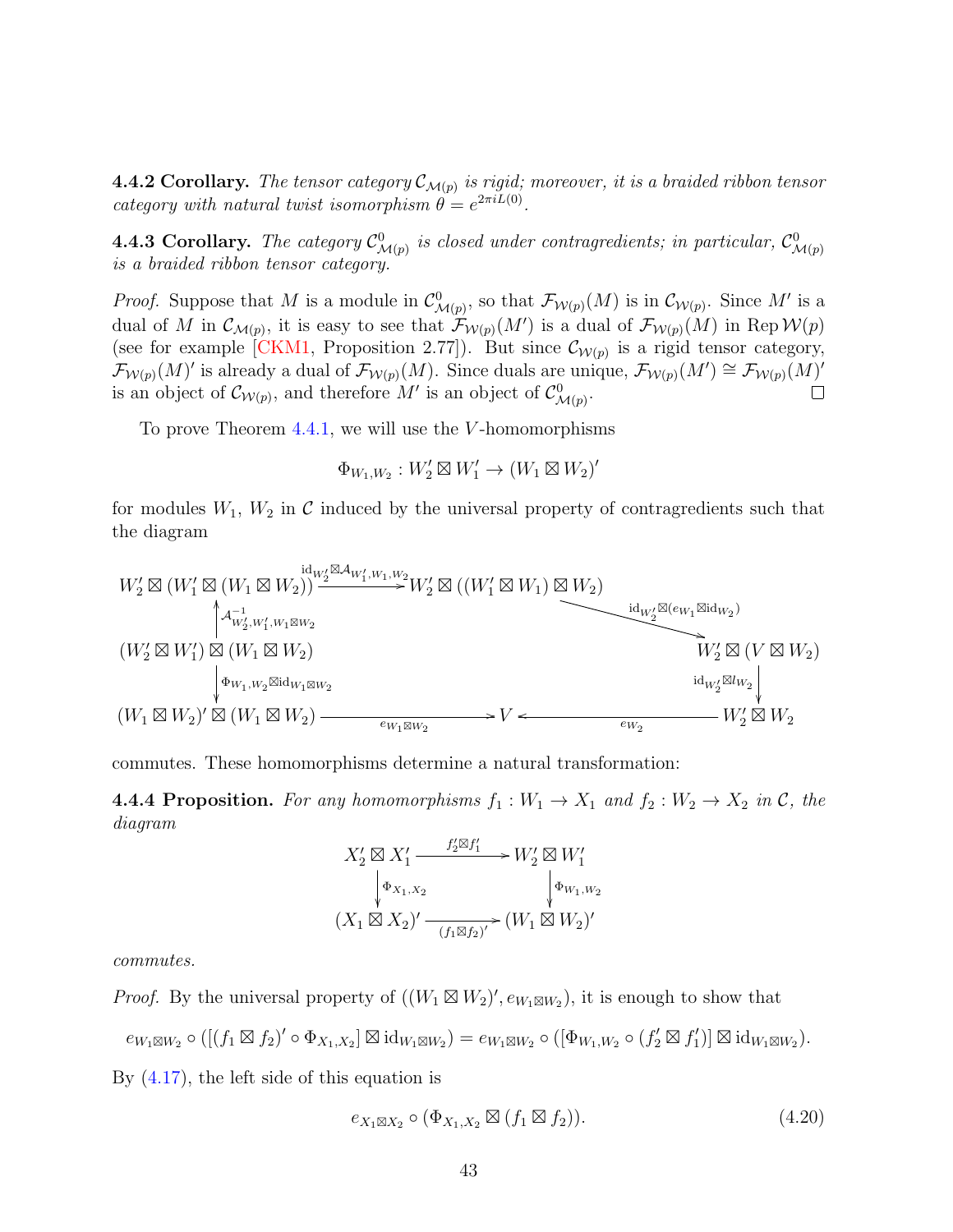**4.4.2 Corollary.** The tensor category  $\mathcal{C}_{\mathcal{M}(p)}$  is rigid; moreover, it is a braided ribbon tensor category with natural twist isomorphism  $\theta = e^{2\pi i L(0)}$ .

**4.4.3 Corollary.** The category  $C^0_{\mathcal{M}(p)}$  is closed under contragredients; in particular,  $C^0_{\mathcal{M}(p)}$ is a braided ribbon tensor category.

*Proof.* Suppose that M is a module in  $\mathcal{C}^0_{\mathcal{M}(p)}$ , so that  $\mathcal{F}_{\mathcal{W}(p)}(M)$  is in  $\mathcal{C}_{\mathcal{W}(p)}$ . Since M' is a dual of M in  $\mathcal{C}_{\mathcal{M}(p)}$ , it is easy to see that  $\mathcal{F}_{\mathcal{W}(p)}(M')$  is a dual of  $\mathcal{F}_{\mathcal{W}(p)}(M)$  in Rep  $\mathcal{W}(p)$ (see for example [\[CKM1,](#page-60-3) Proposition 2.77]). But since  $\mathcal{C}_{\mathcal{W}(p)}$  is a rigid tensor category,  $\mathcal{F}_{\mathcal{W}(p)}(M)'$  is already a dual of  $\mathcal{F}_{\mathcal{W}(p)}(M)$ . Since duals are unique,  $\mathcal{F}_{\mathcal{W}(p)}(M') \cong \mathcal{F}_{\mathcal{W}(p)}(M)'$ is an object of  $\mathcal{C}_{\mathcal{W}(p)}$ , and therefore M' is an object of  $\mathcal{C}_{\mathcal{M}(p)}^0$ .  $\Box$ 

To prove Theorem [4.4.1,](#page-41-0) we will use the V -homomorphisms

$$
\Phi_{W_1,W_2}: W_2' \boxtimes W_1' \to (W_1 \boxtimes W_2)'
$$

for modules  $W_1, W_2$  in C induced by the universal property of contragredients such that the diagram

$$
\begin{array}{ll}\nW_2' \boxtimes (W_1' \boxtimes (W_1 \boxtimes W_2)) \xrightarrow{\operatorname{id}_{W_2'} \boxtimes \mathcal{A}_{W_1', W_1, W_2}} W_2' \boxtimes ((W_1' \boxtimes W_1) \boxtimes W_2) \\
\downarrow^{\mathcal{A}_{W_2', W_1', W_1 \boxtimes W_2}} & \downarrow^{\mathcal{A}_{W_2', W_1', W_1 \boxtimes W_2}} \\
(W_2' \boxtimes W_1') \boxtimes (W_1 \boxtimes W_2) & \downarrow^{\mathcal{A}_{W_1, W_2} \boxtimes \operatorname{id}_{W_1 \boxtimes W_2}} \\
(W_1 \boxtimes W_2)' \boxtimes (W_1 \boxtimes W_2) \xrightarrow{\operatorname{ev}_{W_1 \boxtimes W_2}} V < < \searrow \\
\end{array}
$$

commutes. These homomorphisms determine a natural transformation:

<span id="page-42-1"></span>**4.4.4 Proposition.** For any homomorphisms  $f_1 : W_1 \to X_1$  and  $f_2 : W_2 \to X_2$  in C, the diagram

$$
X_2' \boxtimes X_1' \xrightarrow{f_2' \boxtimes f_1'} W_2' \boxtimes W_1'
$$
  

$$
\downarrow \Phi_{X_1, X_2} \qquad \qquad \downarrow \Phi_{W_1, W_2}
$$
  

$$
(X_1 \boxtimes X_2)' \xrightarrow{(f_1 \boxtimes f_2)'} (W_1 \boxtimes W_2)'
$$

commutes.

*Proof.* By the universal property of  $((W_1 \boxtimes W_2)', e_{W_1 \boxtimes W_2})$ , it is enough to show that

$$
e_{W_1\boxtimes W_2}\circ([(f_1\boxtimes f_2)'\circ \Phi_{X_1,X_2}]\boxtimes \mathrm{id}_{W_1\boxtimes W_2})=e_{W_1\boxtimes W_2}\circ([ \Phi_{W_1,W_2}\circ (f_2'\boxtimes f_1')]\boxtimes \mathrm{id}_{W_1\boxtimes W_2}).
$$

By [\(4.17\)](#page-39-1), the left side of this equation is

<span id="page-42-0"></span>
$$
e_{X_1 \boxtimes X_2} \circ (\Phi_{X_1, X_2} \boxtimes (f_1 \boxtimes f_2)). \tag{4.20}
$$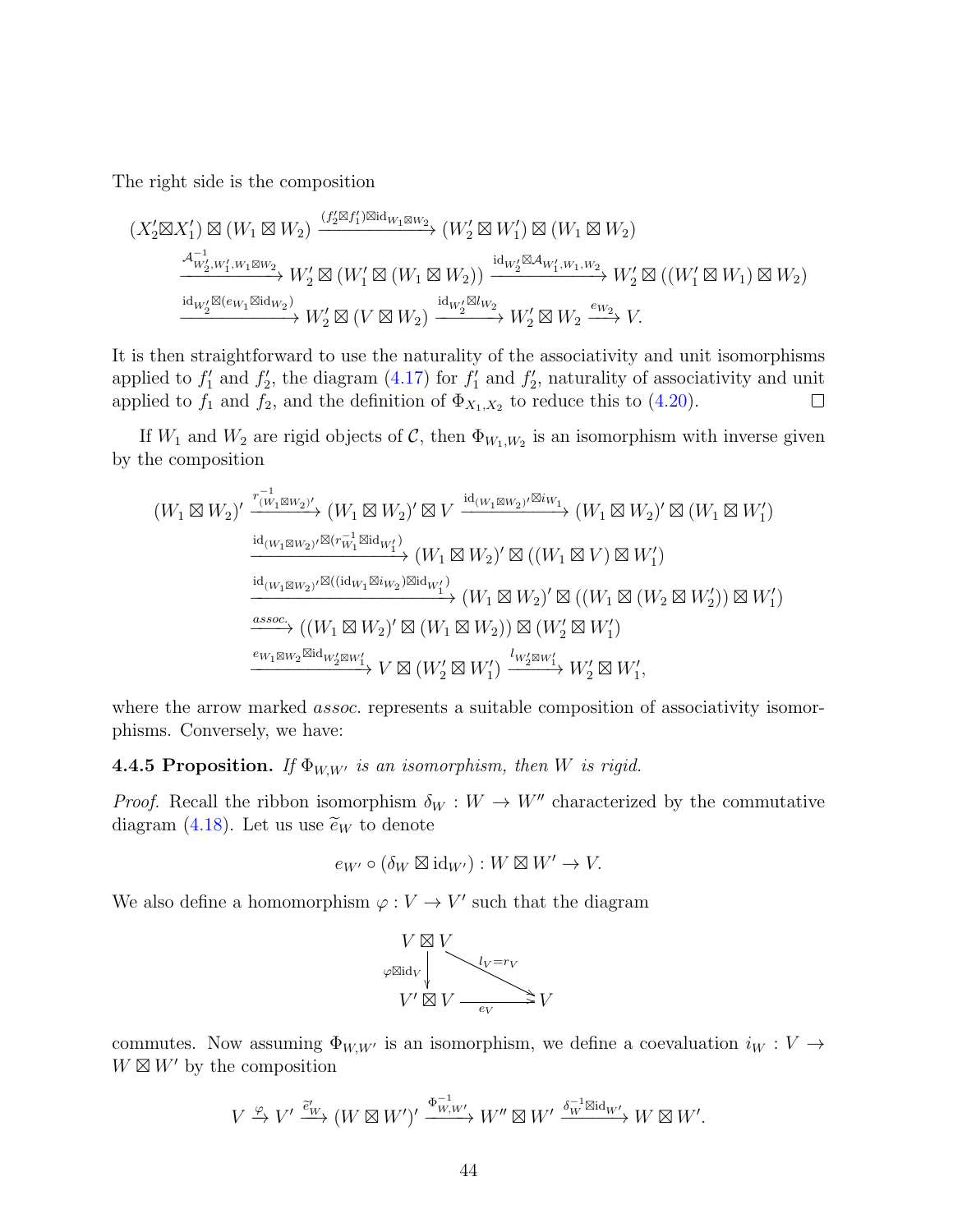The right side is the composition

$$
(X_2' \boxtimes X_1') \boxtimes (W_1 \boxtimes W_2) \xrightarrow{(f_2' \boxtimes f_1') \boxtimes \mathrm{id}_{W_1} \boxtimes W_2} (W_2' \boxtimes W_1') \boxtimes (W_1 \boxtimes W_2)
$$
\n
$$
\xrightarrow{A_{W_2', W_1', W_1 \boxtimes W_2}^{-1}} W_2' \boxtimes (W_1' \boxtimes (W_1 \boxtimes W_2)) \xrightarrow{\mathrm{id}_{W_2'} \boxtimes A_{W_1', W_1, W_2}} W_2' \boxtimes ((W_1' \boxtimes W_1) \boxtimes W_2)
$$
\n
$$
\xrightarrow{\mathrm{id}_{W_2'} \boxtimes (e_{W_1} \boxtimes \mathrm{id}_{W_2})} W_2' \boxtimes (V \boxtimes W_2) \xrightarrow{\mathrm{id}_{W_2'} \boxtimes W_2} W_2' \boxtimes W_2 \xrightarrow{e_{W_2}} V.
$$

It is then straightforward to use the naturality of the associativity and unit isomorphisms applied to  $f_1'$  and  $f_2'$ , the diagram [\(4.17\)](#page-39-1) for  $f_1'$  and  $f_2'$ , naturality of associativity and unit applied to  $f_1$  and  $f_2$ , and the definition of  $\Phi_{X_1,X_2}$  to reduce this to [\(4.20\)](#page-42-0).  $\Box$ 

If  $W_1$  and  $W_2$  are rigid objects of C, then  $\Phi_{W_1,W_2}$  is an isomorphism with inverse given by the composition

$$
(W_1 \boxtimes W_2)' \xrightarrow{\overset{r_{(W_1 \boxtimes W_2)'} }{\operatorname{id}_{(W_1 \boxtimes W_2)'} \otimes (W_1 \boxtimes W_2)'} \boxtimes V} \xrightarrow{\operatorname{id}_{(W_1 \boxtimes W_2)'} \boxtimes i_{W_1}} (W_1 \boxtimes W_2)' \boxtimes (W_1 \boxtimes W_1')
$$
\n
$$
\xrightarrow{\operatorname{id}_{(W_1 \boxtimes W_2)'} \boxtimes (\overset{r_{W_1} \boxtimes id_{W_1'})}{\operatorname{id}_{(W_1 \boxtimes W_2)'} \otimes \operatorname{id}_{W_1'}}} (W_1 \boxtimes W_2)' \boxtimes ((W_1 \boxtimes V) \boxtimes W_1')
$$
\n
$$
\xrightarrow{\operatorname{id}_{(W_1 \boxtimes W_2)'} \boxtimes ((\operatorname{id}_{W_1} \boxtimes i_{W_2}) \boxtimes \operatorname{id}_{W_1'})} (W_1 \boxtimes W_2)' \boxtimes ((W_1 \boxtimes (W_2 \boxtimes W_2')) \boxtimes W_1')
$$
\n
$$
\xrightarrow{\text{assoc.}} ((W_1 \boxtimes W_2)' \boxtimes (W_1 \boxtimes W_2)) \boxtimes (W_2' \boxtimes W_1')
$$
\n
$$
\xrightarrow{e_{W_1 \boxtimes W_2} \boxtimes \operatorname{id}_{W_2' \boxtimes W_1'}} V \boxtimes (W_2' \boxtimes W_1') \xrightarrow{\overset{l_{W_2'} \boxtimes W_1'}} W_2' \boxtimes W_1',
$$

where the arrow marked *assoc*. represents a suitable composition of associativity isomorphisms. Conversely, we have:

<span id="page-43-0"></span>**4.4.5 Proposition.** If  $\Phi_{W,W}$  is an isomorphism, then W is rigid.

*Proof.* Recall the ribbon isomorphism  $\delta_W : W \to W''$  characterized by the commutative diagram [\(4.18\)](#page-39-2). Let us use  $\widetilde{e}_W$  to denote

$$
e_{W'} \circ (\delta_W \boxtimes \mathrm{id}_{W'}) : W \boxtimes W' \to V.
$$

We also define a homomorphism  $\varphi: V \to V'$  such that the diagram



commutes. Now assuming  $\Phi_{W,W}$  is an isomorphism, we define a coevaluation  $i_W : V \to$  $W \boxtimes W'$  by the composition

$$
V\xrightarrow{\varphi}V'\xrightarrow{\widetilde{e}_W'}(W\boxtimes W')'\xrightarrow{\Phi_{W,W'}^{-1}}W''\boxtimes W'\xrightarrow{\delta_W^{-1}\boxtimes\mathrm{id}_{W'}}W\boxtimes W'.
$$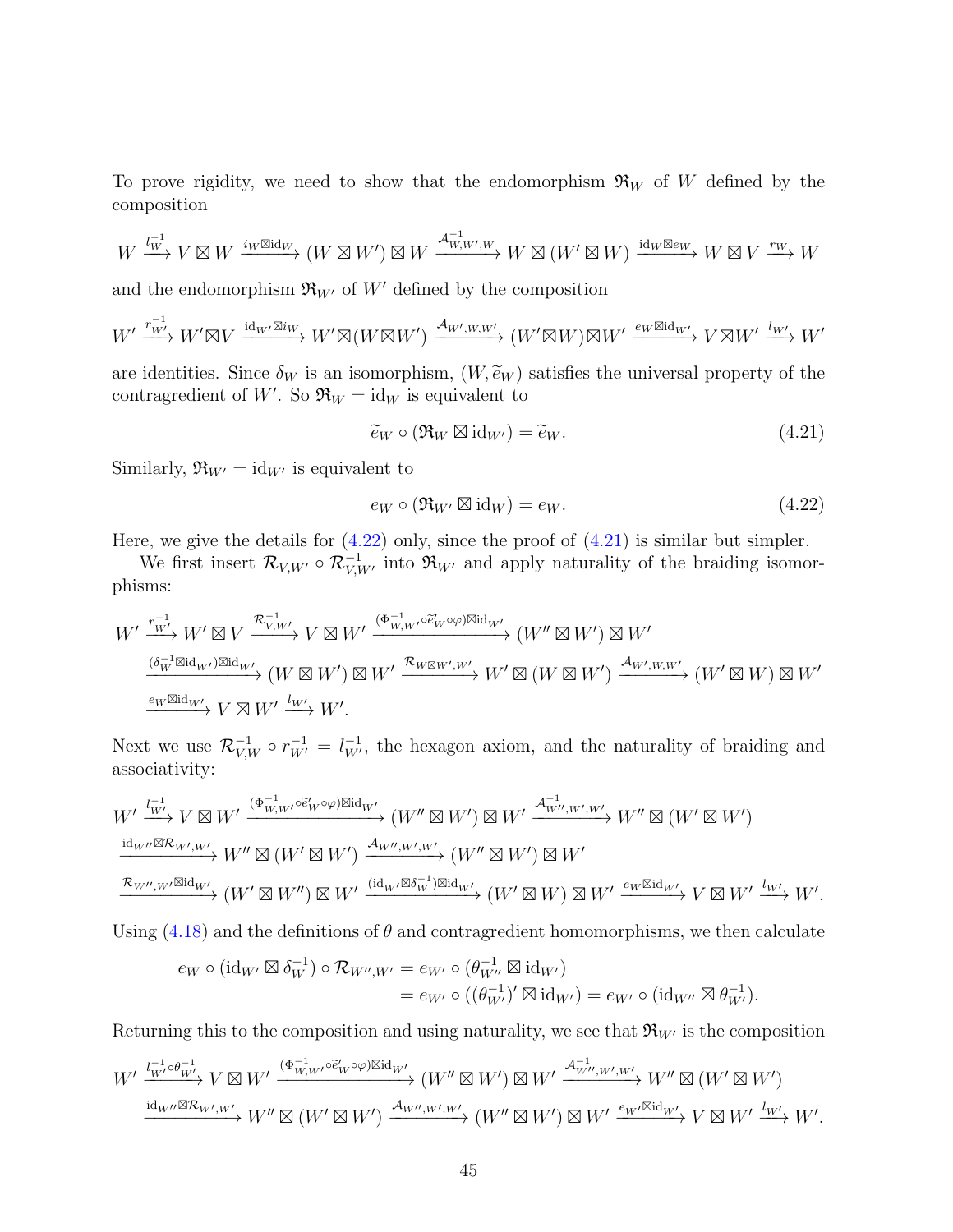To prove rigidity, we need to show that the endomorphism  $\mathfrak{R}_W$  of W defined by the composition

$$
W \xrightarrow{l_W^{-1}} V \boxtimes W \xrightarrow{i_W \boxtimes \mathrm{id}_W} (W \boxtimes W') \boxtimes W \xrightarrow{\mathcal{A}_{W,W',W}^{-1}} W \boxtimes (W' \boxtimes W) \xrightarrow{\mathrm{id}_W \boxtimes e_W} W \boxtimes V \xrightarrow{r_W} W
$$

and the endomorphism  $\mathfrak{R}_{W'}$  of W' defined by the composition

$$
W'\xrightarrow{r_{W'}^{-1}} W' \boxtimes V \xrightarrow{\operatorname{id}_{W'} \boxtimes i_W} W' \boxtimes (W \boxtimes W') \xrightarrow{\mathcal{A}_{W',W,W'}} (W' \boxtimes W) \boxtimes W' \xrightarrow{e_W \boxtimes \operatorname{id}_{W'}} V \boxtimes W' \xrightarrow{l_{W'}} W'
$$

are identities. Since  $\delta_W$  is an isomorphism,  $(W, \tilde{e}_W)$  satisfies the universal property of the contragredient of W'. So  $\mathfrak{R}_W = id_W$  is equivalent to

<span id="page-44-1"></span>
$$
\widetilde{e}_W \circ (\mathfrak{R}_W \boxtimes \mathrm{id}_{W'}) = \widetilde{e}_W. \tag{4.21}
$$

Similarly,  $\mathfrak{R}_{W'} = \mathrm{id}_{W'}$  is equivalent to

<span id="page-44-0"></span>
$$
e_W \circ (\Re_{W'} \boxtimes \mathrm{id}_W) = e_W. \tag{4.22}
$$

Here, we give the details for  $(4.22)$  only, since the proof of  $(4.21)$  is similar but simpler.

We first insert  $\mathcal{R}_{V,W'} \circ \mathcal{R}_{V,W'}^{-1}$  into  $\mathfrak{R}_{W'}$  and apply naturality of the braiding isomorphisms:

$$
\begin{split} W' \xrightarrow{r_{W'}^{-1}} W' \boxtimes V & \xrightarrow{\mathcal{R}_{V,W'}^{-1}} V \boxtimes W' \xrightarrow{(\Phi_{W,W'}^{-1} \circ \tilde{e}_W' \circ \varphi) \boxtimes \mathrm{id}_{W'}} (W'' \boxtimes W') \boxtimes W' \\ \xrightarrow{(\delta_W^{-1} \boxtimes \mathrm{id}_{W'}) \boxtimes \mathrm{id}_{W'}} (W \boxtimes W') \boxtimes W' \xrightarrow{\mathcal{R}_{W \boxtimes W',W'}} W' \boxtimes (W \boxtimes W') \xrightarrow{\mathcal{A}_{W',W,W'}} (W' \boxtimes W) \boxtimes W' \\ \xrightarrow{e_W \boxtimes \mathrm{id}_{W'}} V \boxtimes W' \xrightarrow{l_{W'}} W'. \end{split}
$$

Next we use  $\mathcal{R}_{V,W}^{-1} \circ r_{W'}^{-1} = l_{W'}^{-1}$ , the hexagon axiom, and the naturality of braiding and associativity:

$$
W' \xrightarrow{l_{W'}^{-1} V \boxtimes W'} W' \xrightarrow{(\Phi_{W,W'}^{-1} \circ \tilde{e}'_{W} \circ \varphi) \boxtimes id_{W'}} (W'' \boxtimes W') \boxtimes W' \xrightarrow{\mathcal{A}_{W'',W',W'}^{-1} W'' \boxtimes (W' \boxtimes W')} W'' \boxtimes (W' \boxtimes W')
$$
  
\n $\xrightarrow{\mathrm{id}_{W''} \boxtimes \mathcal{R}_{W',W'}} W'' \boxtimes (W' \boxtimes W') \xrightarrow{\mathcal{A}_{W'',W',W'}} (W'' \boxtimes W') \boxtimes W'$   
\n $\xrightarrow{\mathcal{R}_{W'',W'} \boxtimes id_{W'}} (W' \boxtimes W'') \boxtimes W' \xrightarrow{(\mathrm{id}_{W'} \boxtimes \delta_W^{-1}) \boxtimes id_{W'}} (W' \boxtimes W) \boxtimes W' \xrightarrow{e_W \boxtimes id_{W'}} V \boxtimes W' \xrightarrow{l_{W'}} W'.$ 

Using  $(4.18)$  and the definitions of  $\theta$  and contragredient homomorphisms, we then calculate

$$
\begin{aligned} e_W \circ (\operatorname{id}_{W'} \boxtimes \delta_W^{-1}) \circ \mathcal{R}_{W'',W'} &= e_{W'} \circ (\theta_{W''}^{-1} \boxtimes \operatorname{id}_{W'}) \\ &= e_{W'} \circ ((\theta_{W'}^{-1})' \boxtimes \operatorname{id}_{W'}) = e_{W'} \circ (\operatorname{id}_{W''} \boxtimes \theta_{W'}^{-1}). \end{aligned}
$$

Returning this to the composition and using naturality, we see that  $\mathfrak{R}_{W'}$  is the composition

$$
W' \xrightarrow{\frac{l_{W'}^{-1} \circ \theta_{W'}^{-1}}{w}} V \boxtimes W' \xrightarrow{(\Phi_{W,W'}^{-1} \circ \tilde{e}_{W} \circ \varphi) \boxtimes id_{W'}} (W'' \boxtimes W') \boxtimes W' \xrightarrow{\mathcal{A}_{W'',W',W'}^{-1}} W'' \boxtimes (W' \boxtimes W') \xrightarrow{\mathrm{id}_{W''} \boxtimes \mathcal{R}_{W',W'}} W'' \boxtimes (W'' \boxtimes W') \xrightarrow{\mathrm{id}_{W''} \boxtimes \mathcal{R}_{W',W'}} W'' \boxtimes (W'' \boxtimes W') \xrightarrow{\mathcal{A}_{W'',W',W'}} (W'' \boxtimes W') \boxtimes W' \xrightarrow{e_{W'} \boxtimes id_{W'}} V \boxtimes W' \xrightarrow{l_{W'}} W'.
$$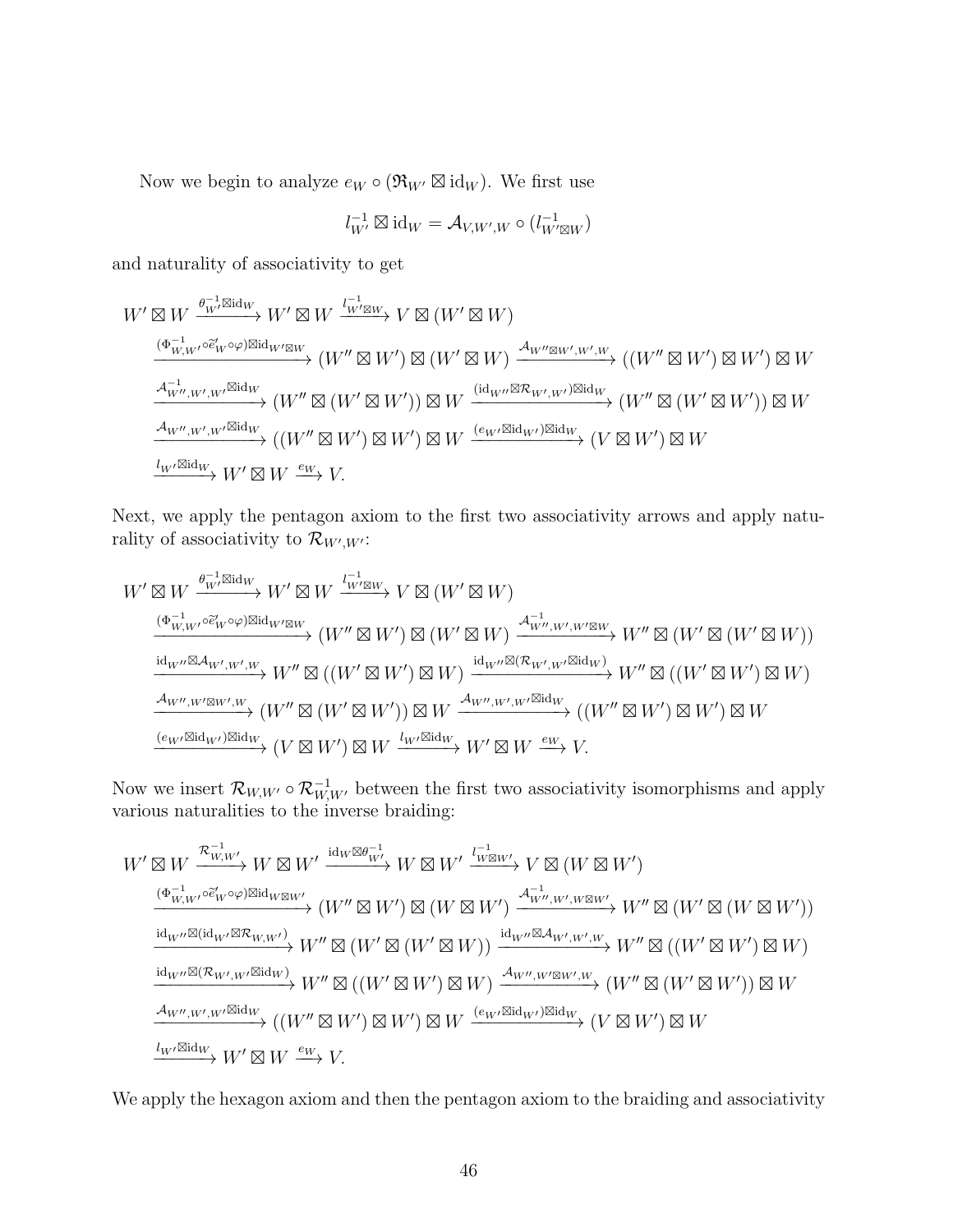Now we begin to analyze  $e_W \circ (\mathfrak{R}_{W'} \boxtimes id_W)$ . We first use

$$
l_{W'}^{-1} \boxtimes \mathrm{id}_W = \mathcal{A}_{V,W',W} \circ (l_{W' \boxtimes W}^{-1})
$$

and naturality of associativity to get

W<sup>0</sup> - W θ −1 W0id<sup>W</sup> −−−−−→ W<sup>0</sup> - W l −1 W0-<sup>W</sup> −−−−→ V - (W<sup>0</sup> - W) (Φ−<sup>1</sup> W,W0◦e<sup>e</sup> 0 <sup>W</sup> ◦ϕ)idW0-W −−−−−−−−−−−−−−→ (W<sup>00</sup> - W<sup>0</sup> ) - (W<sup>0</sup> - W) AW00-W0 ,W0 ,W −−−−−−−−−→ ((W<sup>00</sup> - W<sup>0</sup> ) - W<sup>0</sup> ) - W A −1 W00,W0 ,W0id<sup>W</sup> −−−−−−−−−−→ (W<sup>00</sup> - (W<sup>0</sup> - W<sup>0</sup> )) - W (idW00-RW<sup>0</sup> ,W<sup>0</sup> )id<sup>W</sup> −−−−−−−−−−−−−→ (W<sup>00</sup> - (W<sup>0</sup> - W<sup>0</sup> )) - W AW00,W<sup>0</sup> ,W0id<sup>W</sup> −−−−−−−−−−→ ((W<sup>00</sup> - W<sup>0</sup> ) - W<sup>0</sup> ) - W (eW0idW<sup>0</sup> )id<sup>W</sup> −−−−−−−−−−→ (V - W<sup>0</sup> ) - W <sup>l</sup>W0id<sup>W</sup> −−−−−→ W<sup>0</sup> - W <sup>e</sup><sup>W</sup>−−→ V.

Next, we apply the pentagon axiom to the first two associativity arrows and apply naturality of associativity to  $\mathcal{R}_{W',W'}$ :

$$
\begin{array}{c}\nW' \boxtimes W \xrightarrow{\theta_{W'}^{-1} \boxtimes id_{W}} W' \boxtimes W \xrightarrow{l_{W' \boxtimes W}^{-1} \times V} V \boxtimes (W' \boxtimes W) \\
\xrightarrow{(\Phi_{W,W'}^{-1} \circ \tilde{e}'_{W} \circ \varphi) \boxtimes id_{W' \boxtimes W}} (W'' \boxtimes W' \boxtimes (W' \boxtimes W) \xrightarrow{A_{W'',W',W',W' \boxtimes W}} W'' \boxtimes (W' \boxtimes (W' \boxtimes W)) \\
\xrightarrow{\operatorname{id}_{W''} \boxtimes \mathcal{A}_{W',W',W'}} W'' \boxtimes ((W' \boxtimes W') \boxtimes W) \xrightarrow{\operatorname{id}_{W''} \boxtimes (\mathcal{R}_{W',W'} \boxtimes id_{W})} W'' \boxtimes ((W' \boxtimes W') \boxtimes W) \\
\xrightarrow{\operatorname{id}_{W'',W' \boxtimes W',W}} (W'' \boxtimes (W' \boxtimes W')) \boxtimes W \xrightarrow{\mathcal{A}_{W'',W',W'} \boxtimes id_{W}} ((W'' \boxtimes W') \boxtimes W) \\
\xrightarrow{\operatorname{\ell_{W'} \boxtimes id_{W'}} \boxtimes id_{W}} (V \boxtimes W') \boxtimes W \xrightarrow{l_{W'} \boxtimes id_{W}} W' \boxtimes W \xrightarrow{e_{W}} V.\n\end{array}
$$

Now we insert  $\mathcal{R}_{W,W'} \circ \mathcal{R}_{W,W'}^{-1}$  between the first two associativity isomorphisms and apply various naturalities to the inverse braiding:

$$
W' \boxtimes W \xrightarrow{\mathcal{R}_{W,W'}^{-1}} W \boxtimes W' \xrightarrow{\mathrm{id}_W \boxtimes \theta_{W'}^{-1}} W \boxtimes W' \xrightarrow{\iota_{W \boxtimes W'}^{-1}} V \boxtimes (W \boxtimes W')
$$
\n
$$
\xrightarrow{\left(\Phi_{W,W'}^{-1} \circ \tilde{e}'_{W} \circ \varphi\right) \boxtimes \mathrm{id}_{W \boxtimes W'}} \left(W'' \boxtimes W'\right) \boxtimes (W \boxtimes W') \xrightarrow{\iota_{W'',W',W \boxtimes W'}} W'' \boxtimes (W' \boxtimes (W \boxtimes W'))
$$
\n
$$
\xrightarrow{\mathrm{id}_{W''} \boxtimes (\mathrm{id}_{W'} \boxtimes \mathcal{R}_{W,W'})} W'' \boxtimes (W' \boxtimes (W' \boxtimes W)) \xrightarrow{\mathrm{id}_{W''} \boxtimes \mathcal{A}_{W',W',W}} W'' \boxtimes ((W' \boxtimes W') \boxtimes W)
$$
\n
$$
\xrightarrow{\mathrm{id}_{W''} \boxtimes (\mathcal{R}_{W',W'} \boxtimes \mathrm{id}_W)} W'' \boxtimes ((W' \boxtimes W') \boxtimes W) \xrightarrow{\iota_{W'',W' \boxtimes W',W}} (W'' \boxtimes (W' \boxtimes W')) \boxtimes W
$$
\n
$$
\xrightarrow{\iota_{W'',W',W'} \boxtimes \mathrm{id}_W} ((W'' \boxtimes W') \boxtimes W') \boxtimes W \xrightarrow{\iota_{W'} \boxtimes \mathrm{id}_{W'} \boxtimes \mathrm{id}_W} (V \boxtimes W') \boxtimes W
$$
\n
$$
\xrightarrow{\iota_{W'} \boxtimes \mathrm{id}_W} W' \boxtimes W \xrightarrow{e_W} V.
$$

We apply the hexagon axiom and then the pentagon axiom to the braiding and associativity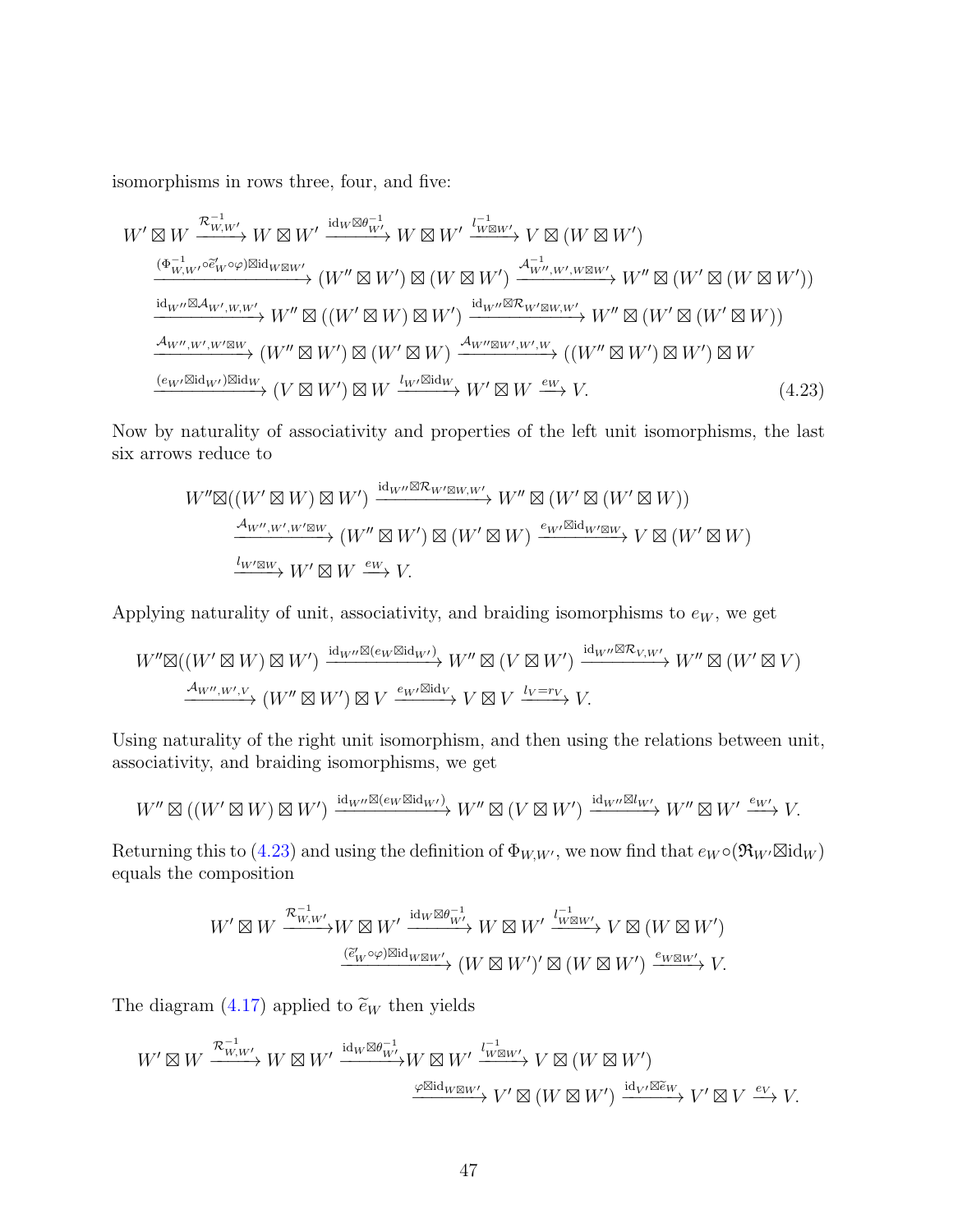isomorphisms in rows three, four, and five:

$$
W' \boxtimes W \xrightarrow{\mathcal{R}_{W,W'}^{-1}} W \boxtimes W' \xrightarrow{\mathrm{id}_{W} \boxtimes \theta_{W'}^{-1}} W \boxtimes W' \xrightarrow{\mathrm{id}_{W} \boxtimes \theta_{W'}^{-1}} V \boxtimes (W \boxtimes W')
$$
  
\n
$$
\xrightarrow{(\Phi_{W,W'}^{-1} \circ \tilde{e}'_{W} \circ \varphi) \boxtimes \mathrm{id}_{W \boxtimes W'}} (W'' \boxtimes W') \boxtimes (W \boxtimes W') \xrightarrow{\mathcal{A}_{W'',W',W \boxtimes W'}} W'' \boxtimes (W' \boxtimes (W \boxtimes W'))
$$
  
\n
$$
\xrightarrow{\mathrm{id}_{W''} \boxtimes \mathcal{A}_{W',W,W'}} W'' \boxtimes ((W' \boxtimes W) \boxtimes W') \xrightarrow{\mathrm{id}_{W''} \boxtimes \mathcal{R}_{W' \boxtimes W, W'}} W'' \boxtimes (W' \boxtimes (W' \boxtimes W'))
$$
  
\n
$$
\xrightarrow{\mathcal{A}_{W'',W',W' \boxtimes W}} (W'' \boxtimes W') \boxtimes (W' \boxtimes W) \xrightarrow{\mathcal{A}_{W'' \boxtimes W',W',W'}} ((W'' \boxtimes W') \boxtimes W')
$$
  
\n
$$
\xrightarrow{(\epsilon_W \boxtimes \mathrm{id}_{W'}) \boxtimes \mathrm{id}_W} (V \boxtimes W') \boxtimes W \xrightarrow{\mathcal{U}_{W'} \boxtimes \mathrm{id}_W} W' \boxtimes W \xrightarrow{\ell_{W'} \boxtimes \mathrm{id}_W} W' \boxtimes W' \boxtimes W \xrightarrow{\epsilon_W} V.
$$
  
\n(4.23)

Now by naturality of associativity and properties of the left unit isomorphisms, the last six arrows reduce to

<span id="page-46-0"></span>
$$
W''\boxtimes((W'\boxtimes W)\boxtimes W')\xrightarrow{\mathrm{id}_{W''}\boxtimes \mathcal{R}_{W'\boxtimes W,W'}} W''\boxtimes(W'\boxtimes(W'\boxtimes W))
$$
  
\n
$$
\xrightarrow{\mathcal{A}_{W'',W',W'\boxtimes W}}(W''\boxtimes W')\boxtimes(W'\boxtimes W)\xrightarrow{e_{W'}\boxtimes \mathrm{id}_{W'\boxtimes W}}V\boxtimes(W'\boxtimes W)
$$
  
\n
$$
\xrightarrow{l_{W'\boxtimes W}}W'\boxtimes W\xrightarrow{e_{W}}V.
$$

Applying naturality of unit, associativity, and braiding isomorphisms to  $e_W$ , we get

$$
W''\boxtimes((W'\boxtimes W)\boxtimes W')\xrightarrow{\mathrm{id}_{W''}\boxtimes(e_W\boxtimes\mathrm{id}_{W'})} W''\boxtimes(V\boxtimes W')\xrightarrow{\mathrm{id}_{W''}\boxtimes\mathcal{R}_{V,W'}}W''\boxtimes(W'\boxtimes V)
$$
  

$$
\xrightarrow{\mathcal{A}_{W'',W',V}} (W''\boxtimes W')\boxtimes V\xrightarrow{e_{W'}\boxtimes\mathrm{id}_V} V\boxtimes V\xrightarrow{l_V=r_V} V.
$$

Using naturality of the right unit isomorphism, and then using the relations between unit, associativity, and braiding isomorphisms, we get

$$
W''\boxtimes ((W'\boxtimes W)\boxtimes W')\xrightarrow{\mathrm{id}_{W''}\boxtimes (e_W\boxtimes \mathrm{id}_{W'})} W''\boxtimes (V\boxtimes W')\xrightarrow{\mathrm{id}_{W''}\boxtimes l_{W'}} W''\boxtimes W'\xrightarrow{e_{W'}} V.
$$

Returning this to [\(4.23\)](#page-46-0) and using the definition of  $\Phi_{W,W'}$ , we now find that  $e_W \circ (\Re_{W'} \boxtimes id_W)$ equals the composition

$$
W' \boxtimes W \xrightarrow{\mathcal{R}_{W,W'}^{-1}} W \boxtimes W' \xrightarrow{\operatorname{id}_W \boxtimes \theta_{W'}^{-1}} W \boxtimes W' \xrightarrow{l_{W \boxtimes W'}^{-1}} V \boxtimes (W \boxtimes W')
$$

$$
\xrightarrow{(\tilde{e}_W' \circ \varphi) \boxtimes \operatorname{id}_{W \boxtimes W'}} (W \boxtimes W')' \boxtimes (W \boxtimes W') \xrightarrow{e_W \boxtimes W'} V.
$$

The diagram [\(4.17\)](#page-39-1) applied to  $\tilde{e}_W$  then yields

$$
W' \boxtimes W \xrightarrow{\mathcal{R}_{W,W'}^{-1}} W \boxtimes W' \xrightarrow{\operatorname{id}_W \boxtimes \theta_W^{-1}} W \boxtimes W' \xrightarrow{l_{W \boxtimes W'}^{-1}} V \boxtimes (W \boxtimes W')
$$
  

$$
\xrightarrow{\varphi \boxtimes \operatorname{id}_W \boxtimes W'} V' \boxtimes (W \boxtimes W') \xrightarrow{\operatorname{id}_V \boxtimes \widetilde{e}_W} V' \boxtimes V \xrightarrow{e_V} V.
$$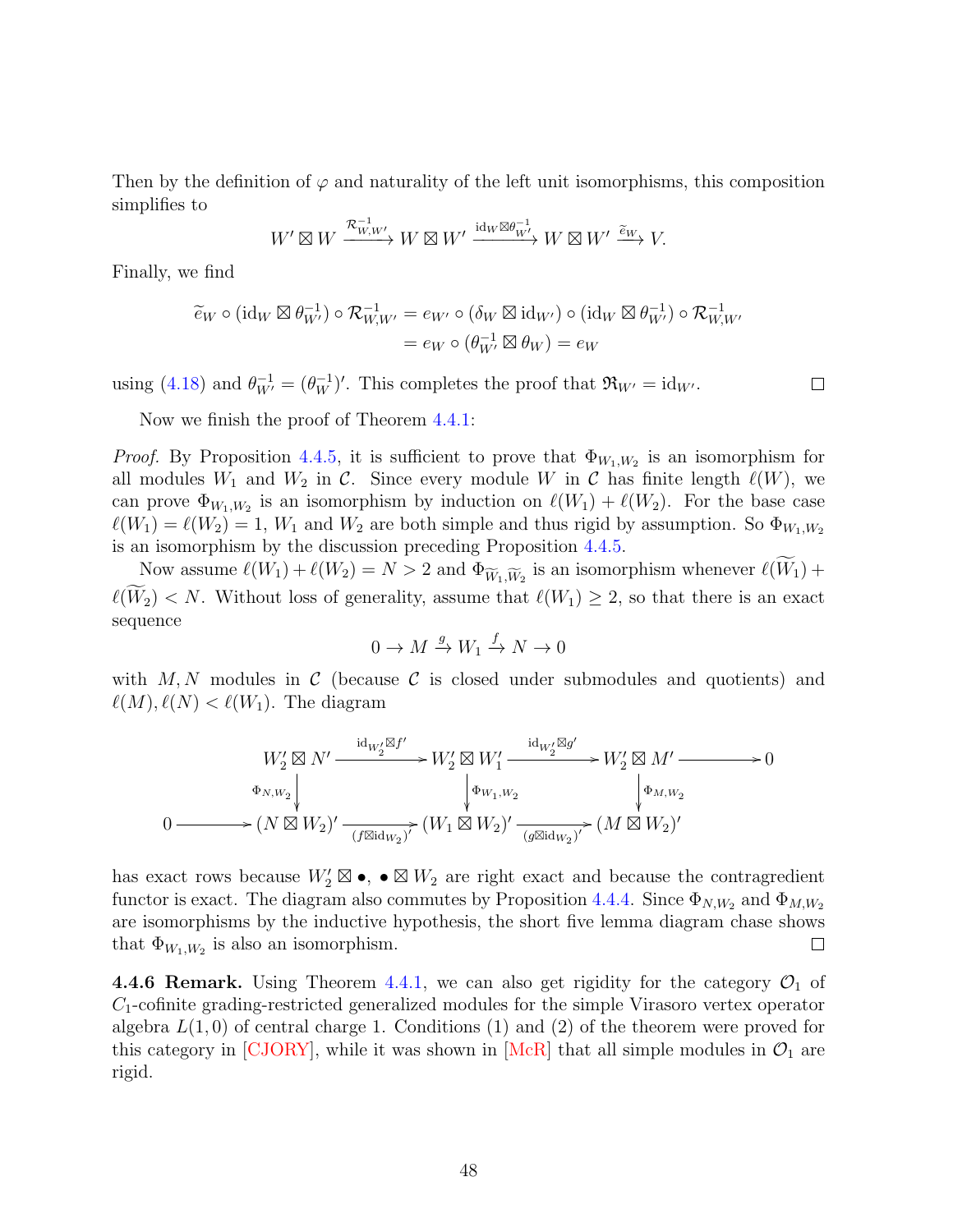Then by the definition of  $\varphi$  and naturality of the left unit isomorphisms, this composition simplifies to

$$
W' \boxtimes W \xrightarrow{\mathcal{R}_{W,W'}^{-1}} W \boxtimes W' \xrightarrow{\mathrm{id}_W \boxtimes \theta_{W'}^{-1}} W \boxtimes W' \xrightarrow{\widetilde{e}_W} V.
$$

Finally, we find

$$
\widetilde{e}_W \circ (\mathrm{id}_W \boxtimes \theta_{W'}^{-1}) \circ \mathcal{R}_{W,W'}^{-1} = e_{W'} \circ (\delta_W \boxtimes \mathrm{id}_{W'}) \circ (\mathrm{id}_W \boxtimes \theta_{W'}^{-1}) \circ \mathcal{R}_{W,W'}^{-1}
$$

$$
= e_W \circ (\theta_{W'}^{-1} \boxtimes \theta_W) = e_W
$$

using [\(4.18\)](#page-39-2) and  $\theta_{W'}^{-1} = (\theta_W^{-1})'$ . This completes the proof that  $\mathfrak{R}_{W'} = id_{W'}$ .

 $\Box$ 

Now we finish the proof of Theorem [4.4.1:](#page-41-0)

*Proof.* By Proposition [4.4.5,](#page-43-0) it is sufficient to prove that  $\Phi_{W_1,W_2}$  is an isomorphism for all modules  $W_1$  and  $W_2$  in C. Since every module W in C has finite length  $\ell(W)$ , we can prove  $\Phi_{W_1,W_2}$  is an isomorphism by induction on  $\ell(W_1) + \ell(W_2)$ . For the base case  $\ell(W_1) = \ell(W_2) = 1, W_1$  and  $W_2$  are both simple and thus rigid by assumption. So  $\Phi_{W_1,W_2}$ is an isomorphism by the discussion preceding Proposition [4.4.5.](#page-43-0)

Now assume  $\ell(W_1) + \ell(W_2) = N > 2$  and  $\Phi_{\widetilde{W}_1,\widetilde{W}_2}$  is an isomorphism whenever  $\ell(W_1) +$  $\ell(\widetilde{W}_2) < N$ . Without loss of generality, assume that  $\ell(W_1) \geq 2$ , so that there is an exact sequence

$$
0 \to M \xrightarrow{g} W_1 \xrightarrow{f} N \to 0
$$

with  $M, N$  modules in C (because C is closed under submodules and quotients) and  $\ell(M), \ell(N) < \ell(W_1)$ . The diagram

$$
W_2' \boxtimes N' \xrightarrow{\mathrm{id}_{W_2'} \boxtimes f'} W_2' \boxtimes W_1' \xrightarrow{\mathrm{id}_{W_2'} \boxtimes g'} W_2' \boxtimes M' \longrightarrow 0
$$
  
\n
$$
\Phi_{N,W_2} \downarrow \qquad \qquad \downarrow \Phi_{W_1,W_2} \downarrow \qquad \qquad \downarrow \Phi_{M,W_2}
$$
  
\n
$$
0 \longrightarrow (N \boxtimes W_2)' \xrightarrow{\hspace{0.5cm} (f \boxtimes \mathrm{id}_{W_2})^{\gamma}} (W_1 \boxtimes W_2)' \xrightarrow{\hspace{0.5cm} (g \boxtimes \mathrm{id}_{W_2})^{\succ}} (M \boxtimes W_2)'
$$

has exact rows because  $W_2' \boxtimes \bullet$ ,  $\bullet \boxtimes W_2$  are right exact and because the contragredient functor is exact. The diagram also commutes by Proposition [4.4.4.](#page-42-1) Since  $\Phi_{N,W_2}$  and  $\Phi_{M,W_2}$ are isomorphisms by the inductive hypothesis, the short five lemma diagram chase shows that  $\Phi_{W_1,W_2}$  is also an isomorphism.  $\Box$ 

<span id="page-47-0"></span>**4.4.6 Remark.** Using Theorem [4.4.1,](#page-41-0) we can also get rigidity for the category  $\mathcal{O}_1$  of  $C_1$ -cofinite grading-restricted generalized modules for the simple Virasoro vertex operator algebra  $L(1,0)$  of central charge 1. Conditions (1) and (2) of the theorem were proved for this category in [\[CJORY\]](#page-60-2), while it was shown in [\[McR\]](#page-64-3) that all simple modules in  $\mathcal{O}_1$  are rigid.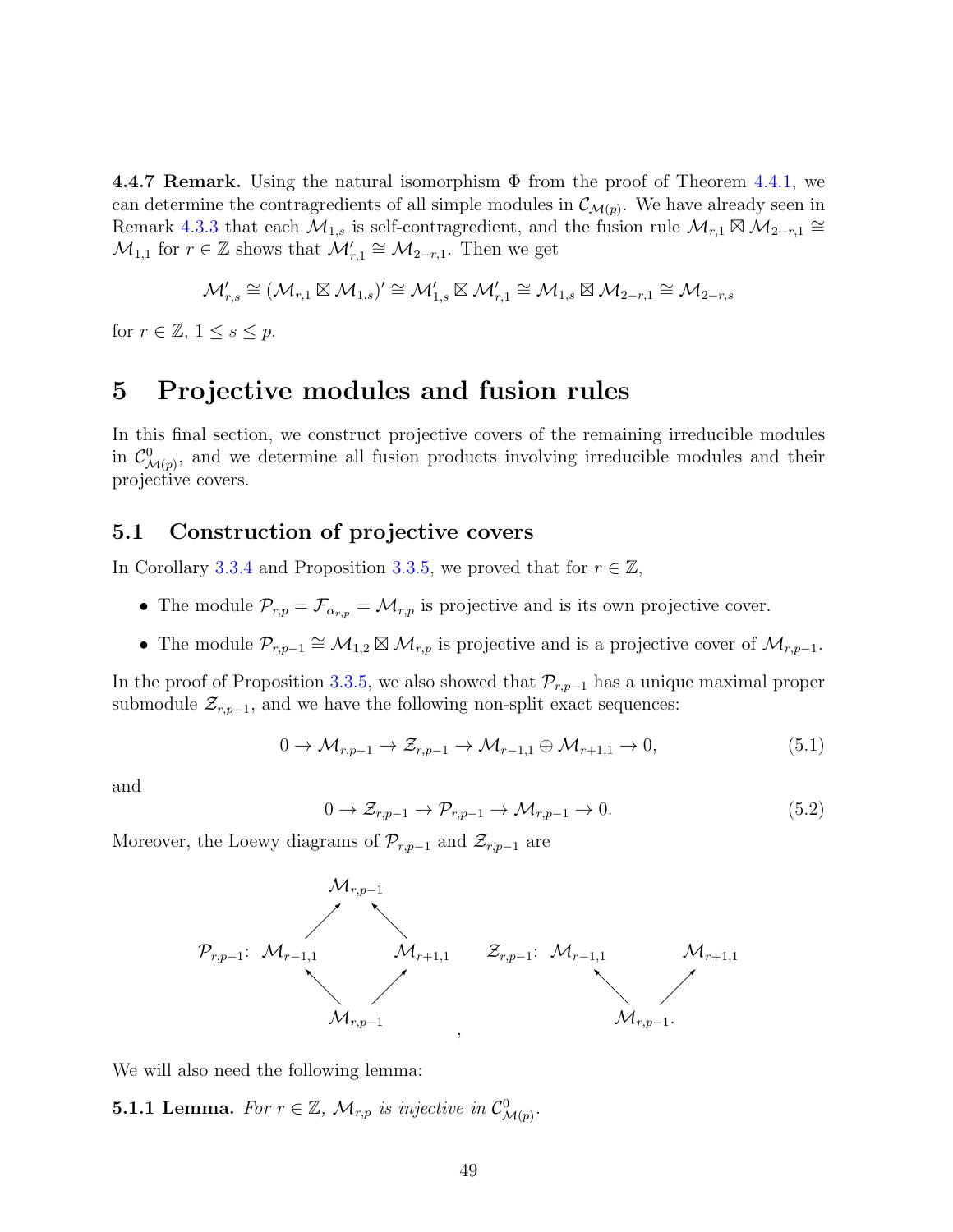4.4.7 Remark. Using the natural isomorphism  $\Phi$  from the proof of Theorem [4.4.1,](#page-41-0) we can determine the contragredients of all simple modules in  $\mathcal{C}_{\mathcal{M}(p)}$ . We have already seen in Remark [4.3.3](#page-38-2) that each  $\mathcal{M}_{1,s}$  is self-contragredient, and the fusion rule  $\mathcal{M}_{r,1} \boxtimes \mathcal{M}_{2-r,1} \cong$  $\mathcal{M}_{1,1}$  for  $r \in \mathbb{Z}$  shows that  $\mathcal{M}'_{r,1} \cong \mathcal{M}_{2-r,1}$ . Then we get

$$
\mathcal{M}_{r,s}'\cong (\mathcal{M}_{r,1}\boxtimes \mathcal{M}_{1,s})'\cong \mathcal{M}_{1,s}'\boxtimes \mathcal{M}_{r,1}'\cong \mathcal{M}_{1,s}\boxtimes \mathcal{M}_{2-r,1}\cong \mathcal{M}_{2-r,s}
$$

for  $r \in \mathbb{Z}, 1 \leq s \leq p$ .

# <span id="page-48-0"></span>5 Projective modules and fusion rules

In this final section, we construct projective covers of the remaining irreducible modules in  $\mathcal{C}^0_{\mathcal{M}(p)}$ , and we determine all fusion products involving irreducible modules and their projective covers.

## 5.1 Construction of projective covers

In Corollary [3.3.4](#page-24-1) and Proposition [3.3.5,](#page-25-1) we proved that for  $r \in \mathbb{Z}$ ,

- The module  $\mathcal{P}_{r,p} = \mathcal{F}_{\alpha_{r,p}} = \mathcal{M}_{r,p}$  is projective and is its own projective cover.
- The module  $\mathcal{P}_{r,p-1} \cong \mathcal{M}_{1,2} \boxtimes \mathcal{M}_{r,p}$  is projective and is a projective cover of  $\mathcal{M}_{r,p-1}$ .

In the proof of Proposition [3.3.5,](#page-25-1) we also showed that  $\mathcal{P}_{r,p-1}$  has a unique maximal proper submodule  $\mathcal{Z}_{r,p-1}$ , and we have the following non-split exact sequences:

<span id="page-48-1"></span>
$$
0 \to \mathcal{M}_{r,p-1} \to \mathcal{Z}_{r,p-1} \to \mathcal{M}_{r-1,1} \oplus \mathcal{M}_{r+1,1} \to 0,
$$
\n
$$
(5.1)
$$

and

<span id="page-48-2"></span>
$$
0 \to \mathcal{Z}_{r,p-1} \to \mathcal{P}_{r,p-1} \to \mathcal{M}_{r,p-1} \to 0. \tag{5.2}
$$

Moreover, the Loewy diagrams of  $\mathcal{P}_{r,p-1}$  and  $\mathcal{Z}_{r,p-1}$  are



We will also need the following lemma:

**5.1.1 Lemma.** For  $r \in \mathbb{Z}$ ,  $\mathcal{M}_{r,p}$  is injective in  $\mathcal{C}^0_{\mathcal{M}(p)}$ .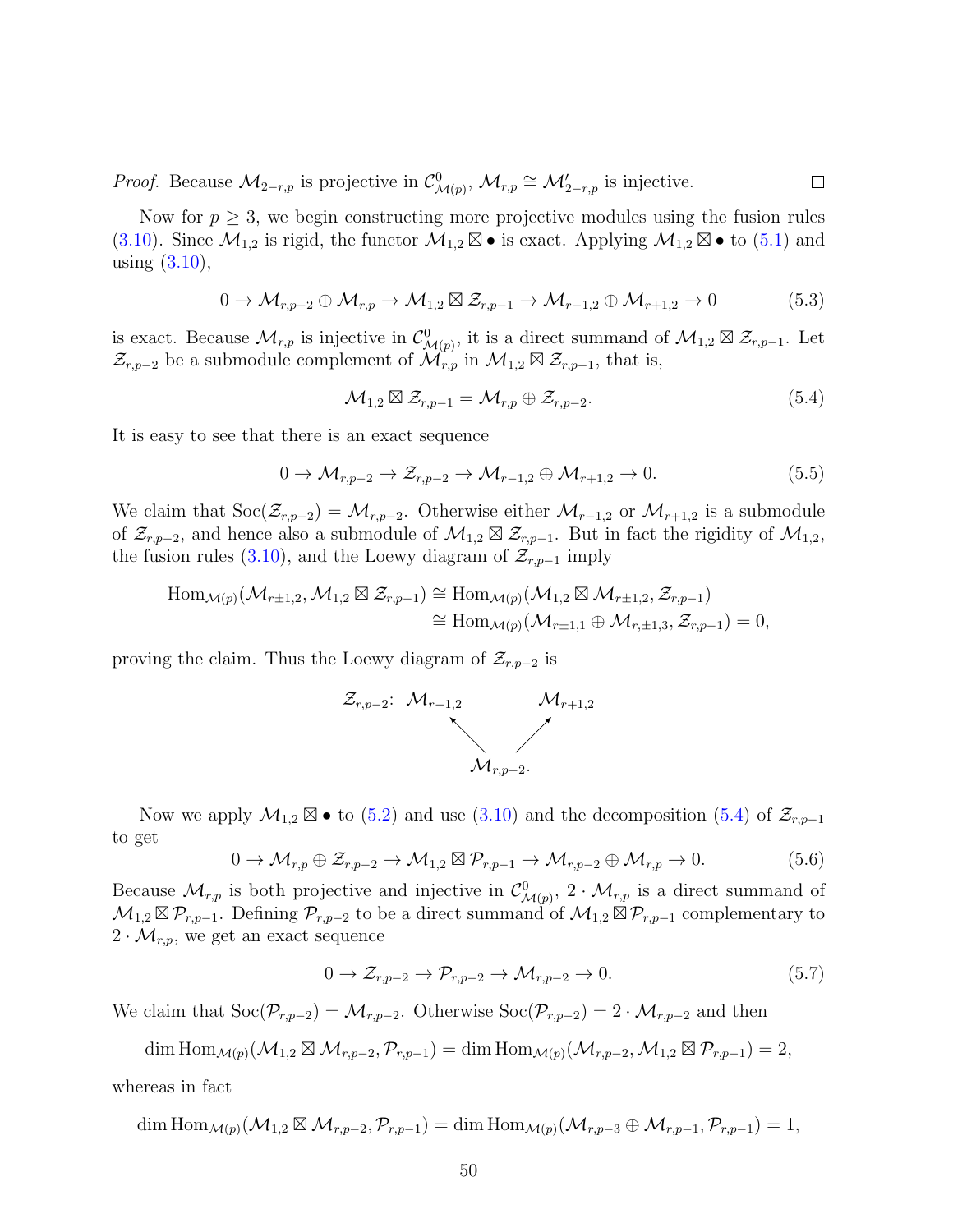*Proof.* Because  $\mathcal{M}_{2-r,p}$  is projective in  $\mathcal{C}^0_{\mathcal{M}(p)}, \mathcal{M}_{r,p} \cong \mathcal{M}'_{2-r,p}$  is injective.  $\Box$ 

Now for  $p \geq 3$ , we begin constructing more projective modules using the fusion rules [\(3.10\)](#page-19-0). Since  $\mathcal{M}_{1,2}$  is rigid, the functor  $\mathcal{M}_{1,2} \boxtimes \bullet$  is exact. Applying  $\mathcal{M}_{1,2} \boxtimes \bullet$  to [\(5.1\)](#page-48-1) and using [\(3.10\)](#page-19-0),

$$
0 \to \mathcal{M}_{r,p-2} \oplus \mathcal{M}_{r,p} \to \mathcal{M}_{1,2} \boxtimes \mathcal{Z}_{r,p-1} \to \mathcal{M}_{r-1,2} \oplus \mathcal{M}_{r+1,2} \to 0 \tag{5.3}
$$

is exact. Because  $\mathcal{M}_{r,p}$  is injective in  $\mathcal{C}^0_{\mathcal{M}(p)}$ , it is a direct summand of  $\mathcal{M}_{1,2} \boxtimes \mathcal{Z}_{r,p-1}$ . Let  $\mathcal{Z}_{r,p-2}$  be a submodule complement of  $\mathcal{M}_{r,p}$  in  $\mathcal{M}_{1,2} \boxtimes \mathcal{Z}_{r,p-1}$ , that is,

<span id="page-49-0"></span>
$$
\mathcal{M}_{1,2} \boxtimes \mathcal{Z}_{r,p-1} = \mathcal{M}_{r,p} \oplus \mathcal{Z}_{r,p-2}.
$$
\n(5.4)

It is easy to see that there is an exact sequence

$$
0 \to \mathcal{M}_{r,p-2} \to \mathcal{Z}_{r,p-2} \to \mathcal{M}_{r-1,2} \oplus \mathcal{M}_{r+1,2} \to 0. \tag{5.5}
$$

We claim that  $\text{Soc}(\mathcal{Z}_{r,p-2}) = \mathcal{M}_{r,p-2}$ . Otherwise either  $\mathcal{M}_{r-1,2}$  or  $\mathcal{M}_{r+1,2}$  is a submodule of  $\mathcal{Z}_{r,p-2}$ , and hence also a submodule of  $\mathcal{M}_{1,2} \boxtimes \mathcal{Z}_{r,p-1}$ . But in fact the rigidity of  $\mathcal{M}_{1,2}$ , the fusion rules [\(3.10\)](#page-19-0), and the Loewy diagram of  $\mathcal{Z}_{r,p-1}$  imply

$$
\operatorname{Hom}_{\mathcal{M}(p)}(\mathcal{M}_{r\pm 1,2}, \mathcal{M}_{1,2} \boxtimes \mathcal{Z}_{r,p-1}) \cong \operatorname{Hom}_{\mathcal{M}(p)}(\mathcal{M}_{1,2} \boxtimes \mathcal{M}_{r\pm 1,2}, \mathcal{Z}_{r,p-1})
$$
  

$$
\cong \operatorname{Hom}_{\mathcal{M}(p)}(\mathcal{M}_{r\pm 1,1} \oplus \mathcal{M}_{r,\pm 1,3}, \mathcal{Z}_{r,p-1}) = 0,
$$

proving the claim. Thus the Loewy diagram of  $\mathcal{Z}_{r,p-2}$  is



Now we apply  $\mathcal{M}_{1,2} \boxtimes \bullet$  to [\(5.2\)](#page-48-2) and use [\(3.10\)](#page-19-0) and the decomposition [\(5.4\)](#page-49-0) of  $\mathcal{Z}_{r,p-1}$ to get

$$
0 \to \mathcal{M}_{r,p} \oplus \mathcal{Z}_{r,p-2} \to \mathcal{M}_{1,2} \boxtimes \mathcal{P}_{r,p-1} \to \mathcal{M}_{r,p-2} \oplus \mathcal{M}_{r,p} \to 0. \tag{5.6}
$$

Because  $\mathcal{M}_{r,p}$  is both projective and injective in  $\mathcal{C}^0_{\mathcal{M}(p)}, 2 \cdot \mathcal{M}_{r,p}$  is a direct summand of  $\mathcal{M}_{1,2} \boxtimes \mathcal{P}_{r,p-1}$ . Defining  $\mathcal{P}_{r,p-2}$  to be a direct summand of  $\mathcal{M}_{1,2} \boxtimes \mathcal{P}_{r,p-1}$  complementary to  $2 \cdot \mathcal{M}_{r,p}$ , we get an exact sequence

<span id="page-49-1"></span>
$$
0 \to \mathcal{Z}_{r,p-2} \to \mathcal{P}_{r,p-2} \to \mathcal{M}_{r,p-2} \to 0. \tag{5.7}
$$

We claim that  $\text{Soc}(\mathcal{P}_{r,p-2}) = \mathcal{M}_{r,p-2}$ . Otherwise  $\text{Soc}(\mathcal{P}_{r,p-2}) = 2 \cdot \mathcal{M}_{r,p-2}$  and then

$$
\dim \operatorname{Hom}_{\mathcal{M}(p)}(\mathcal{M}_{1,2} \boxtimes \mathcal{M}_{r,p-2}, \mathcal{P}_{r,p-1}) = \dim \operatorname{Hom}_{\mathcal{M}(p)}(\mathcal{M}_{r,p-2}, \mathcal{M}_{1,2} \boxtimes \mathcal{P}_{r,p-1}) = 2,
$$

whereas in fact

$$
\dim \text{Hom}_{\mathcal{M}(p)}(\mathcal{M}_{1,2} \boxtimes \mathcal{M}_{r,p-2}, \mathcal{P}_{r,p-1}) = \dim \text{Hom}_{\mathcal{M}(p)}(\mathcal{M}_{r,p-3} \oplus \mathcal{M}_{r,p-1}, \mathcal{P}_{r,p-1}) = 1,
$$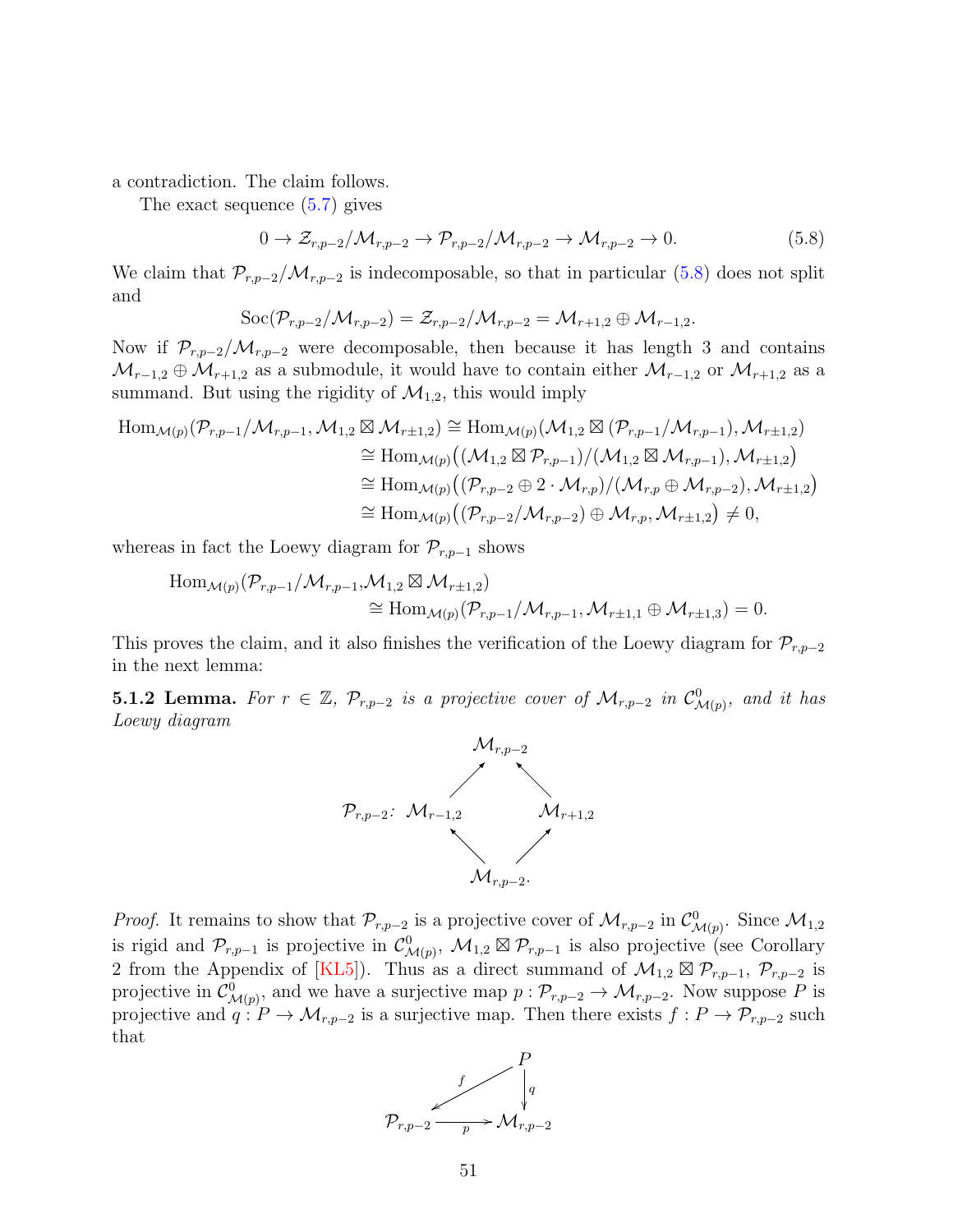a contradiction. The claim follows.

The exact sequence [\(5.7\)](#page-49-1) gives

<span id="page-50-0"></span>
$$
0 \to \mathcal{Z}_{r,p-2}/\mathcal{M}_{r,p-2} \to \mathcal{P}_{r,p-2}/\mathcal{M}_{r,p-2} \to \mathcal{M}_{r,p-2} \to 0. \tag{5.8}
$$

We claim that  $\mathcal{P}_{r,p-2}/\mathcal{M}_{r,p-2}$  is indecomposable, so that in particular [\(5.8\)](#page-50-0) does not split and

$$
\operatorname{Soc}(\mathcal{P}_{r,p-2}/\mathcal{M}_{r,p-2})=\mathcal{Z}_{r,p-2}/\mathcal{M}_{r,p-2}=\mathcal{M}_{r+1,2}\oplus \mathcal{M}_{r-1,2}.
$$

Now if  $\mathcal{P}_{r,p-2}/\mathcal{M}_{r,p-2}$  were decomposable, then because it has length 3 and contains  $\mathcal{M}_{r-1,2}\oplus \mathcal{M}_{r+1,2}$  as a submodule, it would have to contain either  $\mathcal{M}_{r-1,2}$  or  $\mathcal{M}_{r+1,2}$  as a summand. But using the rigidity of  $\mathcal{M}_{1,2}$ , this would imply

$$
\begin{split} \text{Hom}_{\mathcal{M}(p)}(\mathcal{P}_{r,p-1}/\mathcal{M}_{r,p-1},\mathcal{M}_{1,2} \boxtimes \mathcal{M}_{r\pm 1,2}) &\cong \text{Hom}_{\mathcal{M}(p)}(\mathcal{M}_{1,2} \boxtimes (\mathcal{P}_{r,p-1}/\mathcal{M}_{r,p-1}),\mathcal{M}_{r\pm 1,2}) \\ &\cong \text{Hom}_{\mathcal{M}(p)}((\mathcal{M}_{1,2} \boxtimes \mathcal{P}_{r,p-1})/(\mathcal{M}_{1,2} \boxtimes \mathcal{M}_{r,p-1}),\mathcal{M}_{r\pm 1,2}) \\ &\cong \text{Hom}_{\mathcal{M}(p)}((\mathcal{P}_{r,p-2} \oplus 2 \cdot \mathcal{M}_{r,p})/(\mathcal{M}_{r,p} \oplus \mathcal{M}_{r,p-2}),\mathcal{M}_{r\pm 1,2}) \\ &\cong \text{Hom}_{\mathcal{M}(p)}((\mathcal{P}_{r,p-2}/\mathcal{M}_{r,p-2}) \oplus \mathcal{M}_{r,p},\mathcal{M}_{r\pm 1,2}) \neq 0, \end{split}
$$

whereas in fact the Loewy diagram for  $\mathcal{P}_{r,p-1}$  shows

$$
\text{Hom}_{\mathcal{M}(p)}(\mathcal{P}_{r,p-1}/\mathcal{M}_{r,p-1},\mathcal{M}_{1,2} \boxtimes \mathcal{M}_{r\pm 1,2})
$$
  
\n
$$
\cong \text{Hom}_{\mathcal{M}(p)}(\mathcal{P}_{r,p-1}/\mathcal{M}_{r,p-1},\mathcal{M}_{r\pm 1,1} \oplus \mathcal{M}_{r\pm 1,3}) = 0.
$$

This proves the claim, and it also finishes the verification of the Loewy diagram for  $\mathcal{P}_{r,p-2}$ in the next lemma:

<span id="page-50-1"></span>**5.1.2 Lemma.** For  $r \in \mathbb{Z}$ ,  $\mathcal{P}_{r,p-2}$  is a projective cover of  $\mathcal{M}_{r,p-2}$  in  $\mathcal{C}^0_{\mathcal{M}(p)}$ , and it has Loewy diagram



*Proof.* It remains to show that  $\mathcal{P}_{r,p-2}$  is a projective cover of  $\mathcal{M}_{r,p-2}$  in  $\mathcal{C}^0_{\mathcal{M}(p)}$ . Since  $\mathcal{M}_{1,2}$ is rigid and  $\mathcal{P}_{r,p-1}$  is projective in  $\mathcal{C}^0_{\mathcal{M}(p)}, \mathcal{M}_{1,2} \boxtimes \mathcal{P}_{r,p-1}$  is also projective (see Corollary 2 from the Appendix of [\[KL5\]](#page-63-3)). Thus as a direct summand of  $\mathcal{M}_{1,2} \boxtimes \mathcal{P}_{r,p-1}, \mathcal{P}_{r,p-2}$  is projective in  $\mathcal{C}^0_{\mathcal{M}(p)}$ , and we have a surjective map  $p: \mathcal{P}_{r,p-2} \to \mathcal{M}_{r,p-2}$ . Now suppose P is projective and  $q: P \to \mathcal{M}_{r,p-2}$  is a surjective map. Then there exists  $f: P \to \mathcal{P}_{r,p-2}$  such that

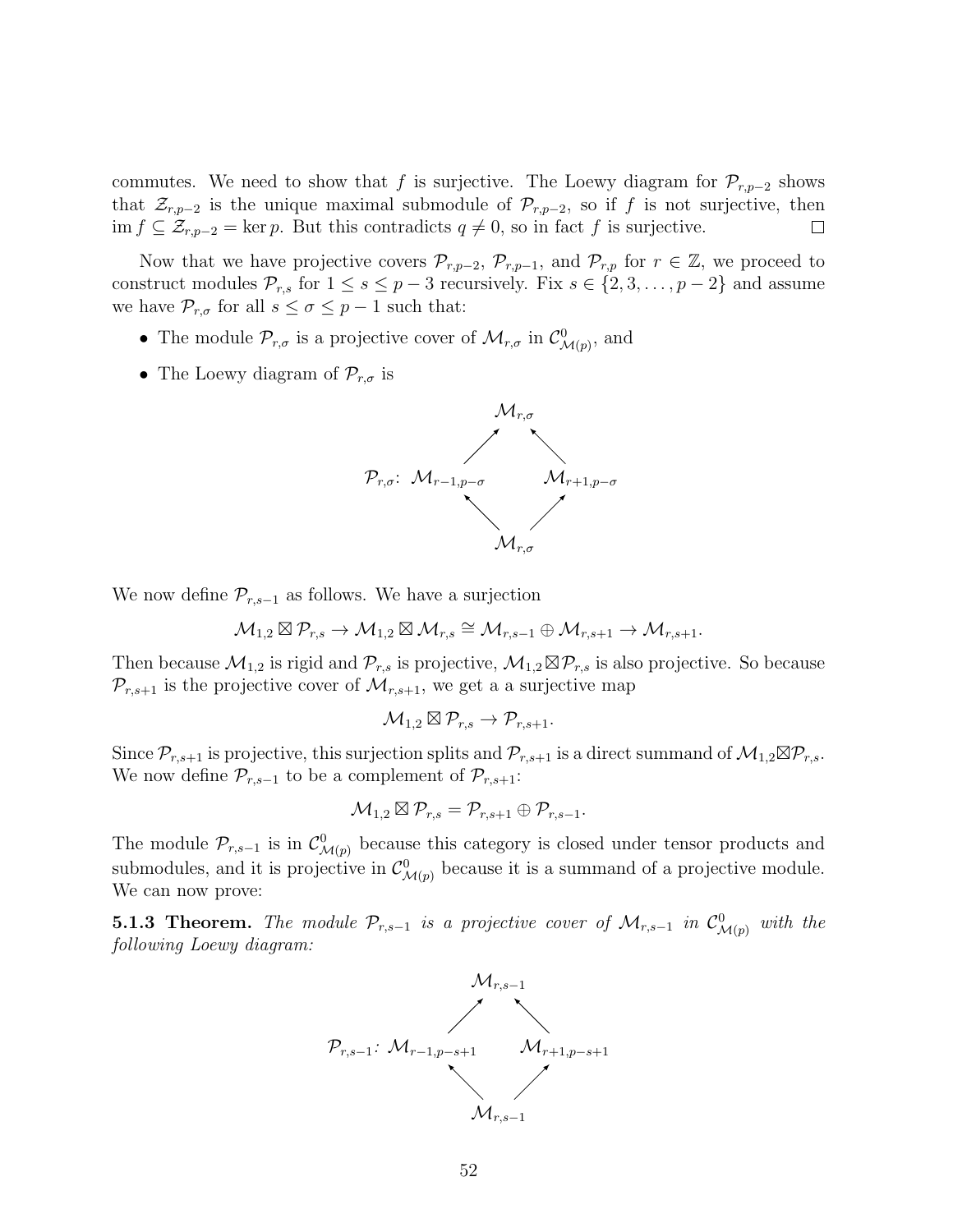commutes. We need to show that f is surjective. The Loewy diagram for  $\mathcal{P}_{r,p-2}$  shows that  $\mathcal{Z}_{r,p-2}$  is the unique maximal submodule of  $\mathcal{P}_{r,p-2}$ , so if f is not surjective, then im  $f \subseteq \mathcal{Z}_{r,p-2}$  = ker p. But this contradicts  $q \neq 0$ , so in fact f is surjective.  $\Box$ 

Now that we have projective covers  $\mathcal{P}_{r,p-2}$ ,  $\mathcal{P}_{r,p-1}$ , and  $\mathcal{P}_{r,p}$  for  $r \in \mathbb{Z}$ , we proceed to construct modules  $\mathcal{P}_{r,s}$  for  $1 \leq s \leq p-3$  recursively. Fix  $s \in \{2,3,\ldots,p-2\}$  and assume we have  $\mathcal{P}_{r,\sigma}$  for all  $s \leq \sigma \leq p-1$  such that:

- The module  $\mathcal{P}_{r,\sigma}$  is a projective cover of  $\mathcal{M}_{r,\sigma}$  in  $\mathcal{C}^0_{\mathcal{M}(p)}$ , and
- The Loewy diagram of  $\mathcal{P}_{r,\sigma}$  is



We now define  $\mathcal{P}_{r,s-1}$  as follows. We have a surjection

$$
\mathcal{M}_{1,2}\boxtimes \mathcal{P}_{r,s}\to \mathcal{M}_{1,2}\boxtimes \mathcal{M}_{r,s}\cong \mathcal{M}_{r,s-1}\oplus \mathcal{M}_{r,s+1}\to \mathcal{M}_{r,s+1}.
$$

Then because  $\mathcal{M}_{1,2}$  is rigid and  $\mathcal{P}_{r,s}$  is projective,  $\mathcal{M}_{1,2} \boxtimes \mathcal{P}_{r,s}$  is also projective. So because  $\mathcal{P}_{r,s+1}$  is the projective cover of  $\mathcal{M}_{r,s+1}$ , we get a a surjective map

$$
\mathcal{M}_{1,2} \boxtimes \mathcal{P}_{r,s} \to \mathcal{P}_{r,s+1}.
$$

Since  $\mathcal{P}_{r,s+1}$  is projective, this surjection splits and  $\mathcal{P}_{r,s+1}$  is a direct summand of  $\mathcal{M}_{1,2} \boxtimes \mathcal{P}_{r,s}$ . We now define  $\mathcal{P}_{r,s-1}$  to be a complement of  $\mathcal{P}_{r,s+1}$ :

$$
\mathcal{M}_{1,2}\boxtimes \mathcal{P}_{r,s}=\mathcal{P}_{r,s+1}\oplus \mathcal{P}_{r,s-1}.
$$

The module  $\mathcal{P}_{r,s-1}$  is in  $\mathcal{C}^0_{\mathcal{M}(p)}$  because this category is closed under tensor products and submodules, and it is projective in  $\mathcal{C}^0_{\mathcal{M}(p)}$  because it is a summand of a projective module. We can now prove:

**5.1.3 Theorem.** The module  $\mathcal{P}_{r,s-1}$  is a projective cover of  $\mathcal{M}_{r,s-1}$  in  $\mathcal{C}_{\mathcal{M}(p)}^0$  with the following Loewy diagram:

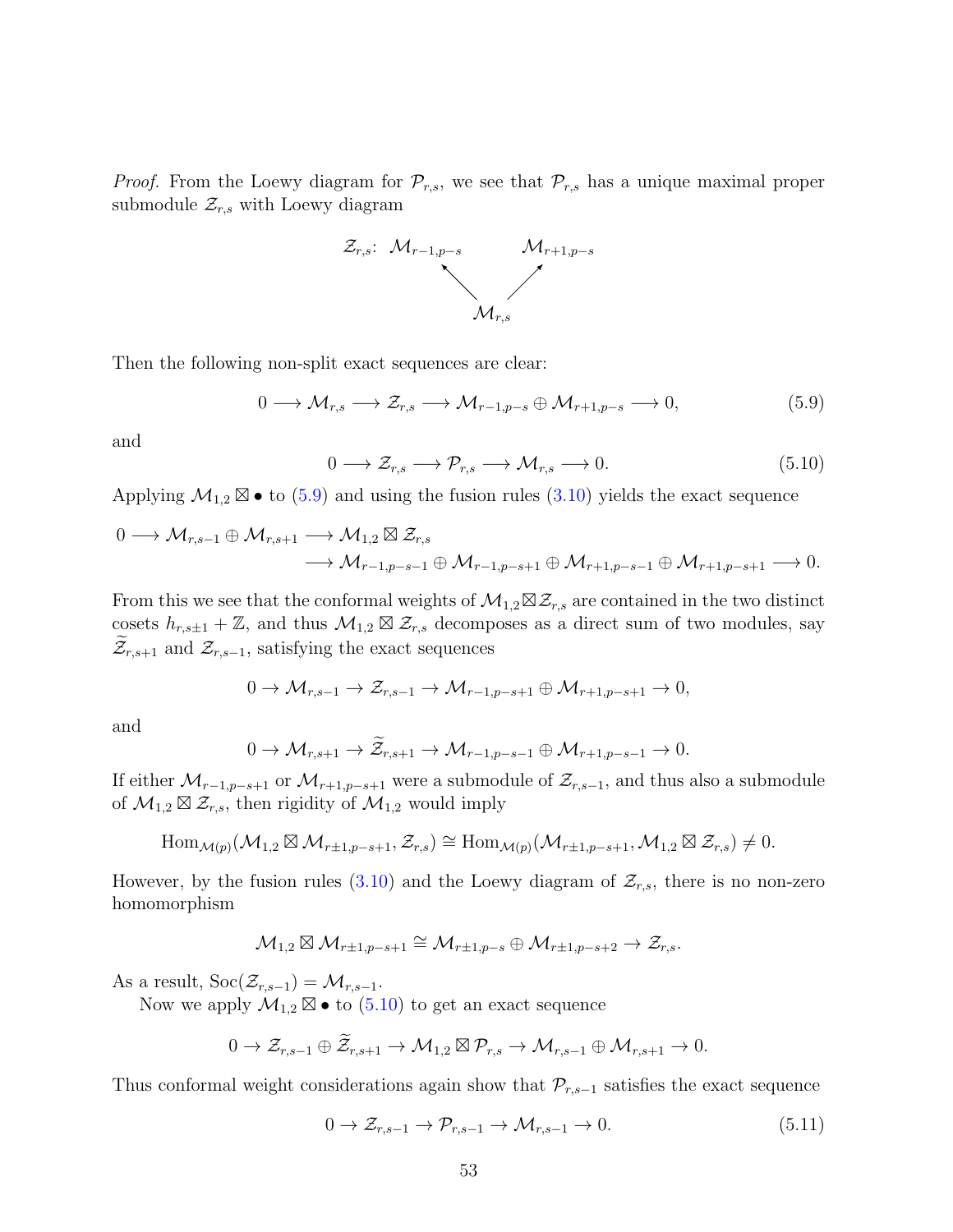*Proof.* From the Loewy diagram for  $\mathcal{P}_{r,s}$ , we see that  $\mathcal{P}_{r,s}$  has a unique maximal proper submodule  $\mathcal{Z}_{r,s}$  with Loewy diagram



Then the following non-split exact sequences are clear:

<span id="page-52-0"></span>
$$
0 \longrightarrow \mathcal{M}_{r,s} \longrightarrow \mathcal{Z}_{r,s} \longrightarrow \mathcal{M}_{r-1,p-s} \oplus \mathcal{M}_{r+1,p-s} \longrightarrow 0,
$$
\n
$$
(5.9)
$$

and

<span id="page-52-1"></span>
$$
0 \longrightarrow \mathcal{Z}_{r,s} \longrightarrow \mathcal{P}_{r,s} \longrightarrow \mathcal{M}_{r,s} \longrightarrow 0. \tag{5.10}
$$

Applying  $\mathcal{M}_{1,2} \boxtimes \bullet$  to [\(5.9\)](#page-52-0) and using the fusion rules [\(3.10\)](#page-19-0) yields the exact sequence

$$
\begin{aligned}\n0 &\longrightarrow \mathcal{M}_{r,s-1} \oplus \mathcal{M}_{r,s+1} \longrightarrow \mathcal{M}_{1,2} \boxtimes \mathcal{Z}_{r,s} \\
&\longrightarrow \mathcal{M}_{r-1,p-s-1} \oplus \mathcal{M}_{r-1,p-s+1} \oplus \mathcal{M}_{r+1,p-s-1} \oplus \mathcal{M}_{r+1,p-s+1} \longrightarrow 0.\n\end{aligned}
$$

From this we see that the conformal weights of  $\mathcal{M}_{1,2} \boxtimes \mathcal{Z}_{r,s}$  are contained in the two distinct cosets  $h_{r,s\pm 1} + \mathbb{Z}$ , and thus  $\mathcal{M}_{1,2} \boxtimes \mathcal{Z}_{r,s}$  decomposes as a direct sum of two modules, say  $\mathcal{Z}_{r,s+1}$  and  $\mathcal{Z}_{r,s-1}$ , satisfying the exact sequences

$$
0 \to \mathcal{M}_{r,s-1} \to \mathcal{Z}_{r,s-1} \to \mathcal{M}_{r-1,p-s+1} \oplus \mathcal{M}_{r+1,p-s+1} \to 0,
$$

and

$$
0 \to \mathcal{M}_{r,s+1} \to \widetilde{\mathcal{Z}}_{r,s+1} \to \mathcal{M}_{r-1,p-s-1} \oplus \mathcal{M}_{r+1,p-s-1} \to 0.
$$

If either  $\mathcal{M}_{r-1,p-s+1}$  or  $\mathcal{M}_{r+1,p-s+1}$  were a submodule of  $\mathcal{Z}_{r,s-1}$ , and thus also a submodule of  $\mathcal{M}_{1,2} \boxtimes \mathcal{Z}_{r,s}$ , then rigidity of  $\mathcal{M}_{1,2}$  would imply

$$
\operatorname{Hom}_{\mathcal{M}(p)}(\mathcal{M}_{1,2} \boxtimes \mathcal{M}_{r\pm 1,p-s+1}, \mathcal{Z}_{r,s}) \cong \operatorname{Hom}_{\mathcal{M}(p)}(\mathcal{M}_{r\pm 1,p-s+1}, \mathcal{M}_{1,2} \boxtimes \mathcal{Z}_{r,s}) \neq 0.
$$

However, by the fusion rules [\(3.10\)](#page-19-0) and the Loewy diagram of  $\mathcal{Z}_{r,s}$ , there is no non-zero homomorphism

$$
\mathcal{M}_{1,2}\boxtimes \mathcal{M}_{r\pm 1,p-s+1}\cong \mathcal{M}_{r\pm 1,p-s}\oplus \mathcal{M}_{r\pm 1,p-s+2}\to \mathcal{Z}_{r,s}.
$$

As a result,  $\text{Soc}(\mathcal{Z}_{r,s-1}) = \mathcal{M}_{r,s-1}$ .

Now we apply  $\mathcal{M}_{1,2} \boxtimes \bullet$  to  $(5.10)$  to get an exact sequence

$$
0 \to \mathcal{Z}_{r,s-1} \oplus \widetilde{\mathcal{Z}}_{r,s+1} \to \mathcal{M}_{1,2} \boxtimes \mathcal{P}_{r,s} \to \mathcal{M}_{r,s-1} \oplus \mathcal{M}_{r,s+1} \to 0.
$$

Thus conformal weight considerations again show that  $\mathcal{P}_{r,s-1}$  satisfies the exact sequence

<span id="page-52-2"></span>
$$
0 \to \mathcal{Z}_{r,s-1} \to \mathcal{P}_{r,s-1} \to \mathcal{M}_{r,s-1} \to 0. \tag{5.11}
$$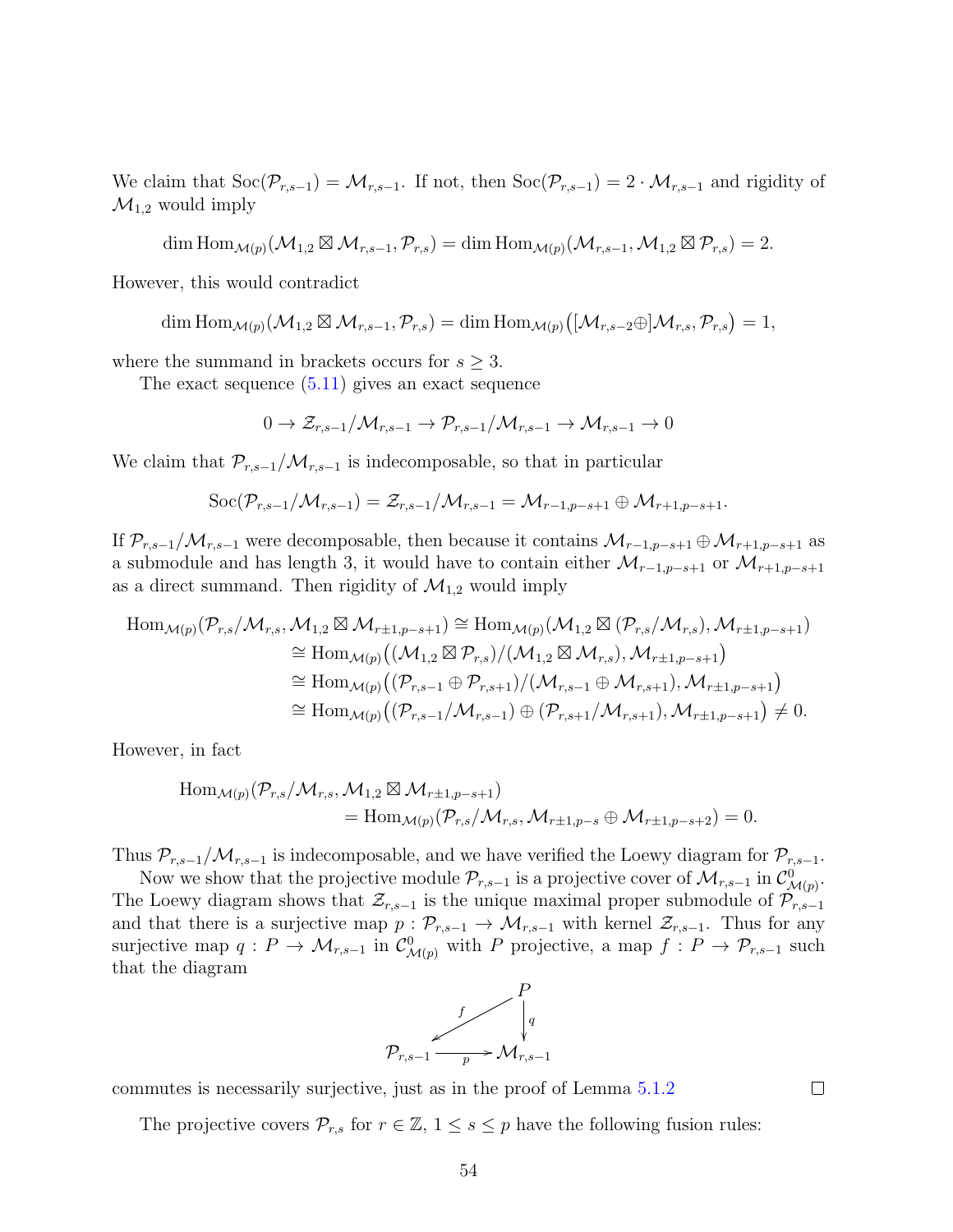We claim that  $\text{Soc}(\mathcal{P}_{r,s-1}) = \mathcal{M}_{r,s-1}$ . If not, then  $\text{Soc}(\mathcal{P}_{r,s-1}) = 2 \cdot \mathcal{M}_{r,s-1}$  and rigidity of  $\mathcal{M}_{1,2}$  would imply

$$
\dim \operatorname{Hom}_{\mathcal{M}(p)}(\mathcal{M}_{1,2} \boxtimes \mathcal{M}_{r,s-1}, \mathcal{P}_{r,s}) = \dim \operatorname{Hom}_{\mathcal{M}(p)}(\mathcal{M}_{r,s-1}, \mathcal{M}_{1,2} \boxtimes \mathcal{P}_{r,s}) = 2.
$$

However, this would contradict

$$
\dim\mathrm{Hom}_{\mathcal{M}(p)}(\mathcal{M}_{1,2}\boxtimes\mathcal{M}_{r,s-1},\mathcal{P}_{r,s})=\dim\mathrm{Hom}_{\mathcal{M}(p)}\big([\mathcal{M}_{r,s-2}\oplus]\mathcal{M}_{r,s},\mathcal{P}_{r,s}\big)=1,
$$

where the summand in brackets occurs for  $s \geq 3$ .

The exact sequence [\(5.11\)](#page-52-2) gives an exact sequence

$$
0 \to \mathcal{Z}_{r,s-1}/\mathcal{M}_{r,s-1} \to \mathcal{P}_{r,s-1}/\mathcal{M}_{r,s-1} \to \mathcal{M}_{r,s-1} \to 0
$$

We claim that  $\mathcal{P}_{r,s-1}/\mathcal{M}_{r,s-1}$  is indecomposable, so that in particular

$$
\text{Soc}(\mathcal{P}_{r,s-1}/\mathcal{M}_{r,s-1})=\mathcal{Z}_{r,s-1}/\mathcal{M}_{r,s-1}=\mathcal{M}_{r-1,p-s+1}\oplus \mathcal{M}_{r+1,p-s+1}.
$$

If  $\mathcal{P}_{r,s-1}/\mathcal{M}_{r,s-1}$  were decomposable, then because it contains  $\mathcal{M}_{r-1,p-s+1}\oplus \mathcal{M}_{r+1,p-s+1}$  as a submodule and has length 3, it would have to contain either  $\mathcal{M}_{r-1,p-s+1}$  or  $\mathcal{M}_{r+1,p-s+1}$ as a direct summand. Then rigidity of  $\mathcal{M}_{1,2}$  would imply

$$
\begin{split} \operatorname{Hom}_{\mathcal{M}(p)}(\mathcal{P}_{r,s}/\mathcal{M}_{r,s}, \mathcal{M}_{1,2} \boxtimes \mathcal{M}_{r\pm 1,p-s+1}) &\cong \operatorname{Hom}_{\mathcal{M}(p)}(\mathcal{M}_{1,2} \boxtimes (\mathcal{P}_{r,s}/\mathcal{M}_{r,s}), \mathcal{M}_{r\pm 1,p-s+1}) \\ &\cong \operatorname{Hom}_{\mathcal{M}(p)}((\mathcal{M}_{1,2} \boxtimes \mathcal{P}_{r,s})/(\mathcal{M}_{1,2} \boxtimes \mathcal{M}_{r,s}), \mathcal{M}_{r\pm 1,p-s+1}) \\ &\cong \operatorname{Hom}_{\mathcal{M}(p)}((\mathcal{P}_{r,s-1} \oplus \mathcal{P}_{r,s+1})/(\mathcal{M}_{r,s-1} \oplus \mathcal{M}_{r,s+1}), \mathcal{M}_{r\pm 1,p-s+1}) \\ &\cong \operatorname{Hom}_{\mathcal{M}(p)}((\mathcal{P}_{r,s-1}/\mathcal{M}_{r,s-1}) \oplus (\mathcal{P}_{r,s+1}/\mathcal{M}_{r,s+1}), \mathcal{M}_{r\pm 1,p-s+1}) \neq 0. \end{split}
$$

However, in fact

$$
\begin{aligned} \text{Hom}_{\mathcal{M}(p)}(\mathcal{P}_{r,s}/\mathcal{M}_{r,s}, \mathcal{M}_{1,2} \boxtimes \mathcal{M}_{r\pm 1,p-s+1}) \\ &= \text{Hom}_{\mathcal{M}(p)}(\mathcal{P}_{r,s}/\mathcal{M}_{r,s}, \mathcal{M}_{r\pm 1,p-s} \oplus \mathcal{M}_{r\pm 1,p-s+2}) = 0. \end{aligned}
$$

Thus  $\mathcal{P}_{r,s-1}/\mathcal{M}_{r,s-1}$  is indecomposable, and we have verified the Loewy diagram for  $\mathcal{P}_{r,s-1}$ .

Now we show that the projective module  $\mathcal{P}_{r,s-1}$  is a projective cover of  $\mathcal{M}_{r,s-1}$  in  $\mathcal{C}^0_{\mathcal{M}(p)}$ . The Loewy diagram shows that  $\mathcal{Z}_{r,s-1}$  is the unique maximal proper submodule of  $\mathcal{P}_{r,s-1}$ and that there is a surjective map  $p: \mathcal{P}_{r,s-1} \to \mathcal{M}_{r,s-1}$  with kernel  $\mathcal{Z}_{r,s-1}$ . Thus for any surjective map  $q: P \to \mathcal{M}_{r,s-1}$  in  $\mathcal{C}^0_{\mathcal{M}(p)}$  with P projective, a map  $f: P \to \mathcal{P}_{r,s-1}$  such that the diagram



commutes is necessarily surjective, just as in the proof of Lemma [5.1.2](#page-50-1)

The projective covers  $\mathcal{P}_{r,s}$  for  $r \in \mathbb{Z}$ ,  $1 \leq s \leq p$  have the following fusion rules:

 $\Box$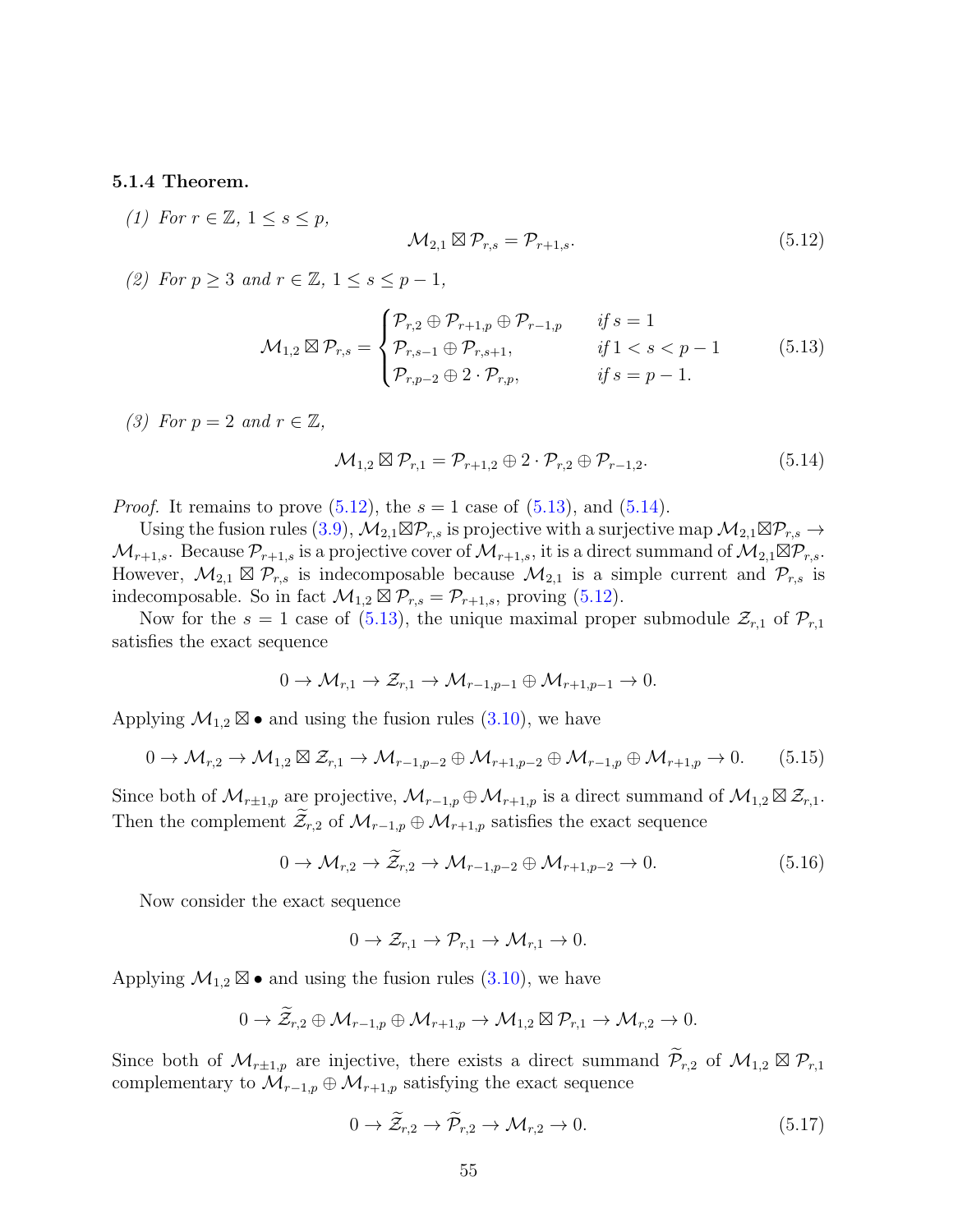#### <span id="page-54-6"></span>5.1.4 Theorem.

(1) For  $r \in \mathbb{Z}$ ,  $1 \leq s \leq p$ ,

<span id="page-54-0"></span>
$$
\mathcal{M}_{2,1} \boxtimes \mathcal{P}_{r,s} = \mathcal{P}_{r+1,s}.\tag{5.12}
$$

(2) For  $p \geq 3$  and  $r \in \mathbb{Z}$ ,  $1 \leq s \leq p-1$ ,

<span id="page-54-1"></span>
$$
\mathcal{M}_{1,2} \boxtimes \mathcal{P}_{r,s} = \begin{cases} \mathcal{P}_{r,2} \oplus \mathcal{P}_{r+1,p} \oplus \mathcal{P}_{r-1,p} & \text{if } s = 1 \\ \mathcal{P}_{r,s-1} \oplus \mathcal{P}_{r,s+1}, & \text{if } 1 < s < p-1 \\ \mathcal{P}_{r,p-2} \oplus 2 \cdot \mathcal{P}_{r,p}, & \text{if } s = p-1. \end{cases} \tag{5.13}
$$

(3) For  $p = 2$  and  $r \in \mathbb{Z}$ ,

<span id="page-54-2"></span>
$$
\mathcal{M}_{1,2} \boxtimes \mathcal{P}_{r,1} = \mathcal{P}_{r+1,2} \oplus 2 \cdot \mathcal{P}_{r,2} \oplus \mathcal{P}_{r-1,2}.
$$
 (5.14)

*Proof.* It remains to prove  $(5.12)$ , the  $s = 1$  case of  $(5.13)$ , and  $(5.14)$ .

Using the fusion rules [\(3.9\)](#page-19-1),  $\mathcal{M}_{2,1} \boxtimes \mathcal{P}_{r,s}$  is projective with a surjective map  $\mathcal{M}_{2,1} \boxtimes \mathcal{P}_{r,s} \to$  $\mathcal{M}_{r+1,s}$ . Because  $\mathcal{P}_{r+1,s}$  is a projective cover of  $\mathcal{M}_{r+1,s}$ , it is a direct summand of  $\mathcal{M}_{2,1} \boxtimes \mathcal{P}_{r,s}$ . However,  $\mathcal{M}_{2,1} \boxtimes \mathcal{P}_{r,s}$  is indecomposable because  $\mathcal{M}_{2,1}$  is a simple current and  $\mathcal{P}_{r,s}$  is indecomposable. So in fact  $\mathcal{M}_{1,2} \boxtimes \mathcal{P}_{r,s} = \mathcal{P}_{r+1,s}$ , proving [\(5.12\)](#page-54-0).

Now for the  $s = 1$  case of [\(5.13\)](#page-54-1), the unique maximal proper submodule  $\mathcal{Z}_{r,1}$  of  $\mathcal{P}_{r,1}$ satisfies the exact sequence

$$
0 \to \mathcal{M}_{r,1} \to \mathcal{Z}_{r,1} \to \mathcal{M}_{r-1,p-1} \oplus \mathcal{M}_{r+1,p-1} \to 0.
$$

Applying  $\mathcal{M}_{1,2} \boxtimes \bullet$  and using the fusion rules [\(3.10\)](#page-19-0), we have

<span id="page-54-5"></span>
$$
0 \to \mathcal{M}_{r,2} \to \mathcal{M}_{1,2} \boxtimes \mathcal{Z}_{r,1} \to \mathcal{M}_{r-1,p-2} \oplus \mathcal{M}_{r+1,p-2} \oplus \mathcal{M}_{r-1,p} \oplus \mathcal{M}_{r+1,p} \to 0. \tag{5.15}
$$

Since both of  $\mathcal{M}_{r+1,p}$  are projective,  $\mathcal{M}_{r-1,p} \oplus \mathcal{M}_{r+1,p}$  is a direct summand of  $\mathcal{M}_{1,2} \boxtimes \mathcal{Z}_{r,1}$ . Then the complement  $\mathcal{Z}_{r,2}$  of  $\mathcal{M}_{r-1,p} \oplus \mathcal{M}_{r+1,p}$  satisfies the exact sequence

<span id="page-54-3"></span>
$$
0 \to \mathcal{M}_{r,2} \to \tilde{\mathcal{Z}}_{r,2} \to \mathcal{M}_{r-1,p-2} \oplus \mathcal{M}_{r+1,p-2} \to 0. \tag{5.16}
$$

Now consider the exact sequence

$$
0 \to \mathcal{Z}_{r,1} \to \mathcal{P}_{r,1} \to \mathcal{M}_{r,1} \to 0.
$$

Applying  $\mathcal{M}_{1,2} \boxtimes \bullet$  and using the fusion rules [\(3.10\)](#page-19-0), we have

$$
0 \to \widetilde{\mathcal{Z}}_{r,2} \oplus \mathcal{M}_{r-1,p} \oplus \mathcal{M}_{r+1,p} \to \mathcal{M}_{1,2} \boxtimes \mathcal{P}_{r,1} \to \mathcal{M}_{r,2} \to 0.
$$

Since both of  $\mathcal{M}_{r\pm1,p}$  are injective, there exists a direct summand  $\widetilde{\mathcal{P}}_{r,2}$  of  $\mathcal{M}_{1,2} \boxtimes \mathcal{P}_{r,1}$ complementary to  $\mathcal{M}_{r-1,p} \oplus \mathcal{M}_{r+1,p}$  satisfying the exact sequence

<span id="page-54-4"></span>
$$
0 \to \widetilde{\mathcal{Z}}_{r,2} \to \widetilde{\mathcal{P}}_{r,2} \to \mathcal{M}_{r,2} \to 0. \tag{5.17}
$$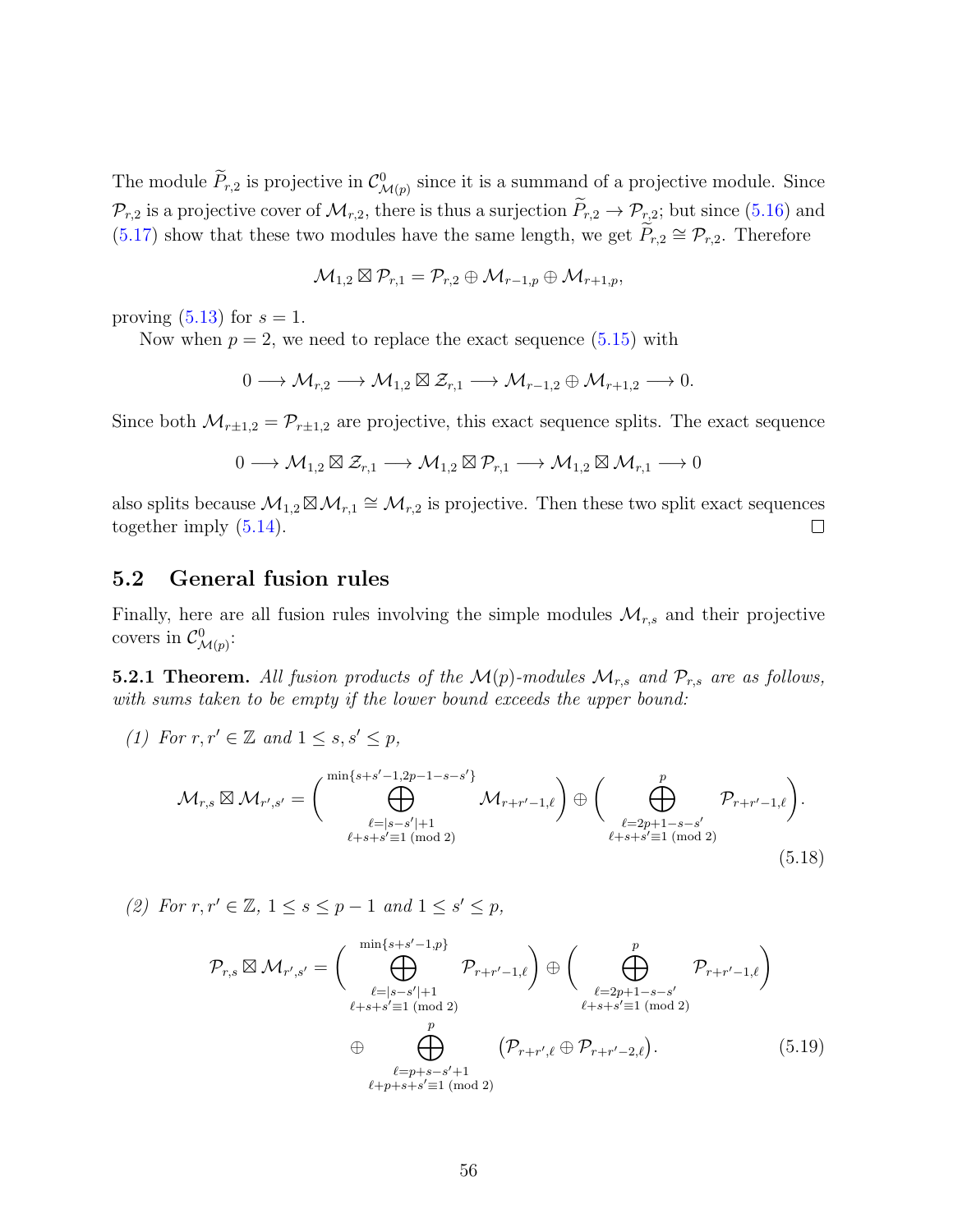The module  $P_{r,2}$  is projective in  $\mathcal{C}^0_{\mathcal{M}(p)}$  since it is a summand of a projective module. Since  $\mathcal{P}_{r,2}$  is a projective cover of  $\mathcal{M}_{r,2}$ , there is thus a surjection  $\widetilde{P}_{r,2} \to \mathcal{P}_{r,2}$ ; but since [\(5.16\)](#page-54-3) and [\(5.17\)](#page-54-4) show that these two modules have the same length, we get  $\widetilde{P}_{r,2} \cong \mathcal{P}_{r,2}$ . Therefore

$$
\mathcal{M}_{1,2}\boxtimes \mathcal{P}_{r,1}=\mathcal{P}_{r,2}\oplus \mathcal{M}_{r-1,p}\oplus \mathcal{M}_{r+1,p},
$$

proving  $(5.13)$  for  $s = 1$ .

Now when  $p = 2$ , we need to replace the exact sequence  $(5.15)$  with

$$
0 \longrightarrow \mathcal{M}_{r,2} \longrightarrow \mathcal{M}_{1,2} \boxtimes \mathcal{Z}_{r,1} \longrightarrow \mathcal{M}_{r-1,2} \oplus \mathcal{M}_{r+1,2} \longrightarrow 0.
$$

Since both  $\mathcal{M}_{r\pm1,2} = \mathcal{P}_{r\pm1,2}$  are projective, this exact sequence splits. The exact sequence

$$
0 \longrightarrow \mathcal{M}_{1,2} \boxtimes \mathcal{Z}_{r,1} \longrightarrow \mathcal{M}_{1,2} \boxtimes \mathcal{P}_{r,1} \longrightarrow \mathcal{M}_{1,2} \boxtimes \mathcal{M}_{r,1} \longrightarrow 0
$$

also splits because  $\mathcal{M}_{1,2} \boxtimes \mathcal{M}_{r,1} \cong \mathcal{M}_{r,2}$  is projective. Then these two split exact sequences together imply [\(5.14\)](#page-54-2).  $\Box$ 

## 5.2 General fusion rules

Finally, here are all fusion rules involving the simple modules  $\mathcal{M}_{r,s}$  and their projective covers in  $\mathcal{C}^0_{\mathcal{M}(p)}$ :

<span id="page-55-0"></span>5.2.1 Theorem. All fusion products of the  $\mathcal{M}(p)$ -modules  $\mathcal{M}_{r,s}$  and  $\mathcal{P}_{r,s}$  are as follows, with sums taken to be empty if the lower bound exceeds the upper bound:

(1) For 
$$
r, r' \in \mathbb{Z}
$$
 and  $1 \le s, s' \le p$ ,  
\n
$$
\mathcal{M}_{r,s} \boxtimes \mathcal{M}_{r',s'} = \begin{pmatrix} \min\{s+s'-1,2p-1-s-s'\} \\ \bigoplus_{\ell=|s-s'|+1}^{\ell=|s-s'|+1} & \mathcal{M}_{r+r'-1,\ell} \end{pmatrix} \oplus \begin{pmatrix} p \\ \bigoplus_{\ell=2p+1-s-s'} p_{r+r'-1,\ell} \end{pmatrix}.
$$
\n(5.18)

(2) For  $r, r' \in \mathbb{Z}, 1 \leq s \leq p-1$  and  $1 \leq s' \leq p$ ,

<span id="page-55-2"></span><span id="page-55-1"></span>
$$
\mathcal{P}_{r,s} \boxtimes \mathcal{M}_{r',s'} = \left(\bigoplus_{\substack{\ell=|s-s'|+1\\ \ell+s+s'\equiv 1 \pmod{2} \\ \ell=p+s-s'+1}}^{\min\{s+s'-1,p\}} \mathcal{P}_{r+r'-1,\ell}\right) \oplus \left(\bigoplus_{\substack{\ell=2p+1-s-s'\\ \ell+s+s'\equiv 1 \pmod{2} \\ \ell=p+s-s'+1}}^p \mathcal{P}_{r+r'-1,\ell}\right)
$$
\n
$$
\oplus \bigoplus_{\substack{\ell=p+s-s'+1\\ \ell+p+s+s'\equiv 1 \pmod{2}}} (\mathcal{P}_{r+r',\ell} \oplus \mathcal{P}_{r+r'-2,\ell}).
$$
\n(5.19)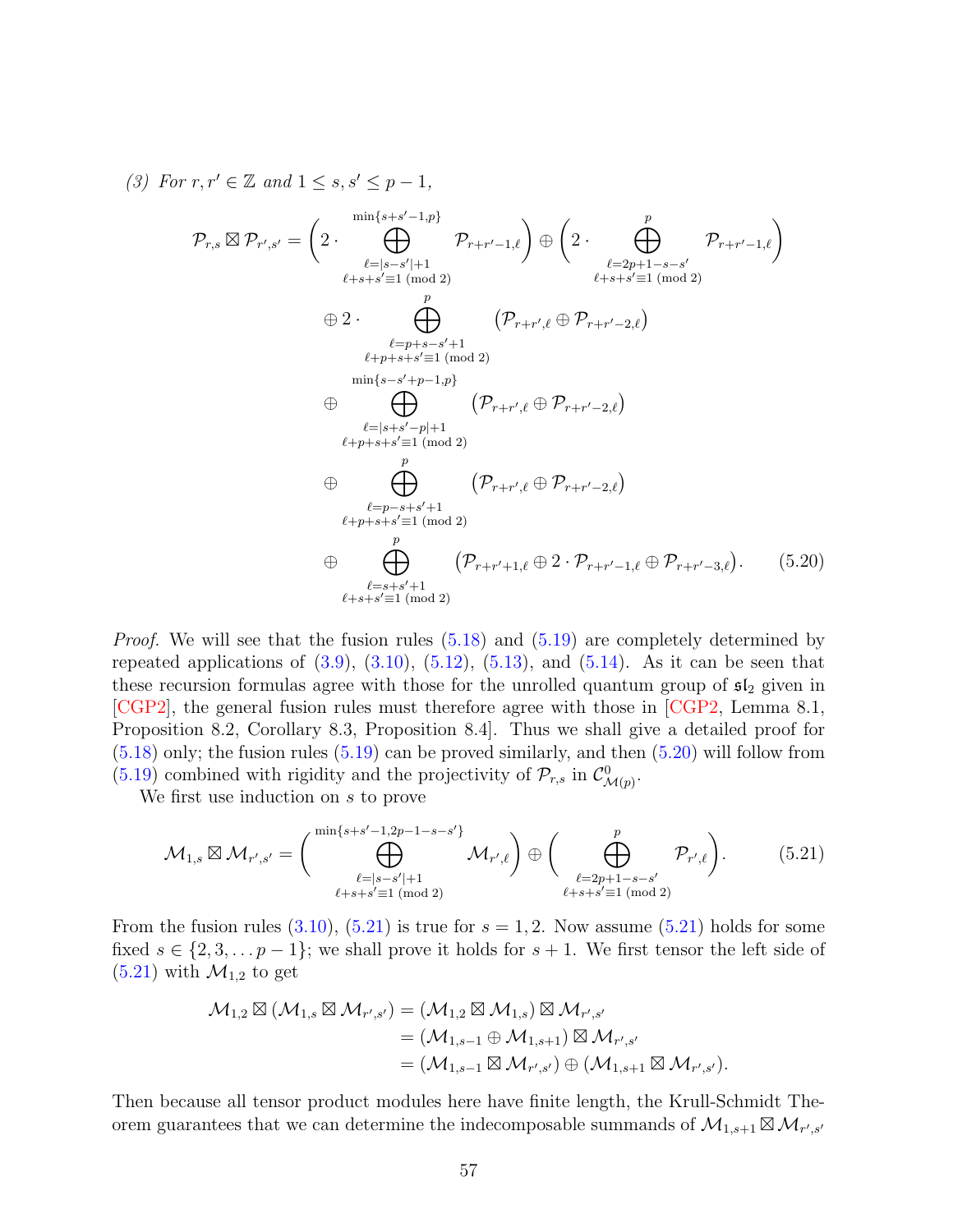(3) For  $r, r' \in \mathbb{Z}$  and  $1 \leq s, s' \leq p-1$ ,

$$
\mathcal{P}_{r,s} \boxtimes \mathcal{P}_{r',s'} = \left(2 \cdot \bigoplus_{\substack{\ell=|s-s'|+1\\ \ell+s+s'=1 \pmod{2}}}^{\min\{s+s'-1,p\}} \mathcal{P}_{r+r'-1,\ell}\right) \oplus \left(2 \cdot \bigoplus_{\substack{\ell=2p+1-s-s'\\ \ell+s+s'=1 \pmod{2}}}^p \mathcal{P}_{r+r'-1,\ell}\right)
$$
\n
$$
\oplus 2 \cdot \bigoplus_{\substack{\ell=p+s-s'+1\\ \ell+p+s+s'=1 \pmod{2}}}^p (\mathcal{P}_{r+r',\ell} \oplus \mathcal{P}_{r+r'-2,\ell})
$$
\n
$$
\oplus \bigoplus_{\substack{\ell=|s+s'-p|+1\\ \ell+p+s+s'=1 \pmod{2}}}^p (\mathcal{P}_{r+r',\ell} \oplus \mathcal{P}_{r+r'-2,\ell})
$$
\n
$$
\oplus \bigoplus_{\substack{\ell=p-s+s'+1\\ \ell+p+s+s'=1 \pmod{2}}}^p (\mathcal{P}_{r+r',\ell} \oplus \mathcal{P}_{r+r'-2,\ell})
$$
\n
$$
\oplus \bigoplus_{\substack{\ell=p-s+s'+1\\ \ell+s+s'=1 \pmod{2}}}^p (\mathcal{P}_{r+r'+1,\ell} \oplus 2 \cdot \mathcal{P}_{r+r'-1,\ell} \oplus \mathcal{P}_{r+r'-3,\ell}). \tag{5.20}
$$

<span id="page-56-0"></span>*Proof.* We will see that the fusion rules  $(5.18)$  and  $(5.19)$  are completely determined by repeated applications of  $(3.9)$ ,  $(3.10)$ ,  $(5.12)$ ,  $(5.13)$ , and  $(5.14)$ . As it can be seen that these recursion formulas agree with those for the unrolled quantum group of  $sI_2$  given in [\[CGP2\]](#page-60-7), the general fusion rules must therefore agree with those in [\[CGP2,](#page-60-7) Lemma 8.1, Proposition 8.2, Corollary 8.3, Proposition 8.4]. Thus we shall give a detailed proof for  $(5.18)$  only; the fusion rules  $(5.19)$  can be proved similarly, and then  $(5.20)$  will follow from [\(5.19\)](#page-55-2) combined with rigidity and the projectivity of  $\mathcal{P}_{r,s}$  in  $\mathcal{C}_{\mathcal{M}(p)}^0$ .

We first use induction on s to prove

<span id="page-56-1"></span>
$$
\mathcal{M}_{1,s} \boxtimes \mathcal{M}_{r',s'} = \left( \bigoplus_{\substack{\ell=|s-s'|+1\\ \ell+s+s' \equiv 1 \pmod{2}}}^{\min\{s+s'-1,2p-1-s-s'\}} \mathcal{M}_{r',\ell} \right) \oplus \left( \bigoplus_{\substack{\ell=2p+1-s-s'\\ \ell+s+s' \equiv 1 \pmod{2}}}^p \mathcal{P}_{r',\ell} \right). \tag{5.21}
$$

From the fusion rules  $(3.10)$ ,  $(5.21)$  is true for  $s = 1, 2$ . Now assume  $(5.21)$  holds for some fixed  $s \in \{2, 3, \ldots p-1\}$ ; we shall prove it holds for  $s + 1$ . We first tensor the left side of  $(5.21)$  with  $\mathcal{M}_{1,2}$  to get

$$
\mathcal{M}_{1,2} \boxtimes (\mathcal{M}_{1,s} \boxtimes \mathcal{M}_{r',s'}) = (\mathcal{M}_{1,2} \boxtimes \mathcal{M}_{1,s}) \boxtimes \mathcal{M}_{r',s'} \n= (\mathcal{M}_{1,s-1} \oplus \mathcal{M}_{1,s+1}) \boxtimes \mathcal{M}_{r',s'} \n= (\mathcal{M}_{1,s-1} \boxtimes \mathcal{M}_{r',s'}) \oplus (\mathcal{M}_{1,s+1} \boxtimes \mathcal{M}_{r',s'}).
$$

Then because all tensor product modules here have finite length, the Krull-Schmidt Theorem guarantees that we can determine the indecomposable summands of  $\mathcal{M}_{1,s+1} \boxtimes \mathcal{M}_{r',s'}$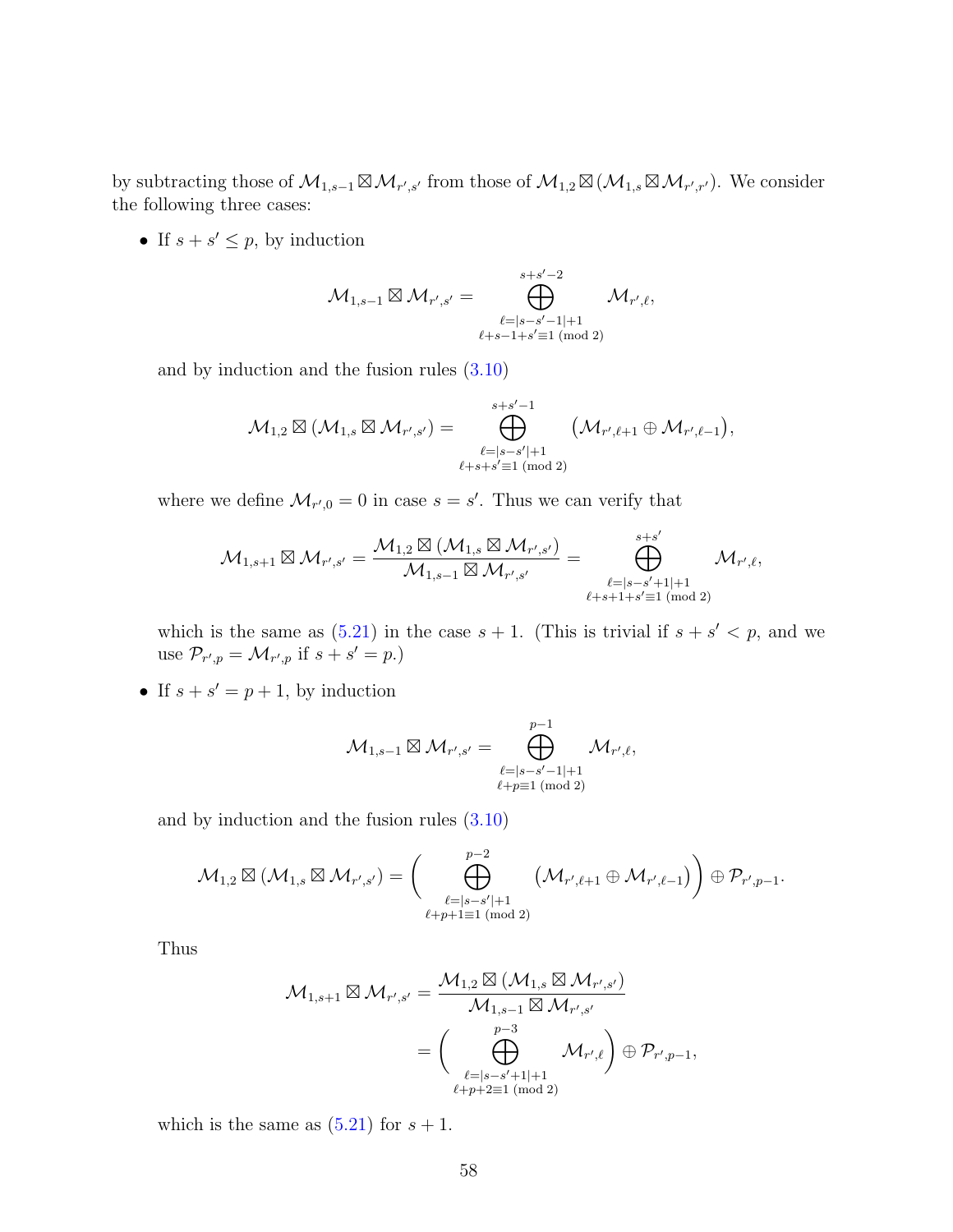by subtracting those of  $\mathcal{M}_{1,s-1} \boxtimes \mathcal{M}_{r',s'}$  from those of  $\mathcal{M}_{1,2} \boxtimes (\mathcal{M}_{1,s} \boxtimes \mathcal{M}_{r',r'})$ . We consider the following three cases:

• If  $s + s' \leq p$ , by induction

$$
\mathcal{M}_{1,s-1}\boxtimes \mathcal{M}_{r',s'}=\bigoplus_{\substack{\ell=|s-s'-1|+1\\ \ell+s-1+s'\equiv 1\;(\text{mod}\;2)}}^{s+s'-2}\mathcal{M}_{r',\ell},
$$

and by induction and the fusion rules [\(3.10\)](#page-19-0)

$$
\mathcal{M}_{1,2}\boxtimes (\mathcal{M}_{1,s}\boxtimes \mathcal{M}_{r',s'})=\bigoplus_{\substack{\ell=|s-s'|+1\\ \ell+s+s'\equiv 1\,\,(\text{mod}\,\,2)}}^{s+s'-1} \big(\mathcal{M}_{r',\ell+1}\oplus \mathcal{M}_{r',\ell-1}\big),
$$

where we define  $\mathcal{M}_{r',0} = 0$  in case  $s = s'$ . Thus we can verify that

$$
\mathcal{M}_{1,s+1}\boxtimes \mathcal{M}_{r',s'}=\frac{\mathcal{M}_{1,2}\boxtimes (\mathcal{M}_{1,s}\boxtimes \mathcal{M}_{r',s'})}{\mathcal{M}_{1,s-1}\boxtimes \mathcal{M}_{r',s'}}=\bigoplus_{\substack{\ell=|s-s'+1|+1\\ \ell+s+1+s'\equiv 1\;(\text{mod}\;2)}}^{s+s'} \mathcal{M}_{r',\ell},
$$

which is the same as  $(5.21)$  in the case  $s + 1$ . (This is trivial if  $s + s' < p$ , and we use  $\mathcal{P}_{r',p} = \mathcal{M}_{r',p}$  if  $s + s' = p$ .)

• If  $s + s' = p + 1$ , by induction

$$
\mathcal{M}_{1,s-1} \boxtimes \mathcal{M}_{r',s'} = \bigoplus_{\substack{\ell=|s-s'-1|+1\\ \ell+p\equiv 1\;(\text{mod}\;2)}}^{p-1} \mathcal{M}_{r',\ell},
$$

and by induction and the fusion rules [\(3.10\)](#page-19-0)

$$
\mathcal{M}_{1,2}\boxtimes (\mathcal{M}_{1,s}\boxtimes \mathcal{M}_{r',s'})=\Bigg(\bigoplus_{\substack{\ell=|s-s'|+1\\ \ell+p+1\equiv 1\,(\mathrm{mod}\,2)}}^{p-2} \big(\mathcal{M}_{r',\ell+1}\oplus \mathcal{M}_{r',\ell-1}\big)\Bigg)\oplus \mathcal{P}_{r',p-1}.
$$

Thus

$$
\begin{aligned} \mathcal{M}_{1,s+1} \boxtimes \mathcal{M}_{r',s'} &= \frac{\mathcal{M}_{1,2} \boxtimes (\mathcal{M}_{1,s} \boxtimes \mathcal{M}_{r',s'})}{\mathcal{M}_{1,s-1} \boxtimes \mathcal{M}_{r',s'}} \\ &= \bigg( \bigoplus_{\substack{\ell = \mid s-s'+1 \mid +1 \\ \ell + p + 2 \equiv 1 \; (\text{mod } 2)}}^{\quad \ p-3} \mathcal{M}_{r',\ell} \bigg) \oplus \mathcal{P}_{r',p-1}, \end{aligned}
$$

which is the same as  $(5.21)$  for  $s + 1$ .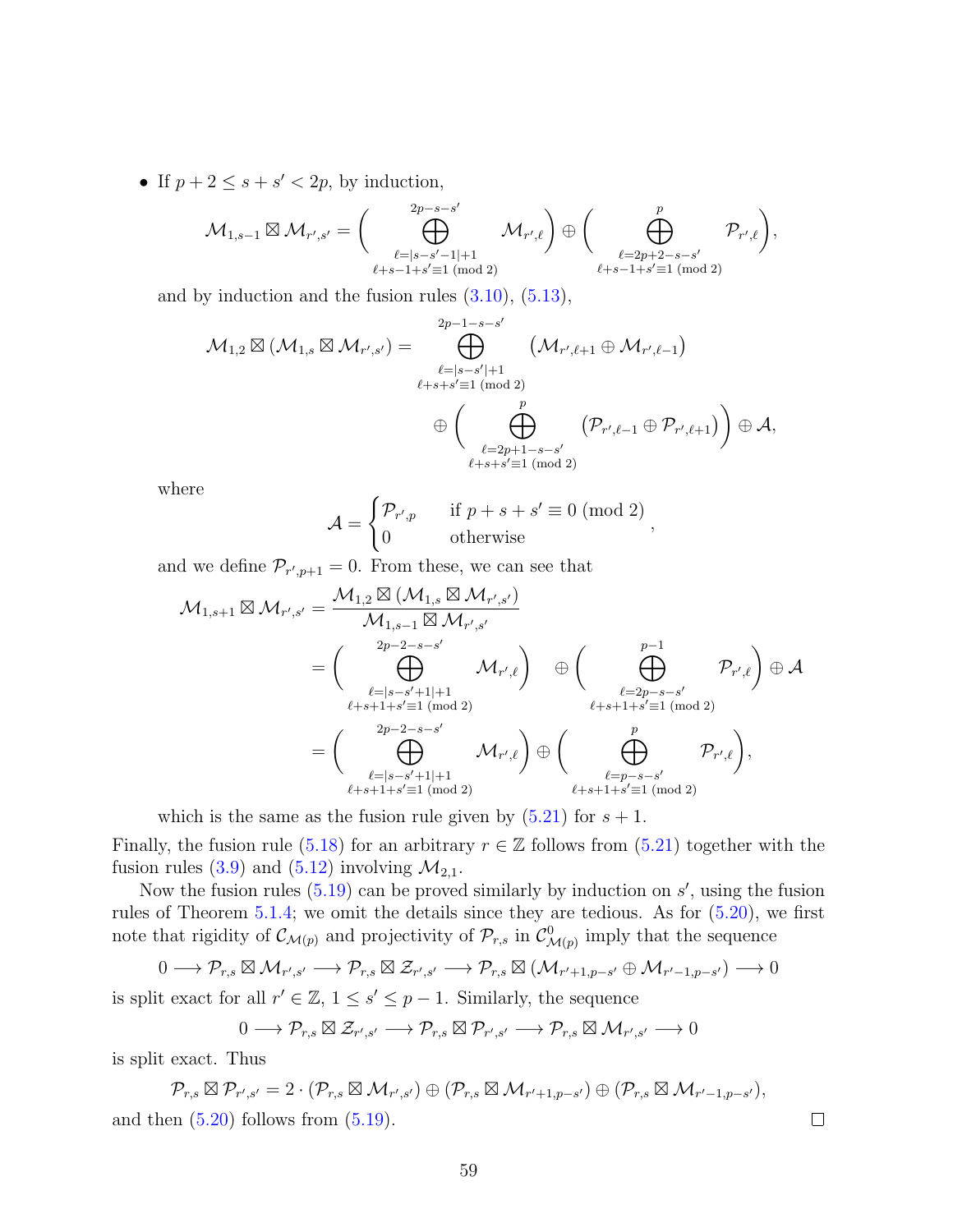• If  $p + 2 \leq s + s' < 2p$ , by induction,

$$
\mathcal{M}_{1,s-1} \boxtimes \mathcal{M}_{r',s'} = \Bigg(\bigoplus_{\substack{\ell=|s-s'-1|+1 \\ \ell+s-1+s' \equiv 1 \; (\text{mod}\; 2)}}^{2p-s-s'} \mathcal{M}_{r',\ell}\Bigg) \oplus \Bigg(\bigoplus_{\substack{\ell=2p+2-s-s' \\ \ell+s-1+s' \equiv 1 \; (\text{mod}\; 2)}}^p \mathcal{P}_{r',\ell}\Bigg),
$$

and by induction and the fusion rules  $(3.10)$ ,  $(5.13)$ ,

$$
\mathcal{M}_{1,2}\boxtimes(\mathcal{M}_{1,s}\boxtimes\mathcal{M}_{r',s'})=\bigoplus_{\substack{\ell=|s-s'|+1\\ \ell+s+s'\equiv 1\,\,(\text{mod}\,\,2)\\ \oplus\Big(\bigoplus_{\substack{\ell=2p+1-s-s'\\ \ell+s+s'\equiv 1\,\,(\text{mod}\,\,2)}}\Big(\mathcal{M}_{r',\ell+1}\oplus\mathcal{M}_{r',\ell-1}\Big)\oplus\mathcal{A},
$$

where

$$
\mathcal{A} = \begin{cases} \mathcal{P}_{r',p} & \text{if } p+s+s' \equiv 0 \pmod{2} \\ 0 & \text{otherwise} \end{cases}
$$

,

 $\Box$ 

and we define  $\mathcal{P}_{r',p+1} = 0$ . From these, we can see that

$$
\begin{aligned} \mathcal{M}_{1,s+1} \boxtimes \mathcal{M}_{r',s'} & = \frac{\mathcal{M}_{1,2} \boxtimes (\mathcal{M}_{1,s} \boxtimes \mathcal{M}_{r',s'})}{\mathcal{M}_{1,s-1} \boxtimes \mathcal{M}_{r',s'}} \\ & = \bigg( \bigoplus_{\substack{\ell = |s-s'+1|+1 \\ \ell+s+1+s' \equiv 1 \ (\text{mod }2)}}^{\substack{2p-2-s-s'}{}} \mathcal{M}_{r',\ell} \bigg) \quad \oplus \bigg( \bigoplus_{\substack{\ell = 2p-s-s' \\ \ell+s+1+s' \equiv 1 \ (\text{mod }2)}}^{\substack{p-1}{p-1}} \mathcal{P}_{r',\ell} \bigg) \oplus \mathcal{A} \\ & \\ & = \bigg( \bigoplus_{\substack{\ell = |s-s'+1|+1 \\ \ell+s+1+s' \equiv 1 \ (\text{mod }2)}}^{\substack{2p-2-s-s'}{}} \mathcal{M}_{r',\ell} \bigg) \oplus \bigg( \bigoplus_{\substack{\ell = p-s-s' \\ \ell+s+1+s' \equiv 1 \ (\text{mod }2)}}^{\substack{p}{p}} \mathcal{P}_{r',\ell} \bigg), \end{aligned}
$$

which is the same as the fusion rule given by  $(5.21)$  for  $s + 1$ .

Finally, the fusion rule [\(5.18\)](#page-55-1) for an arbitrary  $r \in \mathbb{Z}$  follows from [\(5.21\)](#page-56-1) together with the fusion rules [\(3.9\)](#page-19-1) and [\(5.12\)](#page-54-0) involving  $\mathcal{M}_{2,1}$ .

Now the fusion rules  $(5.19)$  can be proved similarly by induction on  $s'$ , using the fusion rules of Theorem [5.1.4;](#page-54-6) we omit the details since they are tedious. As for [\(5.20\)](#page-56-0), we first note that rigidity of  $\mathcal{C}_{\mathcal{M}(p)}$  and projectivity of  $\mathcal{P}_{r,s}$  in  $\mathcal{C}_{\mathcal{M}(p)}^0$  imply that the sequence

$$
0 \longrightarrow \mathcal{P}_{r,s} \boxtimes \mathcal{M}_{r',s'} \longrightarrow \mathcal{P}_{r,s} \boxtimes \mathcal{Z}_{r',s'} \longrightarrow \mathcal{P}_{r,s} \boxtimes (\mathcal{M}_{r'+1,p-s'} \oplus \mathcal{M}_{r'-1,p-s'}) \longrightarrow 0
$$

is split exact for all  $r' \in \mathbb{Z}$ ,  $1 \leq s' \leq p-1$ . Similarly, the sequence

$$
0 \longrightarrow \mathcal{P}_{r,s} \boxtimes \mathcal{Z}_{r',s'} \longrightarrow \mathcal{P}_{r,s} \boxtimes \mathcal{P}_{r',s'} \longrightarrow \mathcal{P}_{r,s} \boxtimes \mathcal{M}_{r',s'} \longrightarrow 0
$$

is split exact. Thus

$$
\mathcal{P}_{r,s} \boxtimes \mathcal{P}_{r',s'} = 2 \cdot (\mathcal{P}_{r,s} \boxtimes \mathcal{M}_{r',s'}) \oplus (\mathcal{P}_{r,s} \boxtimes \mathcal{M}_{r'+1,p-s'}) \oplus (\mathcal{P}_{r,s} \boxtimes \mathcal{M}_{r'-1,p-s'}),
$$
  
and then (5.20) follows from (5.19).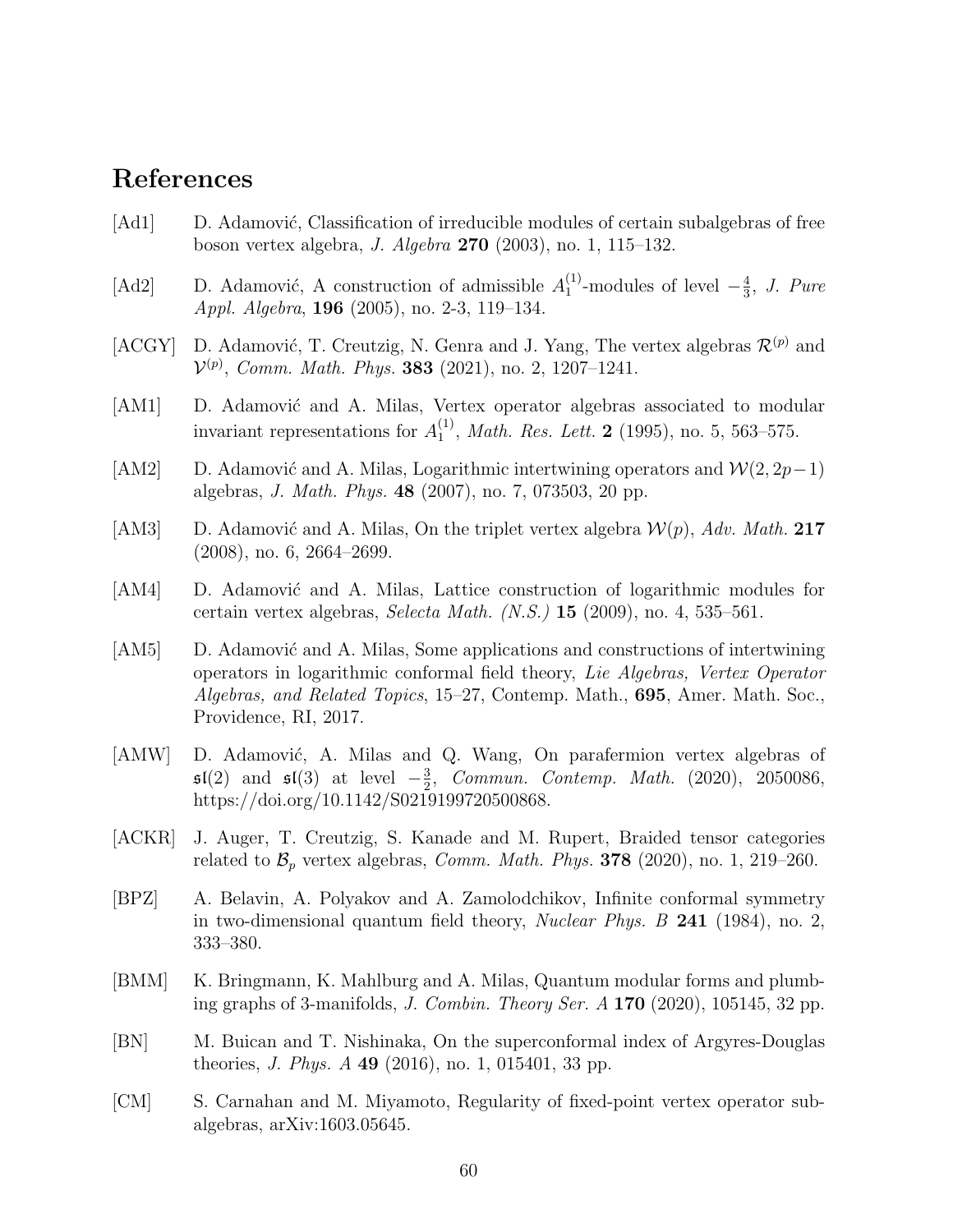# References

- <span id="page-59-2"></span>[Ad1] D. Adamović, Classification of irreducible modules of certain subalgebras of free boson vertex algebra, J. Algebra 270 (2003), no. 1, 115–132.
- <span id="page-59-9"></span>[Ad2] D. Adamović, A construction of admissible  $A_1^{(1)}$  $_1^{(1)}$ -modules of level  $-\frac{4}{3}$  $\frac{4}{3}$ , J. Pure Appl. Algebra, 196 (2005), no. 2-3, 119–134.
- <span id="page-59-7"></span>[ACGY] D. Adamović, T. Creutzig, N. Genra and J. Yang, The vertex algebras  $\mathcal{R}^{(p)}$  and  $\mathcal{V}^{(p)}$ , Comm. Math. Phys. **383** (2021), no. 2, 1207–1241.
- <span id="page-59-6"></span>[AM1] D. Adamović and A. Milas, Vertex operator algebras associated to modular invariant representations for  $A_1^{(1)}$  $_{1}^{(1)}$ , *Math. Res. Lett.* **2** (1995), no. 5, 563–575.
- <span id="page-59-3"></span>[AM2] D. Adamović and A. Milas, Logarithmic intertwining operators and  $\mathcal{W}(2, 2p-1)$ algebras, J. Math. Phys. 48 (2007), no. 7, 073503, 20 pp.
- <span id="page-59-0"></span>[AM3] D. Adamović and A. Milas, On the triplet vertex algebra  $\mathcal{W}(p)$ , Adv. Math. 217 (2008), no. 6, 2664–2699.
- <span id="page-59-1"></span>[AM4] D. Adamović and A. Milas, Lattice construction of logarithmic modules for certain vertex algebras, Selecta Math.  $(N.S.)$  15 (2009), no. 4, 535–561.
- <span id="page-59-4"></span>[AM5] D. Adamović and A. Milas, Some applications and constructions of intertwining operators in logarithmic conformal field theory, Lie Algebras, Vertex Operator Algebras, and Related Topics, 15–27, Contemp. Math., 695, Amer. Math. Soc., Providence, RI, 2017.
- <span id="page-59-11"></span>[AMW] D. Adamović, A. Milas and Q. Wang, On parafermion vertex algebras of  $\mathfrak{sl}(2)$  and  $\mathfrak{sl}(3)$  at level  $-\frac{3}{2}$  $\frac{3}{2}$ , Commun. Contemp. Math. (2020), 2050086, https://doi.org/10.1142/S0219199720500868.
- <span id="page-59-8"></span>[ACKR] J. Auger, T. Creutzig, S. Kanade and M. Rupert, Braided tensor categories related to  $\mathcal{B}_p$  vertex algebras, *Comm. Math. Phys.* **378** (2020), no. 1, 219–260.
- <span id="page-59-13"></span>[BPZ] A. Belavin, A. Polyakov and A. Zamolodchikov, Infinite conformal symmetry in two-dimensional quantum field theory, *Nuclear Phys. B* 241 (1984), no. 2, 333–380.
- <span id="page-59-12"></span>[BMM] K. Bringmann, K. Mahlburg and A. Milas, Quantum modular forms and plumbing graphs of 3-manifolds, J. Combin. Theory Ser.  $A$  170 (2020), 105145, 32 pp.
- <span id="page-59-10"></span>[BN] M. Buican and T. Nishinaka, On the superconformal index of Argyres-Douglas theories, *J. Phys. A* 49 (2016), no. 1, 015401, 33 pp.
- <span id="page-59-5"></span>[CM] S. Carnahan and M. Miyamoto, Regularity of fixed-point vertex operator subalgebras, arXiv:1603.05645.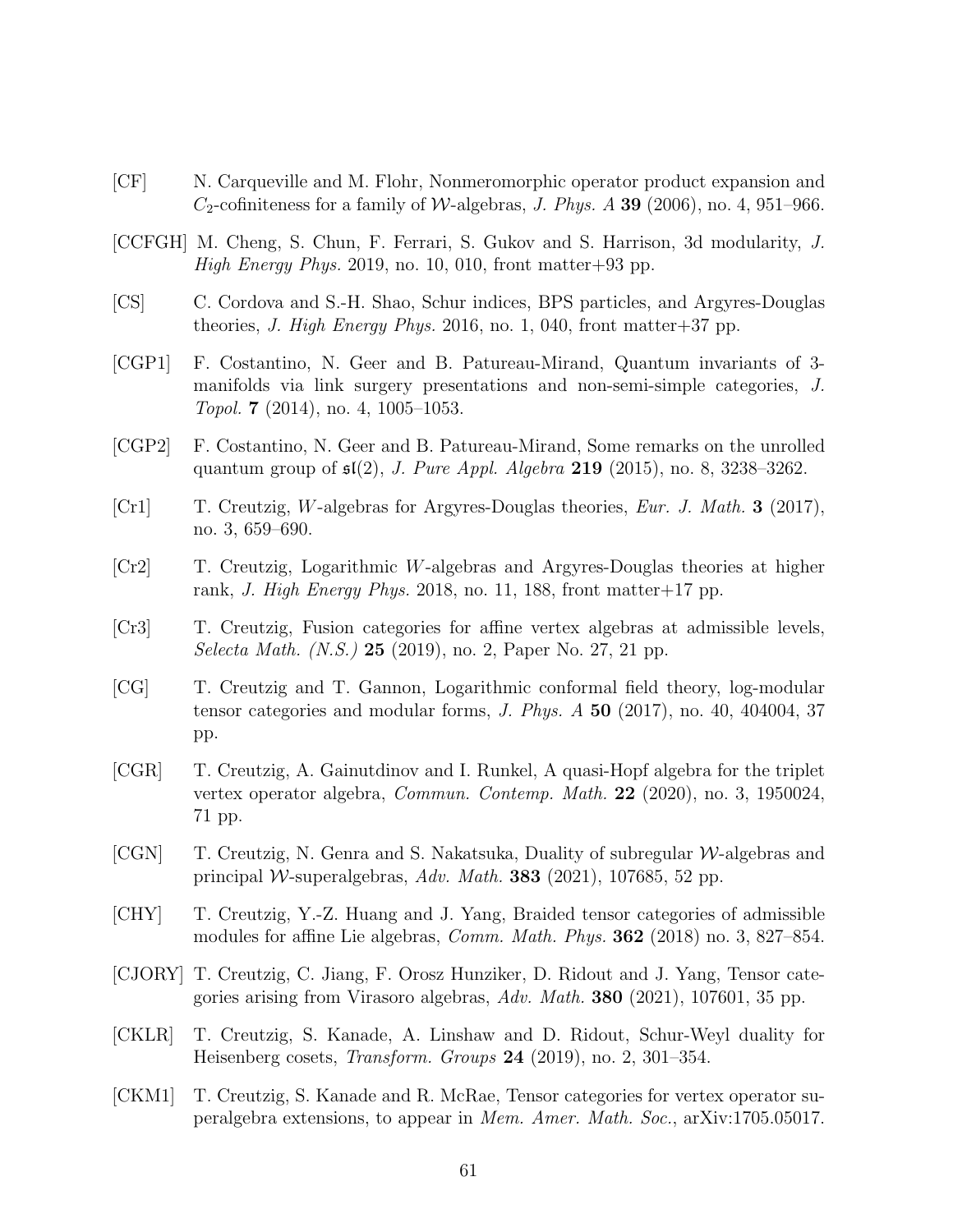- <span id="page-60-0"></span>[CF] N. Carqueville and M. Flohr, Nonmeromorphic operator product expansion and  $C_2$ -cofiniteness for a family of W-algebras, J. Phys. A 39 (2006), no. 4, 951–966.
- <span id="page-60-4"></span>[CCFGH] M. Cheng, S. Chun, F. Ferrari, S. Gukov and S. Harrison, 3d modularity, J. High Energy Phys. 2019, no. 10, 010, front matter + 93 pp.
- <span id="page-60-12"></span>[CS] C. Cordova and S.-H. Shao, Schur indices, BPS particles, and Argyres-Douglas theories, J. High Energy Phys. 2016, no. 1, 040, front matter + 37 pp.
- <span id="page-60-5"></span>[CGP1] F. Costantino, N. Geer and B. Patureau-Mirand, Quantum invariants of 3 manifolds via link surgery presentations and non-semi-simple categories, J. Topol. 7 (2014), no. 4, 1005–1053.
- <span id="page-60-7"></span>[CGP2] F. Costantino, N. Geer and B. Patureau-Mirand, Some remarks on the unrolled quantum group of  $\mathfrak{sl}(2)$ , *J. Pure Appl. Algebra* 219 (2015), no. 8, 3238-3262.
- <span id="page-60-11"></span>[Cr1] T. Creutzig, W-algebras for Argyres-Douglas theories, Eur. J. Math. 3 (2017), no. 3, 659–690.
- <span id="page-60-13"></span>[Cr2] T. Creutzig, Logarithmic W-algebras and Argyres-Douglas theories at higher rank, *J. High Energy Phys.* 2018, no. 11, 188, front matter+17 pp.
- <span id="page-60-9"></span>[Cr3] T. Creutzig, Fusion categories for affine vertex algebras at admissible levels, Selecta Math. (N.S.) 25 (2019), no. 2, Paper No. 27, 21 pp.
- <span id="page-60-6"></span>[CG] T. Creutzig and T. Gannon, Logarithmic conformal field theory, log-modular tensor categories and modular forms, J. Phys.  $A$  50 (2017), no. 40, 404004, 37 pp.
- <span id="page-60-1"></span>[CGR] T. Creutzig, A. Gainutdinov and I. Runkel, A quasi-Hopf algebra for the triplet vertex operator algebra, *Commun. Contemp. Math.* **22** (2020), no. 3, 1950024, 71 pp.
- <span id="page-60-10"></span> $[CGN]$  T. Creutzig, N. Genra and S. Nakatsuka, Duality of subregular W-algebras and principal W-superalgebras, Adv. Math. 383 (2021), 107685, 52 pp.
- <span id="page-60-8"></span>[CHY] T. Creutzig, Y.-Z. Huang and J. Yang, Braided tensor categories of admissible modules for affine Lie algebras, Comm. Math. Phys. 362 (2018) no. 3, 827–854.
- <span id="page-60-2"></span>[CJORY] T. Creutzig, C. Jiang, F. Orosz Hunziker, D. Ridout and J. Yang, Tensor categories arising from Virasoro algebras,  $Adv. Math. 380 (2021), 107601, 35 pp.$
- <span id="page-60-14"></span>[CKLR] T. Creutzig, S. Kanade, A. Linshaw and D. Ridout, Schur-Weyl duality for Heisenberg cosets, Transform. Groups 24 (2019), no. 2, 301–354.
- <span id="page-60-3"></span>[CKM1] T. Creutzig, S. Kanade and R. McRae, Tensor categories for vertex operator superalgebra extensions, to appear in Mem. Amer. Math. Soc., arXiv:1705.05017.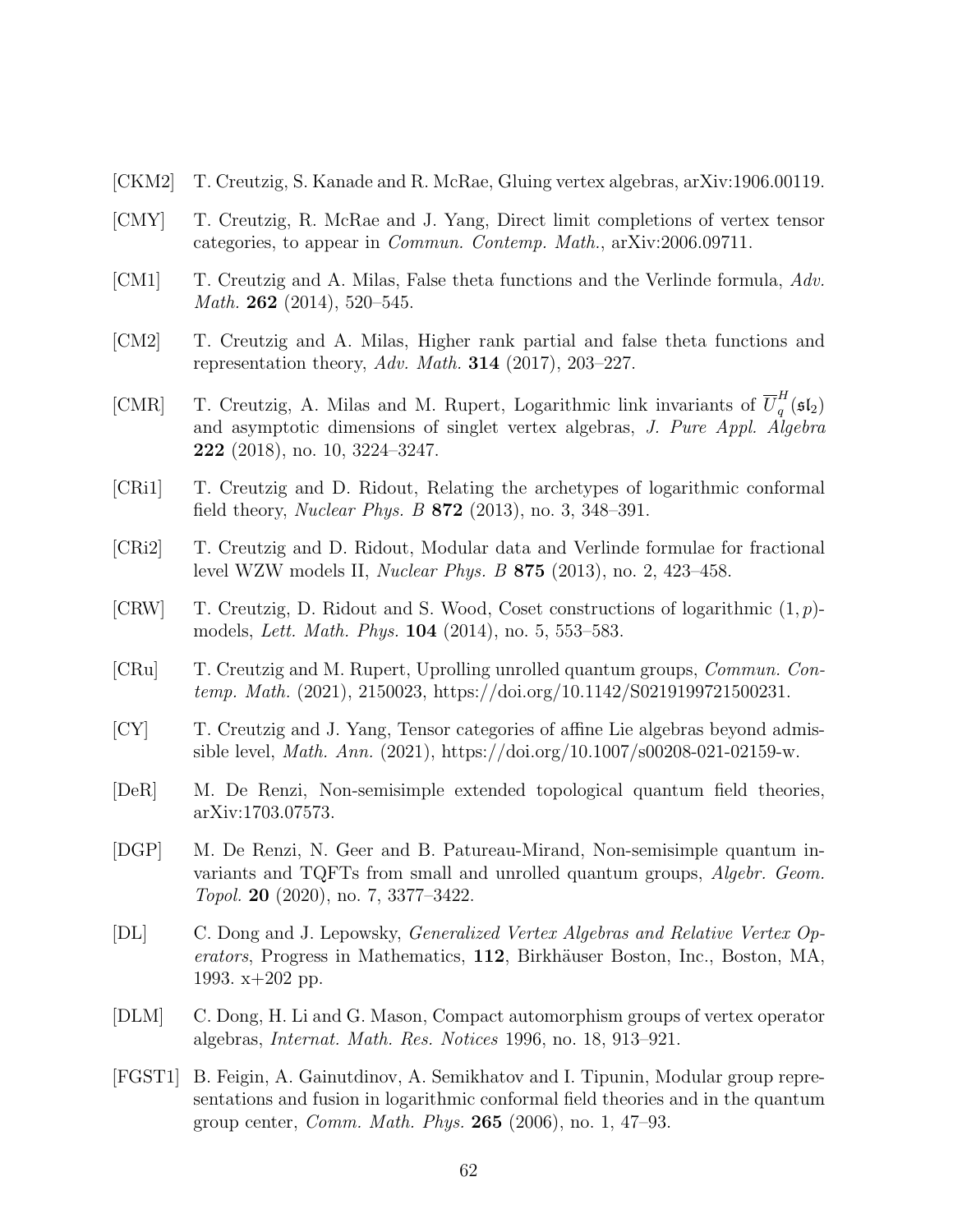- <span id="page-61-13"></span>[CKM2] T. Creutzig, S. Kanade and R. McRae, Gluing vertex algebras, arXiv:1906.00119.
- <span id="page-61-3"></span>[CMY] T. Creutzig, R. McRae and J. Yang, Direct limit completions of vertex tensor categories, to appear in Commun. Contemp. Math., arXiv:2006.09711.
- <span id="page-61-1"></span>[CM1] T. Creutzig and A. Milas, False theta functions and the Verlinde formula, Adv. *Math.* **262** (2014), 520–545.
- <span id="page-61-9"></span>[CM2] T. Creutzig and A. Milas, Higher rank partial and false theta functions and representation theory, Adv. Math. **314** (2017), 203-227.
- <span id="page-61-2"></span>[CMR] T. Creutzig, A. Milas and M. Rupert, Logarithmic link invariants of  $\overline{U}_q^H$  $\frac{n}{q}(\mathfrak{sl}_2)$ and asymptotic dimensions of singlet vertex algebras, J. Pure Appl. Algebra 222 (2018), no. 10, 3224–3247.
- [CRi1] T. Creutzig and D. Ridout, Relating the archetypes of logarithmic conformal field theory, Nuclear Phys. B 872 (2013), no. 3, 348–391.
- <span id="page-61-7"></span>[CRi2] T. Creutzig and D. Ridout, Modular data and Verlinde formulae for fractional level WZW models II, Nuclear Phys. B 875 (2013), no. 2, 423–458.
- <span id="page-61-8"></span> $[CRW]$  T. Creutzig, D. Ridout and S. Wood, Coset constructions of logarithmic  $(1, p)$ models, Lett. Math. Phys. 104 (2014), no. 5, 553–583.
- <span id="page-61-10"></span>[CRu] T. Creutzig and M. Rupert, Uprolling unrolled quantum groups, Commun. Contemp. Math. (2021), 2150023, https://doi.org/10.1142/S0219199721500231.
- <span id="page-61-4"></span>[CY] T. Creutzig and J. Yang, Tensor categories of affine Lie algebras beyond admissible level, *Math. Ann.* (2021), https://doi.org/10.1007/s00208-021-02159-w.
- <span id="page-61-5"></span>[DeR] M. De Renzi, Non-semisimple extended topological quantum field theories, arXiv:1703.07573.
- <span id="page-61-6"></span>[DGP] M. De Renzi, N. Geer and B. Patureau-Mirand, Non-semisimple quantum invariants and TQFTs from small and unrolled quantum groups, *Algebr. Geom.* Topol. 20 (2020), no. 7, 3377–3422.
- <span id="page-61-11"></span>[DL] C. Dong and J. Lepowsky, Generalized Vertex Algebras and Relative Vertex Op $erators$ , Progress in Mathematics, 112, Birkhäuser Boston, Inc., Boston, MA, 1993. x+202 pp.
- <span id="page-61-12"></span>[DLM] C. Dong, H. Li and G. Mason, Compact automorphism groups of vertex operator algebras, Internat. Math. Res. Notices 1996, no. 18, 913–921.
- <span id="page-61-0"></span>[FGST1] B. Feigin, A. Gainutdinov, A. Semikhatov and I. Tipunin, Modular group representations and fusion in logarithmic conformal field theories and in the quantum group center, *Comm. Math. Phys.* **265** (2006), no. 1, 47–93.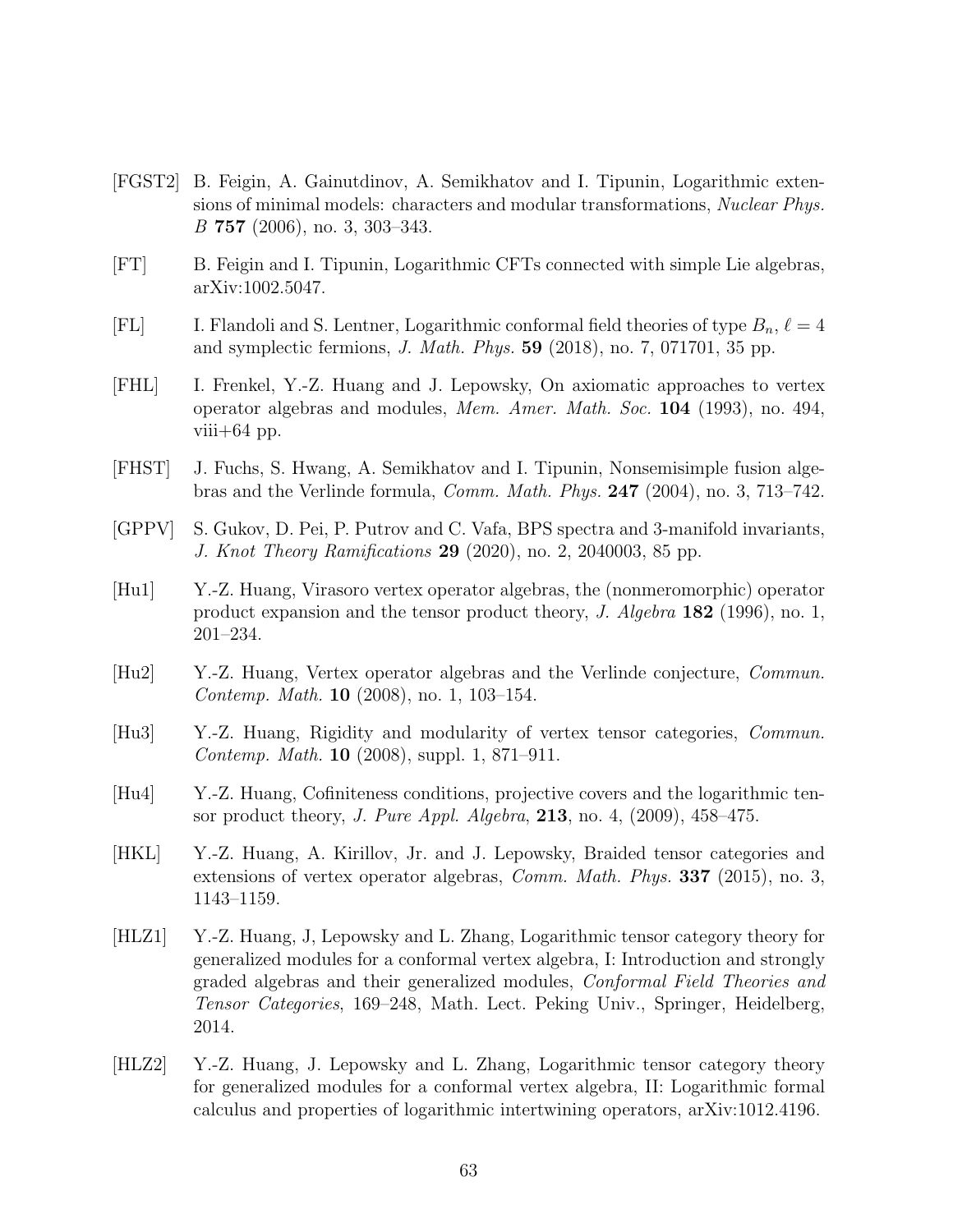- <span id="page-62-1"></span>[FGST2] B. Feigin, A. Gainutdinov, A. Semikhatov and I. Tipunin, Logarithmic extensions of minimal models: characters and modular transformations, Nuclear Phys. B 757 (2006), no. 3, 303–343.
- <span id="page-62-9"></span>[FT] B. Feigin and I. Tipunin, Logarithmic CFTs connected with simple Lie algebras, arXiv:1002.5047.
- <span id="page-62-10"></span>[FL] I. Flandoli and S. Lentner, Logarithmic conformal field theories of type  $B_n$ ,  $\ell = 4$ and symplectic fermions, J. Math. Phys. 59 (2018), no. 7, 071701, 35 pp.
- <span id="page-62-5"></span>[FHL] I. Frenkel, Y.-Z. Huang and J. Lepowsky, On axiomatic approaches to vertex operator algebras and modules, Mem. Amer. Math. Soc. 104 (1993), no. 494, viii $+64$  pp.
- <span id="page-62-0"></span>[FHST] J. Fuchs, S. Hwang, A. Semikhatov and I. Tipunin, Nonsemisimple fusion algebras and the Verlinde formula, Comm. Math. Phys. 247 (2004), no. 3, 713–742.
- <span id="page-62-6"></span>[GPPV] S. Gukov, D. Pei, P. Putrov and C. Vafa, BPS spectra and 3-manifold invariants, J. Knot Theory Ramifications 29 (2020), no. 2, 2040003, 85 pp.
- <span id="page-62-11"></span>[Hu1] Y.-Z. Huang, Virasoro vertex operator algebras, the (nonmeromorphic) operator product expansion and the tensor product theory, J. Algebra 182 (1996), no. 1, 201–234.
- <span id="page-62-7"></span>[Hu2] Y.-Z. Huang, Vertex operator algebras and the Verlinde conjecture, Commun. Contemp. Math. 10 (2008), no. 1, 103–154.
- <span id="page-62-8"></span>[Hu3] Y.-Z. Huang, Rigidity and modularity of vertex tensor categories, Commun. Contemp. Math. 10 (2008), suppl. 1, 871–911.
- <span id="page-62-2"></span>[Hu4] Y.-Z. Huang, Cofiniteness conditions, projective covers and the logarithmic tensor product theory, *J. Pure Appl. Algebra*, **213**, no. 4,  $(2009)$ ,  $458-475$ .
- <span id="page-62-3"></span>[HKL] Y.-Z. Huang, A. Kirillov, Jr. and J. Lepowsky, Braided tensor categories and extensions of vertex operator algebras, *Comm. Math. Phys.* **337** (2015), no. 3, 1143–1159.
- <span id="page-62-4"></span>[HLZ1] Y.-Z. Huang, J, Lepowsky and L. Zhang, Logarithmic tensor category theory for generalized modules for a conformal vertex algebra, I: Introduction and strongly graded algebras and their generalized modules, Conformal Field Theories and Tensor Categories, 169–248, Math. Lect. Peking Univ., Springer, Heidelberg, 2014.
- <span id="page-62-12"></span>[HLZ2] Y.-Z. Huang, J. Lepowsky and L. Zhang, Logarithmic tensor category theory for generalized modules for a conformal vertex algebra, II: Logarithmic formal calculus and properties of logarithmic intertwining operators, arXiv:1012.4196.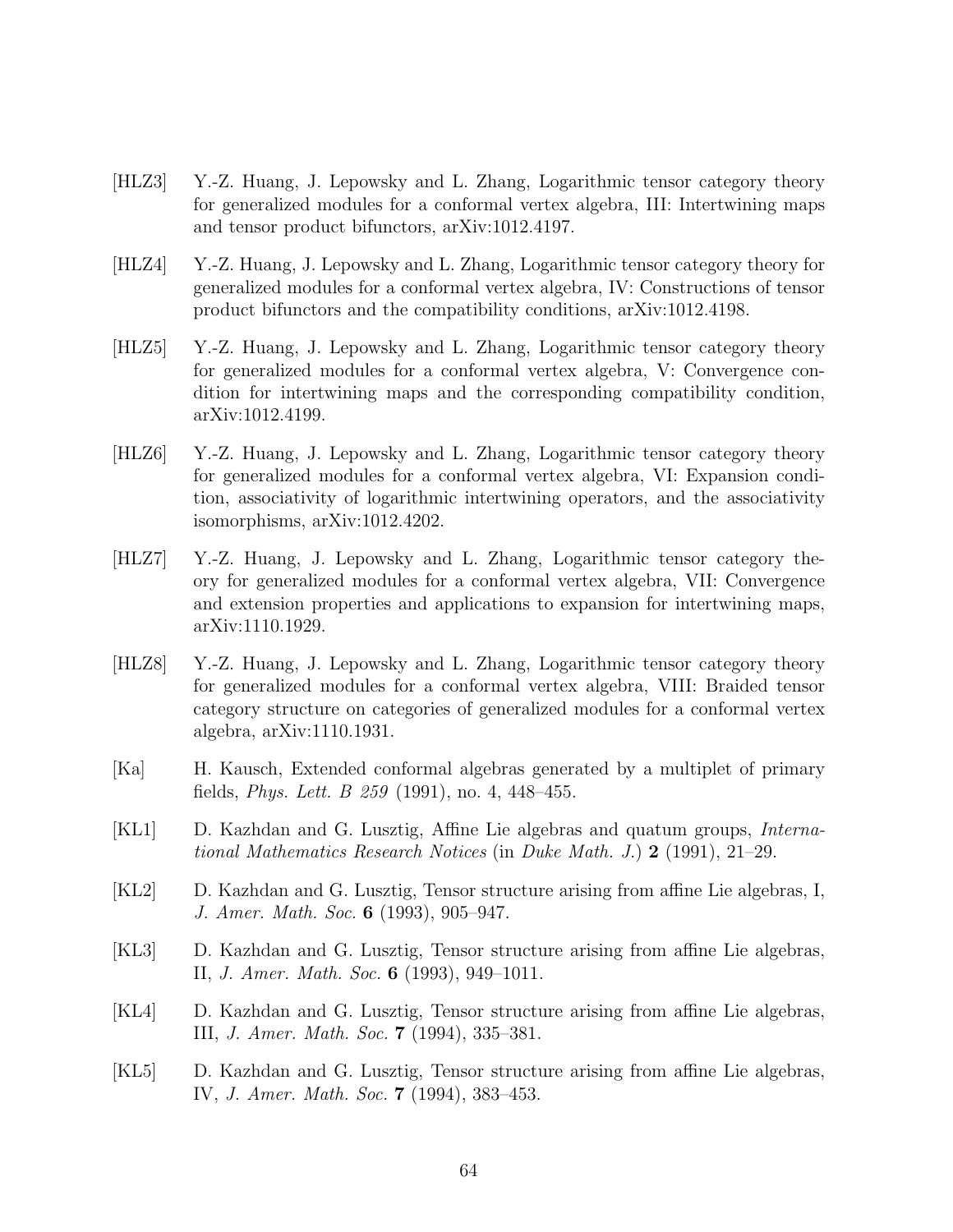- <span id="page-63-4"></span>[HLZ3] Y.-Z. Huang, J. Lepowsky and L. Zhang, Logarithmic tensor category theory for generalized modules for a conformal vertex algebra, III: Intertwining maps and tensor product bifunctors, arXiv:1012.4197.
- [HLZ4] Y.-Z. Huang, J. Lepowsky and L. Zhang, Logarithmic tensor category theory for generalized modules for a conformal vertex algebra, IV: Constructions of tensor product bifunctors and the compatibility conditions, arXiv:1012.4198.
- [HLZ5] Y.-Z. Huang, J. Lepowsky and L. Zhang, Logarithmic tensor category theory for generalized modules for a conformal vertex algebra, V: Convergence condition for intertwining maps and the corresponding compatibility condition, arXiv:1012.4199.
- <span id="page-63-5"></span>[HLZ6] Y.-Z. Huang, J. Lepowsky and L. Zhang, Logarithmic tensor category theory for generalized modules for a conformal vertex algebra, VI: Expansion condition, associativity of logarithmic intertwining operators, and the associativity isomorphisms, arXiv:1012.4202.
- [HLZ7] Y.-Z. Huang, J. Lepowsky and L. Zhang, Logarithmic tensor category theory for generalized modules for a conformal vertex algebra, VII: Convergence and extension properties and applications to expansion for intertwining maps, arXiv:1110.1929.
- <span id="page-63-1"></span>[HLZ8] Y.-Z. Huang, J. Lepowsky and L. Zhang, Logarithmic tensor category theory for generalized modules for a conformal vertex algebra, VIII: Braided tensor category structure on categories of generalized modules for a conformal vertex algebra, arXiv:1110.1931.
- <span id="page-63-0"></span>[Ka] H. Kausch, Extended conformal algebras generated by a multiplet of primary fields, *Phys. Lett. B 259* (1991), no. 4, 448–455.
- <span id="page-63-2"></span>[KL1] D. Kazhdan and G. Lusztig, Affine Lie algebras and quatum groups, International Mathematics Research Notices (in Duke Math. J.) 2 (1991), 21–29.
- [KL2] D. Kazhdan and G. Lusztig, Tensor structure arising from affine Lie algebras, I, J. Amer. Math. Soc. 6 (1993), 905–947.
- [KL3] D. Kazhdan and G. Lusztig, Tensor structure arising from affine Lie algebras, II, J. Amer. Math. Soc. 6 (1993), 949–1011.
- [KL4] D. Kazhdan and G. Lusztig, Tensor structure arising from affine Lie algebras, III, J. Amer. Math. Soc. 7 (1994), 335–381.
- <span id="page-63-3"></span>[KL5] D. Kazhdan and G. Lusztig, Tensor structure arising from affine Lie algebras, IV, J. Amer. Math. Soc. 7 (1994), 383–453.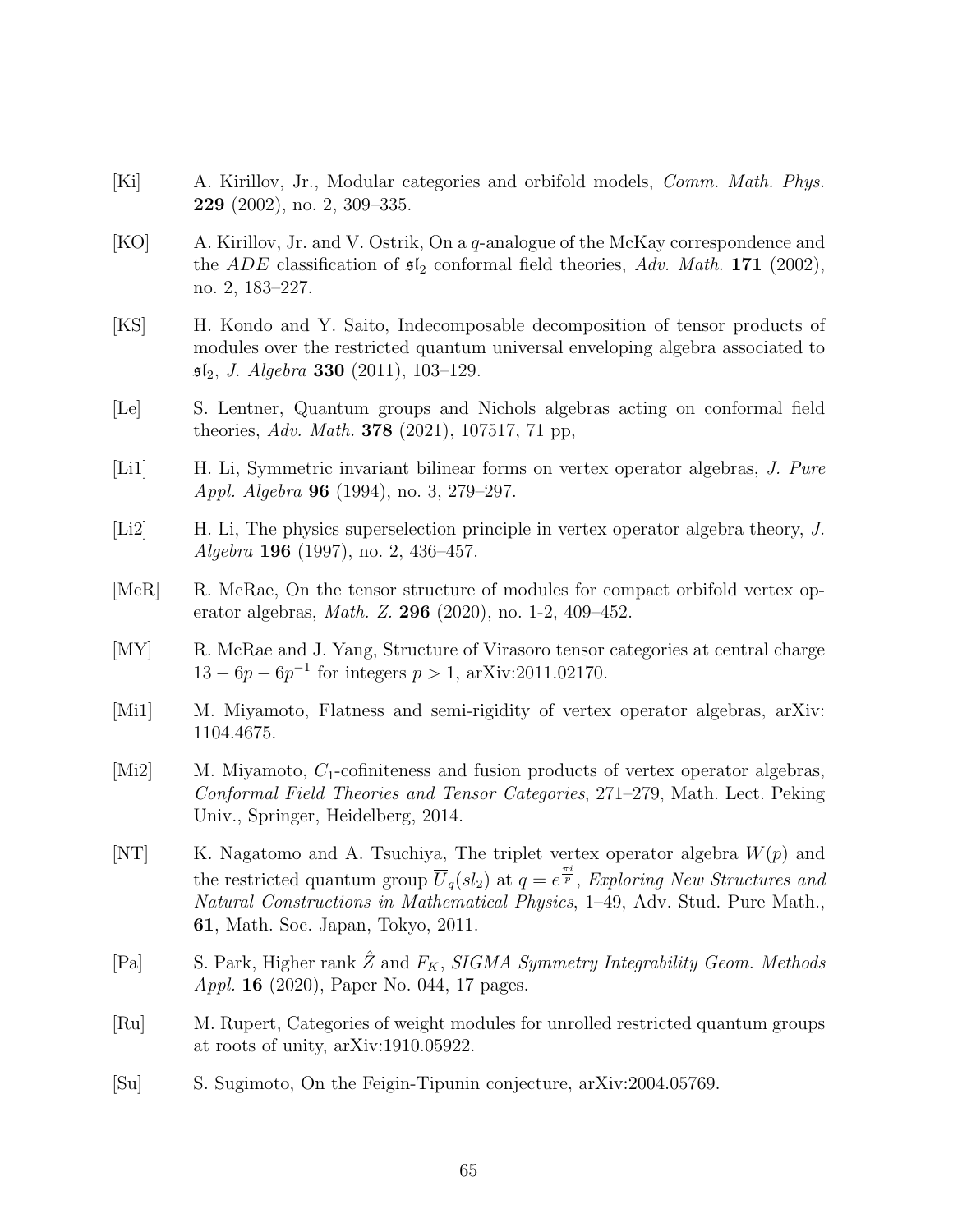- <span id="page-64-13"></span>[Ki] A. Kirillov, Jr., Modular categories and orbifold models, Comm. Math. Phys. 229 (2002), no. 2, 309–335.
- <span id="page-64-1"></span>[KO] A. Kirillov, Jr. and V. Ostrik, On a q-analogue of the McKay correspondence and the ADE classification of  $\mathfrak{sl}_2$  conformal field theories, Adv. Math. 171 (2002), no. 2, 183–227.
- <span id="page-64-4"></span>[KS] H. Kondo and Y. Saito, Indecomposable decomposition of tensor products of modules over the restricted quantum universal enveloping algebra associated to  $\mathfrak{sl}_2$ , J. Algebra 330 (2011), 103-129.
- <span id="page-64-5"></span>[Le] S. Lentner, Quantum groups and Nichols algebras acting on conformal field theories, Adv. Math. **378** (2021), 107517, 71 pp,
- <span id="page-64-9"></span>[Li1] H. Li, Symmetric invariant bilinear forms on vertex operator algebras, J. Pure Appl. Algebra 96 (1994), no. 3, 279–297.
- <span id="page-64-10"></span>[Li2] H. Li, The physics superselection principle in vertex operator algebra theory, J. Algebra 196 (1997), no. 2, 436–457.
- <span id="page-64-3"></span>[McR] R. McRae, On the tensor structure of modules for compact orbifold vertex operator algebras, Math. Z. 296 (2020), no. 1-2, 409–452.
- <span id="page-64-2"></span>[MY] R. McRae and J. Yang, Structure of Virasoro tensor categories at central charge  $13 - 6p - 6p^{-1}$  for integers  $p > 1$ , arXiv:2011.02170.
- <span id="page-64-12"></span>[Mi1] M. Miyamoto, Flatness and semi-rigidity of vertex operator algebras, arXiv: 1104.4675.
- <span id="page-64-11"></span>[Mi2] M. Miyamoto,  $C_1$ -cofiniteness and fusion products of vertex operator algebras, Conformal Field Theories and Tensor Categories, 271–279, Math. Lect. Peking Univ., Springer, Heidelberg, 2014.
- <span id="page-64-0"></span>[NT] K. Nagatomo and A. Tsuchiya, The triplet vertex operator algebra  $W(p)$  and the restricted quantum group  $\overline{U}_q(sl_2)$  at  $q=e^{\frac{\pi i}{p}}$ , Exploring New Structures and Natural Constructions in Mathematical Physics, 1–49, Adv. Stud. Pure Math., 61, Math. Soc. Japan, Tokyo, 2011.
- <span id="page-64-6"></span>[Pa] S. Park, Higher rank  $\hat{Z}$  and  $F_K$ , SIGMA Symmetry Integrability Geom. Methods *Appl.* **16** (2020), Paper No. 044, 17 pages.
- <span id="page-64-7"></span>[Ru] M. Rupert, Categories of weight modules for unrolled restricted quantum groups at roots of unity, arXiv:1910.05922.
- <span id="page-64-8"></span>[Su] S. Sugimoto, On the Feigin-Tipunin conjecture, arXiv:2004.05769.